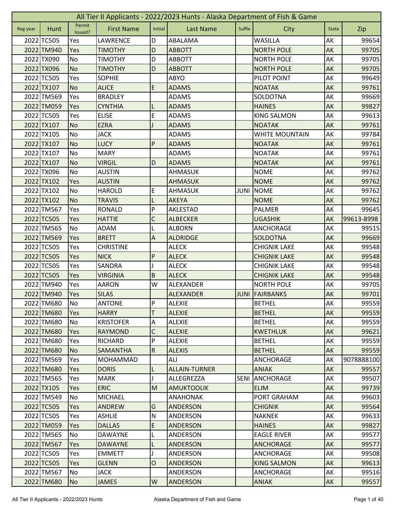|          | All Tier II Applicants - 2022/2023 Hunts - Alaska Department of Fish & Game |                   |                   |                           |                      |             |                       |              |            |  |  |
|----------|-----------------------------------------------------------------------------|-------------------|-------------------|---------------------------|----------------------|-------------|-----------------------|--------------|------------|--|--|
| Reg year | Hunt                                                                        | Permit<br>Issued? | <b>First Name</b> | Initial                   | <b>Last Name</b>     | Suffix      | City                  | <b>State</b> | Zip        |  |  |
|          | 2022 TC505                                                                  | Yes               | LAWRENCE          | D                         | ABALAMA              |             | WASILLA               | AK           | 99654      |  |  |
|          | 2022 TM940                                                                  | Yes               | <b>TIMOTHY</b>    | D                         | <b>ABBOTT</b>        |             | <b>NORTH POLE</b>     | AK           | 99705      |  |  |
|          | 2022 TX090                                                                  | No                | <b>TIMOTHY</b>    | D                         | <b>ABBOTT</b>        |             | <b>NORTH POLE</b>     | AK           | 99705      |  |  |
|          | 2022 TX096                                                                  | <b>No</b>         | <b>TIMOTHY</b>    | D                         | <b>ABBOTT</b>        |             | <b>NORTH POLE</b>     | AK           | 99705      |  |  |
|          | 2022 TC505                                                                  | Yes               | <b>SOPHIE</b>     |                           | ABYO                 |             | PILOT POINT           | AK           | 99649      |  |  |
|          | 2022 TX107                                                                  | <b>No</b>         | <b>ALICE</b>      | E                         | <b>ADAMS</b>         |             | <b>NOATAK</b>         | AK           | 99761      |  |  |
|          | 2022 TM569                                                                  | Yes               | <b>BRADLEY</b>    |                           | <b>ADAMS</b>         |             | SOLDOTNA              | AK           | 99669      |  |  |
|          | 2022 TM059                                                                  | Yes               | <b>CYNTHIA</b>    | L                         | <b>ADAMS</b>         |             | <b>HAINES</b>         | AK           | 99827      |  |  |
|          | 2022 TC505                                                                  | Yes               | <b>ELISE</b>      | E                         | <b>ADAMS</b>         |             | <b>KING SALMON</b>    | AK           | 99613      |  |  |
|          | 2022 TX107                                                                  | <b>No</b>         | <b>EZRA</b>       |                           | <b>ADAMS</b>         |             | <b>NOATAK</b>         | AK           | 99761      |  |  |
|          | 2022 TX105                                                                  | No                | <b>JACK</b>       |                           | <b>ADAMS</b>         |             | <b>WHITE MOUNTAIN</b> | АK           | 99784      |  |  |
|          | 2022 TX107                                                                  | <b>No</b>         | <b>LUCY</b>       | P                         | <b>ADAMS</b>         |             | <b>NOATAK</b>         | AK           | 99761      |  |  |
|          | 2022 TX107                                                                  | No                | <b>MARY</b>       |                           | ADAMS                |             | <b>NOATAK</b>         | АK           | 99761      |  |  |
|          | 2022 TX107                                                                  | <b>No</b>         | <b>VIRGIL</b>     | D                         | <b>ADAMS</b>         |             | <b>NOATAK</b>         | AK           | 99761      |  |  |
|          | 2022 TX096                                                                  | No                | <b>AUSTIN</b>     |                           | AHMASUK              |             | <b>NOME</b>           | AK           | 99762      |  |  |
|          | 2022 TX102                                                                  | Yes               | <b>AUSTIN</b>     |                           | <b>AHMASUK</b>       |             | <b>NOME</b>           | AK           | 99762      |  |  |
|          | 2022 TX102                                                                  | No                | <b>HAROLD</b>     | E                         | <b>AHMASUK</b>       | JUNI        | <b>NOME</b>           | AK           | 99762      |  |  |
|          | 2022 TX102                                                                  | <b>No</b>         | <b>TRAVIS</b>     | L                         | <b>AKEYA</b>         |             | <b>NOME</b>           | AK           | 99762      |  |  |
|          | 2022 TM567                                                                  | Yes               | <b>RONALD</b>     | P                         | AKLESTAD             |             | <b>PALMER</b>         | AK           | 99645      |  |  |
|          | 2022 TC505                                                                  | Yes               | <b>HATTIE</b>     | C                         | <b>ALBECKER</b>      |             | <b>UGASHIK</b>        | AK           | 99613-8998 |  |  |
|          | 2022 TM565                                                                  | No                | ADAM              |                           | <b>ALBORN</b>        |             | <b>ANCHORAGE</b>      | AK           | 99515      |  |  |
|          | 2022 TM569                                                                  | Yes               | <b>BRETT</b>      | $\boldsymbol{\mathsf{A}}$ | <b>ALDRIDGE</b>      |             | SOLDOTNA              | AK           | 99669      |  |  |
|          | 2022 TC505                                                                  | Yes               | <b>CHRISTINE</b>  |                           | <b>ALECK</b>         |             | <b>CHIGNIK LAKE</b>   | AK           | 99548      |  |  |
|          | 2022 TC505                                                                  | Yes               | <b>NICK</b>       | P                         | <b>ALECK</b>         |             | <b>CHIGNIK LAKE</b>   | AK           | 99548      |  |  |
|          | 2022 TC505                                                                  | Yes               | SANDRA            |                           | <b>ALECK</b>         |             | <b>CHIGNIK LAKE</b>   | AK           | 99548      |  |  |
|          | 2022 TC505                                                                  | Yes               | <b>VIRGINIA</b>   | B                         | <b>ALECK</b>         |             | <b>CHIGNIK LAKE</b>   | AK           | 99548      |  |  |
|          | 2022 TM940                                                                  | Yes               | <b>AARON</b>      | W                         | ALEXANDER            |             | <b>NORTH POLE</b>     | AK           | 99705      |  |  |
|          | 2022 TM940                                                                  | Yes               | <b>SILAS</b>      |                           | <b>ALEXANDER</b>     |             | <b>JUNI FAIRBANKS</b> | AK           | 99701      |  |  |
|          | 2022 TM680                                                                  | No                | <b>ANTONE</b>     | P                         | <b>ALEXIE</b>        |             | <b>BETHEL</b>         | AK           | 99559      |  |  |
|          | 2022 TM680                                                                  | <b>Yes</b>        | <b>HARRY</b>      | T                         | <b>ALEXIE</b>        |             | <b>BETHEL</b>         | AK           | 99559      |  |  |
|          | 2022 TM680                                                                  | No                | <b>KRISTOFER</b>  | A                         | <b>ALEXIE</b>        |             | <b>BETHEL</b>         | AK           | 99559      |  |  |
|          | 2022 TM680                                                                  | Yes               | <b>RAYMOND</b>    | C                         | <b>ALEXIE</b>        |             | <b>KWETHLUK</b>       | AK           | 99621      |  |  |
|          | 2022 TM680                                                                  | Yes               | RICHARD           | P                         | <b>ALEXIE</b>        |             | <b>BETHEL</b>         | AK           | 99559      |  |  |
|          | 2022 TM680                                                                  | N <sub>o</sub>    | <b>SAMANTHA</b>   | $\mathsf R$               | <b>ALEXIS</b>        |             | <b>BETHEL</b>         | AK           | 99559      |  |  |
|          | 2022 TM569                                                                  | Yes               | <b>MOHAMMAD</b>   |                           | ALI                  |             | <b>ANCHORAGE</b>      | АK           | 9078888100 |  |  |
|          | 2022 TM680                                                                  | <b>Yes</b>        | <b>DORIS</b>      | L                         | <b>ALLAIN-TURNER</b> |             | <b>ANIAK</b>          | AK           | 99557      |  |  |
|          | 2022 TM565                                                                  | Yes               | <b>MARK</b>       | J                         | ALLEGREZZA           | <b>SENI</b> | ANCHORAGE             | AK           | 99507      |  |  |
|          | 2022 TX105                                                                  | Yes               | <b>ERIC</b>       | M                         | <b>AMUKTOOLIK</b>    |             | <b>ELIM</b>           | AK           | 99739      |  |  |
|          | 2022 TM549                                                                  | No                | <b>MICHAEL</b>    |                           | <b>ANAHONAK</b>      |             | PORT GRAHAM           | АK           | 99603      |  |  |
|          | 2022 TC505                                                                  | Yes               | ANDREW            | G                         | <b>ANDERSON</b>      |             | <b>CHIGNIK</b>        | AK           | 99564      |  |  |
|          | 2022 TC505                                                                  | Yes               | <b>ASHLIE</b>     | ${\sf N}$                 | ANDERSON             |             | <b>NAKNEK</b>         | AK           | 99633      |  |  |
|          | 2022 TM059                                                                  | Yes               | <b>DALLAS</b>     | E                         | <b>ANDERSON</b>      |             | <b>HAINES</b>         | AK           | 99827      |  |  |
|          | 2022 TM565                                                                  | No                | DAWAYNE           | L                         | ANDERSON             |             | <b>EAGLE RIVER</b>    | AK           | 99577      |  |  |
|          | 2022 TM567                                                                  | Yes               | <b>DAWAYNE</b>    | L                         | <b>ANDERSON</b>      |             | <b>ANCHORAGE</b>      | AK           | 99577      |  |  |
|          | 2022 TC505                                                                  | Yes               | <b>EMMETT</b>     | L                         | ANDERSON             |             | <b>ANCHORAGE</b>      | AK           | 99508      |  |  |
|          | 2022 TC505                                                                  | Yes               | <b>GLENN</b>      | $\mathsf{O}$              | <b>ANDERSON</b>      |             | <b>KING SALMON</b>    | AK           | 99613      |  |  |
|          | 2022 TM567                                                                  | No                | <b>JACK</b>       |                           | ANDERSON             |             | <b>ANCHORAGE</b>      | АK           | 99516      |  |  |
|          | 2022 TM680                                                                  | <b>No</b>         | <b>JAMES</b>      | W                         | <b>ANDERSON</b>      |             | <b>ANIAK</b>          | AK           | 99557      |  |  |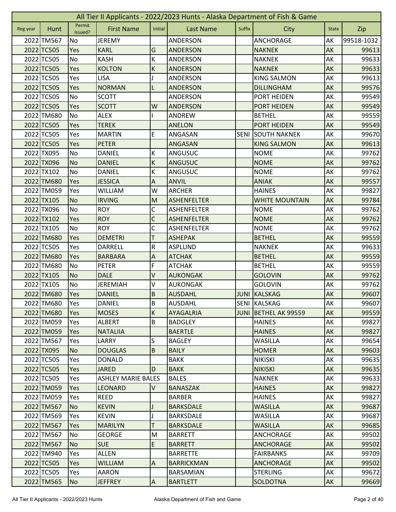| All Tier II Applicants - 2022/2023 Hunts - Alaska Department of Fish & Game |            |                   |                           |                         |                    |             |                       |              |            |
|-----------------------------------------------------------------------------|------------|-------------------|---------------------------|-------------------------|--------------------|-------------|-----------------------|--------------|------------|
| Reg year                                                                    | Hunt       | Permit<br>Issued? | <b>First Name</b>         | Initial                 | <b>Last Name</b>   | Suffix      | City                  | <b>State</b> | Zip        |
|                                                                             | 2022 TM567 | No                | <b>JEREMY</b>             |                         | ANDERSON           |             | <b>ANCHORAGE</b>      | AK           | 99518-1032 |
|                                                                             | 2022 TC505 | Yes               | <b>KARL</b>               | G                       | <b>ANDERSON</b>    |             | <b>NAKNEK</b>         | AK           | 99613      |
|                                                                             | 2022 TC505 | No                | <b>KASH</b>               | К                       | ANDERSON           |             | <b>NAKNEK</b>         | AK           | 99633      |
|                                                                             | 2022 TC505 | Yes               | <b>KOLTON</b>             | К                       | <b>ANDERSON</b>    |             | <b>NAKNEK</b>         | AK           | 99633      |
|                                                                             | 2022 TC505 | Yes               | <b>LISA</b>               |                         | ANDERSON           |             | <b>KING SALMON</b>    | AK           | 99613      |
|                                                                             | 2022 TC505 | Yes               | <b>NORMAN</b>             | L                       | <b>ANDERSON</b>    |             | <b>DILLINGHAM</b>     | AK           | 99576      |
|                                                                             | 2022 TC505 | No                | <b>SCOTT</b>              |                         | ANDERSON           |             | PORT HEIDEN           | AK           | 99549      |
|                                                                             | 2022 TC505 | Yes               | <b>SCOTT</b>              | W                       | <b>ANDERSON</b>    |             | <b>PORT HEIDEN</b>    | AK           | 99549      |
|                                                                             | 2022 TM680 | No                | <b>ALEX</b>               |                         | ANDREW             |             | <b>BETHEL</b>         | AK           | 99559      |
|                                                                             | 2022 TC505 | Yes               | <b>TEREK</b>              |                         | <b>ANELON</b>      |             | <b>PORT HEIDEN</b>    | AK           | 99549      |
|                                                                             | 2022 TC505 | Yes               | <b>MARTIN</b>             | E                       | ANGASAN            | <b>SENI</b> | <b>SOUTH NAKNEK</b>   | AK           | 99670      |
|                                                                             | 2022 TC505 | Yes               | <b>PETER</b>              |                         | ANGASAN            |             | <b>KING SALMON</b>    | AK           | 99613      |
|                                                                             | 2022 TX095 | No                | <b>DANIEL</b>             | К                       | ANGUSUC            |             | <b>NOME</b>           | AK           | 99762      |
|                                                                             | 2022 TX096 | <b>No</b>         | <b>DANIEL</b>             | К                       | <b>ANGUSUC</b>     |             | <b>NOME</b>           | AK           | 99762      |
|                                                                             | 2022 TX102 | No                | <b>DANIEL</b>             | К                       | <b>ANGUSUC</b>     |             | <b>NOME</b>           | AK           | 99762      |
|                                                                             | 2022 TM680 | Yes               | <b>JESSICA</b>            | A                       | <b>ANVIL</b>       |             | <b>ANIAK</b>          | AK           | 99557      |
|                                                                             | 2022 TM059 | Yes               | <b>WILLIAM</b>            | W                       | <b>ARCHER</b>      |             | <b>HAINES</b>         | AK           | 99827      |
|                                                                             | 2022 TX105 | <b>No</b>         | <b>IRVING</b>             | M                       | <b>ASHENFELTER</b> |             | <b>WHITE MOUNTAIN</b> | AK           | 99784      |
|                                                                             | 2022 TX096 | No                | <b>ROY</b>                | $\mathsf C$             | <b>ASHENFELTER</b> |             | <b>NOME</b>           | AK           | 99762      |
|                                                                             | 2022 TX102 | Yes               | <b>ROY</b>                | C                       | <b>ASHENFELTER</b> |             | <b>NOME</b>           | AK           | 99762      |
|                                                                             | 2022 TX105 | No                | <b>ROY</b>                | C                       | <b>ASHENFELTER</b> |             | <b>NOME</b>           | AK           | 99762      |
|                                                                             | 2022 TM680 | Yes               | <b>DEMETRI</b>            | T                       | <b>ASHEPAK</b>     |             | <b>BETHEL</b>         | AK           | 99559      |
|                                                                             | 2022 TC505 | Yes               | <b>DARRELL</b>            | ${\sf R}$               | ASPLUND            |             | <b>NAKNEK</b>         | AK           | 99633      |
|                                                                             | 2022 TM680 | Yes               | <b>BARBARA</b>            | A                       | <b>ATCHAK</b>      |             | <b>BETHEL</b>         | AK           | 99559      |
|                                                                             | 2022 TM680 | No                | <b>PETER</b>              | F                       | <b>ATCHAK</b>      |             | <b>BETHEL</b>         | AK           | 99559      |
|                                                                             | 2022 TX105 | <b>No</b>         | <b>DALE</b>               | V                       | <b>AUKONGAK</b>    |             | <b>GOLOVIN</b>        | AK           | 99762      |
|                                                                             | 2022 TX105 | No                | <b>JEREMIAH</b>           | V                       | <b>AUKONGAK</b>    |             | <b>GOLOVIN</b>        | AK           | 99762      |
|                                                                             | 2022 TM680 | Yes               | <b>DANIEL</b>             | $\sf B$                 | <b>AUSDAHL</b>     |             | <b>JUNI KALSKAG</b>   | AK           | 99607      |
|                                                                             | 2022 TM680 | Yes               | DANIEL                    | $\overline{\mathbf{a}}$ | AUSDAHL            |             | SENI KALSKAG          | AK           | 99607      |
|                                                                             | 2022 TM680 | Yes               | <b>MOSES</b>              | $\sf K$                 | <b>AYAGALRIA</b>   |             | JUNI BETHEL AK 99559  | AK           | 99559      |
|                                                                             | 2022 TM059 | Yes               | <b>ALBERT</b>             | B                       | <b>BADGLEY</b>     |             | <b>HAINES</b>         | AK           | 99827      |
|                                                                             | 2022 TM059 | Yes               | <b>NATALIIA</b>           |                         | <b>BAERTLE</b>     |             | <b>HAINES</b>         | AK           | 99827      |
|                                                                             | 2022 TM567 | Yes               | LARRY                     | S                       | <b>BAGLEY</b>      |             | <b>WASILLA</b>        | AK           | 99654      |
|                                                                             | 2022 TX095 | <b>No</b>         | <b>DOUGLAS</b>            | B                       | <b>BAILY</b>       |             | <b>HOMER</b>          | AK           | 99603      |
|                                                                             | 2022 TC505 | Yes               | <b>DONALD</b>             |                         | <b>BAKK</b>        |             | <b>NIKISKI</b>        | AK           | 99635      |
|                                                                             | 2022 TC505 | Yes               | <b>JARED</b>              | D                       | <b>BAKK</b>        |             | <b>NIKISKI</b>        | AK           | 99635      |
|                                                                             | 2022 TC505 | Yes               | <b>ASHLEY MARIE BALES</b> |                         | <b>BALES</b>       |             | <b>NAKNEK</b>         | AK           | 99633      |
|                                                                             | 2022 TM059 | Yes               | <b>LEONARD</b>            | $\mathsf{V}$            | <b>BANASZAK</b>    |             | <b>HAINES</b>         | AK           | 99827      |
|                                                                             | 2022 TM059 | Yes               | REED                      |                         | <b>BARBER</b>      |             | <b>HAINES</b>         | AK           | 99827      |
|                                                                             | 2022 TM567 | <b>No</b>         | <b>KEVIN</b>              |                         | <b>BARKSDALE</b>   |             | <b>WASILLA</b>        | AK           | 99687      |
|                                                                             | 2022 TM569 | Yes               | <b>KEVIN</b>              |                         | <b>BARKSDALE</b>   |             | <b>WASILLA</b>        | AK           | 99687      |
|                                                                             | 2022 TM567 | Yes               | <b>MARILYN</b>            | T                       | <b>BARKSDALE</b>   |             | <b>WASILLA</b>        | AK           | 99685      |
|                                                                             | 2022 TM567 | No                | <b>GEORGE</b>             | M                       | <b>BARRETT</b>     |             | ANCHORAGE             | AK           | 99502      |
|                                                                             | 2022 TM567 | <b>No</b>         | <b>SUE</b>                | E                       | <b>BARRETT</b>     |             | <b>ANCHORAGE</b>      | AK           | 99502      |
|                                                                             | 2022 TM940 | Yes               | <b>ALLEN</b>              |                         | <b>BARRETTE</b>    |             | <b>FAIRBANKS</b>      | AK           | 99709      |
|                                                                             | 2022 TC505 | <b>Yes</b>        | <b>WILLIAM</b>            | $\Lambda$               | <b>BARRICKMAN</b>  |             | <b>ANCHORAGE</b>      | AK           | 99502      |
|                                                                             | 2022 TC505 | Yes               | <b>AARON</b>              |                         | BARSAMIAN          |             | <b>STERLING</b>       | AK           | 99672      |
|                                                                             | 2022 TM565 | <b>No</b>         | <b>JEFFREY</b>            | $\overline{A}$          | <b>BARTLETT</b>    |             | SOLDOTNA              | AK           | 99669      |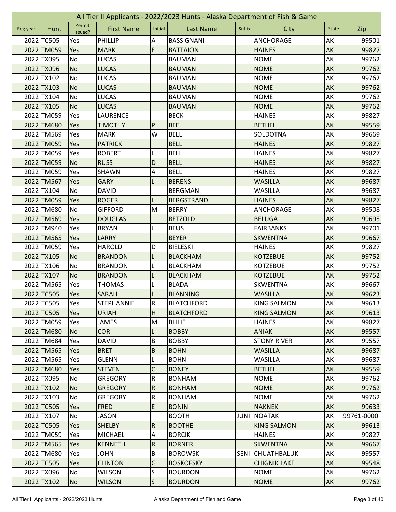|          | All Tier II Applicants - 2022/2023 Hunts - Alaska Department of Fish & Game |                   |                   |                           |                   |             |                     |              |            |  |  |
|----------|-----------------------------------------------------------------------------|-------------------|-------------------|---------------------------|-------------------|-------------|---------------------|--------------|------------|--|--|
| Reg year | Hunt                                                                        | Permit<br>Issued? | <b>First Name</b> | Initial                   | <b>Last Name</b>  | Suffix      | City                | <b>State</b> | Zip        |  |  |
|          | 2022 TC505                                                                  | Yes               | PHILLIP           | Α                         | <b>BASSIGNANI</b> |             | <b>ANCHORAGE</b>    | AK           | 99501      |  |  |
|          | 2022 TM059                                                                  | Yes               | <b>MARK</b>       | E                         | <b>BATTAION</b>   |             | <b>HAINES</b>       | AK           | 99827      |  |  |
|          | 2022 TX095                                                                  | No                | <b>LUCAS</b>      |                           | <b>BAUMAN</b>     |             | <b>NOME</b>         | AK           | 99762      |  |  |
|          | 2022 TX096                                                                  | <b>No</b>         | <b>LUCAS</b>      |                           | <b>BAUMAN</b>     |             | <b>NOME</b>         | AK           | 99762      |  |  |
|          | 2022 TX102                                                                  | No                | <b>LUCAS</b>      |                           | <b>BAUMAN</b>     |             | <b>NOME</b>         | AK           | 99762      |  |  |
|          | 2022 TX103                                                                  | <b>No</b>         | <b>LUCAS</b>      |                           | <b>BAUMAN</b>     |             | <b>NOME</b>         | AK           | 99762      |  |  |
|          | 2022 TX104                                                                  | No                | <b>LUCAS</b>      |                           | <b>BAUMAN</b>     |             | <b>NOME</b>         | AK           | 99762      |  |  |
|          | 2022 TX105                                                                  | <b>No</b>         | <b>LUCAS</b>      |                           | <b>BAUMAN</b>     |             | <b>NOME</b>         | AK           | 99762      |  |  |
|          | 2022 TM059                                                                  | Yes               | LAURENCE          |                           | <b>BECK</b>       |             | <b>HAINES</b>       | AK           | 99827      |  |  |
|          | 2022 TM680                                                                  | Yes               | <b>TIMOTHY</b>    | ${\sf P}$                 | <b>BEE</b>        |             | <b>BETHEL</b>       | AK           | 99559      |  |  |
|          | 2022 TM569                                                                  | Yes               | <b>MARK</b>       | W                         | <b>BELL</b>       |             | SOLDOTNA            | AK           | 99669      |  |  |
|          | 2022 TM059                                                                  | Yes               | <b>PATRICK</b>    |                           | <b>BELL</b>       |             | <b>HAINES</b>       | AK           | 99827      |  |  |
|          | 2022 TM059                                                                  | Yes               | <b>ROBERT</b>     | L                         | <b>BELL</b>       |             | <b>HAINES</b>       | AK           | 99827      |  |  |
|          | 2022 TM059                                                                  | <b>No</b>         | <b>RUSS</b>       | D                         | <b>BELL</b>       |             | <b>HAINES</b>       | AK           | 99827      |  |  |
|          | 2022 TM059                                                                  | Yes               | SHAWN             | $\boldsymbol{\mathsf{A}}$ | <b>BELL</b>       |             | <b>HAINES</b>       | АK           | 99827      |  |  |
|          | 2022 TM567                                                                  | Yes               | <b>GARY</b>       |                           | <b>BERENS</b>     |             | <b>WASILLA</b>      | AK           | 99687      |  |  |
|          | 2022 TX104                                                                  | No                | <b>DAVID</b>      |                           | <b>BERGMAN</b>    |             | <b>WASILLA</b>      | AK           | 99687      |  |  |
|          | 2022 TM059                                                                  | Yes               | <b>ROGER</b>      | L                         | <b>BERGSTRAND</b> |             | <b>HAINES</b>       | AK           | 99827      |  |  |
|          | 2022 TM680                                                                  | No                | <b>GIFFORD</b>    | M                         | <b>BERRY</b>      |             | <b>ANCHORAGE</b>    | AK           | 99508      |  |  |
|          | 2022 TM569                                                                  | Yes               | <b>DOUGLAS</b>    |                           | <b>BETZOLD</b>    |             | <b>BELUGA</b>       | AK           | 99695      |  |  |
|          | 2022 TM940                                                                  | Yes               | <b>BRYAN</b>      |                           | <b>BEUS</b>       |             | <b>FAIRBANKS</b>    | AK           | 99701      |  |  |
|          | 2022 TM565                                                                  | Yes               | <b>LARRY</b>      |                           | <b>BEYER</b>      |             | <b>SKWENTNA</b>     | AK           | 99667      |  |  |
|          | 2022 TM059                                                                  | Yes               | <b>HAROLD</b>     | D                         | <b>BIELESKI</b>   |             | <b>HAINES</b>       | AK           | 99827      |  |  |
|          | 2022 TX105                                                                  | <b>No</b>         | <b>BRANDON</b>    | L                         | <b>BLACKHAM</b>   |             | <b>KOTZEBUE</b>     | AK           | 99752      |  |  |
|          | 2022 TX106                                                                  | No                | <b>BRANDON</b>    |                           | <b>BLACKHAM</b>   |             | <b>KOTZEBUE</b>     | АK           | 99752      |  |  |
|          | 2022 TX107                                                                  | <b>No</b>         | <b>BRANDON</b>    |                           | <b>BLACKHAM</b>   |             | <b>KOTZEBUE</b>     | AK           | 99752      |  |  |
|          | 2022 TM565                                                                  | Yes               | <b>THOMAS</b>     | L                         | <b>BLADA</b>      |             | SKWENTNA            | AK           | 99667      |  |  |
|          | 2022 TC505                                                                  | Yes               | <b>SARAH</b>      |                           | <b>BLANNING</b>   |             | <b>WASILLA</b>      | AK           | 99623      |  |  |
|          | 2022 TC505                                                                  | Yes               | <b>STEPHANNIE</b> | R                         | <b>BLATCHFORD</b> |             | <b>KING SALMON</b>  | AK           | 99613      |  |  |
|          | 2022 TC505                                                                  | <b>Yes</b>        | <b>URIAH</b>      | H                         | <b>BLATCHFORD</b> |             | <b>KING SALMON</b>  | AK           | 99613      |  |  |
|          | 2022 TM059                                                                  | Yes               | <b>JAMES</b>      | M                         | <b>BLILIE</b>     |             | <b>HAINES</b>       | AK           | 99827      |  |  |
|          | 2022 TM680                                                                  | N <sub>o</sub>    | <b>CORI</b>       | L                         | <b>BOBBY</b>      |             | <b>ANIAK</b>        | AK           | 99557      |  |  |
|          | 2022 TM684                                                                  | Yes               | <b>DAVID</b>      | B                         | <b>BOBBY</b>      |             | <b>STONY RIVER</b>  | AK           | 99557      |  |  |
|          | 2022 TM565                                                                  | Yes               | <b>BRET</b>       | $\sf B$                   | <b>BOHN</b>       |             | <b>WASILLA</b>      | AK           | 99687      |  |  |
|          | 2022 TM565                                                                  | Yes               | <b>GLENN</b>      | L                         | <b>BOHN</b>       |             | WASILLA             | AK           | 99687      |  |  |
|          | 2022 TM680                                                                  | <b>Yes</b>        | <b>STEVEN</b>     | C                         | <b>BONEY</b>      |             | <b>BETHEL</b>       | <b>AK</b>    | 99559      |  |  |
|          | 2022 TX095                                                                  | No                | <b>GREGORY</b>    | ${\sf R}$                 | <b>BONHAM</b>     |             | <b>NOME</b>         | AK           | 99762      |  |  |
|          | 2022 TX102                                                                  | <b>No</b>         | <b>GREGORY</b>    | $\overline{R}$            | <b>BONHAM</b>     |             | <b>NOME</b>         | AK           | 99762      |  |  |
|          | 2022 TX103                                                                  | No                | <b>GREGORY</b>    | ${\sf R}$                 | <b>BONHAM</b>     |             | <b>NOME</b>         | AK           | 99762      |  |  |
|          | 2022 TC505                                                                  | Yes               | <b>FRED</b>       | E                         | <b>BONIN</b>      |             | <b>NAKNEK</b>       | AK           | 99633      |  |  |
|          | 2022 TX107                                                                  | No                | <b>JASON</b>      |                           | <b>BOOTH</b>      | JUNI        | <b>NOATAK</b>       | AK           | 99761-0000 |  |  |
|          | 2022 TC505                                                                  | Yes               | <b>SHELBY</b>     | ${\sf R}$                 | <b>BOOTHE</b>     |             | <b>KING SALMON</b>  | AK           | 99613      |  |  |
|          | 2022 TM059                                                                  | Yes               | MICHAEL           | $\overline{A}$            | <b>BORCIK</b>     |             | <b>HAINES</b>       | AK           | 99827      |  |  |
|          | 2022 TM565                                                                  | Yes               | <b>KENNETH</b>    | $\overline{\mathsf{R}}$   | <b>BORNER</b>     |             | <b>SKWENTNA</b>     | AK           | 99667      |  |  |
|          | 2022 TM680                                                                  | Yes               | <b>JOHN</b>       | B                         | <b>BOROWSKI</b>   | <b>SENI</b> | <b>CHUATHBALUK</b>  | AK           | 99557      |  |  |
|          | 2022 TC505                                                                  | Yes               | <b>CLINTON</b>    | G                         | <b>BOSKOFSKY</b>  |             | <b>CHIGNIK LAKE</b> | AK           | 99548      |  |  |
|          | 2022 TX096                                                                  | No                | <b>WILSON</b>     | S                         | <b>BOURDON</b>    |             | <b>NOME</b>         | AK           | 99762      |  |  |
|          | 2022 TX102                                                                  | <b>No</b>         | <b>WILSON</b>     | $\vert$ S                 | <b>BOURDON</b>    |             | <b>NOME</b>         | AK           | 99762      |  |  |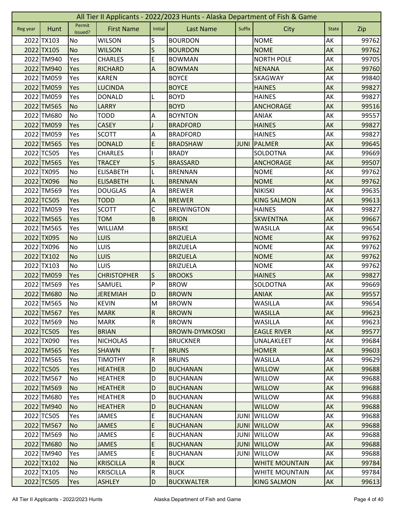|          | All Tier II Applicants - 2022/2023 Hunts - Alaska Department of Fish & Game |                   |                    |                                                                                                            |                       |             |                       |              |       |  |  |
|----------|-----------------------------------------------------------------------------|-------------------|--------------------|------------------------------------------------------------------------------------------------------------|-----------------------|-------------|-----------------------|--------------|-------|--|--|
| Reg year | Hunt                                                                        | Permit<br>Issued? | <b>First Name</b>  | Initial                                                                                                    | <b>Last Name</b>      | Suffix      | City                  | <b>State</b> | Zip   |  |  |
|          | 2022 TX103                                                                  | No                | <b>WILSON</b>      | S                                                                                                          | <b>BOURDON</b>        |             | <b>NOME</b>           | AK           | 99762 |  |  |
|          | 2022 TX105                                                                  | <b>No</b>         | <b>WILSON</b>      | S                                                                                                          | <b>BOURDON</b>        |             | <b>NOME</b>           | AK           | 99762 |  |  |
|          | 2022 TM940                                                                  | Yes               | <b>CHARLES</b>     | E                                                                                                          | <b>BOWMAN</b>         |             | <b>NORTH POLE</b>     | AK           | 99705 |  |  |
|          | 2022 TM940                                                                  | Yes               | <b>RICHARD</b>     | $\overline{A}$                                                                                             | <b>BOWMAN</b>         |             | <b>NENANA</b>         | AK           | 99760 |  |  |
|          | 2022 TM059                                                                  | Yes               | <b>KAREN</b>       |                                                                                                            | <b>BOYCE</b>          |             | SKAGWAY               | AK           | 99840 |  |  |
|          | 2022 TM059                                                                  | Yes               | <b>LUCINDA</b>     |                                                                                                            | <b>BOYCE</b>          |             | <b>HAINES</b>         | AK           | 99827 |  |  |
|          | 2022 TM059                                                                  | Yes               | <b>DONALD</b>      | L                                                                                                          | <b>BOYD</b>           |             | <b>HAINES</b>         | AK           | 99827 |  |  |
|          | 2022 TM565                                                                  | <b>No</b>         | <b>LARRY</b>       |                                                                                                            | <b>BOYD</b>           |             | <b>ANCHORAGE</b>      | AK           | 99516 |  |  |
|          | 2022 TM680                                                                  | No                | <b>TODD</b>        | A                                                                                                          | <b>BOYNTON</b>        |             | <b>ANIAK</b>          | AK           | 99557 |  |  |
|          | 2022 TM059                                                                  | Yes               | <b>CASEY</b>       |                                                                                                            | <b>BRADFORD</b>       |             | <b>HAINES</b>         | AK           | 99827 |  |  |
|          | 2022 TM059                                                                  | Yes               | <b>SCOTT</b>       | А                                                                                                          | <b>BRADFORD</b>       |             | <b>HAINES</b>         | AK           | 99827 |  |  |
|          | 2022 TM565                                                                  | Yes               | <b>DONALD</b>      | E                                                                                                          | <b>BRADSHAW</b>       | <b>JUNI</b> | PALMER                | AK           | 99645 |  |  |
|          | 2022 TC505                                                                  | Yes               | <b>CHARLES</b>     |                                                                                                            | <b>BRADY</b>          |             | SOLDOTNA              | AK           | 99669 |  |  |
|          | 2022 TM565                                                                  | Yes               | <b>TRACEY</b>      | S                                                                                                          | <b>BRASSARD</b>       |             | <b>ANCHORAGE</b>      | AK           | 99507 |  |  |
|          | 2022 TX095                                                                  | No                | <b>ELISABETH</b>   |                                                                                                            | <b>BRENNAN</b>        |             | <b>NOME</b>           | AK           | 99762 |  |  |
|          | 2022 TX096                                                                  | <b>No</b>         | <b>ELISABETH</b>   |                                                                                                            | <b>BRENNAN</b>        |             | <b>NOME</b>           | AK           | 99762 |  |  |
|          | 2022 TM569                                                                  | Yes               | <b>DOUGLAS</b>     | A                                                                                                          | <b>BREWER</b>         |             | <b>NIKISKI</b>        | AK           | 99635 |  |  |
|          | 2022 TC505                                                                  | Yes               | <b>TODD</b>        | $\boldsymbol{\mathsf{A}}$                                                                                  | <b>BREWER</b>         |             | <b>KING SALMON</b>    | AK           | 99613 |  |  |
|          | 2022 TM059                                                                  | Yes               | <b>SCOTT</b>       | C                                                                                                          | <b>BREWINGTON</b>     |             | <b>HAINES</b>         | AK           | 99827 |  |  |
|          | 2022 TM565                                                                  | Yes               | <b>TOM</b>         | $\mathsf B$                                                                                                | <b>BRION</b>          |             | <b>SKWENTNA</b>       | AK           | 99667 |  |  |
|          | 2022 TM565                                                                  | Yes               | <b>WILLIAM</b>     |                                                                                                            | <b>BRISKE</b>         |             | <b>WASILLA</b>        | AK           | 99654 |  |  |
|          | 2022 TX095                                                                  | <b>No</b>         | <b>LUIS</b>        |                                                                                                            | <b>BRIZUELA</b>       |             | <b>NOME</b>           | AK           | 99762 |  |  |
|          | 2022 TX096                                                                  | No                | LUIS               |                                                                                                            | <b>BRIZUELA</b>       |             | <b>NOME</b>           | AK           | 99762 |  |  |
|          | 2022 TX102                                                                  | <b>No</b>         | LUIS               |                                                                                                            | <b>BRIZUELA</b>       |             | <b>NOME</b>           | AK           | 99762 |  |  |
|          | 2022 TX103                                                                  | No                | <b>LUIS</b>        |                                                                                                            | <b>BRIZUELA</b>       |             | <b>NOME</b>           | AK           | 99762 |  |  |
|          | 2022 TM059                                                                  | Yes               | <b>CHRISTOPHER</b> | S                                                                                                          | <b>BROOKS</b>         |             | <b>HAINES</b>         | AK           | 99827 |  |  |
|          | 2022 TM569                                                                  | Yes               | SAMUEL             | P                                                                                                          | <b>BROW</b>           |             | SOLDOTNA              | AK           | 99669 |  |  |
|          | 2022 TM680                                                                  | <b>No</b>         | <b>JEREMIAH</b>    | D                                                                                                          | <b>BROWN</b>          |             | <b>ANIAK</b>          | AK           | 99557 |  |  |
|          | 2022 TM565                                                                  | No                | <b>KEVIN</b>       | $\mathsf{M}% _{T}=\mathsf{M}_{T}\!\left( a,b\right) ,\ \mathsf{M}_{T}=\mathsf{M}_{T}\!\left( a,b\right) ,$ | <b>BROWN</b>          |             | <b>WASILLA</b>        | AK           | 99654 |  |  |
|          | 2022 TM567                                                                  | Yes               | <b>MARK</b>        | $\overline{R}$                                                                                             | <b>BROWN</b>          |             | <b>WASILLA</b>        | AK           | 99623 |  |  |
|          | 2022 TM569                                                                  | No                | <b>MARK</b>        | ${\sf R}$                                                                                                  | <b>BROWN</b>          |             | <b>WASILLA</b>        | AK           | 99623 |  |  |
|          | 2022 TC505                                                                  | Yes               | <b>BRIAN</b>       |                                                                                                            | <b>BROWN-DYMKOSKI</b> |             | <b>EAGLE RIVER</b>    | AK           | 99577 |  |  |
|          | 2022 TX090                                                                  | Yes               | <b>NICHOLAS</b>    |                                                                                                            | <b>BRUCKNER</b>       |             | UNALAKLEET            | AK           | 99684 |  |  |
|          | 2022 TM565                                                                  | Yes               | <b>SHAWN</b>       | Τ                                                                                                          | <b>BRUNS</b>          |             | <b>HOMER</b>          | AK           | 99603 |  |  |
|          | 2022 TM565                                                                  | Yes               | <b>TIMOTHY</b>     | ${\sf R}$                                                                                                  | <b>BRUNS</b>          |             | <b>WASILLA</b>        | AK           | 99629 |  |  |
|          | 2022 TC505                                                                  | <b>Yes</b>        | <b>HEATHER</b>     | D                                                                                                          | <b>BUCHANAN</b>       |             | <b>WILLOW</b>         | <b>AK</b>    | 99688 |  |  |
|          | 2022 TM567                                                                  | No                | <b>HEATHER</b>     | D                                                                                                          | <b>BUCHANAN</b>       |             | <b>WILLOW</b>         | AK           | 99688 |  |  |
|          | 2022 TM569                                                                  | N <sub>o</sub>    | <b>HEATHER</b>     | D                                                                                                          | <b>BUCHANAN</b>       |             | <b>WILLOW</b>         | AK           | 99688 |  |  |
|          | 2022 TM680                                                                  | Yes               | <b>HEATHER</b>     | D                                                                                                          | <b>BUCHANAN</b>       |             | <b>WILLOW</b>         | AK           | 99688 |  |  |
|          | 2022 TM940                                                                  | <b>No</b>         | <b>HEATHER</b>     | D                                                                                                          | <b>BUCHANAN</b>       |             | <b>WILLOW</b>         | AK           | 99688 |  |  |
|          | 2022 TC505                                                                  | Yes               | <b>JAMES</b>       | E                                                                                                          | <b>BUCHANAN</b>       | JUNI        | <b>WILLOW</b>         | AK           | 99688 |  |  |
|          | 2022 TM567                                                                  | <b>No</b>         | <b>JAMES</b>       | E                                                                                                          | <b>BUCHANAN</b>       | <b>JUNI</b> | <b>WILLOW</b>         | AK           | 99688 |  |  |
|          | 2022 TM569                                                                  | No                | <b>JAMES</b>       | E                                                                                                          | <b>BUCHANAN</b>       | JUNI        | <b>WILLOW</b>         | AK           | 99688 |  |  |
|          | 2022 TM680                                                                  | <b>No</b>         | <b>JAMES</b>       | E                                                                                                          | <b>BUCHANAN</b>       | <b>JUNI</b> | <b>WILLOW</b>         | AK           | 99688 |  |  |
|          | 2022 TM940                                                                  | Yes               | <b>JAMES</b>       | E                                                                                                          | <b>BUCHANAN</b>       | JUNI        | <b>WILLOW</b>         | AK           | 99688 |  |  |
|          | 2022 TX102                                                                  | <b>No</b>         | <b>KRISCILLA</b>   | $\overline{R}$                                                                                             | <b>BUCK</b>           |             | <b>WHITE MOUNTAIN</b> | AK           | 99784 |  |  |
|          | 2022 TX105                                                                  | No                | <b>KRISCILLA</b>   | $\overline{\mathsf{R}}$                                                                                    | <b>BUCK</b>           |             | <b>WHITE MOUNTAIN</b> | AK           | 99784 |  |  |
|          | 2022 TC505                                                                  | Yes               | <b>ASHLEY</b>      | D                                                                                                          | <b>BUCKWALTER</b>     |             | <b>KING SALMON</b>    | AK           | 99613 |  |  |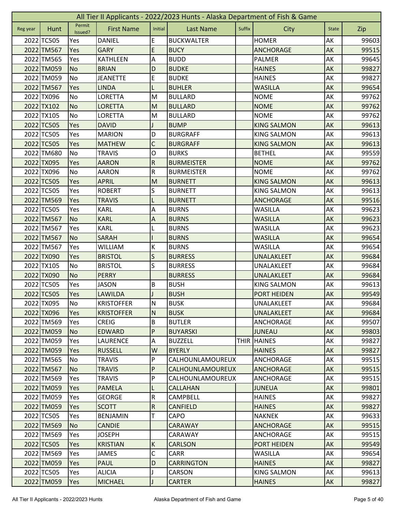| All Tier II Applicants - 2022/2023 Hunts - Alaska Department of Fish & Game |            |                   |                   |                |                   |        |                    |              |       |  |
|-----------------------------------------------------------------------------|------------|-------------------|-------------------|----------------|-------------------|--------|--------------------|--------------|-------|--|
| Reg year                                                                    | Hunt       | Permit<br>Issued? | <b>First Name</b> | Initial        | <b>Last Name</b>  | Suffix | City               | <b>State</b> | Zip   |  |
|                                                                             | 2022 TC505 | Yes               | <b>DANIEL</b>     | E              | <b>BUCKWALTER</b> |        | <b>HOMER</b>       | AK           | 99603 |  |
|                                                                             | 2022 TM567 | Yes               | <b>GARY</b>       | E              | <b>BUCY</b>       |        | <b>ANCHORAGE</b>   | AK           | 99515 |  |
|                                                                             | 2022 TM565 | Yes               | <b>KATHLEEN</b>   | Α              | <b>BUDD</b>       |        | PALMER             | AK           | 99645 |  |
|                                                                             | 2022 TM059 | <b>No</b>         | <b>BRIAN</b>      | D              | <b>BUDKE</b>      |        | <b>HAINES</b>      | AK           | 99827 |  |
|                                                                             | 2022 TM059 | <b>No</b>         | <b>JEANETTE</b>   | E              | <b>BUDKE</b>      |        | <b>HAINES</b>      | AK           | 99827 |  |
|                                                                             | 2022 TM567 | Yes               | <b>LINDA</b>      | L              | <b>BUHLER</b>     |        | <b>WASILLA</b>     | AK           | 99654 |  |
|                                                                             | 2022 TX096 | No                | <b>LORETTA</b>    | M              | <b>BULLARD</b>    |        | <b>NOME</b>        | AK           | 99762 |  |
|                                                                             | 2022 TX102 | <b>No</b>         | <b>LORETTA</b>    | M              | <b>BULLARD</b>    |        | <b>NOME</b>        | AK           | 99762 |  |
|                                                                             | 2022 TX105 | No                | <b>LORETTA</b>    | M              | <b>BULLARD</b>    |        | <b>NOME</b>        | AK           | 99762 |  |
|                                                                             | 2022 TC505 | Yes               | <b>DAVID</b>      |                | <b>BUMP</b>       |        | <b>KING SALMON</b> | AK           | 99613 |  |
|                                                                             | 2022 TC505 | Yes               | <b>MARION</b>     | D              | <b>BURGRAFF</b>   |        | <b>KING SALMON</b> | AK           | 99613 |  |
|                                                                             | 2022 TC505 | Yes               | <b>MATHEW</b>     | $\mathsf C$    | <b>BURGRAFF</b>   |        | <b>KING SALMON</b> | AK           | 99613 |  |
|                                                                             | 2022 TM680 | No                | <b>TRAVIS</b>     | O              | <b>BURKS</b>      |        | <b>BETHEL</b>      | AK           | 99559 |  |
|                                                                             | 2022 TX095 | Yes               | <b>AARON</b>      | ${\sf R}$      | <b>BURMEISTER</b> |        | <b>NOME</b>        | AK           | 99762 |  |
|                                                                             | 2022 TX096 | No                | AARON             | R              | <b>BURMEISTER</b> |        | <b>NOME</b>        | АK           | 99762 |  |
|                                                                             | 2022 TC505 | Yes               | <b>APRIL</b>      | M              | <b>BURNETT</b>    |        | <b>KING SALMON</b> | AK           | 99613 |  |
|                                                                             | 2022 TC505 | Yes               | <b>ROBERT</b>     | S              | <b>BURNETT</b>    |        | <b>KING SALMON</b> | AK           | 99613 |  |
|                                                                             | 2022 TM569 | Yes               | <b>TRAVIS</b>     | L              | <b>BURNETT</b>    |        | <b>ANCHORAGE</b>   | AK           | 99516 |  |
|                                                                             | 2022 TC505 | Yes               | <b>KARL</b>       | A              | <b>BURNS</b>      |        | <b>WASILLA</b>     | AK           | 99623 |  |
|                                                                             | 2022 TM567 | <b>No</b>         | <b>KARL</b>       | Α              | <b>BURNS</b>      |        | <b>WASILLA</b>     | AK           | 99623 |  |
|                                                                             | 2022 TM567 | Yes               | <b>KARL</b>       |                | <b>BURNS</b>      |        | <b>WASILLA</b>     | AK           | 99623 |  |
|                                                                             | 2022 TM567 | <b>No</b>         | <b>SARAH</b>      |                | <b>BURNS</b>      |        | <b>WASILLA</b>     | AK           | 99654 |  |
|                                                                             | 2022 TM567 | Yes               | <b>WILLIAM</b>    | К              | <b>BURNS</b>      |        | <b>WASILLA</b>     | AK           | 99654 |  |
|                                                                             | 2022 TX090 | Yes               | <b>BRISTOL</b>    | S              | <b>BURRESS</b>    |        | UNALAKLEET         | AK           | 99684 |  |
|                                                                             | 2022 TX105 | No                | <b>BRISTOL</b>    | S              | <b>BURRESS</b>    |        | UNALAKLEET         | AK           | 99684 |  |
|                                                                             | 2022 TX090 | <b>No</b>         | <b>PERRY</b>      |                | <b>BURRESS</b>    |        | <b>UNALAKLEET</b>  | AK           | 99684 |  |
|                                                                             | 2022 TC505 | Yes               | <b>JASON</b>      | $\sf B$        | <b>BUSH</b>       |        | <b>KING SALMON</b> | AK           | 99613 |  |
|                                                                             | 2022 TC505 | Yes               | <b>LAWILDA</b>    |                | <b>BUSH</b>       |        | <b>PORT HEIDEN</b> | AK           | 99549 |  |
|                                                                             | 2022 TX095 | <b>No</b>         | <b>KRISTOFFER</b> | N              | <b>BUSK</b>       |        | UNALAKLEET         | AK           | 99684 |  |
|                                                                             | 2022 TX096 | <b>Yes</b>        | <b>KRISTOFFER</b> | N              | <b>BUSK</b>       |        | UNALAKLEET         | AK           | 99684 |  |
|                                                                             | 2022 TM569 | Yes               | <b>CREIG</b>      | B              | <b>BUTLER</b>     |        | ANCHORAGE          | AK           | 99507 |  |
|                                                                             | 2022 TM059 | N <sub>o</sub>    | <b>EDWARD</b>     | ${\sf P}$      | <b>BUYARSKI</b>   |        | <b>JUNEAU</b>      | AK           | 99803 |  |
|                                                                             | 2022 TM059 | Yes               | <b>LAURENCE</b>   | A              | <b>BUZZELL</b>    |        | THIR HAINES        | AK           | 99827 |  |
|                                                                             | 2022 TM059 | Yes               | <b>RUSSELL</b>    | W              | <b>BYERLY</b>     |        | <b>HAINES</b>      | AK           | 99827 |  |
|                                                                             | 2022 TM565 | No                | <b>TRAVIS</b>     | P              | CALHOUNLAMOUREUX  |        | <b>ANCHORAGE</b>   | AK           | 99515 |  |
|                                                                             | 2022 TM567 | <b>No</b>         | <b>TRAVIS</b>     | P              | CALHOUNLAMOUREUX  |        | <b>ANCHORAGE</b>   | <b>AK</b>    | 99515 |  |
|                                                                             | 2022 TM569 | Yes               | <b>TRAVIS</b>     | P              | CALHOUNLAMOUREUX  |        | ANCHORAGE          | AK           | 99515 |  |
|                                                                             | 2022 TM059 | Yes               | <b>PAMELA</b>     | L              | <b>CALLAHAN</b>   |        | <b>JUNEUA</b>      | AK           | 99801 |  |
|                                                                             | 2022 TM059 | Yes               | <b>GEORGE</b>     | ${\sf R}$      | CAMPBELL          |        | <b>HAINES</b>      | AK           | 99827 |  |
|                                                                             | 2022 TM059 | Yes               | <b>SCOTT</b>      | $\overline{R}$ | <b>CANFIELD</b>   |        | <b>HAINES</b>      | AK           | 99827 |  |
|                                                                             | 2022 TC505 | Yes               | <b>BENJAMIN</b>   | T              | CAPO              |        | <b>NAKNEK</b>      | AK           | 99633 |  |
|                                                                             | 2022 TM569 | N <sub>o</sub>    | <b>CANDIE</b>     |                | <b>CARAWAY</b>    |        | <b>ANCHORAGE</b>   | AK           | 99515 |  |
|                                                                             | 2022 TM569 | Yes               | <b>JOSEPH</b>     |                | CARAWAY           |        | ANCHORAGE          | AK           | 99515 |  |
|                                                                             | 2022 TC505 | Yes               | <b>KRISTIAN</b>   | $\mathsf K$    | <b>CARLSON</b>    |        | <b>PORT HEIDEN</b> | AK           | 99549 |  |
|                                                                             | 2022 TM569 | Yes               | <b>JAMES</b>      | C              | <b>CARR</b>       |        | <b>WASILLA</b>     | AK           | 99654 |  |
|                                                                             | 2022 TM059 | Yes               | <b>PAUL</b>       | D              | <b>CARRINGTON</b> |        | <b>HAINES</b>      | AK           | 99827 |  |
|                                                                             | 2022 TC505 | Yes               | <b>ALICIA</b>     |                | CARSON            |        | <b>KING SALMON</b> | AK           | 99613 |  |
|                                                                             | 2022 TM059 | Yes               | <b>MICHAEL</b>    |                | <b>CARTER</b>     |        | <b>HAINES</b>      | AK           | 99827 |  |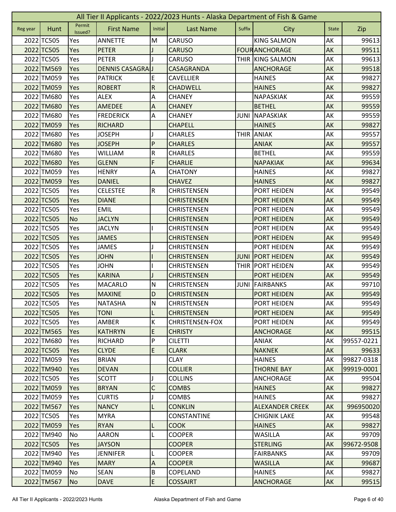| All Tier II Applicants - 2022/2023 Hunts - Alaska Department of Fish & Game |            |                   |                   |                         |                        |               |                        |              |            |  |
|-----------------------------------------------------------------------------|------------|-------------------|-------------------|-------------------------|------------------------|---------------|------------------------|--------------|------------|--|
| Reg year                                                                    | Hunt       | Permit<br>Issued? | <b>First Name</b> | Initial                 | <b>Last Name</b>       | <b>Suffix</b> | City                   | <b>State</b> | Zip        |  |
|                                                                             | 2022 TC505 | Yes               | <b>ANNETTE</b>    | M                       | <b>CARUSO</b>          |               | <b>KING SALMON</b>     | АK           | 99613      |  |
|                                                                             | 2022 TC505 | Yes               | <b>PETER</b>      |                         | <b>CARUSO</b>          |               | <b>FOUR ANCHORAGE</b>  | AK           | 99511      |  |
|                                                                             | 2022 TC505 | Yes               | <b>PETER</b>      |                         | CARUSO                 |               | THIR KING SALMON       | AK           | 99613      |  |
|                                                                             | 2022 TM569 | Yes               | DENNIS CASAGRAJ   |                         | CASAGRANDA             |               | <b>ANCHORAGE</b>       | AK           | 99518      |  |
|                                                                             | 2022 TM059 | Yes               | <b>PATRICK</b>    | E                       | <b>CAVELLIER</b>       |               | <b>HAINES</b>          | AK           | 99827      |  |
|                                                                             | 2022 TM059 | Yes               | <b>ROBERT</b>     | ${\sf R}$               | <b>CHADWELL</b>        |               | <b>HAINES</b>          | AK           | 99827      |  |
|                                                                             | 2022 TM680 | Yes               | <b>ALEX</b>       | А                       | <b>CHANEY</b>          |               | <b>NAPASKIAK</b>       | AK           | 99559      |  |
|                                                                             | 2022 TM680 | Yes               | <b>AMEDEE</b>     | Α                       | <b>CHANEY</b>          |               | <b>BETHEL</b>          | AK           | 99559      |  |
|                                                                             | 2022 TM680 | Yes               | <b>FREDERICK</b>  | A                       | <b>CHANEY</b>          | <b>JUNI</b>   | NAPASKIAK              | АK           | 99559      |  |
|                                                                             | 2022 TM059 | Yes               | <b>RICHARD</b>    |                         | <b>CHAPELL</b>         |               | <b>HAINES</b>          | AK           | 99827      |  |
|                                                                             | 2022 TM680 | Yes               | <b>JOSEPH</b>     | L                       | <b>CHARLES</b>         | <b>THIR</b>   | <b>ANIAK</b>           | AK           | 99557      |  |
|                                                                             | 2022 TM680 | Yes               | <b>JOSEPH</b>     | P                       | <b>CHARLES</b>         |               | <b>ANIAK</b>           | AK           | 99557      |  |
|                                                                             | 2022 TM680 | Yes               | <b>WILLIAM</b>    | R                       | <b>CHARLES</b>         |               | <b>BETHEL</b>          | AK           | 99559      |  |
|                                                                             | 2022 TM680 | Yes               | <b>GLENN</b>      | F                       | <b>CHARLIE</b>         |               | <b>NAPAKIAK</b>        | AK           | 99634      |  |
|                                                                             | 2022 TM059 | Yes               | <b>HENRY</b>      | Α                       | <b>CHATONY</b>         |               | <b>HAINES</b>          | AK           | 99827      |  |
|                                                                             | 2022 TM059 | Yes               | <b>DANIEL</b>     |                         | <b>CHAVEZ</b>          |               | <b>HAINES</b>          | AK           | 99827      |  |
|                                                                             | 2022 TC505 | Yes               | <b>CELESTEE</b>   | $\overline{\mathsf{R}}$ | <b>CHRISTENSEN</b>     |               | PORT HEIDEN            | AK           | 99549      |  |
|                                                                             | 2022 TC505 | Yes               | <b>DIANE</b>      |                         | <b>CHRISTENSEN</b>     |               | <b>PORT HEIDEN</b>     | AK           | 99549      |  |
|                                                                             | 2022 TC505 | Yes               | <b>EMIL</b>       |                         | <b>CHRISTENSEN</b>     |               | PORT HEIDEN            | AK           | 99549      |  |
|                                                                             | 2022 TC505 | <b>No</b>         | <b>JACLYN</b>     |                         | <b>CHRISTENSEN</b>     |               | PORT HEIDEN            | AK           | 99549      |  |
|                                                                             | 2022 TC505 | Yes               | <b>JACLYN</b>     |                         | <b>CHRISTENSEN</b>     |               | PORT HEIDEN            | АK           | 99549      |  |
|                                                                             | 2022 TC505 | Yes               | <b>JAMES</b>      |                         | <b>CHRISTENSEN</b>     |               | PORT HEIDEN            | AK           | 99549      |  |
|                                                                             | 2022 TC505 | Yes               | <b>JAMES</b>      | L                       | <b>CHRISTENSEN</b>     |               | PORT HEIDEN            | AK           | 99549      |  |
|                                                                             | 2022 TC505 | Yes               | <b>JOHN</b>       |                         | <b>CHRISTENSEN</b>     | <b>JUNI</b>   | <b>PORT HEIDEN</b>     | AK           | 99549      |  |
|                                                                             | 2022 TC505 | Yes               | <b>JOHN</b>       |                         | <b>CHRISTENSEN</b>     |               | THIR PORT HEIDEN       | АK           | 99549      |  |
|                                                                             | 2022 TC505 | Yes               | <b>KARINA</b>     |                         | <b>CHRISTENSEN</b>     |               | <b>PORT HEIDEN</b>     | AK           | 99549      |  |
|                                                                             | 2022 TC505 | Yes               | <b>MACARLO</b>    | $\mathsf{N}$            | <b>CHRISTENSEN</b>     | <b>JUNI</b>   | FAIRBANKS              | АK           | 99710      |  |
|                                                                             | 2022 TC505 | Yes               | <b>MAXINE</b>     | D                       | <b>CHRISTENSEN</b>     |               | <b>PORT HEIDEN</b>     | AK           | 99549      |  |
|                                                                             | 2022 TC505 | Yes               | <b>NATASHA</b>    | N                       | <b>CHRISTENSEN</b>     |               | PORT HEIDEN            | AK           | 99549      |  |
|                                                                             | 2022 TC505 | Yes               | TONI              | L                       | <b>CHRISTENSEN</b>     |               | <b>PORT HEIDEN</b>     | AK           | 99549      |  |
|                                                                             | 2022 TC505 | Yes               | AMBER             | К                       | <b>CHRISTENSEN-FOX</b> |               | <b>PORT HEIDEN</b>     | AK           | 99549      |  |
|                                                                             | 2022 TM565 | Yes               | <b>KATHRYN</b>    | E                       | <b>CHRISTY</b>         |               | <b>ANCHORAGE</b>       | AK           | 99515      |  |
|                                                                             | 2022 TM680 | Yes               | RICHARD           | P                       | <b>CILETTI</b>         |               | <b>ANIAK</b>           | AK           | 99557-0221 |  |
|                                                                             | 2022 TC505 | Yes               | <b>CLYDE</b>      | E                       | <b>CLARK</b>           |               | <b>NAKNEK</b>          | AK           | 99633      |  |
|                                                                             | 2022 TM059 | Yes               | <b>BRIAN</b>      |                         | <b>CLAY</b>            |               | <b>HAINES</b>          | АK           | 99827-0318 |  |
|                                                                             | 2022 TM940 | <b>Yes</b>        | <b>DEVAN</b>      |                         | <b>COLLIER</b>         |               | <b>THORNE BAY</b>      | AK           | 99919-0001 |  |
|                                                                             | 2022 TC505 | Yes               | <b>SCOTT</b>      | J                       | <b>COLLINS</b>         |               | <b>ANCHORAGE</b>       | AK           | 99504      |  |
|                                                                             | 2022 TM059 | Yes               | <b>BRYAN</b>      | C                       | <b>COMBS</b>           |               | <b>HAINES</b>          | AK           | 99827      |  |
|                                                                             | 2022 TM059 | Yes               | <b>CURTIS</b>     |                         | <b>COMBS</b>           |               | <b>HAINES</b>          | АK           | 99827      |  |
|                                                                             | 2022 TM567 | Yes               | <b>NANCY</b>      | L                       | <b>CONKLIN</b>         |               | <b>ALEXANDER CREEK</b> | AK           | 996950020  |  |
|                                                                             | 2022 TC505 | Yes               | <b>MYRA</b>       |                         | CONSTANTINE            |               | <b>CHIGNIK LAKE</b>    | AK           | 99548      |  |
|                                                                             | 2022 TM059 | Yes               | <b>RYAN</b>       | L                       | <b>COOK</b>            |               | <b>HAINES</b>          | <b>AK</b>    | 99827      |  |
|                                                                             | 2022 TM940 | No                | <b>AARON</b>      | L                       | <b>COOPER</b>          |               | <b>WASILLA</b>         | AK           | 99709      |  |
|                                                                             | 2022 TC505 | Yes               | <b>JAYSON</b>     |                         | <b>COOPER</b>          |               | <b>STERLING</b>        | AK           | 99672-9508 |  |
|                                                                             | 2022 TM940 | Yes               | <b>JENNIFER</b>   | L                       | <b>COOPER</b>          |               | <b>FAIRBANKS</b>       | AK           | 99709      |  |
|                                                                             | 2022 TM940 | Yes               | <b>MARY</b>       | $\mathsf A$             | <b>COOPER</b>          |               | <b>WASILLA</b>         | AK           | 99687      |  |
|                                                                             | 2022 TM059 | No                | SEAN              | $\sf B$                 | COPELAND               |               | <b>HAINES</b>          | AK           | 99827      |  |
|                                                                             | 2022 TM567 | <b>No</b>         | <b>DAVE</b>       | E                       | <b>COSSAIRT</b>        |               | <b>ANCHORAGE</b>       | AK           | 99515      |  |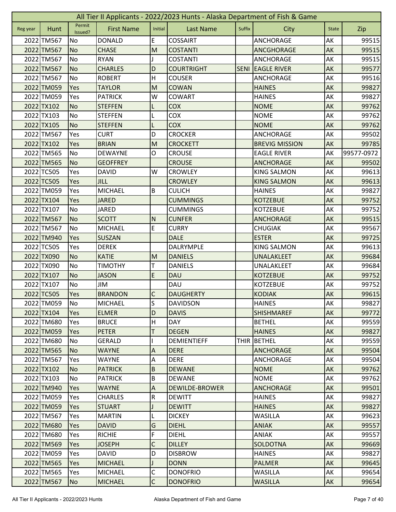|          | All Tier II Applicants - 2022/2023 Hunts - Alaska Department of Fish & Game |                   |                   |                           |                       |             |                       |              |            |  |  |
|----------|-----------------------------------------------------------------------------|-------------------|-------------------|---------------------------|-----------------------|-------------|-----------------------|--------------|------------|--|--|
| Reg year | Hunt                                                                        | Permit<br>Issued? | <b>First Name</b> | Initial                   | <b>Last Name</b>      | Suffix      | City                  | <b>State</b> | Zip        |  |  |
|          | 2022 TM567                                                                  | No                | <b>DONALD</b>     | E                         | <b>COSSAIRT</b>       |             | <b>ANCHORAGE</b>      | AK           | 99515      |  |  |
|          | 2022 TM567                                                                  | <b>No</b>         | <b>CHASE</b>      | M                         | <b>COSTANTI</b>       |             | <b>ANCGHORAGE</b>     | AK           | 99515      |  |  |
|          | 2022 TM567                                                                  | No                | <b>RYAN</b>       |                           | <b>COSTANTI</b>       |             | ANCHORAGE             | AK           | 99515      |  |  |
|          | 2022 TM567                                                                  | <b>No</b>         | <b>CHARLES</b>    | D                         | <b>COURTRIGHT</b>     | <b>SENI</b> | <b>EAGLE RIVER</b>    | AK           | 99577      |  |  |
|          | 2022 TM567                                                                  | <b>No</b>         | <b>ROBERT</b>     | H                         | <b>COUSER</b>         |             | ANCHORAGE             | AK           | 99516      |  |  |
|          | 2022 TM059                                                                  | Yes               | <b>TAYLOR</b>     | M                         | <b>COWAN</b>          |             | <b>HAINES</b>         | AK           | 99827      |  |  |
|          | 2022 TM059                                                                  | Yes               | <b>PATRICK</b>    | W                         | COWART                |             | <b>HAINES</b>         | AK           | 99827      |  |  |
|          | 2022 TX102                                                                  | <b>No</b>         | <b>STEFFEN</b>    | L                         | <b>COX</b>            |             | <b>NOME</b>           | AK           | 99762      |  |  |
|          | 2022 TX103                                                                  | No                | <b>STEFFEN</b>    |                           | COX                   |             | <b>NOME</b>           | AK           | 99762      |  |  |
|          | 2022 TX105                                                                  | <b>No</b>         | <b>STEFFEN</b>    | L                         | <b>COX</b>            |             | <b>NOME</b>           | AK           | 99762      |  |  |
|          | 2022 TM567                                                                  | Yes               | <b>CURT</b>       | D                         | <b>CROCKER</b>        |             | <b>ANCHORAGE</b>      | AK           | 99502      |  |  |
|          | 2022 TX102                                                                  | Yes               | <b>BRIAN</b>      | M                         | <b>CROCKETT</b>       |             | <b>BREVIG MISSION</b> | AK           | 99785      |  |  |
|          | 2022 TM565                                                                  | No                | <b>DEWAYNE</b>    | O                         | <b>CROUSE</b>         |             | <b>EAGLE RIVER</b>    | AK           | 99577-0972 |  |  |
|          | 2022 TM565                                                                  | <b>No</b>         | <b>GEOFFREY</b>   |                           | <b>CROUSE</b>         |             | <b>ANCHORAGE</b>      | AK           | 99502      |  |  |
|          | 2022 TC505                                                                  | Yes               | <b>DAVID</b>      | W                         | <b>CROWLEY</b>        |             | <b>KING SALMON</b>    | АK           | 99613      |  |  |
|          | 2022 TC505                                                                  | Yes               | <b>JILL</b>       |                           | <b>CROWLEY</b>        |             | <b>KING SALMON</b>    | AK           | 99613      |  |  |
|          | 2022 TM059                                                                  | Yes               | <b>MICHAEL</b>    | B                         | <b>CULICH</b>         |             | <b>HAINES</b>         | AK           | 99827      |  |  |
|          | 2022 TX104                                                                  | Yes               | <b>JARED</b>      |                           | <b>CUMMINGS</b>       |             | <b>KOTZEBUE</b>       | AK           | 99752      |  |  |
|          | 2022 TX107                                                                  | No                | <b>JARED</b>      |                           | <b>CUMMINGS</b>       |             | <b>KOTZEBUE</b>       | AK           | 99752      |  |  |
|          | 2022 TM567                                                                  | <b>No</b>         | <b>SCOTT</b>      | $\mathsf{N}$              | <b>CUNFER</b>         |             | <b>ANCHORAGE</b>      | AK           | 99515      |  |  |
|          | 2022 TM567                                                                  | No                | <b>MICHAEL</b>    | E                         | <b>CURRY</b>          |             | <b>CHUGIAK</b>        | AK           | 99567      |  |  |
|          | 2022 TM940                                                                  | Yes               | <b>SUSZAN</b>     |                           | <b>DALE</b>           |             | <b>ESTER</b>          | AK           | 99725      |  |  |
|          | 2022 TC505                                                                  | Yes               | <b>DEREK</b>      |                           | DALRYMPLE             |             | <b>KING SALMON</b>    | AK           | 99613      |  |  |
|          | 2022 TX090                                                                  | <b>No</b>         | <b>KATIE</b>      | M                         | <b>DANIELS</b>        |             | UNALAKLEET            | AK           | 99684      |  |  |
|          | 2022 TX090                                                                  | No                | <b>TIMOTHY</b>    | т                         | <b>DANIELS</b>        |             | UNALAKLEET            | AK           | 99684      |  |  |
|          | 2022 TX107                                                                  | <b>No</b>         | <b>JASON</b>      | E                         | <b>DAU</b>            |             | <b>KOTZEBUE</b>       | AK           | 99752      |  |  |
|          | 2022 TX107                                                                  | No                | JIM               |                           | <b>DAU</b>            |             | <b>KOTZEBUE</b>       | AK           | 99752      |  |  |
|          | 2022 TC505                                                                  | Yes               | <b>BRANDON</b>    | C                         | <b>DAUGHERTY</b>      |             | <b>KODIAK</b>         | AK           | 99615      |  |  |
|          | 2022 TM059                                                                  | No                | <b>MICHAEL</b>    | s                         | <b>DAVIDSON</b>       |             | <b>HAINES</b>         | AK           | 99827      |  |  |
|          | 2022 TX104                                                                  | <b>Yes</b>        | <b>ELMER</b>      | D                         | <b>DAVIS</b>          |             | <b>SHISHMAREF</b>     | AK           | 99772      |  |  |
|          | 2022 TM680                                                                  | Yes               | <b>BRUCE</b>      | $\sf H$                   | <b>DAY</b>            |             | <b>BETHEL</b>         | AK           | 99559      |  |  |
|          | 2022 TM059                                                                  | Yes               | <b>PETER</b>      | T                         | <b>DEGEN</b>          |             | <b>HAINES</b>         | AK           | 99827      |  |  |
|          | 2022 TM680                                                                  | <b>No</b>         | <b>GERALD</b>     |                           | <b>DEMIENTIEFF</b>    |             | THIR BETHEL           | AK           | 99559      |  |  |
|          | 2022 TM565                                                                  | N <sub>o</sub>    | <b>WAYNE</b>      | $\boldsymbol{\mathsf{A}}$ | <b>DERE</b>           |             | <b>ANCHORAGE</b>      | AK           | 99504      |  |  |
|          | 2022 TM567                                                                  | Yes               | <b>WAYNE</b>      | A                         | <b>DERE</b>           |             | ANCHORAGE             | AK           | 99504      |  |  |
|          | 2022 TX102                                                                  | <b>No</b>         | <b>PATRICK</b>    | $\overline{B}$            | <b>DEWANE</b>         |             | <b>NOME</b>           | <b>AK</b>    | 99762      |  |  |
|          | 2022 TX103                                                                  | No                | <b>PATRICK</b>    | $\sf B$                   | <b>DEWANE</b>         |             | <b>NOME</b>           | AK           | 99762      |  |  |
|          | 2022 TM940                                                                  | Yes               | <b>WAYNE</b>      | A                         | <b>DEWILDE-BROWER</b> |             | <b>ANCHORAGE</b>      | AK           | 99501      |  |  |
|          | 2022 TM059                                                                  | Yes               | <b>CHARLES</b>    | ${\sf R}$                 | <b>DEWITT</b>         |             | <b>HAINES</b>         | AK           | 99827      |  |  |
|          | 2022 TM059                                                                  | Yes               | <b>STUART</b>     |                           | <b>DEWITT</b>         |             | <b>HAINES</b>         | AK           | 99827      |  |  |
|          | 2022 TM567                                                                  | Yes               | <b>MARTIN</b>     | L                         | <b>DICKEY</b>         |             | <b>WASILLA</b>        | AK           | 99623      |  |  |
|          | 2022 TM680                                                                  | Yes               | <b>DAVID</b>      | G                         | <b>DIEHL</b>          |             | <b>ANIAK</b>          | AK           | 99557      |  |  |
|          | 2022 TM680                                                                  | Yes               | <b>RICHIE</b>     | F                         | <b>DIEHL</b>          |             | <b>ANIAK</b>          | AK           | 99557      |  |  |
|          | 2022 TM569                                                                  | Yes               | <b>JOSEPH</b>     | C                         | <b>DILLEY</b>         |             | <b>SOLDOTNA</b>       | AK           | 99669      |  |  |
|          | 2022 TM059                                                                  | Yes               | <b>DAVID</b>      | D                         | <b>DISBROW</b>        |             | <b>HAINES</b>         | AK           | 99827      |  |  |
|          | 2022 TM565                                                                  | Yes               | <b>MICHAEL</b>    |                           | <b>DONN</b>           |             | <b>PALMER</b>         | AK           | 99645      |  |  |
|          | 2022 TM565                                                                  | Yes               | <b>MICHAEL</b>    | $\mathsf C$               | <b>DONOFRIO</b>       |             | <b>WASILLA</b>        | AK           | 99654      |  |  |
|          | 2022 TM567                                                                  | <b>No</b>         | <b>MICHAEL</b>    | $\mathsf{C}$              | <b>DONOFRIO</b>       |             | <b>WASILLA</b>        | AK           | 99654      |  |  |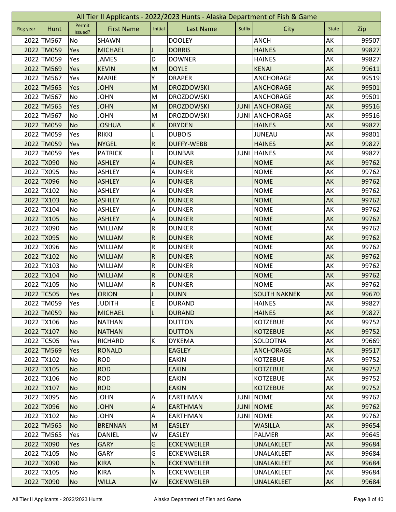| All Tier II Applicants - 2022/2023 Hunts - Alaska Department of Fish & Game |            |                   |                   |                           |                    |             |                     |              |       |
|-----------------------------------------------------------------------------|------------|-------------------|-------------------|---------------------------|--------------------|-------------|---------------------|--------------|-------|
| Reg year                                                                    | Hunt       | Permit<br>Issued? | <b>First Name</b> | Initial                   | <b>Last Name</b>   | Suffix      | City                | <b>State</b> | Zip   |
|                                                                             | 2022 TM567 | No                | <b>SHAWN</b>      |                           | <b>DOOLEY</b>      |             | <b>ANCH</b>         | AK           | 99507 |
|                                                                             | 2022 TM059 | Yes               | <b>MICHAEL</b>    |                           | <b>DORRIS</b>      |             | <b>HAINES</b>       | AK           | 99827 |
|                                                                             | 2022 TM059 | Yes               | <b>JAMES</b>      | D                         | <b>DOWNER</b>      |             | <b>HAINES</b>       | AK           | 99827 |
|                                                                             | 2022 TM569 | Yes               | <b>KEVIN</b>      | M                         | <b>DOYLE</b>       |             | <b>KENAI</b>        | AK           | 99611 |
|                                                                             | 2022 TM567 | Yes               | <b>MARIE</b>      | Υ                         | <b>DRAPER</b>      |             | <b>ANCHORAGE</b>    | AK           | 99519 |
|                                                                             | 2022 TM565 | Yes               | <b>JOHN</b>       | M                         | <b>DROZDOWSKI</b>  |             | <b>ANCHORAGE</b>    | AK           | 99501 |
|                                                                             | 2022 TM567 | No                | <b>JOHN</b>       | M                         | <b>DROZDOWSKI</b>  |             | <b>ANCHORAGE</b>    | AK           | 99501 |
|                                                                             | 2022 TM565 | Yes               | <b>JOHN</b>       | M                         | <b>DROZDOWSKI</b>  | <b>JUNI</b> | <b>ANCHORAGE</b>    | AK           | 99516 |
|                                                                             | 2022 TM567 | No                | <b>JOHN</b>       | M                         | <b>DROZDOWSKI</b>  | <b>JUNI</b> | ANCHORAGE           | AK           | 99516 |
|                                                                             | 2022 TM059 | <b>No</b>         | <b>JOSHUA</b>     | $\sf K$                   | <b>DRYDEN</b>      |             | <b>HAINES</b>       | AK           | 99827 |
|                                                                             | 2022 TM059 | Yes               | <b>RIKKI</b>      | L                         | <b>DUBOIS</b>      |             | <b>JUNEAU</b>       | AK           | 99801 |
|                                                                             | 2022 TM059 | Yes               | <b>NYGEL</b>      | ${\sf R}$                 | <b>DUFFY-WEBB</b>  |             | <b>HAINES</b>       | AK           | 99827 |
|                                                                             | 2022 TM059 | Yes               | <b>PATRICK</b>    | L                         | <b>DUNBAR</b>      | JUNI        | <b>HAINES</b>       | AK           | 99827 |
|                                                                             | 2022 TX090 | <b>No</b>         | <b>ASHLEY</b>     | A                         | <b>DUNKER</b>      |             | <b>NOME</b>         | AK           | 99762 |
|                                                                             | 2022 TX095 | No                | <b>ASHLEY</b>     | А                         | <b>DUNKER</b>      |             | <b>NOME</b>         | АK           | 99762 |
|                                                                             | 2022 TX096 | <b>No</b>         | <b>ASHLEY</b>     | A                         | <b>DUNKER</b>      |             | <b>NOME</b>         | AK           | 99762 |
|                                                                             | 2022 TX102 | No                | <b>ASHLEY</b>     | A                         | <b>DUNKER</b>      |             | <b>NOME</b>         | AK           | 99762 |
|                                                                             | 2022 TX103 | <b>No</b>         | <b>ASHLEY</b>     | $\boldsymbol{\mathsf{A}}$ | <b>DUNKER</b>      |             | <b>NOME</b>         | AK           | 99762 |
|                                                                             | 2022 TX104 | No                | <b>ASHLEY</b>     | A                         | <b>DUNKER</b>      |             | <b>NOME</b>         | AK           | 99762 |
|                                                                             | 2022 TX105 | <b>No</b>         | <b>ASHLEY</b>     | A                         | <b>DUNKER</b>      |             | <b>NOME</b>         | AK           | 99762 |
|                                                                             | 2022 TX090 | No                | <b>WILLIAM</b>    | ${\sf R}$                 | <b>DUNKER</b>      |             | <b>NOME</b>         | AK           | 99762 |
|                                                                             | 2022 TX095 | <b>No</b>         | <b>WILLIAM</b>    | ${\sf R}$                 | <b>DUNKER</b>      |             | <b>NOME</b>         | AK           | 99762 |
|                                                                             | 2022 TX096 | No                | <b>WILLIAM</b>    | ${\sf R}$                 | <b>DUNKER</b>      |             | <b>NOME</b>         | AK           | 99762 |
|                                                                             | 2022 TX102 | <b>No</b>         | <b>WILLIAM</b>    | $\overline{R}$            | <b>DUNKER</b>      |             | <b>NOME</b>         | AK           | 99762 |
|                                                                             | 2022 TX103 | No                | <b>WILLIAM</b>    | ${\sf R}$                 | <b>DUNKER</b>      |             | <b>NOME</b>         | AK           | 99762 |
|                                                                             | 2022 TX104 | <b>No</b>         | <b>WILLIAM</b>    | ${\sf R}$                 | <b>DUNKER</b>      |             | <b>NOME</b>         | AK           | 99762 |
|                                                                             | 2022 TX105 | No                | <b>WILLIAM</b>    | ${\sf R}$                 | <b>DUNKER</b>      |             | <b>NOME</b>         | AK           | 99762 |
|                                                                             | 2022 TC505 | Yes               | <b>ORION</b>      |                           | <b>DUNN</b>        |             | <b>SOUTH NAKNEK</b> | AK           | 99670 |
|                                                                             | 2022 TM059 | Yes               | <b>JUDITH</b>     | E                         | <b>DURAND</b>      |             | <b>HAINES</b>       | AK           | 99827 |
|                                                                             | 2022 TM059 | <b>No</b>         | <b>MICHAEL</b>    | L                         | <b>DURAND</b>      |             | <b>HAINES</b>       | AK           | 99827 |
|                                                                             | 2022 TX106 | No                | <b>NATHAN</b>     |                           | <b>DUTTON</b>      |             | <b>KOTZEBUE</b>     | AK           | 99752 |
|                                                                             | 2022 TX107 | N <sub>o</sub>    | <b>NATHAN</b>     |                           | <b>DUTTON</b>      |             | <b>KOTZEBUE</b>     | AK           | 99752 |
|                                                                             | 2022 TC505 | Yes               | <b>RICHARD</b>    | K                         | <b>DYKEMA</b>      |             | SOLDOTNA            | AK           | 99669 |
|                                                                             | 2022 TM569 | Yes               | <b>RONALD</b>     |                           | <b>EAGLEY</b>      |             | <b>ANCHORAGE</b>    | AK           | 99517 |
|                                                                             | 2022 TX102 | No                | <b>ROD</b>        |                           | <b>EAKIN</b>       |             | <b>KOTZEBUE</b>     | AK           | 99752 |
|                                                                             | 2022 TX105 | <b>No</b>         | <b>ROD</b>        |                           | <b>EAKIN</b>       |             | <b>KOTZEBUE</b>     | <b>AK</b>    | 99752 |
|                                                                             | 2022 TX106 | No                | <b>ROD</b>        |                           | <b>EAKIN</b>       |             | <b>KOTZEBUE</b>     | AK           | 99752 |
|                                                                             | 2022 TX107 | <b>No</b>         | <b>ROD</b>        |                           | <b>EAKIN</b>       |             | <b>KOTZEBUE</b>     | AK           | 99752 |
|                                                                             | 2022 TX095 | No                | <b>JOHN</b>       | A                         | EARTHMAN           | <b>JUNI</b> | <b>NOME</b>         | AK           | 99762 |
|                                                                             | 2022 TX096 | <b>No</b>         | <b>JOHN</b>       | $\boldsymbol{\mathsf{A}}$ | <b>EARTHMAN</b>    | <b>JUNI</b> | <b>NOME</b>         | AK           | 99762 |
|                                                                             | 2022 TX102 | No                | <b>JOHN</b>       | A                         | EARTHMAN           | <b>JUNI</b> | <b>NOME</b>         | AK           | 99762 |
|                                                                             | 2022 TM565 | <b>No</b>         | <b>BRENNAN</b>    | M                         | <b>EASLEY</b>      |             | <b>WASILLA</b>      | AK           | 99654 |
|                                                                             | 2022 TM565 | Yes               | <b>DANIEL</b>     | W                         | <b>EASLEY</b>      |             | <b>PALMER</b>       | AK           | 99645 |
|                                                                             | 2022 TX090 | Yes               | <b>GARY</b>       | G                         | <b>ECKENWEILER</b> |             | UNALAKLEET          | AK           | 99684 |
|                                                                             | 2022 TX105 | No                | <b>GARY</b>       | G                         | <b>ECKENWEILER</b> |             | UNALAKLEET          | AK           | 99684 |
|                                                                             | 2022 TX090 | <b>No</b>         | <b>KIRA</b>       | N                         | <b>ECKENWEILER</b> |             | UNALAKLEET          | AK           | 99684 |
|                                                                             | 2022 TX105 | No                | <b>KIRA</b>       | ${\sf N}$                 | <b>ECKENWEILER</b> |             | UNALAKLEET          | AK           | 99684 |
|                                                                             | 2022 TX090 | <b>No</b>         | <b>WILLA</b>      | W                         | <b>ECKENWEILER</b> |             | UNALAKLEET          | AK           | 99684 |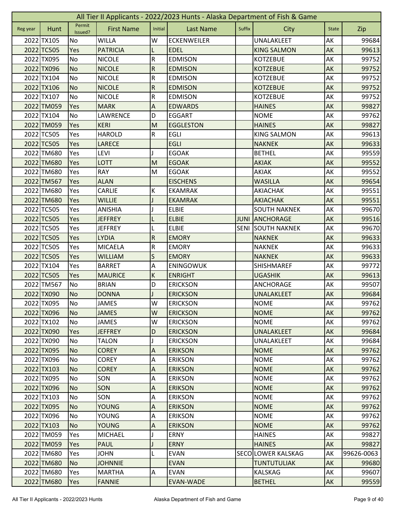|          | All Tier II Applicants - 2022/2023 Hunts - Alaska Department of Fish & Game |                   |                   |                           |                    |             |                     |              |            |  |
|----------|-----------------------------------------------------------------------------|-------------------|-------------------|---------------------------|--------------------|-------------|---------------------|--------------|------------|--|
| Reg year | Hunt                                                                        | Permit<br>Issued? | <b>First Name</b> | Initial                   | <b>Last Name</b>   | Suffix      | City                | <b>State</b> | Zip        |  |
|          | 2022 TX105                                                                  | No                | <b>WILLA</b>      | W                         | <b>ECKENWEILER</b> |             | UNALAKLEET          | AK           | 99684      |  |
|          | 2022 TC505                                                                  | Yes               | <b>PATRICIA</b>   |                           | <b>EDEL</b>        |             | <b>KING SALMON</b>  | AK           | 99613      |  |
|          | 2022 TX095                                                                  | No                | <b>NICOLE</b>     | ${\sf R}$                 | <b>EDMISON</b>     |             | <b>KOTZEBUE</b>     | AK           | 99752      |  |
|          | 2022 TX096                                                                  | <b>No</b>         | <b>NICOLE</b>     | ${\sf R}$                 | <b>EDMISON</b>     |             | <b>KOTZEBUE</b>     | AK           | 99752      |  |
|          | 2022 TX104                                                                  | No                | <b>NICOLE</b>     | $\overline{\mathsf{R}}$   | <b>EDMISON</b>     |             | <b>KOTZEBUE</b>     | AK           | 99752      |  |
|          | 2022 TX106                                                                  | <b>No</b>         | <b>NICOLE</b>     | ${\sf R}$                 | <b>EDMISON</b>     |             | <b>KOTZEBUE</b>     | AK           | 99752      |  |
|          | 2022 TX107                                                                  | No                | <b>NICOLE</b>     | ${\sf R}$                 | <b>EDMISON</b>     |             | <b>KOTZEBUE</b>     | AK           | 99752      |  |
|          | 2022 TM059                                                                  | Yes               | <b>MARK</b>       | $\boldsymbol{\mathsf{A}}$ | <b>EDWARDS</b>     |             | <b>HAINES</b>       | AK           | 99827      |  |
|          | 2022 TX104                                                                  | No                | LAWRENCE          | D                         | <b>EGGART</b>      |             | <b>NOME</b>         | AK           | 99762      |  |
|          | 2022 TM059                                                                  | Yes               | <b>KERI</b>       | M                         | <b>EGGLESTON</b>   |             | <b>HAINES</b>       | AK           | 99827      |  |
|          | 2022 TC505                                                                  | Yes               | <b>HAROLD</b>     | ${\sf R}$                 | <b>EGLI</b>        |             | <b>KING SALMON</b>  | AK           | 99613      |  |
|          | 2022 TC505                                                                  | Yes               | <b>LARECE</b>     |                           | <b>EGLI</b>        |             | <b>NAKNEK</b>       | AK           | 99633      |  |
|          | 2022 TM680                                                                  | Yes               | <b>LEVI</b>       |                           | <b>EGOAK</b>       |             | <b>BETHEL</b>       | AK           | 99559      |  |
|          | 2022 TM680                                                                  | Yes               | <b>LOTT</b>       | M                         | <b>EGOAK</b>       |             | <b>AKIAK</b>        | AK           | 99552      |  |
|          | 2022 TM680                                                                  | Yes               | RAY               | M                         | <b>EGOAK</b>       |             | AKIAK               | AK           | 99552      |  |
|          | 2022 TM567                                                                  | Yes               | <b>ALAN</b>       |                           | <b>EISCHENS</b>    |             | <b>WASILLA</b>      | AK           | 99654      |  |
|          | 2022 TM680                                                                  | Yes               | <b>CARLIE</b>     | К                         | <b>EKAMRAK</b>     |             | AKIACHAK            | AK           | 99551      |  |
|          | 2022 TM680                                                                  | Yes               | <b>WILLIE</b>     |                           | <b>EKAMRAK</b>     |             | <b>AKIACHAK</b>     | AK           | 99551      |  |
|          | 2022 TC505                                                                  | Yes               | <b>ANISHIA</b>    |                           | <b>ELBIE</b>       |             | <b>SOUTH NAKNEK</b> | AK           | 99670      |  |
|          | 2022 TC505                                                                  | Yes               | <b>JEFFREY</b>    |                           | <b>ELBIE</b>       | <b>JUNI</b> | <b>ANCHORAGE</b>    | AK           | 99516      |  |
|          | 2022 TC505                                                                  | Yes               | <b>JEFFREY</b>    |                           | <b>ELBIE</b>       | <b>SENI</b> | <b>SOUTH NAKNEK</b> | AK           | 99670      |  |
|          | 2022 TC505                                                                  | Yes               | <b>LYDIA</b>      | ${\sf R}$                 | <b>EMORY</b>       |             | <b>NAKNEK</b>       | AK           | 99633      |  |
|          | 2022 TC505                                                                  | Yes               | <b>MICAELA</b>    | ${\sf R}$                 | <b>EMORY</b>       |             | <b>NAKNEK</b>       | AK           | 99633      |  |
|          | 2022 TC505                                                                  | Yes               | <b>WILLIAM</b>    | S                         | <b>EMORY</b>       |             | <b>NAKNEK</b>       | AK           | 99633      |  |
|          | 2022 TX104                                                                  | Yes               | <b>BARRET</b>     | A                         | <b>ENINGOWUK</b>   |             | SHISHMAREF          | АK           | 99772      |  |
|          | 2022 TC505                                                                  | Yes               | <b>MAURICE</b>    | $\sf K$                   | <b>ENRIGHT</b>     |             | <b>UGASHIK</b>      | AK           | 99613      |  |
|          | 2022 TM567                                                                  | <b>No</b>         | <b>BRIAN</b>      | D                         | <b>ERICKSON</b>    |             | ANCHORAGE           | AK           | 99507      |  |
|          | 2022 TX090                                                                  | <b>No</b>         | <b>DONNA</b>      |                           | <b>ERICKSON</b>    |             | UNALAKLEET          | AK           | 99684      |  |
|          | 2022 TX095                                                                  | <b>No</b>         | <b>JAMES</b>      | W                         | <b>ERICKSON</b>    |             | <b>NOME</b>         | AK           | 99762      |  |
|          | 2022 TX096                                                                  | <b>No</b>         | <b>JAMES</b>      | W                         | <b>ERICKSON</b>    |             | <b>NOME</b>         | AK           | 99762      |  |
|          | 2022 TX102                                                                  | No                | <b>JAMES</b>      | W                         | <b>ERICKSON</b>    |             | <b>NOME</b>         | AK           | 99762      |  |
|          | 2022 TX090                                                                  | Yes               | <b>JEFFREY</b>    | D                         | <b>ERICKSON</b>    |             | UNALAKLEET          | AK           | 99684      |  |
|          | 2022 TX090                                                                  | No                | <b>TALON</b>      |                           | <b>ERICKSON</b>    |             | UNALAKLEET          | AK           | 99684      |  |
|          | 2022 TX095                                                                  | <b>No</b>         | <b>COREY</b>      | $\boldsymbol{\mathsf{A}}$ | <b>ERIKSON</b>     |             | <b>NOME</b>         | AK           | 99762      |  |
|          | 2022 TX096                                                                  | No                | <b>COREY</b>      | Α                         | <b>ERIKSON</b>     |             | <b>NOME</b>         | AK           | 99762      |  |
|          | 2022 TX103                                                                  | <b>No</b>         | <b>COREY</b>      | $\boldsymbol{\mathsf{A}}$ | <b>ERIKSON</b>     |             | <b>NOME</b>         | <b>AK</b>    | 99762      |  |
|          | 2022 TX095                                                                  | No                | SON               | A                         | <b>ERIKSON</b>     |             | <b>NOME</b>         | AK           | 99762      |  |
|          | 2022 TX096                                                                  | <b>No</b>         | <b>SON</b>        | A                         | <b>ERIKSON</b>     |             | <b>NOME</b>         | AK           | 99762      |  |
|          | 2022 TX103                                                                  | No                | SON               | A                         | <b>ERIKSON</b>     |             | <b>NOME</b>         | AK           | 99762      |  |
|          | 2022 TX095                                                                  | <b>No</b>         | <b>YOUNG</b>      | $\boldsymbol{\mathsf{A}}$ | <b>ERIKSON</b>     |             | <b>NOME</b>         | AK           | 99762      |  |
|          | 2022 TX096                                                                  | No                | <b>YOUNG</b>      | $\boldsymbol{\mathsf{A}}$ | <b>ERIKSON</b>     |             | <b>NOME</b>         | AK           | 99762      |  |
|          | 2022 TX103                                                                  | <b>No</b>         | <b>YOUNG</b>      | $\boldsymbol{\mathsf{A}}$ | <b>ERIKSON</b>     |             | <b>NOME</b>         | AK           | 99762      |  |
|          | 2022 TM059                                                                  | Yes               | <b>MICHAEL</b>    | J                         | <b>ERNY</b>        |             | <b>HAINES</b>       | AK           | 99827      |  |
|          | 2022 TM059                                                                  | Yes               | <b>PAUL</b>       |                           | <b>ERNY</b>        |             | <b>HAINES</b>       | AK           | 99827      |  |
|          | 2022 TM680                                                                  | Yes               | <b>JOHN</b>       | L                         | <b>EVAN</b>        |             | SECOLOWER KALSKAG   | AK           | 99626-0063 |  |
|          | 2022 TM680                                                                  | <b>No</b>         | <b>JOHNNIE</b>    |                           | <b>EVAN</b>        |             | <b>TUNTUTULIAK</b>  | AK           | 99680      |  |
|          | 2022 TM680                                                                  | Yes               | <b>MARTHA</b>     | Α                         | <b>EVAN</b>        |             | <b>KALSKAG</b>      | AK           | 99607      |  |
|          | 2022 TM680                                                                  | Yes               | <b>FANNIE</b>     |                           | <b>EVAN-WADE</b>   |             | <b>BETHEL</b>       | AK           | 99559      |  |
|          |                                                                             |                   |                   |                           |                    |             |                     |              |            |  |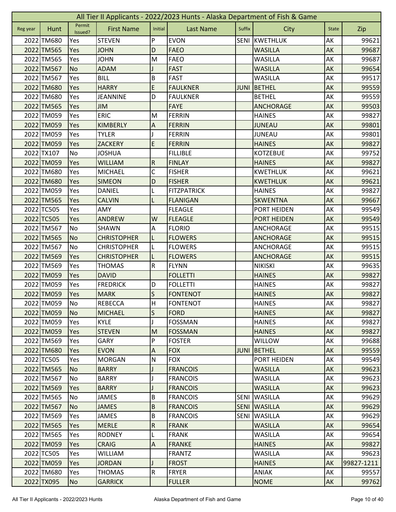| Permit<br><b>First Name</b><br><b>Last Name</b><br>Suffix<br>Initial<br><b>City</b><br>Hunt<br><b>State</b><br>Zip<br>Reg year<br>Issued?<br>P<br><b>STEVEN</b><br><b>EVON</b><br><b>SENI</b><br>KWETHLUK<br>AK<br>2022 TM680<br>99621<br>Yes<br><b>FAEO</b><br>2022 TM565<br><b>JOHN</b><br>D<br><b>WASILLA</b><br>AK<br>99687<br>Yes<br>2022 TM565<br>M<br><b>FAEO</b><br>AK<br>99687<br>Yes<br><b>JOHN</b><br><b>WASILLA</b><br><b>FAST</b><br>2022 TM567<br><b>No</b><br><b>ADAM</b><br><b>WASILLA</b><br>AK<br>99654<br>B<br>AK<br>2022 TM567<br>Yes<br><b>BILL</b><br><b>FAST</b><br><b>WASILLA</b><br>99517<br>E<br>2022 TM680<br><b>HARRY</b><br><b>FAULKNER</b><br><b>BETHEL</b><br>AK<br>99559<br>Yes<br><b>JUNI</b><br>2022 TM680<br>D<br>AK<br>Yes<br><b>JEANNINE</b><br><b>FAULKNER</b><br><b>BETHEL</b><br>99559<br>2022 TM565<br>AK<br>Yes<br><b>JIM</b><br><b>FAYE</b><br><b>ANCHORAGE</b><br>99503<br>2022 TM059<br><b>ERIC</b><br><b>FERRIN</b><br>AK<br>99827<br>Yes<br>M<br><b>HAINES</b><br>2022 TM059<br><b>KIMBERLY</b><br>AK<br>Yes<br>Α<br><b>FERRIN</b><br><b>JUNEAU</b><br>99801<br>2022 TM059<br>99801<br><b>TYLER</b><br><b>FERRIN</b><br><b>JUNEAU</b><br>AK<br>Yes<br>E<br>2022 TM059<br>AK<br>99827<br>Yes<br><b>ZACKERY</b><br><b>FERRIN</b><br><b>HAINES</b><br>2022 TX107<br><b>KOTZEBUE</b><br>AK<br>No<br><b>JOSHUA</b><br><b>FILLIBLE</b><br>99752<br>$\overline{R}$<br>2022 TM059<br>Yes<br>AK<br><b>WILLIAM</b><br><b>FINLAY</b><br><b>HAINES</b><br>99827<br>2022 TM680<br>С<br>AK<br>Yes<br><b>MICHAEL</b><br><b>FISHER</b><br><b>KWETHLUK</b><br>99621<br>2022 TM680<br>D<br>AK<br><b>SIMEON</b><br><b>FISHER</b><br><b>KWETHLUK</b><br>99621<br>Yes<br>2022 TM059<br><b>FITZPATRICK</b><br><b>HAINES</b><br>AK<br>99827<br>Yes<br><b>DANIEL</b><br>2022 TM565<br><b>SKWENTNA</b><br>AK<br>99667<br>Yes<br><b>CALVIN</b><br><b>FLANIGAN</b><br>2022 TC505<br>AK<br>Yes<br>AMY<br><b>FLEAGLE</b><br>PORT HEIDEN<br>99549<br>2022 TC505<br>Yes<br><b>ANDREW</b><br>W<br><b>FLEAGLE</b><br>PORT HEIDEN<br>AK<br>99549<br>AK<br>2022 TM567<br>SHAWN<br><b>FLORIO</b><br>99515<br>No<br>A<br>ANCHORAGE<br>2022 TM565<br><b>CHRISTOPHER</b><br>AK<br>99515<br><b>No</b><br><b>FLOWERS</b><br><b>ANCHORAGE</b><br>L<br>2022 TM567<br>No<br><b>CHRISTOPHER</b><br><b>FLOWERS</b><br><b>ANCHORAGE</b><br>AK<br>99515<br>L<br>2022 TM569<br>AK<br>Yes<br><b>CHRISTOPHER</b><br>L<br><b>FLOWERS</b><br><b>ANCHORAGE</b><br>99515 |
|------------------------------------------------------------------------------------------------------------------------------------------------------------------------------------------------------------------------------------------------------------------------------------------------------------------------------------------------------------------------------------------------------------------------------------------------------------------------------------------------------------------------------------------------------------------------------------------------------------------------------------------------------------------------------------------------------------------------------------------------------------------------------------------------------------------------------------------------------------------------------------------------------------------------------------------------------------------------------------------------------------------------------------------------------------------------------------------------------------------------------------------------------------------------------------------------------------------------------------------------------------------------------------------------------------------------------------------------------------------------------------------------------------------------------------------------------------------------------------------------------------------------------------------------------------------------------------------------------------------------------------------------------------------------------------------------------------------------------------------------------------------------------------------------------------------------------------------------------------------------------------------------------------------------------------------------------------------------------------------------------------------------------------------------------------------------------------------------------------------------------------------------------------------------------------------------------------------------------------------------------------------------------------------------------------------------------------------------------------------------------------------------------------------------------------------------------------------|
|                                                                                                                                                                                                                                                                                                                                                                                                                                                                                                                                                                                                                                                                                                                                                                                                                                                                                                                                                                                                                                                                                                                                                                                                                                                                                                                                                                                                                                                                                                                                                                                                                                                                                                                                                                                                                                                                                                                                                                                                                                                                                                                                                                                                                                                                                                                                                                                                                                                                  |
|                                                                                                                                                                                                                                                                                                                                                                                                                                                                                                                                                                                                                                                                                                                                                                                                                                                                                                                                                                                                                                                                                                                                                                                                                                                                                                                                                                                                                                                                                                                                                                                                                                                                                                                                                                                                                                                                                                                                                                                                                                                                                                                                                                                                                                                                                                                                                                                                                                                                  |
|                                                                                                                                                                                                                                                                                                                                                                                                                                                                                                                                                                                                                                                                                                                                                                                                                                                                                                                                                                                                                                                                                                                                                                                                                                                                                                                                                                                                                                                                                                                                                                                                                                                                                                                                                                                                                                                                                                                                                                                                                                                                                                                                                                                                                                                                                                                                                                                                                                                                  |
|                                                                                                                                                                                                                                                                                                                                                                                                                                                                                                                                                                                                                                                                                                                                                                                                                                                                                                                                                                                                                                                                                                                                                                                                                                                                                                                                                                                                                                                                                                                                                                                                                                                                                                                                                                                                                                                                                                                                                                                                                                                                                                                                                                                                                                                                                                                                                                                                                                                                  |
|                                                                                                                                                                                                                                                                                                                                                                                                                                                                                                                                                                                                                                                                                                                                                                                                                                                                                                                                                                                                                                                                                                                                                                                                                                                                                                                                                                                                                                                                                                                                                                                                                                                                                                                                                                                                                                                                                                                                                                                                                                                                                                                                                                                                                                                                                                                                                                                                                                                                  |
|                                                                                                                                                                                                                                                                                                                                                                                                                                                                                                                                                                                                                                                                                                                                                                                                                                                                                                                                                                                                                                                                                                                                                                                                                                                                                                                                                                                                                                                                                                                                                                                                                                                                                                                                                                                                                                                                                                                                                                                                                                                                                                                                                                                                                                                                                                                                                                                                                                                                  |
|                                                                                                                                                                                                                                                                                                                                                                                                                                                                                                                                                                                                                                                                                                                                                                                                                                                                                                                                                                                                                                                                                                                                                                                                                                                                                                                                                                                                                                                                                                                                                                                                                                                                                                                                                                                                                                                                                                                                                                                                                                                                                                                                                                                                                                                                                                                                                                                                                                                                  |
|                                                                                                                                                                                                                                                                                                                                                                                                                                                                                                                                                                                                                                                                                                                                                                                                                                                                                                                                                                                                                                                                                                                                                                                                                                                                                                                                                                                                                                                                                                                                                                                                                                                                                                                                                                                                                                                                                                                                                                                                                                                                                                                                                                                                                                                                                                                                                                                                                                                                  |
|                                                                                                                                                                                                                                                                                                                                                                                                                                                                                                                                                                                                                                                                                                                                                                                                                                                                                                                                                                                                                                                                                                                                                                                                                                                                                                                                                                                                                                                                                                                                                                                                                                                                                                                                                                                                                                                                                                                                                                                                                                                                                                                                                                                                                                                                                                                                                                                                                                                                  |
|                                                                                                                                                                                                                                                                                                                                                                                                                                                                                                                                                                                                                                                                                                                                                                                                                                                                                                                                                                                                                                                                                                                                                                                                                                                                                                                                                                                                                                                                                                                                                                                                                                                                                                                                                                                                                                                                                                                                                                                                                                                                                                                                                                                                                                                                                                                                                                                                                                                                  |
|                                                                                                                                                                                                                                                                                                                                                                                                                                                                                                                                                                                                                                                                                                                                                                                                                                                                                                                                                                                                                                                                                                                                                                                                                                                                                                                                                                                                                                                                                                                                                                                                                                                                                                                                                                                                                                                                                                                                                                                                                                                                                                                                                                                                                                                                                                                                                                                                                                                                  |
|                                                                                                                                                                                                                                                                                                                                                                                                                                                                                                                                                                                                                                                                                                                                                                                                                                                                                                                                                                                                                                                                                                                                                                                                                                                                                                                                                                                                                                                                                                                                                                                                                                                                                                                                                                                                                                                                                                                                                                                                                                                                                                                                                                                                                                                                                                                                                                                                                                                                  |
|                                                                                                                                                                                                                                                                                                                                                                                                                                                                                                                                                                                                                                                                                                                                                                                                                                                                                                                                                                                                                                                                                                                                                                                                                                                                                                                                                                                                                                                                                                                                                                                                                                                                                                                                                                                                                                                                                                                                                                                                                                                                                                                                                                                                                                                                                                                                                                                                                                                                  |
|                                                                                                                                                                                                                                                                                                                                                                                                                                                                                                                                                                                                                                                                                                                                                                                                                                                                                                                                                                                                                                                                                                                                                                                                                                                                                                                                                                                                                                                                                                                                                                                                                                                                                                                                                                                                                                                                                                                                                                                                                                                                                                                                                                                                                                                                                                                                                                                                                                                                  |
|                                                                                                                                                                                                                                                                                                                                                                                                                                                                                                                                                                                                                                                                                                                                                                                                                                                                                                                                                                                                                                                                                                                                                                                                                                                                                                                                                                                                                                                                                                                                                                                                                                                                                                                                                                                                                                                                                                                                                                                                                                                                                                                                                                                                                                                                                                                                                                                                                                                                  |
|                                                                                                                                                                                                                                                                                                                                                                                                                                                                                                                                                                                                                                                                                                                                                                                                                                                                                                                                                                                                                                                                                                                                                                                                                                                                                                                                                                                                                                                                                                                                                                                                                                                                                                                                                                                                                                                                                                                                                                                                                                                                                                                                                                                                                                                                                                                                                                                                                                                                  |
|                                                                                                                                                                                                                                                                                                                                                                                                                                                                                                                                                                                                                                                                                                                                                                                                                                                                                                                                                                                                                                                                                                                                                                                                                                                                                                                                                                                                                                                                                                                                                                                                                                                                                                                                                                                                                                                                                                                                                                                                                                                                                                                                                                                                                                                                                                                                                                                                                                                                  |
|                                                                                                                                                                                                                                                                                                                                                                                                                                                                                                                                                                                                                                                                                                                                                                                                                                                                                                                                                                                                                                                                                                                                                                                                                                                                                                                                                                                                                                                                                                                                                                                                                                                                                                                                                                                                                                                                                                                                                                                                                                                                                                                                                                                                                                                                                                                                                                                                                                                                  |
|                                                                                                                                                                                                                                                                                                                                                                                                                                                                                                                                                                                                                                                                                                                                                                                                                                                                                                                                                                                                                                                                                                                                                                                                                                                                                                                                                                                                                                                                                                                                                                                                                                                                                                                                                                                                                                                                                                                                                                                                                                                                                                                                                                                                                                                                                                                                                                                                                                                                  |
|                                                                                                                                                                                                                                                                                                                                                                                                                                                                                                                                                                                                                                                                                                                                                                                                                                                                                                                                                                                                                                                                                                                                                                                                                                                                                                                                                                                                                                                                                                                                                                                                                                                                                                                                                                                                                                                                                                                                                                                                                                                                                                                                                                                                                                                                                                                                                                                                                                                                  |
|                                                                                                                                                                                                                                                                                                                                                                                                                                                                                                                                                                                                                                                                                                                                                                                                                                                                                                                                                                                                                                                                                                                                                                                                                                                                                                                                                                                                                                                                                                                                                                                                                                                                                                                                                                                                                                                                                                                                                                                                                                                                                                                                                                                                                                                                                                                                                                                                                                                                  |
|                                                                                                                                                                                                                                                                                                                                                                                                                                                                                                                                                                                                                                                                                                                                                                                                                                                                                                                                                                                                                                                                                                                                                                                                                                                                                                                                                                                                                                                                                                                                                                                                                                                                                                                                                                                                                                                                                                                                                                                                                                                                                                                                                                                                                                                                                                                                                                                                                                                                  |
|                                                                                                                                                                                                                                                                                                                                                                                                                                                                                                                                                                                                                                                                                                                                                                                                                                                                                                                                                                                                                                                                                                                                                                                                                                                                                                                                                                                                                                                                                                                                                                                                                                                                                                                                                                                                                                                                                                                                                                                                                                                                                                                                                                                                                                                                                                                                                                                                                                                                  |
|                                                                                                                                                                                                                                                                                                                                                                                                                                                                                                                                                                                                                                                                                                                                                                                                                                                                                                                                                                                                                                                                                                                                                                                                                                                                                                                                                                                                                                                                                                                                                                                                                                                                                                                                                                                                                                                                                                                                                                                                                                                                                                                                                                                                                                                                                                                                                                                                                                                                  |
|                                                                                                                                                                                                                                                                                                                                                                                                                                                                                                                                                                                                                                                                                                                                                                                                                                                                                                                                                                                                                                                                                                                                                                                                                                                                                                                                                                                                                                                                                                                                                                                                                                                                                                                                                                                                                                                                                                                                                                                                                                                                                                                                                                                                                                                                                                                                                                                                                                                                  |
| 2022 TM569<br>${\sf R}$<br>AK<br>99635<br>Yes<br><b>THOMAS</b><br><b>FLYNN</b><br><b>NIKISKI</b>                                                                                                                                                                                                                                                                                                                                                                                                                                                                                                                                                                                                                                                                                                                                                                                                                                                                                                                                                                                                                                                                                                                                                                                                                                                                                                                                                                                                                                                                                                                                                                                                                                                                                                                                                                                                                                                                                                                                                                                                                                                                                                                                                                                                                                                                                                                                                                 |
| 2022 TM059<br>AK<br>Yes<br><b>DAVID</b><br><b>FOLLETTI</b><br><b>HAINES</b><br>99827                                                                                                                                                                                                                                                                                                                                                                                                                                                                                                                                                                                                                                                                                                                                                                                                                                                                                                                                                                                                                                                                                                                                                                                                                                                                                                                                                                                                                                                                                                                                                                                                                                                                                                                                                                                                                                                                                                                                                                                                                                                                                                                                                                                                                                                                                                                                                                             |
| 2022 TM059<br>AK<br>Yes<br><b>FREDRICK</b><br>D<br><b>FOLLETTI</b><br><b>HAINES</b><br>99827                                                                                                                                                                                                                                                                                                                                                                                                                                                                                                                                                                                                                                                                                                                                                                                                                                                                                                                                                                                                                                                                                                                                                                                                                                                                                                                                                                                                                                                                                                                                                                                                                                                                                                                                                                                                                                                                                                                                                                                                                                                                                                                                                                                                                                                                                                                                                                     |
| S<br>2022 TM059<br>99827<br>Yes<br><b>MARK</b><br><b>FONTENOT</b><br><b>HAINES</b><br>AK                                                                                                                                                                                                                                                                                                                                                                                                                                                                                                                                                                                                                                                                                                                                                                                                                                                                                                                                                                                                                                                                                                                                                                                                                                                                                                                                                                                                                                                                                                                                                                                                                                                                                                                                                                                                                                                                                                                                                                                                                                                                                                                                                                                                                                                                                                                                                                         |
| 2022 TM059<br><b>FONTENOT</b><br><b>No</b><br><b>REBECCA</b><br><b>HAINES</b><br>99827<br>AK<br>H                                                                                                                                                                                                                                                                                                                                                                                                                                                                                                                                                                                                                                                                                                                                                                                                                                                                                                                                                                                                                                                                                                                                                                                                                                                                                                                                                                                                                                                                                                                                                                                                                                                                                                                                                                                                                                                                                                                                                                                                                                                                                                                                                                                                                                                                                                                                                                |
| $\mathsf S$<br>2022 TM059<br><b>FORD</b><br>AK<br>99827<br><b>MICHAEL</b><br><b>HAINES</b><br><b>No</b>                                                                                                                                                                                                                                                                                                                                                                                                                                                                                                                                                                                                                                                                                                                                                                                                                                                                                                                                                                                                                                                                                                                                                                                                                                                                                                                                                                                                                                                                                                                                                                                                                                                                                                                                                                                                                                                                                                                                                                                                                                                                                                                                                                                                                                                                                                                                                          |
| J<br>AK<br>99827<br>2022 TM059<br>Yes<br><b>KYLE</b><br><b>FOSSMAN</b><br><b>HAINES</b>                                                                                                                                                                                                                                                                                                                                                                                                                                                                                                                                                                                                                                                                                                                                                                                                                                                                                                                                                                                                                                                                                                                                                                                                                                                                                                                                                                                                                                                                                                                                                                                                                                                                                                                                                                                                                                                                                                                                                                                                                                                                                                                                                                                                                                                                                                                                                                          |
| 2022 TM059<br><b>STEVEN</b><br>M<br><b>FOSSMAN</b><br><b>HAINES</b><br>AK<br>99827<br>Yes                                                                                                                                                                                                                                                                                                                                                                                                                                                                                                                                                                                                                                                                                                                                                                                                                                                                                                                                                                                                                                                                                                                                                                                                                                                                                                                                                                                                                                                                                                                                                                                                                                                                                                                                                                                                                                                                                                                                                                                                                                                                                                                                                                                                                                                                                                                                                                        |
| P<br>AK<br>2022 TM569<br><b>GARY</b><br><b>FOSTER</b><br><b>WILLOW</b><br>99688<br>Yes                                                                                                                                                                                                                                                                                                                                                                                                                                                                                                                                                                                                                                                                                                                                                                                                                                                                                                                                                                                                                                                                                                                                                                                                                                                                                                                                                                                                                                                                                                                                                                                                                                                                                                                                                                                                                                                                                                                                                                                                                                                                                                                                                                                                                                                                                                                                                                           |
| 2022 TM680<br><b>EVON</b><br>$\boldsymbol{\mathsf{A}}$<br><b>FOX</b><br>BETHEL<br>AK<br>99559<br>Yes<br><b>JUNI</b>                                                                                                                                                                                                                                                                                                                                                                                                                                                                                                                                                                                                                                                                                                                                                                                                                                                                                                                                                                                                                                                                                                                                                                                                                                                                                                                                                                                                                                                                                                                                                                                                                                                                                                                                                                                                                                                                                                                                                                                                                                                                                                                                                                                                                                                                                                                                              |
| 2022 TC505<br>${\sf N}$<br><b>FOX</b><br>PORT HEIDEN<br>AK<br>99549<br>Yes<br><b>MORGAN</b>                                                                                                                                                                                                                                                                                                                                                                                                                                                                                                                                                                                                                                                                                                                                                                                                                                                                                                                                                                                                                                                                                                                                                                                                                                                                                                                                                                                                                                                                                                                                                                                                                                                                                                                                                                                                                                                                                                                                                                                                                                                                                                                                                                                                                                                                                                                                                                      |
| 2022 TM565<br>AK<br><b>No</b><br><b>BARRY</b><br><b>FRANCOIS</b><br><b>WASILLA</b><br>99623                                                                                                                                                                                                                                                                                                                                                                                                                                                                                                                                                                                                                                                                                                                                                                                                                                                                                                                                                                                                                                                                                                                                                                                                                                                                                                                                                                                                                                                                                                                                                                                                                                                                                                                                                                                                                                                                                                                                                                                                                                                                                                                                                                                                                                                                                                                                                                      |
| 2022 TM567<br>99623<br><b>BARRY</b><br><b>FRANCOIS</b><br><b>WASILLA</b><br>AK<br>No                                                                                                                                                                                                                                                                                                                                                                                                                                                                                                                                                                                                                                                                                                                                                                                                                                                                                                                                                                                                                                                                                                                                                                                                                                                                                                                                                                                                                                                                                                                                                                                                                                                                                                                                                                                                                                                                                                                                                                                                                                                                                                                                                                                                                                                                                                                                                                             |
| <b>AK</b><br>2022 TM569<br>J<br><b>WASILLA</b><br>99623<br>Yes<br><b>BARRY</b><br><b>FRANCOIS</b>                                                                                                                                                                                                                                                                                                                                                                                                                                                                                                                                                                                                                                                                                                                                                                                                                                                                                                                                                                                                                                                                                                                                                                                                                                                                                                                                                                                                                                                                                                                                                                                                                                                                                                                                                                                                                                                                                                                                                                                                                                                                                                                                                                                                                                                                                                                                                                |
| 2022 TM565<br>$\sf B$<br><b>FRANCOIS</b><br><b>SENI</b><br><b>WASILLA</b><br>AK<br>99629<br>No<br>JAMES                                                                                                                                                                                                                                                                                                                                                                                                                                                                                                                                                                                                                                                                                                                                                                                                                                                                                                                                                                                                                                                                                                                                                                                                                                                                                                                                                                                                                                                                                                                                                                                                                                                                                                                                                                                                                                                                                                                                                                                                                                                                                                                                                                                                                                                                                                                                                          |
| $\overline{B}$<br><b>SENI</b><br>AK<br>2022 TM567<br><b>JAMES</b><br><b>FRANCOIS</b><br><b>WASILLA</b><br>99629<br><b>No</b>                                                                                                                                                                                                                                                                                                                                                                                                                                                                                                                                                                                                                                                                                                                                                                                                                                                                                                                                                                                                                                                                                                                                                                                                                                                                                                                                                                                                                                                                                                                                                                                                                                                                                                                                                                                                                                                                                                                                                                                                                                                                                                                                                                                                                                                                                                                                     |
| $\sf B$<br>2022 TM569<br><b>SENI</b><br>AK<br>Yes<br><b>FRANCOIS</b><br><b>WASILLA</b><br>99629<br>JAMES                                                                                                                                                                                                                                                                                                                                                                                                                                                                                                                                                                                                                                                                                                                                                                                                                                                                                                                                                                                                                                                                                                                                                                                                                                                                                                                                                                                                                                                                                                                                                                                                                                                                                                                                                                                                                                                                                                                                                                                                                                                                                                                                                                                                                                                                                                                                                         |
| ${\sf R}$<br>2022 TM565<br>AK<br>99654<br><b>MERLE</b><br><b>FRANK</b><br><b>WASILLA</b><br>Yes                                                                                                                                                                                                                                                                                                                                                                                                                                                                                                                                                                                                                                                                                                                                                                                                                                                                                                                                                                                                                                                                                                                                                                                                                                                                                                                                                                                                                                                                                                                                                                                                                                                                                                                                                                                                                                                                                                                                                                                                                                                                                                                                                                                                                                                                                                                                                                  |
| AK<br>2022 TM565<br><b>FRANK</b><br><b>WASILLA</b><br>99654<br>Yes<br><b>RODNEY</b><br>L                                                                                                                                                                                                                                                                                                                                                                                                                                                                                                                                                                                                                                                                                                                                                                                                                                                                                                                                                                                                                                                                                                                                                                                                                                                                                                                                                                                                                                                                                                                                                                                                                                                                                                                                                                                                                                                                                                                                                                                                                                                                                                                                                                                                                                                                                                                                                                         |
| $\overline{A}$<br>99827<br>2022 TM059<br><b>CRAIG</b><br><b>FRANKE</b><br><b>HAINES</b><br>AK<br>Yes                                                                                                                                                                                                                                                                                                                                                                                                                                                                                                                                                                                                                                                                                                                                                                                                                                                                                                                                                                                                                                                                                                                                                                                                                                                                                                                                                                                                                                                                                                                                                                                                                                                                                                                                                                                                                                                                                                                                                                                                                                                                                                                                                                                                                                                                                                                                                             |
| 2022 TC505<br>AK<br>Yes<br><b>WILLIAM</b><br><b>FRANTZ</b><br><b>WASILLA</b><br>99623                                                                                                                                                                                                                                                                                                                                                                                                                                                                                                                                                                                                                                                                                                                                                                                                                                                                                                                                                                                                                                                                                                                                                                                                                                                                                                                                                                                                                                                                                                                                                                                                                                                                                                                                                                                                                                                                                                                                                                                                                                                                                                                                                                                                                                                                                                                                                                            |
| 2022 TM059<br><b>FROST</b><br>AK<br>99827-1211<br>Yes<br><b>JORDAN</b><br><b>HAINES</b>                                                                                                                                                                                                                                                                                                                                                                                                                                                                                                                                                                                                                                                                                                                                                                                                                                                                                                                                                                                                                                                                                                                                                                                                                                                                                                                                                                                                                                                                                                                                                                                                                                                                                                                                                                                                                                                                                                                                                                                                                                                                                                                                                                                                                                                                                                                                                                          |
| 2022 TM680<br>$\mathsf R$<br><b>FRYER</b><br>ANIAK<br>AK<br>99557<br>Yes<br><b>THOMAS</b>                                                                                                                                                                                                                                                                                                                                                                                                                                                                                                                                                                                                                                                                                                                                                                                                                                                                                                                                                                                                                                                                                                                                                                                                                                                                                                                                                                                                                                                                                                                                                                                                                                                                                                                                                                                                                                                                                                                                                                                                                                                                                                                                                                                                                                                                                                                                                                        |
| 2022 TX095<br><b>NOME</b><br><b>No</b><br><b>GARRICK</b><br><b>FULLER</b><br>AK<br>99762                                                                                                                                                                                                                                                                                                                                                                                                                                                                                                                                                                                                                                                                                                                                                                                                                                                                                                                                                                                                                                                                                                                                                                                                                                                                                                                                                                                                                                                                                                                                                                                                                                                                                                                                                                                                                                                                                                                                                                                                                                                                                                                                                                                                                                                                                                                                                                         |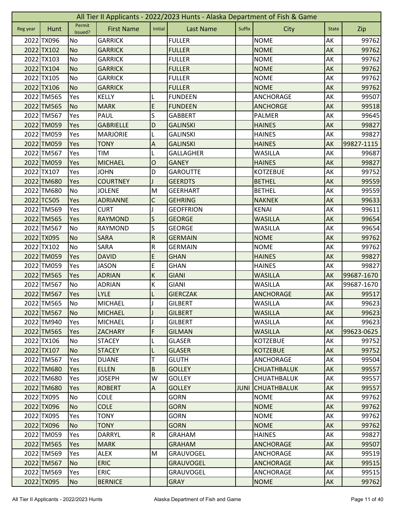|          | All Tier II Applicants - 2022/2023 Hunts - Alaska Department of Fish & Game |                   |                   |                         |                  |        |                    |              |            |  |
|----------|-----------------------------------------------------------------------------|-------------------|-------------------|-------------------------|------------------|--------|--------------------|--------------|------------|--|
| Reg year | Hunt                                                                        | Permit<br>Issued? | <b>First Name</b> | Initial                 | <b>Last Name</b> | Suffix | City               | <b>State</b> | Zip        |  |
|          | 2022 TX096                                                                  | No                | <b>GARRICK</b>    |                         | <b>FULLER</b>    |        | <b>NOME</b>        | AK           | 99762      |  |
|          | 2022 TX102                                                                  | <b>No</b>         | <b>GARRICK</b>    |                         | <b>FULLER</b>    |        | <b>NOME</b>        | AK           | 99762      |  |
|          | 2022 TX103                                                                  | No                | <b>GARRICK</b>    |                         | <b>FULLER</b>    |        | <b>NOME</b>        | AK           | 99762      |  |
|          | 2022 TX104                                                                  | <b>No</b>         | <b>GARRICK</b>    |                         | <b>FULLER</b>    |        | <b>NOME</b>        | AK           | 99762      |  |
|          | 2022 TX105                                                                  | No                | <b>GARRICK</b>    |                         | <b>FULLER</b>    |        | <b>NOME</b>        | AK           | 99762      |  |
|          | 2022 TX106                                                                  | <b>No</b>         | <b>GARRICK</b>    |                         | <b>FULLER</b>    |        | <b>NOME</b>        | AK           | 99762      |  |
|          | 2022 TM565                                                                  | Yes               | KELLY             |                         | <b>FUNDEEN</b>   |        | ANCHORAGE          | AK           | 99507      |  |
|          | 2022 TM565                                                                  | <b>No</b>         | <b>MARK</b>       | $\mathsf E$             | <b>FUNDEEN</b>   |        | <b>ANCHORGE</b>    | AK           | 99518      |  |
|          | 2022 TM567                                                                  | Yes               | <b>PAUL</b>       | S                       | <b>GABBERT</b>   |        | <b>PALMER</b>      | AK           | 99645      |  |
|          | 2022 TM059                                                                  | Yes               | <b>GABRIELLE</b>  | D                       | <b>GALINSKI</b>  |        | <b>HAINES</b>      | AK           | 99827      |  |
|          | 2022 TM059                                                                  | Yes               | <b>MARJORIE</b>   | L                       | <b>GALINSKI</b>  |        | <b>HAINES</b>      | AK           | 99827      |  |
|          | 2022 TM059                                                                  | Yes               | <b>TONY</b>       | A                       | <b>GALINSKI</b>  |        | <b>HAINES</b>      | AK           | 99827-1115 |  |
|          | 2022 TM567                                                                  | Yes               | TIM               | L                       | <b>GALLAGHER</b> |        | <b>WASILLA</b>     | AK           | 99687      |  |
|          | 2022 TM059                                                                  | Yes               | <b>MICHAEL</b>    | $\mathsf{O}$            | <b>GANEY</b>     |        | <b>HAINES</b>      | AK           | 99827      |  |
|          | 2022 TX107                                                                  | Yes               | <b>JOHN</b>       | D                       | <b>GAROUTTE</b>  |        | <b>KOTZEBUE</b>    | АK           | 99752      |  |
|          | 2022 TM680                                                                  | Yes               | <b>COURTNEY</b>   |                         | <b>GEERDTS</b>   |        | <b>BETHEL</b>      | AK           | 99559      |  |
|          | 2022 TM680                                                                  | <b>No</b>         | <b>JOLENE</b>     | M                       | <b>GEERHART</b>  |        | <b>BETHEL</b>      | AK           | 99559      |  |
|          | 2022 TC505                                                                  | Yes               | <b>ADRIANNE</b>   | $\mathsf C$             | <b>GEHRING</b>   |        | <b>NAKNEK</b>      | AK           | 99633      |  |
|          | 2022 TM569                                                                  | Yes               | <b>CURT</b>       |                         | <b>GEOFFRION</b> |        | <b>KENAI</b>       | AK           | 99611      |  |
|          | 2022 TM565                                                                  | Yes               | <b>RAYMOND</b>    | S                       | <b>GEORGE</b>    |        | <b>WASILLA</b>     | AK           | 99654      |  |
|          | 2022 TM567                                                                  | No                | <b>RAYMOND</b>    | S                       | <b>GEORGE</b>    |        | <b>WASILLA</b>     | AK           | 99654      |  |
|          | 2022 TX095                                                                  | <b>No</b>         | <b>SARA</b>       | ${\sf R}$               | <b>GERMAIN</b>   |        | <b>NOME</b>        | AK           | 99762      |  |
|          | 2022 TX102                                                                  | No                | SARA              | ${\sf R}$               | <b>GERMAIN</b>   |        | <b>NOME</b>        | AK           | 99762      |  |
|          | 2022 TM059                                                                  | Yes               | <b>DAVID</b>      | E                       | <b>GHAN</b>      |        | <b>HAINES</b>      | AK           | 99827      |  |
|          | 2022 TM059                                                                  | Yes               | <b>JASON</b>      | E                       | <b>GHAN</b>      |        | <b>HAINES</b>      | AK           | 99827      |  |
|          | 2022 TM565                                                                  | Yes               | <b>ADRIAN</b>     | $\sf K$                 | <b>GIANI</b>     |        | <b>WASILLA</b>     | AK           | 99687-1670 |  |
|          | 2022 TM567                                                                  | No                | <b>ADRIAN</b>     | $\sf K$                 | <b>GIANI</b>     |        | <b>WASILLA</b>     | AK           | 99687-1670 |  |
|          | 2022 TM567                                                                  | Yes               | <b>LYLE</b>       |                         | <b>GIERCZAK</b>  |        | <b>ANCHORAGE</b>   | AK           | 99517      |  |
|          | 2022 TM565                                                                  | <b>No</b>         | MICHAEL           | J                       | <b>GILBERT</b>   |        | WASILLA            | AK           | 99623      |  |
|          | 2022 TM567                                                                  | <b>No</b>         | <b>MICHAEL</b>    | J                       | <b>GILBERT</b>   |        | <b>WASILLA</b>     | AK           | 99623      |  |
|          | 2022 TM940                                                                  | Yes               | <b>MICHAEL</b>    |                         | <b>GILBERT</b>   |        | <b>WASILLA</b>     | AK           | 99623      |  |
|          | 2022 TM565                                                                  | Yes               | <b>ZACHARY</b>    | F                       | <b>GILMAN</b>    |        | <b>WASILLA</b>     | AK           | 99623-0625 |  |
|          | 2022 TX106                                                                  | No                | <b>STACEY</b>     |                         | <b>GLASER</b>    |        | <b>KOTZEBUE</b>    | AK           | 99752      |  |
|          | 2022 TX107                                                                  | No                | <b>STACEY</b>     | L                       | <b>GLASER</b>    |        | <b>KOTZEBUE</b>    | AK           | 99752      |  |
|          | 2022 TM567                                                                  | Yes               | <b>DUANE</b>      | T                       | <b>GLUTH</b>     |        | ANCHORAGE          | AK           | 99504      |  |
|          | 2022 TM680                                                                  | <b>Yes</b>        | <b>ELLEN</b>      | $\overline{B}$          | <b>GOLLEY</b>    |        | <b>CHUATHBALUK</b> | <b>AK</b>    | 99557      |  |
|          | 2022 TM680                                                                  | Yes               | <b>JOSEPH</b>     | W                       | <b>GOLLEY</b>    |        | <b>CHUATHBALUK</b> | AK           | 99557      |  |
|          | 2022 TM680                                                                  | Yes               | <b>ROBERT</b>     | $\overline{A}$          | <b>GOLLEY</b>    | JUNI   | <b>CHUATHBALUK</b> | AK           | 99557      |  |
|          | 2022 TX095                                                                  | No                | <b>COLE</b>       |                         | <b>GORN</b>      |        | <b>NOME</b>        | AK           | 99762      |  |
|          | 2022 TX096                                                                  | <b>No</b>         | <b>COLE</b>       |                         | <b>GORN</b>      |        | <b>NOME</b>        | AK           | 99762      |  |
|          | 2022 TX095                                                                  | Yes               | <b>TONY</b>       |                         | <b>GORN</b>      |        | <b>NOME</b>        | AK           | 99762      |  |
|          | 2022 TX096                                                                  | <b>No</b>         | <b>TONY</b>       |                         | <b>GORN</b>      |        | <b>NOME</b>        | AK           | 99762      |  |
|          | 2022 TM059                                                                  | Yes               | <b>DARRYL</b>     | $\overline{\mathsf{R}}$ | <b>GRAHAM</b>    |        | <b>HAINES</b>      | AK           | 99827      |  |
|          | 2022 TM565                                                                  | Yes               | <b>MARK</b>       |                         | <b>GRAHAM</b>    |        | <b>ANCHORAGE</b>   | AK           | 99507      |  |
|          | 2022 TM569                                                                  | Yes               | <b>ALEX</b>       | M                       | <b>GRAUVOGEL</b> |        | ANCHORAGE          | AK           | 99519      |  |
|          | 2022 TM567                                                                  | <b>No</b>         | <b>ERIC</b>       |                         | <b>GRAUVOGEL</b> |        | <b>ANCHORAGE</b>   | AK           | 99515      |  |
|          | 2022 TM569                                                                  | Yes               | <b>ERIC</b>       |                         | <b>GRAUVOGEL</b> |        | ANCHORAGE          | AK           | 99515      |  |
|          | 2022 TX095                                                                  | <b>No</b>         | <b>BERNICE</b>    |                         | <b>GRAY</b>      |        | <b>NOME</b>        | AK           | 99762      |  |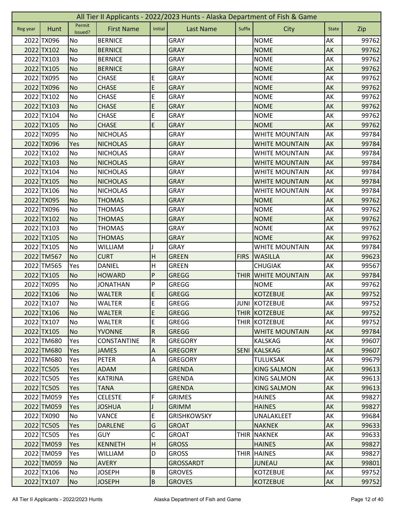|          | All Tier II Applicants - 2022/2023 Hunts - Alaska Department of Fish & Game |                   |                   |                |                    |             |                       |              |       |  |  |
|----------|-----------------------------------------------------------------------------|-------------------|-------------------|----------------|--------------------|-------------|-----------------------|--------------|-------|--|--|
| Reg year | Hunt                                                                        | Permit<br>Issued? | <b>First Name</b> | Initial        | <b>Last Name</b>   | Suffix      | City                  | <b>State</b> | Zip   |  |  |
|          | 2022 TX096                                                                  | No                | <b>BERNICE</b>    |                | <b>GRAY</b>        |             | <b>NOME</b>           | AK           | 99762 |  |  |
|          | 2022 TX102                                                                  | <b>No</b>         | <b>BERNICE</b>    |                | <b>GRAY</b>        |             | <b>NOME</b>           | AK           | 99762 |  |  |
|          | 2022 TX103                                                                  | No                | <b>BERNICE</b>    |                | <b>GRAY</b>        |             | <b>NOME</b>           | AK           | 99762 |  |  |
|          | 2022 TX105                                                                  | <b>No</b>         | <b>BERNICE</b>    |                | <b>GRAY</b>        |             | <b>NOME</b>           | AK           | 99762 |  |  |
|          | 2022 TX095                                                                  | No                | <b>CHASE</b>      | E              | <b>GRAY</b>        |             | <b>NOME</b>           | AK           | 99762 |  |  |
|          | 2022 TX096                                                                  | <b>No</b>         | <b>CHASE</b>      | $\mathsf E$    | <b>GRAY</b>        |             | <b>NOME</b>           | AK           | 99762 |  |  |
|          | 2022 TX102                                                                  | No                | CHASE             | E              | <b>GRAY</b>        |             | <b>NOME</b>           | AK           | 99762 |  |  |
|          | 2022 TX103                                                                  | <b>No</b>         | <b>CHASE</b>      | E              | <b>GRAY</b>        |             | <b>NOME</b>           | AK           | 99762 |  |  |
|          | 2022 TX104                                                                  | No                | <b>CHASE</b>      | E              | <b>GRAY</b>        |             | <b>NOME</b>           | AK           | 99762 |  |  |
|          | 2022 TX105                                                                  | <b>No</b>         | <b>CHASE</b>      | E              | <b>GRAY</b>        |             | <b>NOME</b>           | AK           | 99762 |  |  |
|          | 2022 TX095                                                                  | No                | <b>NICHOLAS</b>   |                | <b>GRAY</b>        |             | <b>WHITE MOUNTAIN</b> | AK           | 99784 |  |  |
|          | 2022 TX096                                                                  | Yes               | <b>NICHOLAS</b>   |                | <b>GRAY</b>        |             | <b>WHITE MOUNTAIN</b> | AK           | 99784 |  |  |
|          | 2022 TX102                                                                  | No                | <b>NICHOLAS</b>   |                | <b>GRAY</b>        |             | <b>WHITE MOUNTAIN</b> | АK           | 99784 |  |  |
|          | 2022 TX103                                                                  | <b>No</b>         | <b>NICHOLAS</b>   |                | <b>GRAY</b>        |             | <b>WHITE MOUNTAIN</b> | AK           | 99784 |  |  |
|          | 2022 TX104                                                                  | No                | <b>NICHOLAS</b>   |                | <b>GRAY</b>        |             | <b>WHITE MOUNTAIN</b> | AK           | 99784 |  |  |
|          | 2022 TX105                                                                  | <b>No</b>         | <b>NICHOLAS</b>   |                | <b>GRAY</b>        |             | <b>WHITE MOUNTAIN</b> | AK           | 99784 |  |  |
|          | 2022 TX106                                                                  | No                | <b>NICHOLAS</b>   |                | <b>GRAY</b>        |             | <b>WHITE MOUNTAIN</b> | AK           | 99784 |  |  |
|          | 2022 TX095                                                                  | <b>No</b>         | <b>THOMAS</b>     |                | <b>GRAY</b>        |             | <b>NOME</b>           | AK           | 99762 |  |  |
|          | 2022 TX096                                                                  | No                | <b>THOMAS</b>     |                | <b>GRAY</b>        |             | <b>NOME</b>           | AK           | 99762 |  |  |
|          | 2022 TX102                                                                  | <b>No</b>         | <b>THOMAS</b>     |                | <b>GRAY</b>        |             | <b>NOME</b>           | AK           | 99762 |  |  |
|          | 2022 TX103                                                                  | No                | <b>THOMAS</b>     |                | <b>GRAY</b>        |             | <b>NOME</b>           | AK           | 99762 |  |  |
|          | 2022 TX105                                                                  | <b>No</b>         | <b>THOMAS</b>     |                | <b>GRAY</b>        |             | <b>NOME</b>           | AK           | 99762 |  |  |
|          | 2022 TX105                                                                  | No                | <b>WILLIAM</b>    |                | <b>GRAY</b>        |             | <b>WHITE MOUNTAIN</b> | AK           | 99784 |  |  |
|          | 2022 TM567                                                                  | <b>No</b>         | <b>CURT</b>       | H              | <b>GREEN</b>       | <b>FIRS</b> | <b>WASILLA</b>        | AK           | 99623 |  |  |
|          | 2022 TM565                                                                  | Yes               | <b>DANIEL</b>     | H              | <b>GREEN</b>       |             | <b>CHUGIAK</b>        | AK           | 99567 |  |  |
|          | 2022 TX105                                                                  | <b>No</b>         | <b>HOWARD</b>     | P              | <b>GREGG</b>       | <b>THIR</b> | <b>WHITE MOUNTAIN</b> | AK           | 99784 |  |  |
|          | 2022 TX095                                                                  | No                | <b>JONATHAN</b>   | P              | <b>GREGG</b>       |             | <b>NOME</b>           | AK           | 99762 |  |  |
|          | 2022 TX106                                                                  | <b>No</b>         | <b>WALTER</b>     | E              | <b>GREGG</b>       |             | <b>KOTZEBUE</b>       | AK           | 99752 |  |  |
|          | 2022 TX107                                                                  | <b>No</b>         | <b>WALTER</b>     | E              | GREGG              |             | JUNI KOTZEBUE         | AK           | 99752 |  |  |
|          | 2022 TX106                                                                  | <b>No</b>         | <b>WALTER</b>     | E              | <b>GREGG</b>       |             | THIR KOTZEBUE         | AK           | 99752 |  |  |
|          | 2022 TX107                                                                  | No                | <b>WALTER</b>     | E              | <b>GREGG</b>       |             | THIR KOTZEBUE         | AK           | 99752 |  |  |
|          | 2022 TX105                                                                  | <b>No</b>         | <b>YVONNE</b>     | $\overline{R}$ | <b>GREGG</b>       |             | <b>WHITE MOUNTAIN</b> | AK           | 99784 |  |  |
|          | 2022 TM680                                                                  | Yes               | CONSTANTINE       | ${\sf R}$      | <b>GREGORY</b>     |             | <b>KALSKAG</b>        | AK           | 99607 |  |  |
|          | 2022 TM680                                                                  | Yes               | <b>JAMES</b>      | $\mathsf A$    | <b>GREGORY</b>     | <b>SENI</b> | KALSKAG               | AK           | 99607 |  |  |
|          | 2022 TM680                                                                  | Yes               | <b>PETER</b>      | A              | <b>GREGORY</b>     |             | <b>TULUKSAK</b>       | AK           | 99679 |  |  |
|          | 2022 TC505                                                                  | <b>Yes</b>        | <b>ADAM</b>       |                | <b>GRENDA</b>      |             | <b>KING SALMON</b>    | <b>AK</b>    | 99613 |  |  |
|          | 2022 TC505                                                                  | Yes               | <b>KATRINA</b>    |                | <b>GRENDA</b>      |             | <b>KING SALMON</b>    | AK           | 99613 |  |  |
|          | 2022 TC505                                                                  | Yes               | <b>TANA</b>       |                | <b>GRENDA</b>      |             | <b>KING SALMON</b>    | AK           | 99613 |  |  |
|          | 2022 TM059                                                                  | Yes               | <b>CELESTE</b>    | F              | <b>GRIMES</b>      |             | <b>HAINES</b>         | AK           | 99827 |  |  |
|          | 2022 TM059                                                                  | Yes               | <b>JOSHUA</b>     |                | <b>GRIMM</b>       |             | <b>HAINES</b>         | AK           | 99827 |  |  |
|          | 2022 TX090                                                                  | No                | <b>VANCE</b>      | E              | <b>GRISHKOWSKY</b> |             | UNALAKLEET            | AK           | 99684 |  |  |
|          | 2022 TC505                                                                  | Yes               | <b>DARLENE</b>    | G              | <b>GROAT</b>       |             | <b>NAKNEK</b>         | AK           | 99633 |  |  |
|          | 2022 TC505                                                                  | Yes               | <b>GUY</b>        | С              | <b>GROAT</b>       | <b>THIR</b> | <b>NAKNEK</b>         | AK           | 99633 |  |  |
|          | 2022 TM059                                                                  | Yes               | <b>KENNETH</b>    | H              | <b>GROSS</b>       |             | <b>HAINES</b>         | AK           | 99827 |  |  |
|          | 2022 TM059                                                                  | Yes               | <b>WILLIAM</b>    | D              | <b>GROSS</b>       |             | THIR HAINES           | AK           | 99827 |  |  |
|          | 2022 TM059                                                                  | <b>No</b>         | <b>AVERY</b>      |                | <b>GROSSARDT</b>   |             | <b>JUNEAU</b>         | AK           | 99801 |  |  |
|          | 2022 TX106                                                                  | No                | <b>JOSEPH</b>     | $\sf B$        | <b>GROVES</b>      |             | <b>KOTZEBUE</b>       | AK           | 99752 |  |  |
|          | 2022 TX107                                                                  | <b>No</b>         | <b>JOSEPH</b>     | B              | <b>GROVES</b>      |             | <b>KOTZEBUE</b>       | AK           | 99752 |  |  |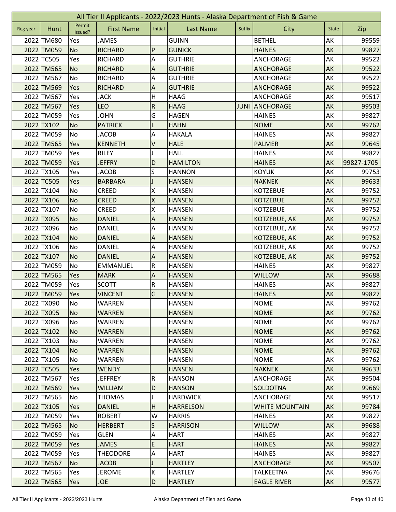|          | All Tier II Applicants - 2022/2023 Hunts - Alaska Department of Fish & Game |                   |                   |                           |                  |             |                       |              |            |  |  |
|----------|-----------------------------------------------------------------------------|-------------------|-------------------|---------------------------|------------------|-------------|-----------------------|--------------|------------|--|--|
| Reg year | Hunt                                                                        | Permit<br>Issued? | <b>First Name</b> | Initial                   | <b>Last Name</b> | Suffix      | City                  | <b>State</b> | Zip        |  |  |
|          | 2022 TM680                                                                  | Yes               | <b>JAMES</b>      |                           | <b>GUINN</b>     |             | <b>BETHEL</b>         | AK           | 99559      |  |  |
|          | 2022 TM059                                                                  | No                | <b>RICHARD</b>    | P                         | <b>GUNICK</b>    |             | <b>HAINES</b>         | AK           | 99827      |  |  |
|          | 2022 TC505                                                                  | Yes               | <b>RICHARD</b>    | A                         | <b>GUTHRIE</b>   |             | ANCHORAGE             | АK           | 99522      |  |  |
|          | 2022 TM565                                                                  | <b>No</b>         | <b>RICHARD</b>    | $\overline{A}$            | <b>GUTHRIE</b>   |             | <b>ANCHORAGE</b>      | AK           | 99522      |  |  |
|          | 2022 TM567                                                                  | <b>No</b>         | <b>RICHARD</b>    | A                         | <b>GUTHRIE</b>   |             | ANCHORAGE             | AK           | 99522      |  |  |
|          | 2022 TM569                                                                  | Yes               | <b>RICHARD</b>    | $\boldsymbol{\mathsf{A}}$ | <b>GUTHRIE</b>   |             | <b>ANCHORAGE</b>      | AK           | 99522      |  |  |
|          | 2022 TM567                                                                  | Yes               | <b>JACK</b>       | Н                         | <b>HAAG</b>      |             | <b>ANCHORAGE</b>      | AK           | 99517      |  |  |
|          | 2022 TM567                                                                  | Yes               | <b>LEO</b>        | ${\sf R}$                 | <b>HAAG</b>      | <b>JUNI</b> | <b>ANCHORAGE</b>      | AK           | 99503      |  |  |
|          | 2022 TM059                                                                  | Yes               | <b>JOHN</b>       | G                         | <b>HAGEN</b>     |             | <b>HAINES</b>         | AK           | 99827      |  |  |
|          | 2022 TX102                                                                  | <b>No</b>         | <b>PATRICK</b>    |                           | <b>HAHN</b>      |             | <b>NOME</b>           | AK           | 99762      |  |  |
|          | 2022 TM059                                                                  | <b>No</b>         | <b>JACOB</b>      | A                         | <b>HAKALA</b>    |             | <b>HAINES</b>         | AK           | 99827      |  |  |
|          | 2022 TM565                                                                  | Yes               | <b>KENNETH</b>    | $\sf V$                   | <b>HALE</b>      |             | <b>PALMER</b>         | AK           | 99645      |  |  |
|          | 2022 TM059                                                                  | Yes               | <b>RILEY</b>      |                           | <b>HALL</b>      |             | <b>HAINES</b>         | AK           | 99827      |  |  |
|          | 2022 TM059                                                                  | Yes               | <b>JEFFRY</b>     | D                         | <b>HAMILTON</b>  |             | <b>HAINES</b>         | AK           | 99827-1705 |  |  |
|          | 2022 TX105                                                                  | Yes               | <b>JACOB</b>      | S                         | <b>HANNON</b>    |             | <b>KOYUK</b>          | AK           | 99753      |  |  |
|          | 2022 TC505                                                                  | Yes               | <b>BARBARA</b>    |                           | <b>HANSEN</b>    |             | <b>NAKNEK</b>         | AK           | 99633      |  |  |
|          | 2022 TX104                                                                  | No                | <b>CREED</b>      | Χ                         | <b>HANSEN</b>    |             | <b>KOTZEBUE</b>       | AK           | 99752      |  |  |
|          | 2022 TX106                                                                  | <b>No</b>         | <b>CREED</b>      | $\mathsf{\overline{X}}$   | <b>HANSEN</b>    |             | <b>KOTZEBUE</b>       | AK           | 99752      |  |  |
|          | 2022 TX107                                                                  | No                | <b>CREED</b>      | X                         | <b>HANSEN</b>    |             | <b>KOTZEBUE</b>       | AK           | 99752      |  |  |
|          | 2022 TX095                                                                  | <b>No</b>         | <b>DANIEL</b>     | Α                         | <b>HANSEN</b>    |             | KOTZEBUE, AK          | AK           | 99752      |  |  |
|          | 2022 TX096                                                                  | No                | <b>DANIEL</b>     | A                         | <b>HANSEN</b>    |             | KOTZEBUE, AK          | AK           | 99752      |  |  |
|          | 2022 TX104                                                                  | <b>No</b>         | <b>DANIEL</b>     | A                         | <b>HANSEN</b>    |             | KOTZEBUE, AK          | AK           | 99752      |  |  |
|          | 2022 TX106                                                                  | No                | <b>DANIEL</b>     | A                         | <b>HANSEN</b>    |             | KOTZEBUE, AK          | AK           | 99752      |  |  |
|          | 2022 TX107                                                                  | <b>No</b>         | <b>DANIEL</b>     | A                         | <b>HANSEN</b>    |             | KOTZEBUE, AK          | AK           | 99752      |  |  |
|          | 2022 TM059                                                                  | No                | EMMANUEL          | ${\sf R}$                 | <b>HANSEN</b>    |             | <b>HAINES</b>         | AK           | 99827      |  |  |
|          | 2022 TM565                                                                  | Yes               | <b>MARK</b>       | $\overline{A}$            | <b>HANSEN</b>    |             | <b>WILLOW</b>         | AK           | 99688      |  |  |
|          | 2022 TM059                                                                  | Yes               | <b>SCOTT</b>      | ${\sf R}$                 | <b>HANSEN</b>    |             | <b>HAINES</b>         | AK           | 99827      |  |  |
|          | 2022 TM059                                                                  | Yes               | <b>VINCENT</b>    | G                         | <b>HANSEN</b>    |             | <b>HAINES</b>         | AK           | 99827      |  |  |
|          | 2022 TX090                                                                  | <b>No</b>         | <b>WARREN</b>     |                           | <b>HANSEN</b>    |             | <b>NOME</b>           | AK           | 99762      |  |  |
|          | 2022 TX095                                                                  | <b>No</b>         | <b>WARREN</b>     |                           | <b>HANSEN</b>    |             | <b>NOME</b>           | AK           | 99762      |  |  |
|          | 2022 TX096                                                                  | No                | <b>WARREN</b>     |                           | <b>HANSEN</b>    |             | <b>NOME</b>           | AK           | 99762      |  |  |
|          | 2022 TX102                                                                  | <b>No</b>         | <b>WARREN</b>     |                           | <b>HANSEN</b>    |             | <b>NOME</b>           | AK           | 99762      |  |  |
|          | 2022 TX103                                                                  | No                | WARREN            |                           | <b>HANSEN</b>    |             | <b>NOME</b>           | AK           | 99762      |  |  |
|          | 2022 TX104                                                                  | <b>No</b>         | <b>WARREN</b>     |                           | <b>HANSEN</b>    |             | <b>NOME</b>           | AK           | 99762      |  |  |
|          | 2022 TX105                                                                  | No                | <b>WARREN</b>     |                           | <b>HANSEN</b>    |             | <b>NOME</b>           | AK           | 99762      |  |  |
|          | 2022 TC505                                                                  | Yes               | <b>WENDY</b>      |                           | <b>HANSEN</b>    |             | <b>NAKNEK</b>         | <b>AK</b>    | 99633      |  |  |
|          | 2022 TM567                                                                  | Yes               | <b>JEFFREY</b>    | ${\sf R}$                 | <b>HANSON</b>    |             | ANCHORAGE             | AK           | 99504      |  |  |
|          | 2022 TM569                                                                  | Yes               | <b>WILLIAM</b>    | D                         | <b>HANSON</b>    |             | <b>SOLDOTNA</b>       | AK           | 99669      |  |  |
|          | 2022 TM565                                                                  | No                | <b>THOMAS</b>     |                           | <b>HARDWICK</b>  |             | ANCHORAGE             | AK           | 99517      |  |  |
|          | 2022 TX105                                                                  | <b>Yes</b>        | <b>DANIEL</b>     | H                         | <b>HARRELSON</b> |             | <b>WHITE MOUNTAIN</b> | AK           | 99784      |  |  |
|          | 2022 TM059                                                                  | Yes               | <b>ROBERT</b>     | W                         | <b>HARRIS</b>    |             | <b>HAINES</b>         | AK           | 99827      |  |  |
|          | 2022 TM565                                                                  | N <sub>o</sub>    | <b>HERBERT</b>    | $\mathsf S$               | <b>HARRISON</b>  |             | <b>WILLOW</b>         | <b>AK</b>    | 99688      |  |  |
|          | 2022 TM059                                                                  | Yes               | GLEN              | $\overline{A}$            | <b>HART</b>      |             | <b>HAINES</b>         | AK           | 99827      |  |  |
|          | 2022 TM059                                                                  | <b>Yes</b>        | <b>JAMES</b>      | E                         | <b>HART</b>      |             | <b>HAINES</b>         | AK           | 99827      |  |  |
|          | 2022 TM059                                                                  | Yes               | <b>THEODORE</b>   | $\overline{A}$            | <b>HART</b>      |             | <b>HAINES</b>         | AK           | 99827      |  |  |
|          | 2022 TM567                                                                  | <b>No</b>         | <b>JACOB</b>      |                           | <b>HARTLEY</b>   |             | <b>ANCHORAGE</b>      | AK           | 99507      |  |  |
|          | 2022 TM565                                                                  | Yes               | <b>JEROME</b>     | K                         | <b>HARTLEY</b>   |             | <b>TALKEETNA</b>      | AK           | 99676      |  |  |
|          | 2022 TM565                                                                  | Yes               | <b>JOE</b>        | D                         | <b>HARTLEY</b>   |             | <b>EAGLE RIVER</b>    | AK           | 99577      |  |  |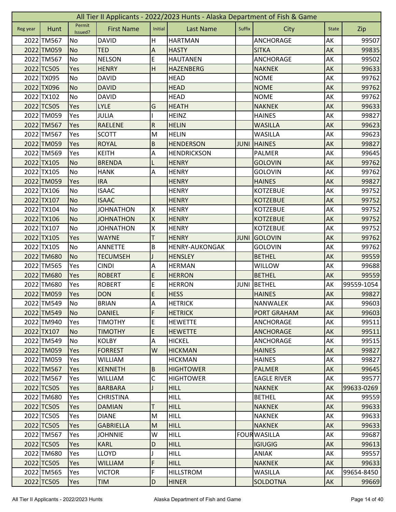| Permit<br><b>First Name</b><br>Suffix<br>Initial<br><b>Last Name</b><br>City<br>Hunt<br>Zip<br>Reg year<br><b>State</b><br>Issued?<br>AK<br>2022 TM567<br><b>DAVID</b><br>H<br><b>HARTMAN</b><br><b>ANCHORAGE</b><br>99507<br>No<br>2022 TM059<br><b>HASTY</b><br>99835<br><b>No</b><br><b>TED</b><br>A<br><b>SITKA</b><br>AK<br>E<br>AK<br>2022 TM567<br><b>NELSON</b><br><b>HAUTANEN</b><br><b>ANCHORAGE</b><br>99502<br>No<br>H<br>2022 TC505<br><b>HENRY</b><br><b>HAZENBERG</b><br><b>NAKNEK</b><br>AK<br>99633<br>Yes<br>AK<br>2022 TX095<br>No<br><b>DAVID</b><br><b>HEAD</b><br><b>NOME</b><br>99762<br>2022 TX096<br><b>NOME</b><br>AK<br><b>No</b><br><b>DAVID</b><br><b>HEAD</b><br>99762<br>2022 TX102<br><b>NOME</b><br>99762<br>No<br><b>DAVID</b><br><b>HEAD</b><br>AK<br>2022 TC505<br>G<br>AK<br>99633<br>Yes<br><b>LYLE</b><br><b>HEATH</b><br><b>NAKNEK</b><br>2022 TM059<br>99827<br>Yes<br><b>JULIA</b><br><b>HEINZ</b><br><b>HAINES</b><br>AK<br>${\sf R}$<br>AK<br>2022 TM567<br>Yes<br><b>RAELENE</b><br><b>HELIN</b><br><b>WASILLA</b><br>99623<br>2022 TM567<br><b>SCOTT</b><br>M<br><b>HELIN</b><br><b>WASILLA</b><br>AK<br>99623<br>Yes<br>$\sf B$<br>2022 TM059<br><b>HENDERSON</b><br><b>HAINES</b><br>AK<br>99827<br>Yes<br><b>ROYAL</b><br><b>JUNI</b><br>2022 TM569<br>Α<br>AK<br>Yes<br><b>KEITH</b><br><b>HENDRICKSON</b><br>PALMER<br>99645<br>2022 TX105<br><b>No</b><br><b>BRENDA</b><br><b>GOLOVIN</b><br>AK<br>99762<br><b>HENRY</b><br>2022 TX105<br>No<br>A<br>AK<br>99762<br><b>HANK</b><br><b>HENRY</b><br><b>GOLOVIN</b><br>2022 TM059<br><b>IRA</b><br><b>AK</b><br>99827<br>Yes<br><b>HENRY</b><br><b>HAINES</b><br>2022 TX106<br>No<br><b>ISAAC</b><br>AK<br>99752<br><b>HENRY</b><br><b>KOTZEBUE</b><br>2022 TX107<br><b>No</b><br><b>ISAAC</b><br>AK<br>99752<br><b>HENRY</b><br><b>KOTZEBUE</b><br>X<br>AK<br>2022 TX104<br><b>No</b><br><b>JOHNATHON</b><br><b>KOTZEBUE</b><br>99752<br><b>HENRY</b><br>$\overline{\mathsf{x}}$<br>2022 TX106<br>AK<br><b>No</b><br><b>JOHNATHON</b><br><b>HENRY</b><br><b>KOTZEBUE</b><br>99752<br>2022 TX107<br>X<br>99752<br>No<br><b>JOHNATHON</b><br><b>HENRY</b><br><b>KOTZEBUE</b><br>AK<br>2022 TX105 | All Tier II Applicants - 2022/2023 Hunts - Alaska Department of Fish & Game |     |              |   |              |             |         |    |       |  |  |
|---------------------------------------------------------------------------------------------------------------------------------------------------------------------------------------------------------------------------------------------------------------------------------------------------------------------------------------------------------------------------------------------------------------------------------------------------------------------------------------------------------------------------------------------------------------------------------------------------------------------------------------------------------------------------------------------------------------------------------------------------------------------------------------------------------------------------------------------------------------------------------------------------------------------------------------------------------------------------------------------------------------------------------------------------------------------------------------------------------------------------------------------------------------------------------------------------------------------------------------------------------------------------------------------------------------------------------------------------------------------------------------------------------------------------------------------------------------------------------------------------------------------------------------------------------------------------------------------------------------------------------------------------------------------------------------------------------------------------------------------------------------------------------------------------------------------------------------------------------------------------------------------------------------------------------------------------------------------------------------------------------------------------------------------------------------------------------------------------------------------------------------------------------------------------------------------------|-----------------------------------------------------------------------------|-----|--------------|---|--------------|-------------|---------|----|-------|--|--|
|                                                                                                                                                                                                                                                                                                                                                                                                                                                                                                                                                                                                                                                                                                                                                                                                                                                                                                                                                                                                                                                                                                                                                                                                                                                                                                                                                                                                                                                                                                                                                                                                                                                                                                                                                                                                                                                                                                                                                                                                                                                                                                                                                                                                   |                                                                             |     |              |   |              |             |         |    |       |  |  |
|                                                                                                                                                                                                                                                                                                                                                                                                                                                                                                                                                                                                                                                                                                                                                                                                                                                                                                                                                                                                                                                                                                                                                                                                                                                                                                                                                                                                                                                                                                                                                                                                                                                                                                                                                                                                                                                                                                                                                                                                                                                                                                                                                                                                   |                                                                             |     |              |   |              |             |         |    |       |  |  |
|                                                                                                                                                                                                                                                                                                                                                                                                                                                                                                                                                                                                                                                                                                                                                                                                                                                                                                                                                                                                                                                                                                                                                                                                                                                                                                                                                                                                                                                                                                                                                                                                                                                                                                                                                                                                                                                                                                                                                                                                                                                                                                                                                                                                   |                                                                             |     |              |   |              |             |         |    |       |  |  |
|                                                                                                                                                                                                                                                                                                                                                                                                                                                                                                                                                                                                                                                                                                                                                                                                                                                                                                                                                                                                                                                                                                                                                                                                                                                                                                                                                                                                                                                                                                                                                                                                                                                                                                                                                                                                                                                                                                                                                                                                                                                                                                                                                                                                   |                                                                             |     |              |   |              |             |         |    |       |  |  |
|                                                                                                                                                                                                                                                                                                                                                                                                                                                                                                                                                                                                                                                                                                                                                                                                                                                                                                                                                                                                                                                                                                                                                                                                                                                                                                                                                                                                                                                                                                                                                                                                                                                                                                                                                                                                                                                                                                                                                                                                                                                                                                                                                                                                   |                                                                             |     |              |   |              |             |         |    |       |  |  |
|                                                                                                                                                                                                                                                                                                                                                                                                                                                                                                                                                                                                                                                                                                                                                                                                                                                                                                                                                                                                                                                                                                                                                                                                                                                                                                                                                                                                                                                                                                                                                                                                                                                                                                                                                                                                                                                                                                                                                                                                                                                                                                                                                                                                   |                                                                             |     |              |   |              |             |         |    |       |  |  |
|                                                                                                                                                                                                                                                                                                                                                                                                                                                                                                                                                                                                                                                                                                                                                                                                                                                                                                                                                                                                                                                                                                                                                                                                                                                                                                                                                                                                                                                                                                                                                                                                                                                                                                                                                                                                                                                                                                                                                                                                                                                                                                                                                                                                   |                                                                             |     |              |   |              |             |         |    |       |  |  |
|                                                                                                                                                                                                                                                                                                                                                                                                                                                                                                                                                                                                                                                                                                                                                                                                                                                                                                                                                                                                                                                                                                                                                                                                                                                                                                                                                                                                                                                                                                                                                                                                                                                                                                                                                                                                                                                                                                                                                                                                                                                                                                                                                                                                   |                                                                             |     |              |   |              |             |         |    |       |  |  |
|                                                                                                                                                                                                                                                                                                                                                                                                                                                                                                                                                                                                                                                                                                                                                                                                                                                                                                                                                                                                                                                                                                                                                                                                                                                                                                                                                                                                                                                                                                                                                                                                                                                                                                                                                                                                                                                                                                                                                                                                                                                                                                                                                                                                   |                                                                             |     |              |   |              |             |         |    |       |  |  |
|                                                                                                                                                                                                                                                                                                                                                                                                                                                                                                                                                                                                                                                                                                                                                                                                                                                                                                                                                                                                                                                                                                                                                                                                                                                                                                                                                                                                                                                                                                                                                                                                                                                                                                                                                                                                                                                                                                                                                                                                                                                                                                                                                                                                   |                                                                             |     |              |   |              |             |         |    |       |  |  |
|                                                                                                                                                                                                                                                                                                                                                                                                                                                                                                                                                                                                                                                                                                                                                                                                                                                                                                                                                                                                                                                                                                                                                                                                                                                                                                                                                                                                                                                                                                                                                                                                                                                                                                                                                                                                                                                                                                                                                                                                                                                                                                                                                                                                   |                                                                             |     |              |   |              |             |         |    |       |  |  |
|                                                                                                                                                                                                                                                                                                                                                                                                                                                                                                                                                                                                                                                                                                                                                                                                                                                                                                                                                                                                                                                                                                                                                                                                                                                                                                                                                                                                                                                                                                                                                                                                                                                                                                                                                                                                                                                                                                                                                                                                                                                                                                                                                                                                   |                                                                             |     |              |   |              |             |         |    |       |  |  |
|                                                                                                                                                                                                                                                                                                                                                                                                                                                                                                                                                                                                                                                                                                                                                                                                                                                                                                                                                                                                                                                                                                                                                                                                                                                                                                                                                                                                                                                                                                                                                                                                                                                                                                                                                                                                                                                                                                                                                                                                                                                                                                                                                                                                   |                                                                             |     |              |   |              |             |         |    |       |  |  |
|                                                                                                                                                                                                                                                                                                                                                                                                                                                                                                                                                                                                                                                                                                                                                                                                                                                                                                                                                                                                                                                                                                                                                                                                                                                                                                                                                                                                                                                                                                                                                                                                                                                                                                                                                                                                                                                                                                                                                                                                                                                                                                                                                                                                   |                                                                             |     |              |   |              |             |         |    |       |  |  |
|                                                                                                                                                                                                                                                                                                                                                                                                                                                                                                                                                                                                                                                                                                                                                                                                                                                                                                                                                                                                                                                                                                                                                                                                                                                                                                                                                                                                                                                                                                                                                                                                                                                                                                                                                                                                                                                                                                                                                                                                                                                                                                                                                                                                   |                                                                             |     |              |   |              |             |         |    |       |  |  |
|                                                                                                                                                                                                                                                                                                                                                                                                                                                                                                                                                                                                                                                                                                                                                                                                                                                                                                                                                                                                                                                                                                                                                                                                                                                                                                                                                                                                                                                                                                                                                                                                                                                                                                                                                                                                                                                                                                                                                                                                                                                                                                                                                                                                   |                                                                             |     |              |   |              |             |         |    |       |  |  |
|                                                                                                                                                                                                                                                                                                                                                                                                                                                                                                                                                                                                                                                                                                                                                                                                                                                                                                                                                                                                                                                                                                                                                                                                                                                                                                                                                                                                                                                                                                                                                                                                                                                                                                                                                                                                                                                                                                                                                                                                                                                                                                                                                                                                   |                                                                             |     |              |   |              |             |         |    |       |  |  |
|                                                                                                                                                                                                                                                                                                                                                                                                                                                                                                                                                                                                                                                                                                                                                                                                                                                                                                                                                                                                                                                                                                                                                                                                                                                                                                                                                                                                                                                                                                                                                                                                                                                                                                                                                                                                                                                                                                                                                                                                                                                                                                                                                                                                   |                                                                             |     |              |   |              |             |         |    |       |  |  |
|                                                                                                                                                                                                                                                                                                                                                                                                                                                                                                                                                                                                                                                                                                                                                                                                                                                                                                                                                                                                                                                                                                                                                                                                                                                                                                                                                                                                                                                                                                                                                                                                                                                                                                                                                                                                                                                                                                                                                                                                                                                                                                                                                                                                   |                                                                             |     |              |   |              |             |         |    |       |  |  |
|                                                                                                                                                                                                                                                                                                                                                                                                                                                                                                                                                                                                                                                                                                                                                                                                                                                                                                                                                                                                                                                                                                                                                                                                                                                                                                                                                                                                                                                                                                                                                                                                                                                                                                                                                                                                                                                                                                                                                                                                                                                                                                                                                                                                   |                                                                             |     |              |   |              |             |         |    |       |  |  |
|                                                                                                                                                                                                                                                                                                                                                                                                                                                                                                                                                                                                                                                                                                                                                                                                                                                                                                                                                                                                                                                                                                                                                                                                                                                                                                                                                                                                                                                                                                                                                                                                                                                                                                                                                                                                                                                                                                                                                                                                                                                                                                                                                                                                   |                                                                             |     |              |   |              |             |         |    |       |  |  |
|                                                                                                                                                                                                                                                                                                                                                                                                                                                                                                                                                                                                                                                                                                                                                                                                                                                                                                                                                                                                                                                                                                                                                                                                                                                                                                                                                                                                                                                                                                                                                                                                                                                                                                                                                                                                                                                                                                                                                                                                                                                                                                                                                                                                   |                                                                             |     |              |   |              |             |         |    |       |  |  |
|                                                                                                                                                                                                                                                                                                                                                                                                                                                                                                                                                                                                                                                                                                                                                                                                                                                                                                                                                                                                                                                                                                                                                                                                                                                                                                                                                                                                                                                                                                                                                                                                                                                                                                                                                                                                                                                                                                                                                                                                                                                                                                                                                                                                   |                                                                             | Yes | <b>WAYNE</b> | T | <b>HENRY</b> | <b>JUNI</b> | GOLOVIN | AK | 99762 |  |  |
| B<br>2022 TX105<br>No<br><b>ANNETTE</b><br><b>GOLOVIN</b><br>AK<br>99762<br><b>HENRY-AUKONGAK</b>                                                                                                                                                                                                                                                                                                                                                                                                                                                                                                                                                                                                                                                                                                                                                                                                                                                                                                                                                                                                                                                                                                                                                                                                                                                                                                                                                                                                                                                                                                                                                                                                                                                                                                                                                                                                                                                                                                                                                                                                                                                                                                 |                                                                             |     |              |   |              |             |         |    |       |  |  |
| 2022 TM680<br><b>No</b><br>AK<br>99559<br><b>TECUMSEH</b><br><b>HENSLEY</b><br><b>BETHEL</b>                                                                                                                                                                                                                                                                                                                                                                                                                                                                                                                                                                                                                                                                                                                                                                                                                                                                                                                                                                                                                                                                                                                                                                                                                                                                                                                                                                                                                                                                                                                                                                                                                                                                                                                                                                                                                                                                                                                                                                                                                                                                                                      |                                                                             |     |              |   |              |             |         |    |       |  |  |
| 2022 TM565<br>AK<br>Yes<br><b>CINDI</b><br>Α<br><b>HERMAN</b><br><b>WILLOW</b><br>99688                                                                                                                                                                                                                                                                                                                                                                                                                                                                                                                                                                                                                                                                                                                                                                                                                                                                                                                                                                                                                                                                                                                                                                                                                                                                                                                                                                                                                                                                                                                                                                                                                                                                                                                                                                                                                                                                                                                                                                                                                                                                                                           |                                                                             |     |              |   |              |             |         |    |       |  |  |
| $\mathsf E$<br>2022 TM680<br><b>ROBERT</b><br><b>HERRON</b><br><b>BETHEL</b><br>AK<br>99559<br>Yes                                                                                                                                                                                                                                                                                                                                                                                                                                                                                                                                                                                                                                                                                                                                                                                                                                                                                                                                                                                                                                                                                                                                                                                                                                                                                                                                                                                                                                                                                                                                                                                                                                                                                                                                                                                                                                                                                                                                                                                                                                                                                                |                                                                             |     |              |   |              |             |         |    |       |  |  |
| $\mathsf E$<br>2022 TM680<br><b>ROBERT</b><br><b>HERRON</b><br><b>JUNI</b><br>BETHEL<br>AK<br>99559-1054<br>Yes                                                                                                                                                                                                                                                                                                                                                                                                                                                                                                                                                                                                                                                                                                                                                                                                                                                                                                                                                                                                                                                                                                                                                                                                                                                                                                                                                                                                                                                                                                                                                                                                                                                                                                                                                                                                                                                                                                                                                                                                                                                                                   |                                                                             |     |              |   |              |             |         |    |       |  |  |
| E<br>2022 TM059<br>Yes<br><b>DON</b><br><b>HESS</b><br><b>HAINES</b><br>99827<br>AK                                                                                                                                                                                                                                                                                                                                                                                                                                                                                                                                                                                                                                                                                                                                                                                                                                                                                                                                                                                                                                                                                                                                                                                                                                                                                                                                                                                                                                                                                                                                                                                                                                                                                                                                                                                                                                                                                                                                                                                                                                                                                                               |                                                                             |     |              |   |              |             |         |    |       |  |  |
| 2022 TM549<br>No<br><b>BRIAN</b><br>$\overline{\mathsf{A}}$<br><b>HETRICK</b><br>AK<br>NANWALEK<br>99603                                                                                                                                                                                                                                                                                                                                                                                                                                                                                                                                                                                                                                                                                                                                                                                                                                                                                                                                                                                                                                                                                                                                                                                                                                                                                                                                                                                                                                                                                                                                                                                                                                                                                                                                                                                                                                                                                                                                                                                                                                                                                          |                                                                             |     |              |   |              |             |         |    |       |  |  |
| F<br>2022 TM549<br>AK<br><b>HETRICK</b><br><b>PORT GRAHAM</b><br>99603<br>IN <sub>O</sub><br><b>DANIEL</b>                                                                                                                                                                                                                                                                                                                                                                                                                                                                                                                                                                                                                                                                                                                                                                                                                                                                                                                                                                                                                                                                                                                                                                                                                                                                                                                                                                                                                                                                                                                                                                                                                                                                                                                                                                                                                                                                                                                                                                                                                                                                                        |                                                                             |     |              |   |              |             |         |    |       |  |  |
| E<br>AK<br>2022 TM940<br>Yes<br><b>TIMOTHY</b><br><b>HEWETTE</b><br>ANCHORAGE<br>99511                                                                                                                                                                                                                                                                                                                                                                                                                                                                                                                                                                                                                                                                                                                                                                                                                                                                                                                                                                                                                                                                                                                                                                                                                                                                                                                                                                                                                                                                                                                                                                                                                                                                                                                                                                                                                                                                                                                                                                                                                                                                                                            |                                                                             |     |              |   |              |             |         |    |       |  |  |
| $\mathsf E$<br>2022 TX107<br><b>TIMOTHY</b><br><b>HEWETTE</b><br>AK<br>99511<br>N <sub>o</sub><br>ANCHORAGE                                                                                                                                                                                                                                                                                                                                                                                                                                                                                                                                                                                                                                                                                                                                                                                                                                                                                                                                                                                                                                                                                                                                                                                                                                                                                                                                                                                                                                                                                                                                                                                                                                                                                                                                                                                                                                                                                                                                                                                                                                                                                       |                                                                             |     |              |   |              |             |         |    |       |  |  |
| 2022 TM549<br><b>KOLBY</b><br>A<br><b>HICKEL</b><br>AK<br>99515<br><b>No</b><br>ANCHORAGE                                                                                                                                                                                                                                                                                                                                                                                                                                                                                                                                                                                                                                                                                                                                                                                                                                                                                                                                                                                                                                                                                                                                                                                                                                                                                                                                                                                                                                                                                                                                                                                                                                                                                                                                                                                                                                                                                                                                                                                                                                                                                                         |                                                                             |     |              |   |              |             |         |    |       |  |  |
| 2022 TM059<br>W<br><b>FORREST</b><br><b>HICKMAN</b><br><b>HAINES</b><br>AK<br>99827<br>Yes                                                                                                                                                                                                                                                                                                                                                                                                                                                                                                                                                                                                                                                                                                                                                                                                                                                                                                                                                                                                                                                                                                                                                                                                                                                                                                                                                                                                                                                                                                                                                                                                                                                                                                                                                                                                                                                                                                                                                                                                                                                                                                        |                                                                             |     |              |   |              |             |         |    |       |  |  |
| 2022 TM059<br>AK<br>99827<br><b>WILLIAM</b><br><b>HICKMAN</b><br><b>HAINES</b><br>Yes                                                                                                                                                                                                                                                                                                                                                                                                                                                                                                                                                                                                                                                                                                                                                                                                                                                                                                                                                                                                                                                                                                                                                                                                                                                                                                                                                                                                                                                                                                                                                                                                                                                                                                                                                                                                                                                                                                                                                                                                                                                                                                             |                                                                             |     |              |   |              |             |         |    |       |  |  |
| B<br><b>AK</b><br>2022 TM567<br><b>Yes</b><br><b>PALMER</b><br>99645<br>KENNETH<br><b>HIGHTOWER</b>                                                                                                                                                                                                                                                                                                                                                                                                                                                                                                                                                                                                                                                                                                                                                                                                                                                                                                                                                                                                                                                                                                                                                                                                                                                                                                                                                                                                                                                                                                                                                                                                                                                                                                                                                                                                                                                                                                                                                                                                                                                                                               |                                                                             |     |              |   |              |             |         |    |       |  |  |
| C<br>2022 TM567<br><b>WILLIAM</b><br><b>HIGHTOWER</b><br><b>EAGLE RIVER</b><br>AK<br>99577<br>Yes                                                                                                                                                                                                                                                                                                                                                                                                                                                                                                                                                                                                                                                                                                                                                                                                                                                                                                                                                                                                                                                                                                                                                                                                                                                                                                                                                                                                                                                                                                                                                                                                                                                                                                                                                                                                                                                                                                                                                                                                                                                                                                 |                                                                             |     |              |   |              |             |         |    |       |  |  |
| 2022 TC505<br><b>BARBARA</b><br><b>HILL</b><br>AK<br>99633-0269<br>Yes<br><b>NAKNEK</b>                                                                                                                                                                                                                                                                                                                                                                                                                                                                                                                                                                                                                                                                                                                                                                                                                                                                                                                                                                                                                                                                                                                                                                                                                                                                                                                                                                                                                                                                                                                                                                                                                                                                                                                                                                                                                                                                                                                                                                                                                                                                                                           |                                                                             |     |              |   |              |             |         |    |       |  |  |
| <b>HILL</b><br>AK<br>2022 TM680<br><b>CHRISTINA</b><br><b>BETHEL</b><br>99559<br>Yes                                                                                                                                                                                                                                                                                                                                                                                                                                                                                                                                                                                                                                                                                                                                                                                                                                                                                                                                                                                                                                                                                                                                                                                                                                                                                                                                                                                                                                                                                                                                                                                                                                                                                                                                                                                                                                                                                                                                                                                                                                                                                                              |                                                                             |     |              |   |              |             |         |    |       |  |  |
| T<br>2022 TC505<br><b>DAMIAN</b><br><b>HILL</b><br>AK<br>99633<br>Yes<br><b>NAKNEK</b>                                                                                                                                                                                                                                                                                                                                                                                                                                                                                                                                                                                                                                                                                                                                                                                                                                                                                                                                                                                                                                                                                                                                                                                                                                                                                                                                                                                                                                                                                                                                                                                                                                                                                                                                                                                                                                                                                                                                                                                                                                                                                                            |                                                                             |     |              |   |              |             |         |    |       |  |  |
| 2022 TC505<br>M<br><b>HILL</b><br>AK<br>Yes<br><b>DIANE</b><br><b>NAKNEK</b><br>99633                                                                                                                                                                                                                                                                                                                                                                                                                                                                                                                                                                                                                                                                                                                                                                                                                                                                                                                                                                                                                                                                                                                                                                                                                                                                                                                                                                                                                                                                                                                                                                                                                                                                                                                                                                                                                                                                                                                                                                                                                                                                                                             |                                                                             |     |              |   |              |             |         |    |       |  |  |
| 2022 TC505<br>M<br><b>HILL</b><br><b>GABRIELLA</b><br><b>NAKNEK</b><br>AK<br>99633<br>Yes                                                                                                                                                                                                                                                                                                                                                                                                                                                                                                                                                                                                                                                                                                                                                                                                                                                                                                                                                                                                                                                                                                                                                                                                                                                                                                                                                                                                                                                                                                                                                                                                                                                                                                                                                                                                                                                                                                                                                                                                                                                                                                         |                                                                             |     |              |   |              |             |         |    |       |  |  |
| W<br><b>HILL</b><br>AK<br>2022 TM567<br><b>JOHNNIE</b><br><b>FOUR WASILLA</b><br>99687<br>Yes                                                                                                                                                                                                                                                                                                                                                                                                                                                                                                                                                                                                                                                                                                                                                                                                                                                                                                                                                                                                                                                                                                                                                                                                                                                                                                                                                                                                                                                                                                                                                                                                                                                                                                                                                                                                                                                                                                                                                                                                                                                                                                     |                                                                             |     |              |   |              |             |         |    |       |  |  |
| 2022 TC505<br>D<br><b>KARL</b><br><b>HILL</b><br><b>IGIUGIG</b><br>AK<br>99613<br>Yes                                                                                                                                                                                                                                                                                                                                                                                                                                                                                                                                                                                                                                                                                                                                                                                                                                                                                                                                                                                                                                                                                                                                                                                                                                                                                                                                                                                                                                                                                                                                                                                                                                                                                                                                                                                                                                                                                                                                                                                                                                                                                                             |                                                                             |     |              |   |              |             |         |    |       |  |  |
| 2022 TM680<br><b>HILL</b><br>AK<br>Yes<br><b>LLOYD</b><br><b>ANIAK</b><br>99557                                                                                                                                                                                                                                                                                                                                                                                                                                                                                                                                                                                                                                                                                                                                                                                                                                                                                                                                                                                                                                                                                                                                                                                                                                                                                                                                                                                                                                                                                                                                                                                                                                                                                                                                                                                                                                                                                                                                                                                                                                                                                                                   |                                                                             |     |              |   |              |             |         |    |       |  |  |
| F<br>2022 TC505<br><b>HILL</b><br><b>WILLIAM</b><br><b>NAKNEK</b><br>AK<br>99633<br>Yes                                                                                                                                                                                                                                                                                                                                                                                                                                                                                                                                                                                                                                                                                                                                                                                                                                                                                                                                                                                                                                                                                                                                                                                                                                                                                                                                                                                                                                                                                                                                                                                                                                                                                                                                                                                                                                                                                                                                                                                                                                                                                                           |                                                                             |     |              |   |              |             |         |    |       |  |  |
| F<br>2022 TM565<br><b>VICTOR</b><br><b>HILLSTROM</b><br><b>WASILLA</b><br>AK<br>99654-8450<br>Yes                                                                                                                                                                                                                                                                                                                                                                                                                                                                                                                                                                                                                                                                                                                                                                                                                                                                                                                                                                                                                                                                                                                                                                                                                                                                                                                                                                                                                                                                                                                                                                                                                                                                                                                                                                                                                                                                                                                                                                                                                                                                                                 |                                                                             |     |              |   |              |             |         |    |       |  |  |
| D<br>2022 TC505<br><b>TIM</b><br><b>HINER</b><br><b>SOLDOTNA</b><br>AK<br>Yes<br>99669                                                                                                                                                                                                                                                                                                                                                                                                                                                                                                                                                                                                                                                                                                                                                                                                                                                                                                                                                                                                                                                                                                                                                                                                                                                                                                                                                                                                                                                                                                                                                                                                                                                                                                                                                                                                                                                                                                                                                                                                                                                                                                            |                                                                             |     |              |   |              |             |         |    |       |  |  |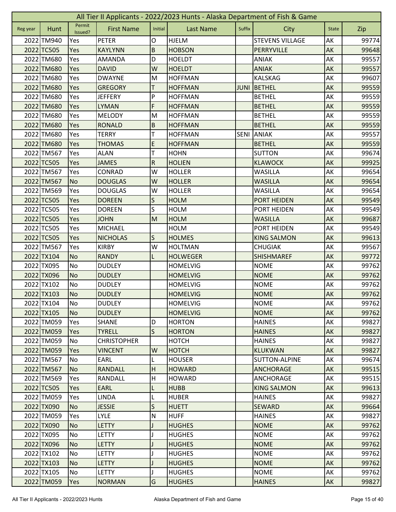|          | All Tier II Applicants - 2022/2023 Hunts - Alaska Department of Fish & Game |                   |                    |                         |                  |             |                        |              |       |  |  |
|----------|-----------------------------------------------------------------------------|-------------------|--------------------|-------------------------|------------------|-------------|------------------------|--------------|-------|--|--|
| Reg year | Hunt                                                                        | Permit<br>Issued? | <b>First Name</b>  | Initial                 | <b>Last Name</b> | Suffix      | City                   | <b>State</b> | Zip   |  |  |
|          | 2022 TM940                                                                  | Yes               | <b>PETER</b>       | O                       | <b>HJELM</b>     |             | <b>STEVENS VILLAGE</b> | AK           | 99774 |  |  |
|          | 2022 TC505                                                                  | Yes               | <b>KAYLYNN</b>     | B                       | <b>HOBSON</b>    |             | PERRYVILLE             | AK           | 99648 |  |  |
|          | 2022 TM680                                                                  | Yes               | <b>AMANDA</b>      | D                       | <b>HOELDT</b>    |             | <b>ANIAK</b>           | AK           | 99557 |  |  |
|          | 2022 TM680                                                                  | Yes               | <b>DAVID</b>       | W                       | <b>HOELDT</b>    |             | <b>ANIAK</b>           | AK           | 99557 |  |  |
|          | 2022 TM680                                                                  | Yes               | <b>DWAYNE</b>      | M                       | <b>HOFFMAN</b>   |             | <b>KALSKAG</b>         | AK           | 99607 |  |  |
|          | 2022 TM680                                                                  | Yes               | <b>GREGORY</b>     | т                       | <b>HOFFMAN</b>   | <b>JUNI</b> | BETHEL                 | AK           | 99559 |  |  |
|          | 2022 TM680                                                                  | Yes               | <b>JEFFERY</b>     | P                       | <b>HOFFMAN</b>   |             | <b>BETHEL</b>          | AK           | 99559 |  |  |
|          | 2022 TM680                                                                  | Yes               | <b>LYMAN</b>       | F                       | <b>HOFFMAN</b>   |             | <b>BETHEL</b>          | AK           | 99559 |  |  |
|          | 2022 TM680                                                                  | Yes               | <b>MELODY</b>      | M                       | <b>HOFFMAN</b>   |             | <b>BETHEL</b>          | AK           | 99559 |  |  |
|          | 2022 TM680                                                                  | Yes               | <b>RONALD</b>      | $\overline{B}$          | <b>HOFFMAN</b>   |             | <b>BETHEL</b>          | AK           | 99559 |  |  |
|          | 2022 TM680                                                                  | Yes               | <b>TERRY</b>       | т                       | <b>HOFFMAN</b>   | <b>SENI</b> | <b>ANIAK</b>           | AK           | 99557 |  |  |
|          | 2022 TM680                                                                  | Yes               | <b>THOMAS</b>      | E                       | <b>HOFFMAN</b>   |             | <b>BETHEL</b>          | <b>AK</b>    | 99559 |  |  |
|          | 2022 TM567                                                                  | Yes               | <b>ALAN</b>        | T                       | <b>HOHN</b>      |             | <b>SUTTON</b>          | AK           | 99674 |  |  |
|          | 2022 TC505                                                                  | Yes               | <b>JAMES</b>       | $\overline{R}$          | <b>HOLIEN</b>    |             | <b>KLAWOCK</b>         | <b>AK</b>    | 99925 |  |  |
|          | 2022 TM567                                                                  | Yes               | CONRAD             | W                       | <b>HOLLER</b>    |             | WASILLA                | AK           | 99654 |  |  |
|          | 2022 TM567                                                                  | <b>No</b>         | <b>DOUGLAS</b>     | W                       | <b>HOLLER</b>    |             | <b>WASILLA</b>         | <b>AK</b>    | 99654 |  |  |
|          | 2022 TM569                                                                  | Yes               | <b>DOUGLAS</b>     | W                       | <b>HOLLER</b>    |             | <b>WASILLA</b>         | AK           | 99654 |  |  |
|          | 2022 TC505                                                                  | Yes               | <b>DOREEN</b>      | S                       | <b>HOLM</b>      |             | <b>PORT HEIDEN</b>     | AK           | 99549 |  |  |
|          | 2022 TC505                                                                  | Yes               | <b>DOREEN</b>      | S                       | <b>HOLM</b>      |             | PORT HEIDEN            | AK           | 99549 |  |  |
|          | 2022 TC505                                                                  | Yes               | <b>JOHN</b>        | M                       | <b>HOLM</b>      |             | <b>WASILLA</b>         | AK           | 99687 |  |  |
|          | 2022 TC505                                                                  | Yes               | <b>MICHAEL</b>     |                         | <b>HOLM</b>      |             | <b>PORT HEIDEN</b>     | AK           | 99549 |  |  |
|          | 2022 TC505                                                                  | Yes               | <b>NICHOLAS</b>    | S                       | <b>HOLMES</b>    |             | <b>KING SALMON</b>     | <b>AK</b>    | 99613 |  |  |
|          | 2022 TM567                                                                  | Yes               | <b>KIRBY</b>       | W                       | <b>HOLTMAN</b>   |             | <b>CHUGIAK</b>         | AK           | 99567 |  |  |
|          | 2022 TX104                                                                  | <b>No</b>         | <b>RANDY</b>       | L                       | <b>HOLWEGER</b>  |             | <b>SHISHMAREF</b>      | <b>AK</b>    | 99772 |  |  |
|          | 2022 TX095                                                                  | No                | <b>DUDLEY</b>      |                         | <b>HOMELVIG</b>  |             | <b>NOME</b>            | AK           | 99762 |  |  |
|          | 2022 TX096                                                                  | <b>No</b>         | <b>DUDLEY</b>      |                         | <b>HOMELVIG</b>  |             | <b>NOME</b>            | AK           | 99762 |  |  |
|          | 2022 TX102                                                                  | No                | <b>DUDLEY</b>      |                         | <b>HOMELVIG</b>  |             | <b>NOME</b>            | AK           | 99762 |  |  |
|          | 2022 TX103                                                                  | <b>No</b>         | <b>DUDLEY</b>      |                         | <b>HOMELVIG</b>  |             | <b>NOME</b>            | AK           | 99762 |  |  |
|          | 2022 TX104                                                                  | <b>No</b>         | <b>DUDLEY</b>      |                         | <b>HOMELVIG</b>  |             | <b>NOME</b>            | AK           | 99762 |  |  |
|          | 2022 TX105                                                                  | <b>No</b>         | <b>DUDLEY</b>      |                         | <b>HOMELVIG</b>  |             | <b>NOME</b>            | <b>AK</b>    | 99762 |  |  |
|          | 2022 TM059                                                                  | Yes               | <b>SHANE</b>       | D                       | <b>HORTON</b>    |             | <b>HAINES</b>          | AK           | 99827 |  |  |
|          | 2022 TM059                                                                  | Yes               | <b>TYRELL</b>      | $\mathsf{S}$            | <b>HORTON</b>    |             | <b>HAINES</b>          | AK           | 99827 |  |  |
|          | 2022 TM059                                                                  | No                | <b>CHRISTOPHER</b> |                         | <b>HOTCH</b>     |             | <b>HAINES</b>          | AK           | 99827 |  |  |
|          | 2022 TM059                                                                  | Yes               | <b>VINCENT</b>     | W                       | <b>HOTCH</b>     |             | <b>KLUKWAN</b>         | AK           | 99827 |  |  |
|          | 2022 TM567                                                                  | No                | EARL               | L                       | <b>HOUSER</b>    |             | <b>SUTTON-ALPINE</b>   | AK           | 99674 |  |  |
|          | 2022 TM567                                                                  | <b>No</b>         | <b>RANDALL</b>     | H                       | <b>HOWARD</b>    |             | <b>ANCHORAGE</b>       | <b>AK</b>    | 99515 |  |  |
|          | 2022 TM569                                                                  | Yes               | RANDALL            | H                       | <b>HOWARD</b>    |             | ANCHORAGE              | AK           | 99515 |  |  |
|          | 2022 TC505                                                                  | Yes               | <b>EARL</b>        | L                       | <b>HUBB</b>      |             | <b>KING SALMON</b>     | AK           | 99613 |  |  |
|          | 2022 TM059                                                                  | Yes               | <b>LINDA</b>       | L                       | <b>HUBER</b>     |             | <b>HAINES</b>          | AK           | 99827 |  |  |
|          | 2022 TX090                                                                  | <b>No</b>         | <b>JESSIE</b>      | S                       | <b>HUETT</b>     |             | <b>SEWARD</b>          | AK           | 99664 |  |  |
|          | 2022 TM059                                                                  | Yes               | <b>LYLE</b>        | $\overline{\mathsf{N}}$ | <b>HUFF</b>      |             | <b>HAINES</b>          | AK           | 99827 |  |  |
|          | 2022 TX090                                                                  | <b>No</b>         | <b>LETTY</b>       |                         | <b>HUGHES</b>    |             | <b>NOME</b>            | <b>AK</b>    | 99762 |  |  |
|          | 2022 TX095                                                                  | No                | <b>LETTY</b>       | T                       | <b>HUGHES</b>    |             | <b>NOME</b>            | AK           | 99762 |  |  |
|          | 2022 TX096                                                                  | No                | <b>LETTY</b>       | $\mathbf{I}$            | <b>HUGHES</b>    |             | <b>NOME</b>            | AK           | 99762 |  |  |
|          | 2022 TX102                                                                  | No                | <b>LETTY</b>       | L                       | <b>HUGHES</b>    |             | <b>NOME</b>            | AK           | 99762 |  |  |
|          | 2022 TX103                                                                  | <b>No</b>         | <b>LETTY</b>       |                         | <b>HUGHES</b>    |             | <b>NOME</b>            | AK           | 99762 |  |  |
|          | 2022 TX105                                                                  | No                | LETTY              |                         | <b>HUGHES</b>    |             | <b>NOME</b>            | AK           | 99762 |  |  |
|          | 2022 TM059                                                                  | Yes               | <b>NORMAN</b>      | G                       | <b>HUGHES</b>    |             | <b>HAINES</b>          | AK           | 99827 |  |  |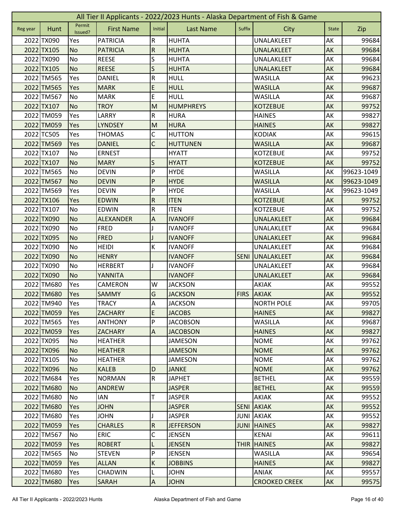|          | All Tier II Applicants - 2022/2023 Hunts - Alaska Department of Fish & Game |                   |                   |                           |                  |             |                      |              |            |  |  |
|----------|-----------------------------------------------------------------------------|-------------------|-------------------|---------------------------|------------------|-------------|----------------------|--------------|------------|--|--|
| Reg year | Hunt                                                                        | Permit<br>Issued? | <b>First Name</b> | Initial                   | <b>Last Name</b> | Suffix      | City                 | <b>State</b> | Zip        |  |  |
|          | 2022 TX090                                                                  | Yes               | <b>PATRICIA</b>   | R                         | <b>HUHTA</b>     |             | UNALAKLEET           | AK           | 99684      |  |  |
|          | 2022 TX105                                                                  | <b>No</b>         | <b>PATRICIA</b>   | ${\sf R}$                 | <b>HUHTA</b>     |             | <b>UNALAKLEET</b>    | AK           | 99684      |  |  |
|          | 2022 TX090                                                                  | No                | <b>REESE</b>      | S                         | <b>HUHTA</b>     |             | UNALAKLEET           | AK           | 99684      |  |  |
|          | 2022 TX105                                                                  | <b>No</b>         | <b>REESE</b>      | S                         | <b>HUHTA</b>     |             | UNALAKLEET           | AK           | 99684      |  |  |
|          | 2022 TM565                                                                  | Yes               | <b>DANIEL</b>     | $\overline{\mathsf{R}}$   | <b>HULL</b>      |             | WASILLA              | AK           | 99623      |  |  |
|          | 2022 TM565                                                                  | Yes               | <b>MARK</b>       | E                         | <b>HULL</b>      |             | <b>WASILLA</b>       | AK           | 99687      |  |  |
|          | 2022 TM567                                                                  | <b>No</b>         | <b>MARK</b>       | E                         | <b>HULL</b>      |             | <b>WASILLA</b>       | AK           | 99687      |  |  |
|          | 2022 TX107                                                                  | <b>No</b>         | <b>TROY</b>       | M                         | <b>HUMPHREYS</b> |             | <b>KOTZEBUE</b>      | AK           | 99752      |  |  |
|          | 2022 TM059                                                                  | Yes               | LARRY             | R                         | <b>HURA</b>      |             | <b>HAINES</b>        | AK           | 99827      |  |  |
|          | 2022 TM059                                                                  | Yes               | <b>LYNDSEY</b>    | M                         | <b>HURA</b>      |             | <b>HAINES</b>        | AK           | 99827      |  |  |
|          | 2022 TC505                                                                  | Yes               | <b>THOMAS</b>     | C                         | <b>HUTTON</b>    |             | <b>KODIAK</b>        | AK           | 99615      |  |  |
|          | 2022 TM569                                                                  | Yes               | <b>DANIEL</b>     | $\mathsf{C}$              | <b>HUTTUNEN</b>  |             | <b>WASILLA</b>       | AK           | 99687      |  |  |
|          | 2022 TX107                                                                  | No                | <b>ERNEST</b>     |                           | <b>HYATT</b>     |             | <b>KOTZEBUE</b>      | АK           | 99752      |  |  |
|          | 2022 TX107                                                                  | <b>No</b>         | <b>MARY</b>       | S                         | <b>HYATT</b>     |             | <b>KOTZEBUE</b>      | AK           | 99752      |  |  |
|          | 2022 TM565                                                                  | <b>No</b>         | <b>DEVIN</b>      | P                         | <b>HYDE</b>      |             | WASILLA              | AK           | 99623-1049 |  |  |
|          | 2022 TM567                                                                  | <b>No</b>         | <b>DEVIN</b>      | P                         | <b>HYDE</b>      |             | <b>WASILLA</b>       | AK           | 99623-1049 |  |  |
|          | 2022 TM569                                                                  | Yes               | <b>DEVIN</b>      | P                         | <b>HYDE</b>      |             | <b>WASILLA</b>       | AK           | 99623-1049 |  |  |
|          | 2022 TX106                                                                  | Yes               | <b>EDWIN</b>      | ${\sf R}$                 | <b>ITEN</b>      |             | <b>KOTZEBUE</b>      | AK           | 99752      |  |  |
|          | 2022 TX107                                                                  | <b>No</b>         | <b>EDWIN</b>      | ${\sf R}$                 | <b>ITEN</b>      |             | <b>KOTZEBUE</b>      | АK           | 99752      |  |  |
|          | 2022 TX090                                                                  | <b>No</b>         | <b>ALEXANDER</b>  | Α                         | <b>IVANOFF</b>   |             | UNALAKLEET           | AK           | 99684      |  |  |
|          | 2022 TX090                                                                  | <b>No</b>         | <b>FRED</b>       |                           | <b>IVANOFF</b>   |             | UNALAKLEET           | AK           | 99684      |  |  |
|          | 2022 TX095                                                                  | <b>No</b>         | <b>FRED</b>       |                           | <b>IVANOFF</b>   |             | <b>UNALAKLEET</b>    | AK           | 99684      |  |  |
|          | 2022 TX090                                                                  | No                | <b>HEIDI</b>      | К                         | <b>IVANOFF</b>   |             | UNALAKLEET           | AK           | 99684      |  |  |
|          | 2022 TX090                                                                  | <b>No</b>         | <b>HENRY</b>      |                           | <b>IVANOFF</b>   | <b>SENI</b> | <b>UNALAKLEET</b>    | AK           | 99684      |  |  |
|          | 2022 TX090                                                                  | No                | <b>HERBERT</b>    | J                         | <b>IVANOFF</b>   |             | UNALAKLEET           | AK           | 99684      |  |  |
|          | 2022 TX090                                                                  | <b>No</b>         | YANNITA           |                           | <b>IVANOFF</b>   |             | <b>UNALAKLEET</b>    | AK           | 99684      |  |  |
|          | 2022 TM680                                                                  | Yes               | CAMERON           | W                         | <b>JACKSON</b>   |             | <b>AKIAK</b>         | AK           | 99552      |  |  |
|          | 2022 TM680                                                                  | Yes               | SAMMY             | G                         | <b>JACKSON</b>   | <b>FIRS</b> | <b>AKIAK</b>         | AK           | 99552      |  |  |
|          | 2022 TM940                                                                  | Yes               | <b>TRACY</b>      | $\overline{\mathsf{A}}$   | <b>JACKSON</b>   |             | <b>NORTH POLE</b>    | AK           | 99705      |  |  |
|          | 2022 TM059                                                                  | <b>Yes</b>        | <b>ZACHARY</b>    | E                         | <b>JACOBS</b>    |             | <b>HAINES</b>        | <b>AK</b>    | 99827      |  |  |
|          | 2022 TM565                                                                  | Yes               | <b>ANTHONY</b>    | P                         | <b>JACOBSON</b>  |             | <b>WASILLA</b>       | AK           | 99687      |  |  |
|          | 2022 TM059                                                                  | Yes               | <b>ZACHARY</b>    | $\mathsf{A}$              | <b>JACOBSON</b>  |             | <b>HAINES</b>        | AK           | 99827      |  |  |
|          | 2022 TX095                                                                  | No                | <b>HEATHER</b>    |                           | <b>JAMESON</b>   |             | <b>NOME</b>          | AK           | 99762      |  |  |
|          | 2022 TX096                                                                  | <b>No</b>         | <b>HEATHER</b>    |                           | <b>JAMESON</b>   |             | <b>NOME</b>          | AK           | 99762      |  |  |
|          | 2022 TX105                                                                  | No                | <b>HEATHER</b>    |                           | <b>JAMESON</b>   |             | <b>NOME</b>          | AK           | 99762      |  |  |
|          | 2022 TX096                                                                  | <b>No</b>         | <b>KALEB</b>      | D                         | <b>JANKE</b>     |             | <b>NOME</b>          | AK           | 99762      |  |  |
|          | 2022 TM684                                                                  | Yes               | <b>NORMAN</b>     | $\overline{\mathsf{R}}$   | <b>JAPHET</b>    |             | <b>BETHEL</b>        | AK           | 99559      |  |  |
|          | 2022 TM680                                                                  | N <sub>o</sub>    | <b>ANDREW</b>     |                           | <b>JASPER</b>    |             | <b>BETHEL</b>        | AK           | 99559      |  |  |
|          | 2022 TM680                                                                  | No                | ian               | Т                         | <b>JASPER</b>    |             | AKIAK                | АK           | 99552      |  |  |
|          | 2022 TM680                                                                  | Yes               | <b>JOHN</b>       |                           | <b>JASPER</b>    |             | <b>SENI AKIAK</b>    | AK           | 99552      |  |  |
|          | 2022 TM680                                                                  | Yes               | <b>JOHN</b>       |                           | <b>JASPER</b>    |             | <b>JUNI AKIAK</b>    | AK           | 99552      |  |  |
|          | 2022 TM059                                                                  | Yes               | <b>CHARLES</b>    | $\overline{R}$            | <b>JEFFERSON</b> | <b>JUNI</b> | <b>HAINES</b>        | AK           | 99827      |  |  |
|          | 2022 TM567                                                                  | No                | <b>ERIC</b>       | С                         | <b>JENSEN</b>    |             | <b>KENAI</b>         | AK           | 99611      |  |  |
|          | 2022 TM059                                                                  | Yes               | <b>ROBERT</b>     | L                         | <b>JENSEN</b>    | <b>THIR</b> | <b>HAINES</b>        | AK           | 99827      |  |  |
|          | 2022 TM565                                                                  | No                | <b>STEVEN</b>     | P                         | <b>JENSEN</b>    |             | WASILLA              | AK           | 99654      |  |  |
|          | 2022 TM059                                                                  | Yes               | <b>ALLAN</b>      | $\sf K$                   | <b>JOBBINS</b>   |             | <b>HAINES</b>        | AK           | 99827      |  |  |
|          | 2022 TM680                                                                  | Yes               | <b>CHADWIN</b>    |                           | <b>JOHN</b>      |             | ANIAK                | AK           | 99557      |  |  |
|          | 2022 TM680                                                                  | Yes               | <b>SARAH</b>      | $\boldsymbol{\mathsf{A}}$ | <b>JOHN</b>      |             | <b>CROOKED CREEK</b> | <b>AK</b>    | 99575      |  |  |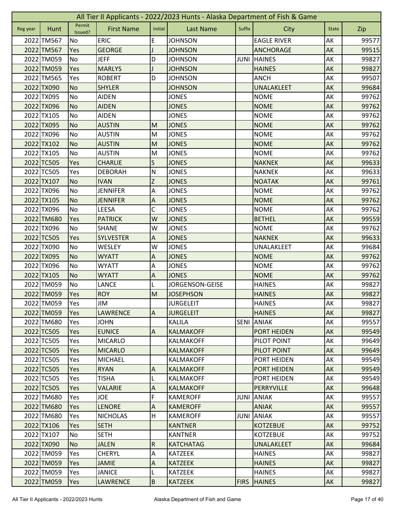|          | All Tier II Applicants - 2022/2023 Hunts - Alaska Department of Fish & Game |                   |                   |                           |                  |             |                    |              |       |  |  |
|----------|-----------------------------------------------------------------------------|-------------------|-------------------|---------------------------|------------------|-------------|--------------------|--------------|-------|--|--|
| Reg year | Hunt                                                                        | Permit<br>Issued? | <b>First Name</b> | Initial                   | <b>Last Name</b> | Suffix      | City               | <b>State</b> | Zip   |  |  |
|          | 2022 TM567                                                                  | No                | <b>ERIC</b>       | E                         | <b>JOHNSON</b>   |             | <b>EAGLE RIVER</b> | AK           | 99577 |  |  |
|          | 2022 TM567                                                                  | Yes               | <b>GEORGE</b>     |                           | <b>JOHNSON</b>   |             | <b>ANCHORAGE</b>   | AK           | 99515 |  |  |
|          | 2022 TM059                                                                  | No                | <b>JEFF</b>       | D                         | <b>JOHNSON</b>   | <b>JUNI</b> | <b>HAINES</b>      | AK           | 99827 |  |  |
|          | 2022 TM059                                                                  | Yes               | <b>MARLYS</b>     |                           | <b>JOHNSON</b>   |             | <b>HAINES</b>      | AK           | 99827 |  |  |
|          | 2022 TM565                                                                  | Yes               | <b>ROBERT</b>     | D                         | <b>JOHNSON</b>   |             | <b>ANCH</b>        | AK           | 99507 |  |  |
|          | 2022 TX090                                                                  | <b>No</b>         | <b>SHYLER</b>     |                           | <b>JOHNSON</b>   |             | <b>UNALAKLEET</b>  | AK           | 99684 |  |  |
|          | 2022 TX095                                                                  | No                | <b>AIDEN</b>      |                           | <b>JONES</b>     |             | <b>NOME</b>        | AK           | 99762 |  |  |
|          | 2022 TX096                                                                  | <b>No</b>         | <b>AIDEN</b>      |                           | <b>JONES</b>     |             | <b>NOME</b>        | AK           | 99762 |  |  |
|          | 2022 TX105                                                                  | No                | <b>AIDEN</b>      |                           | <b>JONES</b>     |             | <b>NOME</b>        | AK           | 99762 |  |  |
|          | 2022 TX095                                                                  | <b>No</b>         | <b>AUSTIN</b>     | M                         | <b>JONES</b>     |             | <b>NOME</b>        | AK           | 99762 |  |  |
|          | 2022 TX096                                                                  | No                | <b>AUSTIN</b>     | M                         | <b>JONES</b>     |             | <b>NOME</b>        | AK           | 99762 |  |  |
|          | 2022 TX102                                                                  | <b>No</b>         | <b>AUSTIN</b>     | M                         | <b>JONES</b>     |             | <b>NOME</b>        | AK           | 99762 |  |  |
|          | 2022 TX105                                                                  | No                | <b>AUSTIN</b>     | M                         | <b>JONES</b>     |             | <b>NOME</b>        | AK           | 99762 |  |  |
|          | 2022 TC505                                                                  | Yes               | <b>CHARLIE</b>    | S                         | <b>JONES</b>     |             | <b>NAKNEK</b>      | AK           | 99633 |  |  |
|          | 2022 TC505                                                                  | Yes               | <b>DEBORAH</b>    | $\mathsf{N}$              | <b>JONES</b>     |             | <b>NAKNEK</b>      | АK           | 99633 |  |  |
|          | 2022 TX107                                                                  | <b>No</b>         | <b>IVAN</b>       | Z                         | <b>JONES</b>     |             | <b>NOATAK</b>      | AK           | 99761 |  |  |
|          | 2022 TX096                                                                  | No                | <b>JENNIFER</b>   | A                         | <b>JONES</b>     |             | <b>NOME</b>        | AK           | 99762 |  |  |
|          | 2022 TX105                                                                  | <b>No</b>         | <b>JENNIFER</b>   | $\boldsymbol{\mathsf{A}}$ | <b>JONES</b>     |             | <b>NOME</b>        | AK           | 99762 |  |  |
|          | 2022 TX096                                                                  | No                | <b>LEESA</b>      | C                         | <b>JONES</b>     |             | <b>NOME</b>        | AK           | 99762 |  |  |
|          | 2022 TM680                                                                  | Yes               | <b>PATRICK</b>    | W                         | <b>JONES</b>     |             | <b>BETHEL</b>      | AK           | 99559 |  |  |
|          | 2022 TX096                                                                  | No                | <b>SHANE</b>      | W                         | <b>JONES</b>     |             | <b>NOME</b>        | AK           | 99762 |  |  |
|          | 2022 TC505                                                                  | Yes               | <b>SYLVESTER</b>  | A                         | <b>JONES</b>     |             | <b>NAKNEK</b>      | AK           | 99633 |  |  |
|          | 2022 TX090                                                                  | No                | WESLEY            | W                         | <b>JONES</b>     |             | UNALAKLEET         | AK           | 99684 |  |  |
|          | 2022 TX095                                                                  | <b>No</b>         | <b>WYATT</b>      | $\boldsymbol{\mathsf{A}}$ | <b>JONES</b>     |             | <b>NOME</b>        | AK           | 99762 |  |  |
|          | 2022 TX096                                                                  | No                | <b>WYATT</b>      | A                         | <b>JONES</b>     |             | <b>NOME</b>        | AK           | 99762 |  |  |
|          | 2022 TX105                                                                  | <b>No</b>         | <b>WYATT</b>      | A                         | <b>JONES</b>     |             | <b>NOME</b>        | AK           | 99762 |  |  |
|          | 2022 TM059                                                                  | No                | <b>LANCE</b>      | L                         | JORGENSON-GEISE  |             | <b>HAINES</b>      | AK           | 99827 |  |  |
|          | 2022 TM059                                                                  | Yes               | <b>ROY</b>        | M                         | <b>JOSEPHSON</b> |             | <b>HAINES</b>      | AK           | 99827 |  |  |
|          | 2022 TM059                                                                  | Yes               | <b>JIM</b>        |                           | <b>JURGELEIT</b> |             | <b>HAINES</b>      | AK           | 99827 |  |  |
|          | 2022 TM059                                                                  | <b>Yes</b>        | <b>LAWRENCE</b>   | $\overline{A}$            | <b>JURGELEIT</b> |             | <b>HAINES</b>      | AK           | 99827 |  |  |
|          | 2022 TM680                                                                  | Yes               | <b>JOHN</b>       |                           | <b>KALILA</b>    | SENI        | <b>ANIAK</b>       | AK           | 99557 |  |  |
|          | 2022 TC505                                                                  | Yes               | <b>EUNICE</b>     | $\overline{A}$            | <b>KALMAKOFF</b> |             | PORT HEIDEN        | AK           | 99549 |  |  |
|          | 2022 TC505                                                                  | Yes               | <b>MICARLO</b>    |                           | <b>KALMAKOFF</b> |             | PILOT POINT        | AK           | 99649 |  |  |
|          | 2022 TC505                                                                  | Yes               | <b>MICARLO</b>    |                           | <b>KALMAKOFF</b> |             | PILOT POINT        | AK           | 99649 |  |  |
|          | 2022 TC505                                                                  | Yes               | <b>MICHAEL</b>    |                           | <b>KALMAKOFF</b> |             | PORT HEIDEN        | AK           | 99549 |  |  |
|          | 2022 TC505                                                                  | Yes               | <b>RYAN</b>       | $\overline{A}$            | <b>KALMAKOFF</b> |             | <b>PORT HEIDEN</b> | <b>AK</b>    | 99549 |  |  |
|          | 2022 TC505                                                                  | Yes               | <b>TISHA</b>      | L                         | <b>KALMAKOFF</b> |             | <b>PORT HEIDEN</b> | AK           | 99549 |  |  |
|          | 2022 TC505                                                                  | Yes               | <b>VALARIE</b>    | A                         | <b>KALMAKOFF</b> |             | PERRYVILLE         | AK           | 99648 |  |  |
|          | 2022 TM680                                                                  | Yes               | <b>JOE</b>        | F                         | <b>KAMEROFF</b>  | <b>JUNI</b> | <b>ANIAK</b>       | AK           | 99557 |  |  |
|          | 2022 TM680                                                                  | Yes               | <b>LENORE</b>     | $\boldsymbol{\mathsf{A}}$ | <b>KAMEROFF</b>  |             | <b>ANIAK</b>       | AK           | 99557 |  |  |
|          | 2022 TM680                                                                  | Yes               | <b>NICHOLAS</b>   | H                         | <b>KAMEROFF</b>  | JUNI        | <b>ANIAK</b>       | AK           | 99557 |  |  |
|          | 2022 TX106                                                                  | Yes               | <b>SETH</b>       |                           | <b>KANTNER</b>   |             | <b>KOTZEBUE</b>    | AK           | 99752 |  |  |
|          | 2022 TX107                                                                  | No                | <b>SETH</b>       |                           | <b>KANTNER</b>   |             | <b>KOTZEBUE</b>    | AK           | 99752 |  |  |
|          | 2022 TX090                                                                  | <b>No</b>         | <b>JALEN</b>      | $\overline{\mathsf{R}}$   | <b>KATCHATAG</b> |             | UNALAKLEET         | AK           | 99684 |  |  |
|          | 2022 TM059                                                                  | Yes               | <b>CHERYL</b>     | A                         | <b>KATZEEK</b>   |             | <b>HAINES</b>      | AK           | 99827 |  |  |
|          | 2022 TM059                                                                  | Yes               | <b>JAMIE</b>      | $\boldsymbol{\mathsf{A}}$ | <b>KATZEEK</b>   |             | <b>HAINES</b>      | AK           | 99827 |  |  |
|          | 2022 TM059                                                                  | Yes               | <b>JANICE</b>     |                           | <b>KATZEEK</b>   |             | <b>HAINES</b>      | AK           | 99827 |  |  |
|          | 2022 TM059                                                                  | Yes               | <b>LAWRENCE</b>   | B                         | <b>KATZEEK</b>   | <b>FIRS</b> | <b>HAINES</b>      | AK           | 99827 |  |  |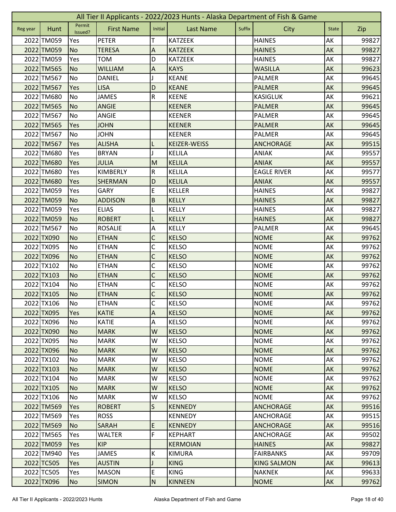|          | All Tier II Applicants - 2022/2023 Hunts - Alaska Department of Fish & Game |                   |                   |                           |                     |        |                    |              |       |  |  |
|----------|-----------------------------------------------------------------------------|-------------------|-------------------|---------------------------|---------------------|--------|--------------------|--------------|-------|--|--|
| Reg year | Hunt                                                                        | Permit<br>Issued? | <b>First Name</b> | Initial                   | <b>Last Name</b>    | Suffix | City               | <b>State</b> | Zip   |  |  |
|          | 2022 TM059                                                                  | Yes               | <b>PETER</b>      | т                         | <b>KATZEEK</b>      |        | <b>HAINES</b>      | AK           | 99827 |  |  |
|          | 2022 TM059                                                                  | No                | <b>TERESA</b>     | A                         | <b>KATZEEK</b>      |        | <b>HAINES</b>      | AK           | 99827 |  |  |
|          | 2022 TM059                                                                  | Yes               | <b>TOM</b>        | D                         | <b>KATZEEK</b>      |        | <b>HAINES</b>      | AK           | 99827 |  |  |
|          | 2022 TM565                                                                  | <b>No</b>         | <b>WILLIAM</b>    | $\boldsymbol{\mathsf{A}}$ | <b>KAYS</b>         |        | <b>WASILLA</b>     | AK           | 99623 |  |  |
|          | 2022 TM567                                                                  | <b>No</b>         | <b>DANIEL</b>     |                           | <b>KEANE</b>        |        | PALMER             | AK           | 99645 |  |  |
|          | 2022 TM567                                                                  | Yes               | <b>LISA</b>       | D                         | <b>KEANE</b>        |        | <b>PALMER</b>      | AK           | 99645 |  |  |
|          | 2022 TM680                                                                  | <b>No</b>         | <b>JAMES</b>      | ${\sf R}$                 | <b>KEENE</b>        |        | <b>KASIGLUK</b>    | AK           | 99621 |  |  |
|          | 2022 TM565                                                                  | <b>No</b>         | <b>ANGIE</b>      |                           | <b>KEENER</b>       |        | <b>PALMER</b>      | AK           | 99645 |  |  |
|          | 2022 TM567                                                                  | No                | <b>ANGIE</b>      |                           | <b>KEENER</b>       |        | <b>PALMER</b>      | AK           | 99645 |  |  |
|          | 2022 TM565                                                                  | Yes               | <b>JOHN</b>       |                           | <b>KEENER</b>       |        | <b>PALMER</b>      | AK           | 99645 |  |  |
|          | 2022 TM567                                                                  | No                | <b>JOHN</b>       |                           | <b>KEENER</b>       |        | PALMER             | AK           | 99645 |  |  |
|          | 2022 TM567                                                                  | Yes               | <b>ALISHA</b>     | L                         | <b>KEIZER-WEISS</b> |        | <b>ANCHORAGE</b>   | AK           | 99515 |  |  |
|          | 2022 TM680                                                                  | Yes               | <b>BRYAN</b>      | J                         | <b>KELILA</b>       |        | <b>ANIAK</b>       | AK           | 99557 |  |  |
|          | 2022 TM680                                                                  | Yes               | <b>JULIA</b>      | M                         | <b>KELILA</b>       |        | <b>ANIAK</b>       | <b>AK</b>    | 99557 |  |  |
|          | 2022 TM680                                                                  | Yes               | KIMBERLY          | R                         | <b>KELILA</b>       |        | <b>EAGLE RIVER</b> | AK           | 99577 |  |  |
|          | 2022 TM680                                                                  | Yes               | <b>SHERMAN</b>    | D                         | <b>KELILA</b>       |        | <b>ANIAK</b>       | AK           | 99557 |  |  |
|          | 2022 TM059                                                                  | Yes               | <b>GARY</b>       | E                         | <b>KELLER</b>       |        | <b>HAINES</b>      | AK           | 99827 |  |  |
|          | 2022 TM059                                                                  | <b>No</b>         | <b>ADDISON</b>    | $\sf B$                   | <b>KELLY</b>        |        | <b>HAINES</b>      | AK           | 99827 |  |  |
|          | 2022 TM059                                                                  | Yes               | <b>ELIAS</b>      | L                         | <b>KELLY</b>        |        | <b>HAINES</b>      | AK           | 99827 |  |  |
|          | 2022 TM059                                                                  | <b>No</b>         | <b>ROBERT</b>     | L                         | <b>KELLY</b>        |        | <b>HAINES</b>      | AK           | 99827 |  |  |
|          | 2022 TM567                                                                  | No                | <b>ROSALIE</b>    | Α                         | <b>KELLY</b>        |        | <b>PALMER</b>      | AK           | 99645 |  |  |
|          | 2022 TX090                                                                  | <b>No</b>         | <b>ETHAN</b>      | $\mathsf C$               | <b>KELSO</b>        |        | <b>NOME</b>        | AK           | 99762 |  |  |
|          | 2022 TX095                                                                  | No                | <b>ETHAN</b>      | C                         | <b>KELSO</b>        |        | <b>NOME</b>        | AK           | 99762 |  |  |
|          | 2022 TX096                                                                  | <b>No</b>         | <b>ETHAN</b>      | $\mathsf C$               | <b>KELSO</b>        |        | <b>NOME</b>        | AK           | 99762 |  |  |
|          | 2022 TX102                                                                  | No                | <b>ETHAN</b>      | C                         | <b>KELSO</b>        |        | <b>NOME</b>        | AK           | 99762 |  |  |
|          | 2022 TX103                                                                  | <b>No</b>         | <b>ETHAN</b>      | $\mathsf{C}$              | <b>KELSO</b>        |        | <b>NOME</b>        | AK           | 99762 |  |  |
|          | 2022 TX104                                                                  | No                | <b>ETHAN</b>      | C                         | <b>KELSO</b>        |        | <b>NOME</b>        | AK           | 99762 |  |  |
|          | 2022 TX105                                                                  | <b>No</b>         | <b>ETHAN</b>      | $\mathsf C$               | <b>KELSO</b>        |        | <b>NOME</b>        | AK           | 99762 |  |  |
|          | 2022 TX106                                                                  | No                | <b>ETHAN</b>      | $\mathsf{C}$              | <b>KELSO</b>        |        | <b>NOME</b>        | AK           | 99762 |  |  |
|          | 2022 TX095                                                                  | Yes               | <b>KATIE</b>      | $\overline{A}$            | <b>KELSO</b>        |        | <b>NOME</b>        | AK           | 99762 |  |  |
|          | 2022 TX096                                                                  | No                | <b>KATIE</b>      | $\boldsymbol{\mathsf{A}}$ | <b>KELSO</b>        |        | <b>NOME</b>        | AK           | 99762 |  |  |
|          | 2022 TX090                                                                  | <b>No</b>         | <b>MARK</b>       | W                         | <b>KELSO</b>        |        | <b>NOME</b>        | AK           | 99762 |  |  |
|          | 2022 TX095                                                                  | No                | <b>MARK</b>       | W                         | <b>KELSO</b>        |        | <b>NOME</b>        | AK           | 99762 |  |  |
|          | 2022 TX096                                                                  | <b>No</b>         | <b>MARK</b>       | W                         | <b>KELSO</b>        |        | <b>NOME</b>        | AK           | 99762 |  |  |
|          | 2022 TX102                                                                  | No                | <b>MARK</b>       | W                         | <b>KELSO</b>        |        | <b>NOME</b>        | AK           | 99762 |  |  |
|          | 2022 TX103                                                                  | <b>No</b>         | <b>MARK</b>       | W                         | <b>KELSO</b>        |        | <b>NOME</b>        | AK           | 99762 |  |  |
|          | 2022 TX104                                                                  | No                | <b>MARK</b>       | W                         | <b>KELSO</b>        |        | <b>NOME</b>        | AK           | 99762 |  |  |
|          | 2022 TX105                                                                  | <b>No</b>         | <b>MARK</b>       | W                         | <b>KELSO</b>        |        | <b>NOME</b>        | <b>AK</b>    | 99762 |  |  |
|          | 2022 TX106                                                                  | No                | <b>MARK</b>       | W                         | <b>KELSO</b>        |        | <b>NOME</b>        | AK           | 99762 |  |  |
|          | 2022 TM569                                                                  | Yes               | <b>ROBERT</b>     | $\mathsf S$               | <b>KENNEDY</b>      |        | <b>ANCHORAGE</b>   | AK           | 99516 |  |  |
|          | 2022 TM569                                                                  | Yes               | <b>ROSS</b>       |                           | <b>KENNEDY</b>      |        | ANCHORAGE          | AK           | 99515 |  |  |
|          | 2022 TM569                                                                  | <b>No</b>         | <b>SARAH</b>      | E                         | <b>KENNEDY</b>      |        | <b>ANCHORAGE</b>   | AK           | 99516 |  |  |
|          | 2022 TM565                                                                  | Yes               | <b>WALTER</b>     | F                         | <b>KEPHART</b>      |        | ANCHORAGE          | AK           | 99502 |  |  |
|          | 2022 TM059                                                                  | Yes               | <b>KIP</b>        |                           | <b>KERMOIAN</b>     |        | <b>HAINES</b>      | AK           | 99827 |  |  |
|          | 2022 TM940                                                                  | Yes               | <b>JAMES</b>      | К                         | <b>KIMURA</b>       |        | <b>FAIRBANKS</b>   | AK           | 99709 |  |  |
|          | 2022 TC505                                                                  | Yes               | <b>AUSTIN</b>     | J                         | <b>KING</b>         |        | <b>KING SALMON</b> | AK           | 99613 |  |  |
|          | 2022 TC505                                                                  | Yes               | <b>MASON</b>      | E                         | <b>KING</b>         |        | <b>NAKNEK</b>      | AK           | 99633 |  |  |
|          | 2022 TX096                                                                  | <b>No</b>         | <b>SIMON</b>      | N                         | <b>KINNEEN</b>      |        | <b>NOME</b>        | AK           | 99762 |  |  |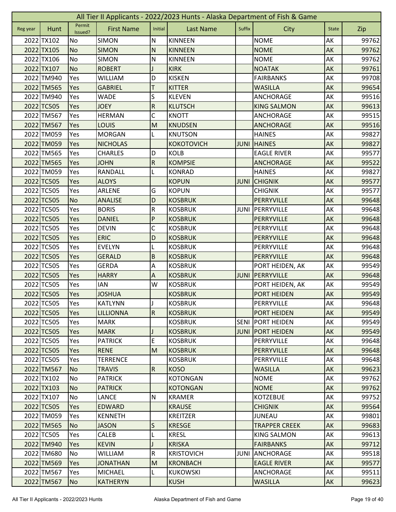|          | All Tier II Applicants - 2022/2023 Hunts - Alaska Department of Fish & Game |                   |                   |                           |                   |             |                      |              |       |  |  |
|----------|-----------------------------------------------------------------------------|-------------------|-------------------|---------------------------|-------------------|-------------|----------------------|--------------|-------|--|--|
| Reg year | Hunt                                                                        | Permit<br>Issued? | <b>First Name</b> | Initial                   | <b>Last Name</b>  | Suffix      | City                 | <b>State</b> | Zip   |  |  |
|          | 2022 TX102                                                                  | No                | <b>SIMON</b>      | N                         | <b>KINNEEN</b>    |             | <b>NOME</b>          | AK           | 99762 |  |  |
|          | 2022 TX105                                                                  | <b>No</b>         | <b>SIMON</b>      | N                         | <b>KINNEEN</b>    |             | <b>NOME</b>          | AK           | 99762 |  |  |
|          | 2022 TX106                                                                  | No                | <b>SIMON</b>      | N                         | <b>KINNEEN</b>    |             | <b>NOME</b>          | AK           | 99762 |  |  |
|          | 2022 TX107                                                                  | <b>No</b>         | <b>ROBERT</b>     |                           | <b>KIRK</b>       |             | <b>NOATAK</b>        | AK           | 99761 |  |  |
|          | 2022 TM940                                                                  | Yes               | <b>WILLIAM</b>    | D                         | <b>KISKEN</b>     |             | <b>FAIRBANKS</b>     | AK           | 99708 |  |  |
|          | 2022 TM565                                                                  | Yes               | <b>GABRIEL</b>    | Τ                         | <b>KITTER</b>     |             | <b>WASILLA</b>       | AK           | 99654 |  |  |
|          | 2022 TM940                                                                  | Yes               | <b>WADE</b>       | S                         | <b>KLEVEN</b>     |             | ANCHORAGE            | AK           | 99516 |  |  |
|          | 2022 TC505                                                                  | Yes               | <b>JOEY</b>       | ${\sf R}$                 | <b>KLUTSCH</b>    |             | <b>KING SALMON</b>   | AK           | 99613 |  |  |
|          | 2022 TM567                                                                  | Yes               | <b>HERMAN</b>     | C                         | <b>KNOTT</b>      |             | ANCHORAGE            | AK           | 99515 |  |  |
|          | 2022 TM567                                                                  | Yes               | LOUIS             | M                         | <b>KNUDSEN</b>    |             | <b>ANCHORAGE</b>     | AK           | 99516 |  |  |
|          | 2022 TM059                                                                  | Yes               | <b>MORGAN</b>     | L                         | <b>KNUTSON</b>    |             | <b>HAINES</b>        | AK           | 99827 |  |  |
|          | 2022 TM059                                                                  | Yes               | <b>NICHOLAS</b>   |                           | <b>KOKOTOVICH</b> | <b>JUNI</b> | <b>HAINES</b>        | AK           | 99827 |  |  |
|          | 2022 TM565                                                                  | Yes               | <b>CHARLES</b>    | D                         | <b>KOLB</b>       |             | <b>EAGLE RIVER</b>   | AK           | 99577 |  |  |
|          | 2022 TM565                                                                  | Yes               | <b>JOHN</b>       | $\overline{\mathsf{R}}$   | <b>KOMPSIE</b>    |             | <b>ANCHORAGE</b>     | AK           | 99522 |  |  |
|          | 2022 TM059                                                                  | Yes               | RANDALL           |                           | <b>KONRAD</b>     |             | <b>HAINES</b>        | АK           | 99827 |  |  |
|          | 2022 TC505                                                                  | Yes               | <b>ALOYS</b>      |                           | <b>KOPUN</b>      | <b>JUNI</b> | <b>CHIGNIK</b>       | AK           | 99577 |  |  |
|          | 2022 TC505                                                                  | Yes               | <b>ARLENE</b>     | G                         | <b>KOPUN</b>      |             | <b>CHIGNIK</b>       | AK           | 99577 |  |  |
|          | 2022 TC505                                                                  | <b>No</b>         | <b>ANALISE</b>    | D                         | <b>KOSBRUK</b>    |             | PERRYVILLE           | AK           | 99648 |  |  |
|          | 2022 TC505                                                                  | Yes               | <b>BORIS</b>      | ${\sf R}$                 | <b>KOSBRUK</b>    | JUNI        | PERRYVILLE           | AK           | 99648 |  |  |
|          | 2022 TC505                                                                  | Yes               | <b>DANIEL</b>     | P                         | <b>KOSBRUK</b>    |             | PERRYVILLE           | AK           | 99648 |  |  |
|          | 2022 TC505                                                                  | Yes               | <b>DEVIN</b>      | C                         | <b>KOSBRUK</b>    |             | PERRYVILLE           | AK           | 99648 |  |  |
|          | 2022 TC505                                                                  | Yes               | <b>ERIC</b>       | D                         | <b>KOSBRUK</b>    |             | PERRYVILLE           | AK           | 99648 |  |  |
|          | 2022 TC505                                                                  | Yes               | <b>EVELYN</b>     |                           | <b>KOSBRUK</b>    |             | PERRYVILLE           | AK           | 99648 |  |  |
|          | 2022 TC505                                                                  | Yes               | <b>GERALD</b>     | $\overline{B}$            | <b>KOSBRUK</b>    |             | PERRYVILLE           | AK           | 99648 |  |  |
|          | 2022 TC505                                                                  | Yes               | <b>GERDA</b>      | A                         | <b>KOSBRUK</b>    |             | PORT HEIDEN, AK      | АK           | 99549 |  |  |
|          | 2022 TC505                                                                  | Yes               | <b>HARRY</b>      | $\boldsymbol{\mathsf{A}}$ | <b>KOSBRUK</b>    | <b>JUNI</b> | PERRYVILLE           | AK           | 99648 |  |  |
|          | 2022 TC505                                                                  | Yes               | <b>IAN</b>        | W                         | <b>KOSBRUK</b>    |             | PORT HEIDEN, AK      | AK           | 99549 |  |  |
|          | 2022 TC505                                                                  | Yes               | <b>JOSHUA</b>     |                           | <b>KOSBRUK</b>    |             | <b>PORT HEIDEN</b>   | AK           | 99549 |  |  |
|          | 2022 TC505                                                                  | Yes               | <b>KATLYNN</b>    | J                         | <b>KOSBRUK</b>    |             | PERRYVILLE           | AK           | 99648 |  |  |
|          | 2022 TC505                                                                  | <b>Yes</b>        | <b>LILLIONNA</b>  | R.                        | <b>KOSBRUK</b>    |             | <b>PORT HEIDEN</b>   | AK           | 99549 |  |  |
|          | 2022 TC505                                                                  | Yes               | <b>MARK</b>       |                           | <b>KOSBRUK</b>    | <b>SENI</b> | <b>PORT HEIDEN</b>   | AK           | 99549 |  |  |
|          | 2022 TC505                                                                  | Yes               | <b>MARK</b>       |                           | <b>KOSBRUK</b>    | <b>JUNI</b> | <b>PORT HEIDEN</b>   | AK           | 99549 |  |  |
|          | 2022 TC505                                                                  | Yes               | <b>PATRICK</b>    | E                         | <b>KOSBRUK</b>    |             | PERRYVILLE           | AK           | 99648 |  |  |
|          | 2022 TC505                                                                  | Yes               | <b>RENE</b>       | M                         | <b>KOSBRUK</b>    |             | PERRYVILLE           | AK           | 99648 |  |  |
|          | 2022 TC505                                                                  | Yes               | <b>TERRENCE</b>   |                           | <b>KOSBRUK</b>    |             | PERRYVILLE           | AK           | 99648 |  |  |
|          | 2022 TM567                                                                  | <b>No</b>         | <b>TRAVIS</b>     | $\overline{R}$            | <b>KOSO</b>       |             | <b>WASILLA</b>       | <b>AK</b>    | 99623 |  |  |
|          | 2022 TX102                                                                  | No                | <b>PATRICK</b>    |                           | <b>KOTONGAN</b>   |             | <b>NOME</b>          | AK           | 99762 |  |  |
|          | 2022 TX103                                                                  | <b>No</b>         | <b>PATRICK</b>    |                           | <b>KOTONGAN</b>   |             | <b>NOME</b>          | AK           | 99762 |  |  |
|          | 2022 TX107                                                                  | No                | LANCE             | N                         | <b>KRAMER</b>     |             | <b>KOTZEBUE</b>      | AK           | 99752 |  |  |
|          | 2022 TC505                                                                  | Yes               | <b>EDWARD</b>     |                           | <b>KRAUSE</b>     |             | <b>CHIGNIK</b>       | AK           | 99564 |  |  |
|          | 2022 TM059                                                                  | Yes               | <b>KENNETH</b>    |                           | <b>KREITZER</b>   |             | <b>JUNEAU</b>        | AK           | 99801 |  |  |
|          | 2022 TM565                                                                  | N <sub>o</sub>    | <b>JASON</b>      | S                         | <b>KRESGE</b>     |             | <b>TRAPPER CREEK</b> | AK           | 99683 |  |  |
|          | 2022 TC505                                                                  | Yes               | <b>CALEB</b>      | L                         | <b>KRESL</b>      |             | <b>KING SALMON</b>   | AK           | 99613 |  |  |
|          | 2022 TM940                                                                  | Yes               | <b>KEVIN</b>      | J                         | <b>KRISKA</b>     |             | <b>FAIRBANKS</b>     | AK           | 99712 |  |  |
|          | 2022 TM680                                                                  | No                | <b>WILLIAM</b>    | R                         | <b>KRISTOVICH</b> | JUNI        | <b>ANCHORAGE</b>     | AK           | 99518 |  |  |
|          | 2022 TM569                                                                  | Yes               | <b>JONATHAN</b>   | M                         | <b>KRONBACH</b>   |             | <b>EAGLE RIVER</b>   | AK           | 99577 |  |  |
|          | 2022 TM567                                                                  | Yes               | <b>MICHAEL</b>    |                           | <b>KUKOWSKI</b>   |             | ANCHORAGE            | AK           | 99511 |  |  |
|          | 2022 TM567                                                                  | <b>No</b>         | <b>KATHERYN</b>   |                           | <b>KUSH</b>       |             | <b>WASILLA</b>       | AK           | 99623 |  |  |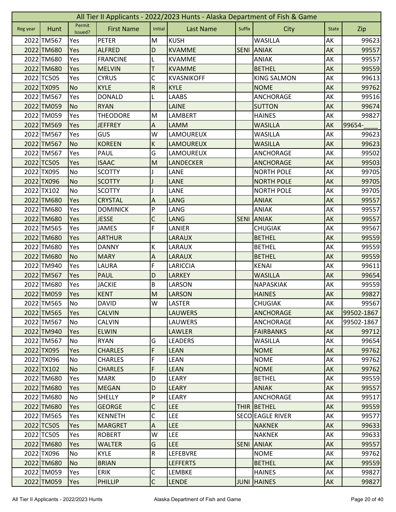|          | All Tier II Applicants - 2022/2023 Hunts - Alaska Department of Fish & Game |                   |                   |                           |                   |             |                         |              |            |  |  |
|----------|-----------------------------------------------------------------------------|-------------------|-------------------|---------------------------|-------------------|-------------|-------------------------|--------------|------------|--|--|
| Reg year | Hunt                                                                        | Permit<br>Issued? | <b>First Name</b> | Initial                   | <b>Last Name</b>  | Suffix      | City                    | <b>State</b> | Zip        |  |  |
|          | 2022 TM567                                                                  | Yes               | <b>PETER</b>      | M                         | <b>KUSH</b>       |             | <b>WASILLA</b>          | AK           | 99623      |  |  |
|          | 2022 TM680                                                                  | Yes               | <b>ALFRED</b>     | D                         | <b>KVAMME</b>     |             | <b>SENI ANIAK</b>       | AK           | 99557      |  |  |
|          | 2022 TM680                                                                  | Yes               | <b>FRANCINE</b>   | L                         | <b>KVAMME</b>     |             | <b>ANIAK</b>            | AK           | 99557      |  |  |
|          | 2022 TM680                                                                  | Yes               | <b>MELVIN</b>     | Т                         | <b>KVAMME</b>     |             | <b>BETHEL</b>           | AK           | 99559      |  |  |
|          | 2022 TC505                                                                  | Yes               | <b>CYRUS</b>      | C                         | <b>KVASNIKOFF</b> |             | <b>KING SALMON</b>      | AK           | 99613      |  |  |
|          | 2022 TX095                                                                  | <b>No</b>         | <b>KYLE</b>       | ${\sf R}$                 | <b>KYLE</b>       |             | <b>NOME</b>             | AK           | 99762      |  |  |
|          | 2022 TM567                                                                  | Yes               | <b>DONALD</b>     | L                         | <b>LAABS</b>      |             | <b>ANCHORAGE</b>        | AK           | 99516      |  |  |
|          | 2022 TM059                                                                  | <b>No</b>         | <b>RYAN</b>       |                           | LAINE             |             | <b>SUTTON</b>           | AK           | 99674      |  |  |
|          | 2022 TM059                                                                  | Yes               | <b>THEODORE</b>   | M                         | LAMBERT           |             | <b>HAINES</b>           | AK           | 99827      |  |  |
|          | 2022 TM569                                                                  | Yes               | <b>JEFFREY</b>    | Α                         | <b>LAMM</b>       |             | <b>WASILLA</b>          | AK           | 99654-     |  |  |
|          | 2022 TM567                                                                  | Yes               | <b>GUS</b>        | W                         | LAMOUREUX         |             | WASILLA                 | AK           | 99623      |  |  |
|          | 2022 TM567                                                                  | <b>No</b>         | <b>KOREEN</b>     | K                         | LAMOUREUX         |             | <b>WASILLA</b>          | AK           | 99623      |  |  |
|          | 2022 TM567                                                                  | Yes               | PAUL              | G                         | LAMOUREUX         |             | ANCHORAGE               | АK           | 99502      |  |  |
|          | 2022 TC505                                                                  | Yes               | <b>ISAAC</b>      | M                         | <b>LANDECKER</b>  |             | <b>ANCHORAGE</b>        | AK           | 99503      |  |  |
|          | 2022 TX095                                                                  | No                | <b>SCOTTY</b>     |                           | LANE              |             | <b>NORTH POLE</b>       | AK           | 99705      |  |  |
|          | 2022 TX096                                                                  | <b>No</b>         | <b>SCOTTY</b>     |                           | LANE              |             | <b>NORTH POLE</b>       | AK           | 99705      |  |  |
|          | 2022 TX102                                                                  | <b>No</b>         | <b>SCOTTY</b>     | I                         | LANE              |             | <b>NORTH POLE</b>       | AK           | 99705      |  |  |
|          | 2022 TM680                                                                  | Yes               | <b>CRYSTAL</b>    | A                         | <b>LANG</b>       |             | <b>ANIAK</b>            | AK           | 99557      |  |  |
|          | 2022 TM680                                                                  | Yes               | <b>DOMINICK</b>   | P                         | LANG              |             | <b>ANIAK</b>            | AK           | 99557      |  |  |
|          | 2022 TM680                                                                  | Yes               | <b>JESSE</b>      | C                         | <b>LANG</b>       | <b>SENI</b> | <b>ANIAK</b>            | AK           | 99557      |  |  |
|          | 2022 TM565                                                                  | Yes               | <b>JAMES</b>      | F                         | LANIER            |             | <b>CHUGIAK</b>          | AK           | 99567      |  |  |
|          | 2022 TM680                                                                  | Yes               | <b>ARTHUR</b>     |                           | <b>LARAUX</b>     |             | <b>BETHEL</b>           | AK           | 99559      |  |  |
|          | 2022 TM680                                                                  | Yes               | <b>DANNY</b>      | К                         | LARAUX            |             | <b>BETHEL</b>           | AK           | 99559      |  |  |
|          | 2022 TM680                                                                  | <b>No</b>         | <b>MARY</b>       | A                         | <b>LARAUX</b>     |             | <b>BETHEL</b>           | AK           | 99559      |  |  |
|          | 2022 TM940                                                                  | Yes               | LAURA             | F                         | LARICCIA          |             | <b>KENAI</b>            | AK           | 99611      |  |  |
|          | 2022 TM567                                                                  | Yes               | <b>PAUL</b>       | D                         | <b>LARKEY</b>     |             | <b>WASILLA</b>          | AK           | 99654      |  |  |
|          | 2022 TM680                                                                  | Yes               | <b>JACKIE</b>     | B                         | LARSON            |             | NAPASKIAK               | AK           | 99559      |  |  |
|          | 2022 TM059                                                                  | Yes               | <b>KENT</b>       | M                         | <b>LARSON</b>     |             | <b>HAINES</b>           | AK           | 99827      |  |  |
|          | 2022 TM565                                                                  | No                | <b>DAVID</b>      | W                         | <b>LASTER</b>     |             | <b>CHUGIAK</b>          | AK           | 99567      |  |  |
|          | 2022 TM565                                                                  | <b>Yes</b>        | <b>CALVIN</b>     |                           | <b>LAUWERS</b>    |             | <b>ANCHORAGE</b>        | <b>AK</b>    | 99502-1867 |  |  |
|          | 2022 TM567                                                                  | No                | <b>CALVIN</b>     |                           | <b>LAUWERS</b>    |             | <b>ANCHORAGE</b>        | AK           | 99502-1867 |  |  |
|          | 2022 TM940                                                                  | Yes               | <b>ELWIN</b>      |                           | <b>LAWLER</b>     |             | <b>FAIRBANKS</b>        | AK           | 99712      |  |  |
|          | 2022 TM567                                                                  | <b>No</b>         | <b>RYAN</b>       | G                         | <b>LEADERS</b>    |             | <b>WASILLA</b>          | AK           | 99654      |  |  |
|          | 2022 TX095                                                                  | Yes               | <b>CHARLES</b>    | F                         | <b>LEAN</b>       |             | <b>NOME</b>             | AK           | 99762      |  |  |
|          | 2022 TX096                                                                  | No                | <b>CHARLES</b>    | F                         | <b>LEAN</b>       |             | <b>NOME</b>             | AK           | 99762      |  |  |
|          | 2022 TX102                                                                  | <b>No</b>         | <b>CHARLES</b>    | F                         | <b>LEAN</b>       |             | <b>NOME</b>             | AK           | 99762      |  |  |
|          | 2022 TM680                                                                  | Yes               | <b>MARK</b>       | D                         | LEARY             |             | <b>BETHEL</b>           | AK           | 99559      |  |  |
|          | 2022 TM680                                                                  | Yes               | <b>MEGAN</b>      | D                         | <b>LEARY</b>      |             | <b>ANIAK</b>            | AK           | 99557      |  |  |
|          | 2022 TM680                                                                  | No                | SHELLY            | P                         | LEARY             |             | ANCHORAGE               | AK           | 99517      |  |  |
|          | 2022 TM680                                                                  | Yes               | <b>GEORGE</b>     | C                         | <b>LEE</b>        |             | THIR BETHEL             | AK           | 99559      |  |  |
|          | 2022 TM565                                                                  | Yes               | <b>KENNETH</b>    | C                         | <b>LEE</b>        |             | <b>SECO EAGLE RIVER</b> | AK           | 99577      |  |  |
|          | 2022 TC505                                                                  | Yes               | <b>MARGRET</b>    | $\boldsymbol{\mathsf{A}}$ | <b>LEE</b>        |             | <b>NAKNEK</b>           | AK           | 99633      |  |  |
|          | 2022 TC505                                                                  | Yes               | <b>ROBERT</b>     | W                         | <b>LEE</b>        |             | <b>NAKNEK</b>           | AK           | 99633      |  |  |
|          | 2022 TM680                                                                  | Yes               | <b>WALTER</b>     | G                         | LEE               | <b>SENI</b> | <b>ANIAK</b>            | AK           | 99557      |  |  |
|          | 2022 TX096                                                                  | No                | <b>KYLE</b>       | ${\sf R}$                 | LEFEBVRE          |             | <b>NOME</b>             | AK           | 99762      |  |  |
|          | 2022 TM680                                                                  | No                | <b>BRIAN</b>      |                           | <b>LEFFERTS</b>   |             | <b>BETHEL</b>           | AK           | 99559      |  |  |
|          | 2022 TM059                                                                  | Yes               | <b>ERIK</b>       | С                         | <b>LEMBKE</b>     |             | <b>HAINES</b>           | AK           | 99827      |  |  |
|          | 2022 TM059                                                                  | Yes               | PHILLIP           | $\mathsf{C}$              | <b>LENDE</b>      |             | <b>JUNI HAINES</b>      | AK           | 99827      |  |  |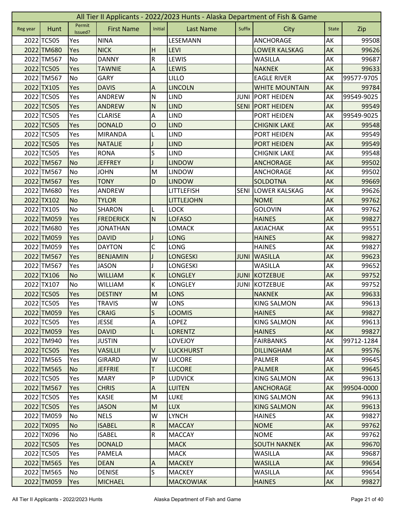| Permit<br><b>First Name</b><br>Initial<br><b>Last Name</b><br>Suffix<br>Hunt<br>City<br><b>State</b><br>Zip<br>Reg year<br>Issued?<br>2022 TC505<br><b>NINA</b><br><b>ANCHORAGE</b><br>AK<br>LESEMANN<br>99508<br>Yes<br>2022 TM680<br><b>NICK</b><br><b>LEVI</b><br>AK<br>Yes<br>H<br>LOWER KALSKAG<br>99626<br>${\sf R}$<br>2022 TM567<br>No<br>LEWIS<br>AK<br>99687<br><b>DANNY</b><br><b>WASILLA</b><br>2022 TC505<br>$\overline{A}$<br>Yes<br><b>TAWNIE</b><br><b>LEWIS</b><br><b>NAKNEK</b><br>AK<br>99633<br>AK<br>2022 TM567<br>No<br>LILLO<br><b>GARY</b><br><b>EAGLE RIVER</b><br>99577-9705<br>2022 TX105<br>Yes<br>A<br><b>LINCOLN</b><br>99784<br><b>DAVIS</b><br><b>WHITE MOUNTAIN</b><br>AK<br>2022 TC505<br>$\mathsf{N}$<br><b>LIND</b><br>AK<br>99549-9025<br>Yes<br>ANDREW<br><b>JUNI</b><br><b>PORT HEIDEN</b><br>2022 TC505<br>$\mathsf{N}$<br><b>PORT HEIDEN</b><br>AK<br>Yes<br><b>ANDREW</b><br><b>LIND</b><br><b>SENI</b><br>99549<br>2022 TC505<br><b>LIND</b><br>99549-9025<br>Yes<br><b>CLARISE</b><br>A<br>PORT HEIDEN<br>AK |
|----------------------------------------------------------------------------------------------------------------------------------------------------------------------------------------------------------------------------------------------------------------------------------------------------------------------------------------------------------------------------------------------------------------------------------------------------------------------------------------------------------------------------------------------------------------------------------------------------------------------------------------------------------------------------------------------------------------------------------------------------------------------------------------------------------------------------------------------------------------------------------------------------------------------------------------------------------------------------------------------------------------------------------------------------------|
|                                                                                                                                                                                                                                                                                                                                                                                                                                                                                                                                                                                                                                                                                                                                                                                                                                                                                                                                                                                                                                                          |
|                                                                                                                                                                                                                                                                                                                                                                                                                                                                                                                                                                                                                                                                                                                                                                                                                                                                                                                                                                                                                                                          |
|                                                                                                                                                                                                                                                                                                                                                                                                                                                                                                                                                                                                                                                                                                                                                                                                                                                                                                                                                                                                                                                          |
|                                                                                                                                                                                                                                                                                                                                                                                                                                                                                                                                                                                                                                                                                                                                                                                                                                                                                                                                                                                                                                                          |
|                                                                                                                                                                                                                                                                                                                                                                                                                                                                                                                                                                                                                                                                                                                                                                                                                                                                                                                                                                                                                                                          |
|                                                                                                                                                                                                                                                                                                                                                                                                                                                                                                                                                                                                                                                                                                                                                                                                                                                                                                                                                                                                                                                          |
|                                                                                                                                                                                                                                                                                                                                                                                                                                                                                                                                                                                                                                                                                                                                                                                                                                                                                                                                                                                                                                                          |
|                                                                                                                                                                                                                                                                                                                                                                                                                                                                                                                                                                                                                                                                                                                                                                                                                                                                                                                                                                                                                                                          |
|                                                                                                                                                                                                                                                                                                                                                                                                                                                                                                                                                                                                                                                                                                                                                                                                                                                                                                                                                                                                                                                          |
|                                                                                                                                                                                                                                                                                                                                                                                                                                                                                                                                                                                                                                                                                                                                                                                                                                                                                                                                                                                                                                                          |
| 2022 TC505<br>$\mathsf{O}$<br><b>LIND</b><br>AK<br>99548<br>Yes<br><b>DONALD</b><br><b>CHIGNIK LAKE</b>                                                                                                                                                                                                                                                                                                                                                                                                                                                                                                                                                                                                                                                                                                                                                                                                                                                                                                                                                  |
| 2022 TC505<br><b>MIRANDA</b><br><b>LIND</b><br>PORT HEIDEN<br>AK<br>99549<br>Yes                                                                                                                                                                                                                                                                                                                                                                                                                                                                                                                                                                                                                                                                                                                                                                                                                                                                                                                                                                         |
| 2022 TC505<br><b>LIND</b><br>AK<br>99549<br>Yes<br><b>NATALIE</b><br>PORT HEIDEN                                                                                                                                                                                                                                                                                                                                                                                                                                                                                                                                                                                                                                                                                                                                                                                                                                                                                                                                                                         |
| S<br>2022 TC505<br><b>LIND</b><br>AK<br>Yes<br><b>RONA</b><br><b>CHIGNIK LAKE</b><br>99548                                                                                                                                                                                                                                                                                                                                                                                                                                                                                                                                                                                                                                                                                                                                                                                                                                                                                                                                                               |
| 2022 TM567<br><b>No</b><br><b>LINDOW</b><br>AK<br><b>JEFFREY</b><br><b>ANCHORAGE</b><br>99502                                                                                                                                                                                                                                                                                                                                                                                                                                                                                                                                                                                                                                                                                                                                                                                                                                                                                                                                                            |
| 2022 TM567<br>AK<br>No<br><b>JOHN</b><br>M<br><b>LINDOW</b><br>99502<br>ANCHORAGE                                                                                                                                                                                                                                                                                                                                                                                                                                                                                                                                                                                                                                                                                                                                                                                                                                                                                                                                                                        |
| 2022 TM567<br>D<br>AK<br>99669<br>Yes<br><b>TONY</b><br><b>LINDOW</b><br><b>SOLDOTNA</b>                                                                                                                                                                                                                                                                                                                                                                                                                                                                                                                                                                                                                                                                                                                                                                                                                                                                                                                                                                 |
| 2022 TM680<br>Yes<br><b>SENI</b><br>AK<br>ANDREW<br>LITTLEFISH<br><b>LOWER KALSKAG</b><br>99626                                                                                                                                                                                                                                                                                                                                                                                                                                                                                                                                                                                                                                                                                                                                                                                                                                                                                                                                                          |
| 2022 TX102<br><b>No</b><br><b>TYLOR</b><br><b>NOME</b><br>AK<br>99762<br>LITTLEJOHN                                                                                                                                                                                                                                                                                                                                                                                                                                                                                                                                                                                                                                                                                                                                                                                                                                                                                                                                                                      |
| 2022 TX105<br><b>No</b><br><b>LOCK</b><br><b>GOLOVIN</b><br>AK<br><b>SHARON</b><br>L<br>99762                                                                                                                                                                                                                                                                                                                                                                                                                                                                                                                                                                                                                                                                                                                                                                                                                                                                                                                                                            |
| 2022 TM059<br>Yes<br><b>FREDERICK</b><br>N<br><b>LOFASO</b><br><b>HAINES</b><br>AK<br>99827                                                                                                                                                                                                                                                                                                                                                                                                                                                                                                                                                                                                                                                                                                                                                                                                                                                                                                                                                              |
| AK<br>2022 TM680<br>AKIACHAK<br>99551<br>Yes<br><b>JONATHAN</b><br>LOMACK                                                                                                                                                                                                                                                                                                                                                                                                                                                                                                                                                                                                                                                                                                                                                                                                                                                                                                                                                                                |
| 2022 TM059<br><b>LONG</b><br>AK<br>Yes<br><b>DAVID</b><br><b>HAINES</b><br>99827                                                                                                                                                                                                                                                                                                                                                                                                                                                                                                                                                                                                                                                                                                                                                                                                                                                                                                                                                                         |
| 2022 TM059<br>C<br>LONG<br><b>DAYTON</b><br><b>HAINES</b><br>AK<br>99827<br>Yes                                                                                                                                                                                                                                                                                                                                                                                                                                                                                                                                                                                                                                                                                                                                                                                                                                                                                                                                                                          |
| AK<br>2022 TM567<br>Yes<br><b>BENJAMIN</b><br><b>LONGESKI</b><br><b>JUNI</b><br><b>WASILLA</b><br>99623                                                                                                                                                                                                                                                                                                                                                                                                                                                                                                                                                                                                                                                                                                                                                                                                                                                                                                                                                  |
| 2022 TM567<br><b>WASILLA</b><br>AK<br>99652<br>Yes<br><b>JASON</b><br><b>LONGESKI</b>                                                                                                                                                                                                                                                                                                                                                                                                                                                                                                                                                                                                                                                                                                                                                                                                                                                                                                                                                                    |
| $\sf K$<br>2022 TX106<br><b>JUNI</b><br>AK<br><b>No</b><br><b>WILLIAM</b><br><b>LONGLEY</b><br>KOTZEBUE<br>99752                                                                                                                                                                                                                                                                                                                                                                                                                                                                                                                                                                                                                                                                                                                                                                                                                                                                                                                                         |
| К<br>2022 TX107<br>KOTZEBUE<br>AK<br>No<br><b>WILLIAM</b><br>LONGLEY<br><b>JUNI</b><br>99752                                                                                                                                                                                                                                                                                                                                                                                                                                                                                                                                                                                                                                                                                                                                                                                                                                                                                                                                                             |
| 2022 TC505<br><b>LONS</b><br>99633<br>Yes<br><b>DESTINY</b><br>M<br><b>NAKNEK</b><br>AK                                                                                                                                                                                                                                                                                                                                                                                                                                                                                                                                                                                                                                                                                                                                                                                                                                                                                                                                                                  |
| 2022 TC505<br>Yes<br><b>TRAVIS</b><br><b>LONS</b><br>AK<br><b>KING SALMON</b><br>99613<br>W                                                                                                                                                                                                                                                                                                                                                                                                                                                                                                                                                                                                                                                                                                                                                                                                                                                                                                                                                              |
| $\mathsf{S}$<br>2022 TM059<br><b>LOOMIS</b><br>AK<br>99827<br><b>CRAIG</b><br><b>HAINES</b><br>Yes                                                                                                                                                                                                                                                                                                                                                                                                                                                                                                                                                                                                                                                                                                                                                                                                                                                                                                                                                       |
| $\boldsymbol{\mathsf{A}}$<br><b>LOPEZ</b><br>AK<br>2022 TC505<br>Yes<br><b>JESSE</b><br><b>KING SALMON</b><br>99613                                                                                                                                                                                                                                                                                                                                                                                                                                                                                                                                                                                                                                                                                                                                                                                                                                                                                                                                      |
| 2022 TM059<br><b>DAVID</b><br>L<br><b>LORENTZ</b><br><b>HAINES</b><br>AK<br>99827<br>Yes                                                                                                                                                                                                                                                                                                                                                                                                                                                                                                                                                                                                                                                                                                                                                                                                                                                                                                                                                                 |
| AK<br>2022 TM940<br><b>JUSTIN</b><br><b>LOVEJOY</b><br><b>FAIRBANKS</b><br>99712-1284<br>Yes                                                                                                                                                                                                                                                                                                                                                                                                                                                                                                                                                                                                                                                                                                                                                                                                                                                                                                                                                             |
| 2022 TC505<br>V<br><b>LUCKHURST</b><br>AK<br>99576<br>Yes<br><b>VASILLII</b><br><b>DILLINGHAM</b>                                                                                                                                                                                                                                                                                                                                                                                                                                                                                                                                                                                                                                                                                                                                                                                                                                                                                                                                                        |
| 2022 TM565<br>W<br><b>LUCORE</b><br>AK<br>99645<br><b>GIRARD</b><br>PALMER<br>Yes                                                                                                                                                                                                                                                                                                                                                                                                                                                                                                                                                                                                                                                                                                                                                                                                                                                                                                                                                                        |
| $\mathsf T$<br>2022 TM565<br>AK<br><b>No</b><br><b>JEFFRIE</b><br><b>LUCORE</b><br><b>PALMER</b><br>99645                                                                                                                                                                                                                                                                                                                                                                                                                                                                                                                                                                                                                                                                                                                                                                                                                                                                                                                                                |
| P<br>2022 TC505<br><b>LUDVICK</b><br>AK<br><b>MARY</b><br><b>KING SALMON</b><br>99613<br>Yes                                                                                                                                                                                                                                                                                                                                                                                                                                                                                                                                                                                                                                                                                                                                                                                                                                                                                                                                                             |
| $\boldsymbol{\mathsf{A}}$<br>2022 TM567<br><b>CHRIS</b><br><b>LUITEN</b><br><b>ANCHORAGE</b><br>AK<br>99504-0000<br>Yes                                                                                                                                                                                                                                                                                                                                                                                                                                                                                                                                                                                                                                                                                                                                                                                                                                                                                                                                  |
| 2022 TC505<br><b>KASIE</b><br>M<br><b>LUKE</b><br><b>KING SALMON</b><br>AK<br>99613<br>Yes                                                                                                                                                                                                                                                                                                                                                                                                                                                                                                                                                                                                                                                                                                                                                                                                                                                                                                                                                               |
| M<br><b>LUX</b><br>AK<br>2022 TC505<br><b>JASON</b><br><b>KING SALMON</b><br>99613<br>Yes                                                                                                                                                                                                                                                                                                                                                                                                                                                                                                                                                                                                                                                                                                                                                                                                                                                                                                                                                                |
| 2022 TM059<br>W<br>AK<br>No<br><b>NELS</b><br><b>LYNCH</b><br><b>HAINES</b><br>99827                                                                                                                                                                                                                                                                                                                                                                                                                                                                                                                                                                                                                                                                                                                                                                                                                                                                                                                                                                     |
| 2022 TX095<br>${\sf R}$<br><b>NOME</b><br>AK<br>99762<br><b>No</b><br><b>ISABEL</b><br><b>MACCAY</b>                                                                                                                                                                                                                                                                                                                                                                                                                                                                                                                                                                                                                                                                                                                                                                                                                                                                                                                                                     |
| ${\sf R}$<br>AK<br>2022 TX096<br><b>ISABEL</b><br><b>MACCAY</b><br><b>NOME</b><br>99762<br>No                                                                                                                                                                                                                                                                                                                                                                                                                                                                                                                                                                                                                                                                                                                                                                                                                                                                                                                                                            |
| AK<br>2022 TC505<br><b>DONALD</b><br><b>MACK</b><br><b>SOUTH NAKNEK</b><br>99670<br>Yes                                                                                                                                                                                                                                                                                                                                                                                                                                                                                                                                                                                                                                                                                                                                                                                                                                                                                                                                                                  |
| 2022 TC505<br>AK<br>Yes<br>PAMELA<br><b>MACK</b><br><b>WASILLA</b><br>99687                                                                                                                                                                                                                                                                                                                                                                                                                                                                                                                                                                                                                                                                                                                                                                                                                                                                                                                                                                              |
| 2022 TM565<br><b>MACKEY</b><br><b>WASILLA</b><br>AK<br>Yes<br><b>DEAN</b><br>A<br>99654                                                                                                                                                                                                                                                                                                                                                                                                                                                                                                                                                                                                                                                                                                                                                                                                                                                                                                                                                                  |
| S<br>2022 TM565<br><b>DENISE</b><br><b>WASILLA</b><br>AK<br>99654<br>No<br><b>MACKEY</b>                                                                                                                                                                                                                                                                                                                                                                                                                                                                                                                                                                                                                                                                                                                                                                                                                                                                                                                                                                 |
| 2022 TM059<br>Yes<br><b>MICHAEL</b><br><b>MACKOWIAK</b><br><b>HAINES</b><br>AK<br>99827                                                                                                                                                                                                                                                                                                                                                                                                                                                                                                                                                                                                                                                                                                                                                                                                                                                                                                                                                                  |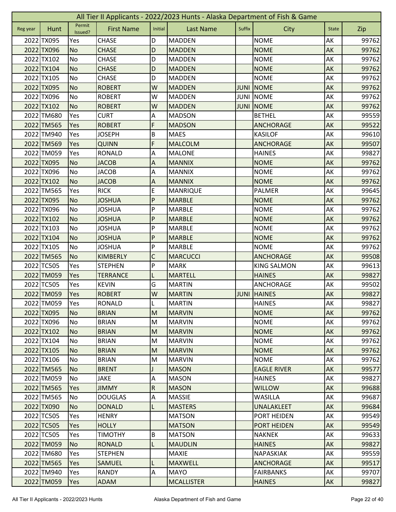|          | All Tier II Applicants - 2022/2023 Hunts - Alaska Department of Fish & Game |                   |                   |              |                   |             |                    |              |       |  |
|----------|-----------------------------------------------------------------------------|-------------------|-------------------|--------------|-------------------|-------------|--------------------|--------------|-------|--|
| Reg year | Hunt                                                                        | Permit<br>Issued? | <b>First Name</b> | Initial      | <b>Last Name</b>  | Suffix      | City               | <b>State</b> | Zip   |  |
|          | 2022 TX095                                                                  | Yes               | <b>CHASE</b>      | D            | <b>MADDEN</b>     |             | <b>NOME</b>        | AK           | 99762 |  |
|          | 2022 TX096                                                                  | <b>No</b>         | <b>CHASE</b>      | D            | <b>MADDEN</b>     |             | <b>NOME</b>        | AK           | 99762 |  |
|          | 2022 TX102                                                                  | No                | <b>CHASE</b>      | D            | <b>MADDEN</b>     |             | <b>NOME</b>        | AK           | 99762 |  |
|          | 2022 TX104                                                                  | <b>No</b>         | <b>CHASE</b>      | D            | <b>MADDEN</b>     |             | <b>NOME</b>        | AK           | 99762 |  |
|          | 2022 TX105                                                                  | <b>No</b>         | <b>CHASE</b>      | D            | <b>MADDEN</b>     |             | <b>NOME</b>        | AK           | 99762 |  |
|          | 2022 TX095                                                                  | <b>No</b>         | <b>ROBERT</b>     | W            | <b>MADDEN</b>     | <b>JUNI</b> | <b>NOME</b>        | AK           | 99762 |  |
|          | 2022 TX096                                                                  | <b>No</b>         | <b>ROBERT</b>     | W            | <b>MADDEN</b>     | <b>JUNI</b> | <b>NOME</b>        | AK           | 99762 |  |
|          | 2022 TX102                                                                  | <b>No</b>         | <b>ROBERT</b>     | W            | <b>MADDEN</b>     | <b>JUNI</b> | <b>NOME</b>        | AK           | 99762 |  |
|          | 2022 TM680                                                                  | Yes               | <b>CURT</b>       | Α            | <b>MADSON</b>     |             | <b>BETHEL</b>      | AK           | 99559 |  |
|          | 2022 TM565                                                                  | Yes               | <b>ROBERT</b>     | F            | <b>MADSON</b>     |             | <b>ANCHORAGE</b>   | AK           | 99522 |  |
|          | 2022 TM940                                                                  | Yes               | <b>JOSEPH</b>     | B            | <b>MAES</b>       |             | <b>KASILOF</b>     | AK           | 99610 |  |
|          | 2022 TM569                                                                  | Yes               | <b>QUINN</b>      | F            | <b>MALCOLM</b>    |             | <b>ANCHORAGE</b>   | AK           | 99507 |  |
|          | 2022 TM059                                                                  | Yes               | <b>RONALD</b>     | A            | <b>MALONE</b>     |             | <b>HAINES</b>      | AK           | 99827 |  |
|          | 2022 TX095                                                                  | <b>No</b>         | <b>JACOB</b>      | A            | <b>MANNIX</b>     |             | <b>NOME</b>        | AK           | 99762 |  |
|          | 2022 TX096                                                                  | No                | <b>JACOB</b>      | Α            | <b>MANNIX</b>     |             | <b>NOME</b>        | AK           | 99762 |  |
|          | 2022 TX102                                                                  | <b>No</b>         | <b>JACOB</b>      | A            | <b>MANNIX</b>     |             | <b>NOME</b>        | AK           | 99762 |  |
|          | 2022 TM565                                                                  | Yes               | <b>RICK</b>       | E            | <b>MANRIQUE</b>   |             | PALMER             | AK           | 99645 |  |
|          | 2022 TX095                                                                  | <b>No</b>         | <b>JOSHUA</b>     | $\mathsf{P}$ | <b>MARBLE</b>     |             | <b>NOME</b>        | AK           | 99762 |  |
|          | 2022 TX096                                                                  | No                | <b>JOSHUA</b>     | P            | <b>MARBLE</b>     |             | <b>NOME</b>        | AK           | 99762 |  |
|          | 2022 TX102                                                                  | <b>No</b>         | <b>JOSHUA</b>     | P            | <b>MARBLE</b>     |             | <b>NOME</b>        | AK           | 99762 |  |
|          | 2022 TX103                                                                  | <b>No</b>         | <b>JOSHUA</b>     | P            | <b>MARBLE</b>     |             | <b>NOME</b>        | AK           | 99762 |  |
|          | 2022 TX104                                                                  | <b>No</b>         | <b>JOSHUA</b>     | ${\sf P}$    | <b>MARBLE</b>     |             | <b>NOME</b>        | AK           | 99762 |  |
|          | 2022 TX105                                                                  | No                | <b>JOSHUA</b>     | P            | <b>MARBLE</b>     |             | <b>NOME</b>        | AK           | 99762 |  |
|          | 2022 TM565                                                                  | <b>No</b>         | <b>KIMBERLY</b>   | $\mathsf C$  | <b>MARCUCCI</b>   |             | <b>ANCHORAGE</b>   | AK           | 99508 |  |
|          | 2022 TC505                                                                  | Yes               | <b>STEPHEN</b>    | P            | <b>MARK</b>       |             | <b>KING SALMON</b> | AK           | 99613 |  |
|          | 2022 TM059                                                                  | Yes               | <b>TERRANCE</b>   | L            | <b>MARTELL</b>    |             | <b>HAINES</b>      | AK           | 99827 |  |
|          | 2022 TC505                                                                  | Yes               | <b>KEVIN</b>      | G            | <b>MARTIN</b>     |             | <b>ANCHORAGE</b>   | AK           | 99502 |  |
|          | 2022 TM059                                                                  | Yes               | <b>ROBERT</b>     | W            | <b>MARTIN</b>     |             | <b>JUNI HAINES</b> | AK           | 99827 |  |
|          | 2022 TM059                                                                  | Yes               | RONALD            | L            | <b>MARTIN</b>     |             | <b>HAINES</b>      | AK           | 99827 |  |
|          | 2022 TX095                                                                  | <b>No</b>         | <b>BRIAN</b>      | M            | <b>MARVIN</b>     |             | <b>NOME</b>        | AK           | 99762 |  |
|          | 2022 TX096                                                                  | No                | <b>BRIAN</b>      | M            | <b>MARVIN</b>     |             | <b>NOME</b>        | AK           | 99762 |  |
|          | 2022 TX102                                                                  | <b>No</b>         | <b>BRIAN</b>      | M            | <b>MARVIN</b>     |             | <b>NOME</b>        | AK           | 99762 |  |
|          | 2022 TX104                                                                  | No                | <b>BRIAN</b>      | M            | <b>MARVIN</b>     |             | <b>NOME</b>        | AK           | 99762 |  |
|          | 2022 TX105                                                                  | <b>No</b>         | <b>BRIAN</b>      | M            | <b>MARVIN</b>     |             | <b>NOME</b>        | AK           | 99762 |  |
|          | 2022 TX106                                                                  | No                | <b>BRIAN</b>      | M            | <b>MARVIN</b>     |             | <b>NOME</b>        | AK           | 99762 |  |
|          | 2022 TM565                                                                  | <b>No</b>         | <b>BRENT</b>      |              | <b>MASON</b>      |             | <b>EAGLE RIVER</b> | AK           | 99577 |  |
|          | 2022 TM059                                                                  | No                | <b>JAKE</b>       | A            | <b>MASON</b>      |             | <b>HAINES</b>      | AK           | 99827 |  |
|          | 2022 TM565                                                                  | Yes               | <b>JIMMY</b>      | ${\sf R}$    | <b>MASON</b>      |             | <b>WILLOW</b>      | AK           | 99688 |  |
|          | 2022 TM565                                                                  | No                | <b>DOUGLAS</b>    | A            | <b>MASSIE</b>     |             | WASILLA            | AK           | 99687 |  |
|          | 2022 TX090                                                                  | <b>No</b>         | <b>DONALD</b>     | L            | <b>MASTERS</b>    |             | <b>UNALAKLEET</b>  | AK           | 99684 |  |
|          | 2022 TC505                                                                  | Yes               | <b>HENRY</b>      |              | <b>MATSON</b>     |             | PORT HEIDEN        | AK           | 99549 |  |
|          | 2022 TC505                                                                  | Yes               | <b>HOLLY</b>      |              | <b>MATSON</b>     |             | <b>PORT HEIDEN</b> | AK           | 99549 |  |
|          | 2022 TC505                                                                  | Yes               | <b>TIMOTHY</b>    | $\sf B$      | <b>MATSON</b>     |             | <b>NAKNEK</b>      | AK           | 99633 |  |
|          | 2022 TM059                                                                  | <b>No</b>         | <b>RONALD</b>     | L            | <b>MAUDLIN</b>    |             | <b>HAINES</b>      | AK           | 99827 |  |
|          | 2022 TM680                                                                  | Yes               | <b>STEPHEN</b>    |              | <b>MAXIE</b>      |             | NAPASKIAK          | AK           | 99559 |  |
|          | 2022 TM565                                                                  | Yes               | <b>SAMUEL</b>     | L            | <b>MAXWELL</b>    |             | <b>ANCHORAGE</b>   | AK           | 99517 |  |
|          | 2022 TM940                                                                  | Yes               | <b>RANDY</b>      | A            | <b>MAYO</b>       |             | <b>FAIRBANKS</b>   | AK           | 99707 |  |
|          |                                                                             |                   |                   |              |                   |             |                    |              |       |  |
|          | 2022 TM059                                                                  | Yes               | <b>ADAM</b>       |              | <b>MCALLISTER</b> |             | <b>HAINES</b>      | AK           | 99827 |  |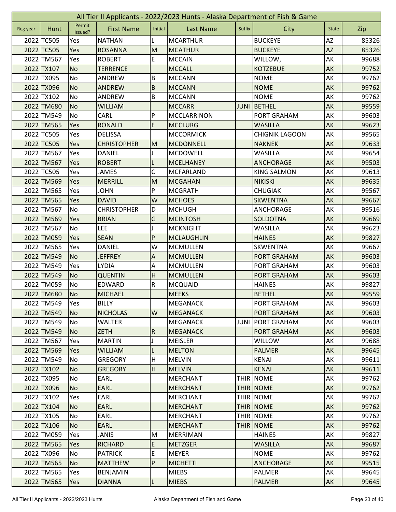|          | All Tier II Applicants - 2022/2023 Hunts - Alaska Department of Fish & Game |                   |                    |                         |                    |             |                       |              |       |  |  |
|----------|-----------------------------------------------------------------------------|-------------------|--------------------|-------------------------|--------------------|-------------|-----------------------|--------------|-------|--|--|
| Reg year | Hunt                                                                        | Permit<br>Issued? | <b>First Name</b>  | Initial                 | <b>Last Name</b>   | Suffix      | City                  | <b>State</b> | Zip   |  |  |
|          | 2022 TC505                                                                  | Yes               | <b>NATHAN</b>      |                         | <b>MCARTHUR</b>    |             | <b>BUCKEYE</b>        | ΑZ           | 85326 |  |  |
|          | 2022 TC505                                                                  | Yes               | <b>ROSANNA</b>     | M                       | <b>MCATHUR</b>     |             | <b>BUCKEYE</b>        | <b>AZ</b>    | 85326 |  |  |
|          | 2022 TM567                                                                  | Yes               | <b>ROBERT</b>      | E.                      | <b>MCCAIN</b>      |             | WILLOW,               | AK           | 99688 |  |  |
|          | 2022 TX107                                                                  | <b>No</b>         | <b>TERRENCE</b>    |                         | <b>MCCALL</b>      |             | <b>KOTZEBUE</b>       | AK           | 99752 |  |  |
|          | 2022 TX095                                                                  | No                | ANDREW             | B                       | <b>MCCANN</b>      |             | <b>NOME</b>           | AK           | 99762 |  |  |
|          | 2022 TX096                                                                  | <b>No</b>         | <b>ANDREW</b>      | $\sf B$                 | <b>MCCANN</b>      |             | <b>NOME</b>           | AK           | 99762 |  |  |
|          | 2022 TX102                                                                  | No                | ANDREW             | B                       | <b>MCCANN</b>      |             | <b>NOME</b>           | AK           | 99762 |  |  |
|          | 2022 TM680                                                                  | <b>No</b>         | <b>WILLIAM</b>     |                         | <b>MCCARR</b>      | <b>JUNI</b> | BETHEL                | AK           | 99559 |  |  |
|          | 2022 TM549                                                                  | No                | CARL               | P                       | <b>MCCLARRINON</b> |             | PORT GRAHAM           | AK           | 99603 |  |  |
|          | 2022 TM565                                                                  | Yes               | <b>RONALD</b>      | E                       | <b>MCCLURG</b>     |             | <b>WASILLA</b>        | AK           | 99623 |  |  |
|          | 2022 TC505                                                                  | Yes               | <b>DELISSA</b>     |                         | <b>MCCORMICK</b>   |             | <b>CHIGNIK LAGOON</b> | AK           | 99565 |  |  |
|          | 2022 TC505                                                                  | Yes               | <b>CHRISTOPHER</b> | M                       | <b>MCDONNELL</b>   |             | <b>NAKNEK</b>         | AK           | 99633 |  |  |
|          | 2022 TM567                                                                  | Yes               | <b>DANIEL</b>      |                         | <b>MCDOWELL</b>    |             | <b>WASILLA</b>        | AK           | 99654 |  |  |
|          | 2022 TM567                                                                  | Yes               | <b>ROBERT</b>      |                         | <b>MCELHANEY</b>   |             | <b>ANCHORAGE</b>      | AK           | 99503 |  |  |
|          | 2022 TC505                                                                  | Yes               | <b>JAMES</b>       | С                       | <b>MCFARLAND</b>   |             | <b>KING SALMON</b>    | АK           | 99613 |  |  |
|          | 2022 TM569                                                                  | Yes               | <b>MERRILL</b>     | M                       | <b>MCGAHAN</b>     |             | <b>NIKISKI</b>        | AK           | 99635 |  |  |
|          | 2022 TM565                                                                  | Yes               | <b>JOHN</b>        | P                       | <b>MCGRATH</b>     |             | <b>CHUGIAK</b>        | AK           | 99567 |  |  |
|          | 2022 TM565                                                                  | Yes               | <b>DAVID</b>       | W                       | <b>MCHOES</b>      |             | <b>SKWENTNA</b>       | AK           | 99667 |  |  |
|          | 2022 TM567                                                                  | No                | <b>CHRISTOPHER</b> | D                       | <b>MCHUGH</b>      |             | <b>ANCHORAGE</b>      | AK           | 99516 |  |  |
|          | 2022 TM569                                                                  | Yes               | <b>BRIAN</b>       | G                       | <b>MCINTOSH</b>    |             | SOLDOTNA              | AK           | 99669 |  |  |
|          | 2022 TM567                                                                  | No                | <b>LEE</b>         |                         | <b>MCKNIGHT</b>    |             | <b>WASILLA</b>        | AK           | 99623 |  |  |
|          | 2022 TM059                                                                  | Yes               | <b>SEAN</b>        | P                       | <b>MCLAUGHLIN</b>  |             | <b>HAINES</b>         | AK           | 99827 |  |  |
|          | 2022 TM565                                                                  | Yes               | <b>DANIEL</b>      | W                       | <b>MCMULLEN</b>    |             | <b>SKWENTNA</b>       | AK           | 99667 |  |  |
|          | 2022 TM549                                                                  | <b>No</b>         | <b>JEFFREY</b>     | A                       | <b>MCMULLEN</b>    |             | <b>PORT GRAHAM</b>    | AK           | 99603 |  |  |
|          | 2022 TM549                                                                  | Yes               | <b>LYDIA</b>       | Α                       | <b>MCMULLEN</b>    |             | PORT GRAHAM           | AK           | 99603 |  |  |
|          | 2022 TM549                                                                  | <b>No</b>         | <b>QUENTIN</b>     | H                       | <b>MCMULLEN</b>    |             | <b>PORT GRAHAM</b>    | AK           | 99603 |  |  |
|          | 2022 TM059                                                                  | <b>No</b>         | EDWARD             | $\overline{\mathsf{R}}$ | <b>MCQUAID</b>     |             | <b>HAINES</b>         | AK           | 99827 |  |  |
|          | 2022 TM680                                                                  | No                | <b>MICHAEL</b>     |                         | <b>MEEKS</b>       |             | <b>BETHEL</b>         | AK           | 99559 |  |  |
|          | 2022 TM549                                                                  | Yes               | <b>BILLY</b>       |                         | <b>MEGANACK</b>    |             | PORT GRAHAM           | AK           | 99603 |  |  |
|          | 2022 TM549                                                                  | <b>No</b>         | <b>NICHOLAS</b>    | W                       | <b>MEGANACK</b>    |             | <b>PORT GRAHAM</b>    | AK           | 99603 |  |  |
|          | 2022 TM549                                                                  | No                | <b>WALTER</b>      |                         | <b>MEGANACK</b>    | <b>JUNI</b> | <b>PORT GRAHAM</b>    | AK           | 99603 |  |  |
|          | 2022 TM549                                                                  | N <sub>o</sub>    | <b>ZETH</b>        | ${\sf R}$               | <b>MEGANACK</b>    |             | <b>PORT GRAHAM</b>    | AK           | 99603 |  |  |
|          | 2022 TM567                                                                  | Yes               | <b>MARTIN</b>      |                         | <b>MEISLER</b>     |             | WILLOW                | AK           | 99688 |  |  |
|          | 2022 TM569                                                                  | Yes               | <b>WILLIAM</b>     | L                       | <b>MELTON</b>      |             | <b>PALMER</b>         | AK           | 99645 |  |  |
|          | 2022 TM549                                                                  | No                | <b>GREGORY</b>     | H                       | <b>MELVIN</b>      |             | <b>KENAI</b>          | AK           | 99611 |  |  |
|          | 2022 TX102                                                                  | <b>No</b>         | <b>GREGORY</b>     | H                       | <b>MELVIN</b>      |             | <b>KENAI</b>          | <b>AK</b>    | 99611 |  |  |
|          | 2022 TX095                                                                  | No                | EARL               |                         | <b>MERCHANT</b>    | <b>THIR</b> | <b>NOME</b>           | AK           | 99762 |  |  |
|          | 2022 TX096                                                                  | No                | <b>EARL</b>        |                         | <b>MERCHANT</b>    |             | <b>THIR NOME</b>      | AK           | 99762 |  |  |
|          | 2022 TX102                                                                  | Yes               | EARL               |                         | <b>MERCHANT</b>    |             | <b>THIR NOME</b>      | AK           | 99762 |  |  |
|          | 2022 TX104                                                                  | <b>No</b>         | <b>EARL</b>        |                         | <b>MERCHANT</b>    |             | <b>THIR NOME</b>      | AK           | 99762 |  |  |
|          | 2022 TX105                                                                  | No                | EARL               |                         | <b>MERCHANT</b>    |             | <b>THIR NOME</b>      | AK           | 99762 |  |  |
|          | 2022 TX106                                                                  | <b>No</b>         | <b>EARL</b>        |                         | <b>MERCHANT</b>    | <b>THIR</b> | <b>NOME</b>           | AK           | 99762 |  |  |
|          | 2022 TM059                                                                  | Yes               | <b>JANIS</b>       | M                       | <b>MERRIMAN</b>    |             | <b>HAINES</b>         | AK           | 99827 |  |  |
|          | 2022 TM565                                                                  | Yes               | <b>RICHARD</b>     | E                       | <b>METZGER</b>     |             | <b>WASILLA</b>        | AK           | 99687 |  |  |
|          | 2022 TX096                                                                  | No                | <b>PATRICK</b>     | E                       | <b>MEYER</b>       |             | <b>NOME</b>           | AK           | 99762 |  |  |
|          | 2022 TM565                                                                  | N <sub>o</sub>    | <b>MATTHEW</b>     | ${\sf P}$               | <b>MICHETTI</b>    |             | <b>ANCHORAGE</b>      | AK           | 99515 |  |  |
|          | 2022 TM565                                                                  | Yes               | <b>BENJAMIN</b>    |                         | <b>MIEBS</b>       |             | PALMER                | AK           | 99645 |  |  |
|          | 2022 TM565                                                                  | Yes               | <b>DIANNA</b>      | L                       | <b>MIEBS</b>       |             | <b>PALMER</b>         | AK           | 99645 |  |  |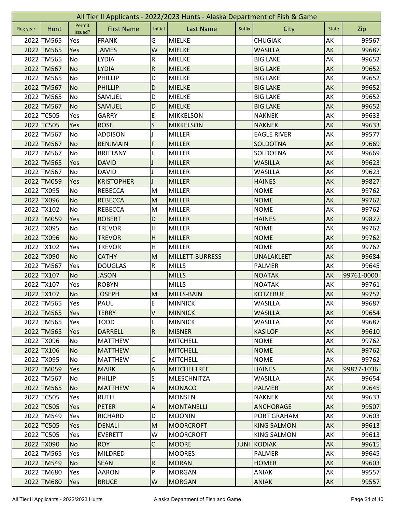|          | All Tier II Applicants - 2022/2023 Hunts - Alaska Department of Fish & Game |                   |                   |                           |                        |             |                    |              |            |  |  |
|----------|-----------------------------------------------------------------------------|-------------------|-------------------|---------------------------|------------------------|-------------|--------------------|--------------|------------|--|--|
| Reg year | Hunt                                                                        | Permit<br>Issued? | <b>First Name</b> | Initial                   | <b>Last Name</b>       | Suffix      | City               | <b>State</b> | Zip        |  |  |
|          | 2022 TM565                                                                  | Yes               | <b>FRANK</b>      | G                         | <b>MIELKE</b>          |             | <b>CHUGIAK</b>     | AK           | 99567      |  |  |
|          | 2022 TM565                                                                  | Yes               | <b>JAMES</b>      | W                         | <b>MIELKE</b>          |             | <b>WASILLA</b>     | AK           | 99687      |  |  |
|          | 2022 TM565                                                                  | No                | <b>LYDIA</b>      | ${\sf R}$                 | <b>MIELKE</b>          |             | <b>BIG LAKE</b>    | AK           | 99652      |  |  |
|          | 2022 TM567                                                                  | <b>No</b>         | <b>LYDIA</b>      | ${\sf R}$                 | <b>MIELKE</b>          |             | <b>BIG LAKE</b>    | AK           | 99652      |  |  |
|          | 2022 TM565                                                                  | <b>No</b>         | PHILLIP           | D                         | <b>MIELKE</b>          |             | <b>BIG LAKE</b>    | AK           | 99652      |  |  |
|          | 2022 TM567                                                                  | <b>No</b>         | <b>PHILLIP</b>    | D                         | <b>MIELKE</b>          |             | <b>BIG LAKE</b>    | AK           | 99652      |  |  |
|          | 2022 TM565                                                                  | <b>No</b>         | SAMUEL            | D                         | <b>MIELKE</b>          |             | <b>BIG LAKE</b>    | AK           | 99652      |  |  |
|          | 2022 TM567                                                                  | <b>No</b>         | SAMUEL            | D                         | <b>MIELKE</b>          |             | <b>BIG LAKE</b>    | AK           | 99652      |  |  |
|          | 2022 TC505                                                                  | Yes               | <b>GARRY</b>      | E                         | <b>MIKKELSON</b>       |             | <b>NAKNEK</b>      | AK           | 99633      |  |  |
|          | 2022 TC505                                                                  | Yes               | <b>ROSE</b>       | S                         | <b>MIKKELSON</b>       |             | <b>NAKNEK</b>      | AK           | 99633      |  |  |
|          | 2022 TM567                                                                  | No                | <b>ADDISON</b>    |                           | <b>MILLER</b>          |             | <b>EAGLE RIVER</b> | AK           | 99577      |  |  |
|          | 2022 TM567                                                                  | No                | <b>BENJMAIN</b>   | F                         | <b>MILLER</b>          |             | <b>SOLDOTNA</b>    | AK           | 99669      |  |  |
|          | 2022 TM567                                                                  | No                | <b>BRITTANY</b>   | L                         | <b>MILLER</b>          |             | SOLDOTNA           | AK           | 99669      |  |  |
|          | 2022 TM565                                                                  | Yes               | <b>DAVID</b>      |                           | <b>MILLER</b>          |             | <b>WASILLA</b>     | AK           | 99623      |  |  |
|          | 2022 TM567                                                                  | No                | <b>DAVID</b>      |                           | <b>MILLER</b>          |             | <b>WASILLA</b>     | AK           | 99623      |  |  |
|          | 2022 TM059                                                                  | Yes               | <b>KRISTOPHER</b> |                           | <b>MILLER</b>          |             | <b>HAINES</b>      | AK           | 99827      |  |  |
|          | 2022 TX095                                                                  | No                | <b>REBECCA</b>    | M                         | <b>MILLER</b>          |             | <b>NOME</b>        | AK           | 99762      |  |  |
|          | 2022 TX096                                                                  | <b>No</b>         | <b>REBECCA</b>    | M                         | <b>MILLER</b>          |             | <b>NOME</b>        | AK           | 99762      |  |  |
|          | 2022 TX102                                                                  | No                | <b>REBECCA</b>    | M                         | <b>MILLER</b>          |             | <b>NOME</b>        | AK           | 99762      |  |  |
|          | 2022 TM059                                                                  | Yes               | <b>ROBERT</b>     | D                         | <b>MILLER</b>          |             | <b>HAINES</b>      | AK           | 99827      |  |  |
|          | 2022 TX095                                                                  | No                | <b>TREVOR</b>     | $\mathsf{H}$              | <b>MILLER</b>          |             | <b>NOME</b>        | AK           | 99762      |  |  |
|          | 2022 TX096                                                                  | <b>No</b>         | <b>TREVOR</b>     | H                         | <b>MILLER</b>          |             | <b>NOME</b>        | AK           | 99762      |  |  |
|          | 2022 TX102                                                                  | Yes               | <b>TREVOR</b>     | H                         | <b>MILLER</b>          |             | <b>NOME</b>        | AK           | 99762      |  |  |
|          | 2022 TX090                                                                  | <b>No</b>         | <b>CATHY</b>      | M                         | <b>MILLETT-BURRESS</b> |             | <b>UNALAKLEET</b>  | AK           | 99684      |  |  |
|          | 2022 TM567                                                                  | Yes               | <b>DOUGLAS</b>    | ${\sf R}$                 | <b>MILLS</b>           |             | <b>PALMER</b>      | AK           | 99645      |  |  |
|          | 2022 TX107                                                                  | <b>No</b>         | <b>JASON</b>      |                           | <b>MILLS</b>           |             | <b>NOATAK</b>      | AK           | 99761-0000 |  |  |
|          | 2022 TX107                                                                  | Yes               | <b>ROBYN</b>      |                           | <b>MILLS</b>           |             | <b>NOATAK</b>      | AK           | 99761      |  |  |
|          | 2022 TX107                                                                  | <b>No</b>         | <b>JOSEPH</b>     | M                         | MILLS-BAIN             |             | <b>KOTZEBUE</b>    | AK           | 99752      |  |  |
|          | 2022 TM565                                                                  | Yes               | PAUL              | $\overline{E}$            | MINNICK                |             | WASILLA            | AK           | 99687      |  |  |
|          | 2022 TM565                                                                  | Yes               | <b>TERRY</b>      | $\vee$                    | <b>MINNICK</b>         |             | <b>WASILLA</b>     | AK           | 99654      |  |  |
|          | 2022 TM565                                                                  | Yes               | <b>TODD</b>       | L                         | <b>MINNICK</b>         |             | <b>WASILLA</b>     | AK           | 99687      |  |  |
|          | 2022 TM565                                                                  | Yes               | <b>DARRELL</b>    | $\overline{\mathsf{R}}$   | <b>MISNER</b>          |             | <b>KASILOF</b>     | AK           | 99610      |  |  |
|          | 2022 TX096                                                                  | No                | <b>MATTHEW</b>    |                           | <b>MITCHELL</b>        |             | <b>NOME</b>        | AK           | 99762      |  |  |
|          | 2022 TX106                                                                  | <b>No</b>         | <b>MATTHEW</b>    |                           | <b>MITCHELL</b>        |             | <b>NOME</b>        | AK           | 99762      |  |  |
|          | 2022 TX095                                                                  | No                | <b>MATTHEW</b>    | С                         | <b>MITCHELL</b>        |             | <b>NOME</b>        | AK           | 99762      |  |  |
|          | 2022 TM059                                                                  | Yes               | <b>MARK</b>       | $\boldsymbol{\mathsf{A}}$ | <b>MITCHELTREE</b>     |             | <b>HAINES</b>      | AK           | 99827-1036 |  |  |
|          | 2022 TM567                                                                  | No                | <b>PHILIP</b>     | S                         | <b>MLESCHNITZA</b>     |             | <b>WASILLA</b>     | AK           | 99654      |  |  |
|          | 2022 TM565                                                                  | N <sub>o</sub>    | <b>MATTHEW</b>    | $\overline{A}$            | <b>MONACO</b>          |             | <b>PALMER</b>      | AK           | 99645      |  |  |
|          | 2022 TC505                                                                  | Yes               | <b>RUTH</b>       |                           | <b>MONSEN</b>          |             | <b>NAKNEK</b>      | AK           | 99633      |  |  |
|          | 2022 TC505                                                                  | <b>Yes</b>        | <b>PETER</b>      | $\overline{A}$            | <b>MONTANELLI</b>      |             | <b>ANCHORAGE</b>   | AK           | 99507      |  |  |
|          | 2022 TM549                                                                  | Yes               | <b>RICHARD</b>    | D                         | <b>MOONIN</b>          |             | PORT GRAHAM        | AK           | 99603      |  |  |
|          | 2022 TC505                                                                  | Yes               | <b>DENALI</b>     | M                         | <b>MOORCROFT</b>       |             | <b>KING SALMON</b> | AK           | 99613      |  |  |
|          | 2022 TC505                                                                  | Yes               | <b>EVERETT</b>    | W                         | <b>MOORCROFT</b>       |             | <b>KING SALMON</b> | AK           | 99613      |  |  |
|          | 2022 TX090                                                                  | <b>No</b>         | <b>ROY</b>        | $\mathsf C$               | <b>MOORE</b>           | <b>JUNI</b> | KODIAK             | AK           | 99615      |  |  |
|          | 2022 TM565                                                                  | Yes               | <b>MILDRED</b>    |                           | <b>MOORES</b>          |             | PALMER             | AK           | 99645      |  |  |
|          | 2022 TM549                                                                  | IN <sub>O</sub>   | <b>SEAN</b>       | ${\sf R}$                 | <b>MORAN</b>           |             | <b>HOMER</b>       | AK           | 99603      |  |  |
|          | 2022 TM680                                                                  | Yes               | <b>AARON</b>      | P                         | <b>MORGAN</b>          |             | ANIAK              | AK           | 99557      |  |  |
|          | 2022 TM680                                                                  | Yes               | <b>BRUCE</b>      | W                         | <b>MORGAN</b>          |             | <b>ANIAK</b>       | AK           | 99557      |  |  |
|          |                                                                             |                   |                   |                           |                        |             |                    |              |            |  |  |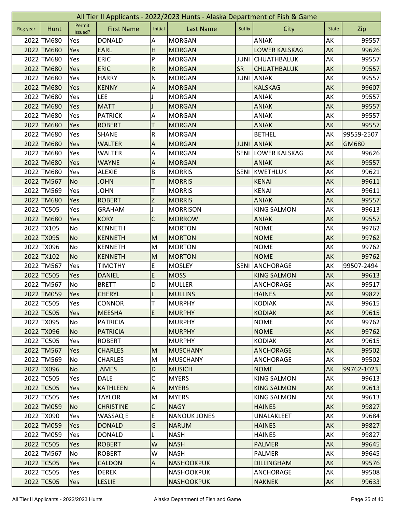|          | All Tier II Applicants - 2022/2023 Hunts - Alaska Department of Fish & Game |                   |                   |                           |                     |             |                      |              |            |  |  |  |
|----------|-----------------------------------------------------------------------------|-------------------|-------------------|---------------------------|---------------------|-------------|----------------------|--------------|------------|--|--|--|
| Reg year | Hunt                                                                        | Permit<br>Issued? | <b>First Name</b> | Initial                   | <b>Last Name</b>    | Suffix      | City                 | <b>State</b> | Zip        |  |  |  |
|          | 2022 TM680                                                                  | Yes               | <b>DONALD</b>     | Α                         | <b>MORGAN</b>       |             | <b>ANIAK</b>         | AK           | 99557      |  |  |  |
|          | 2022 TM680                                                                  | Yes               | <b>EARL</b>       | H                         | <b>MORGAN</b>       |             | <b>LOWER KALSKAG</b> | AK           | 99626      |  |  |  |
|          | 2022 TM680                                                                  | Yes               | <b>ERIC</b>       | P                         | <b>MORGAN</b>       | JUNI        | <b>CHUATHBALUK</b>   | AK           | 99557      |  |  |  |
|          | 2022 TM680                                                                  | Yes               | <b>ERIC</b>       | ${\sf R}$                 | <b>MORGAN</b>       | <b>SR</b>   | <b>CHUATHBALUK</b>   | AK           | 99557      |  |  |  |
|          | 2022 TM680                                                                  | Yes               | <b>HARRY</b>      | $\mathsf{N}$              | <b>MORGAN</b>       | <b>JUNI</b> | <b>ANIAK</b>         | AK           | 99557      |  |  |  |
|          | 2022 TM680                                                                  | Yes               | <b>KENNY</b>      | A                         | <b>MORGAN</b>       |             | <b>KALSKAG</b>       | AK           | 99607      |  |  |  |
|          | 2022 TM680                                                                  | Yes               | <b>LEE</b>        |                           | <b>MORGAN</b>       |             | ANIAK                | AK           | 99557      |  |  |  |
|          | 2022 TM680                                                                  | Yes               | <b>MATT</b>       |                           | <b>MORGAN</b>       |             | <b>ANIAK</b>         | AK           | 99557      |  |  |  |
|          | 2022 TM680                                                                  | Yes               | <b>PATRICK</b>    | A                         | <b>MORGAN</b>       |             | <b>ANIAK</b>         | AK           | 99557      |  |  |  |
|          | 2022 TM680                                                                  | Yes               | <b>ROBERT</b>     | T                         | <b>MORGAN</b>       |             | <b>ANIAK</b>         | AK           | 99557      |  |  |  |
|          | 2022 TM680                                                                  | Yes               | <b>SHANE</b>      | ${\sf R}$                 | <b>MORGAN</b>       |             | <b>BETHEL</b>        | AK           | 99559-2507 |  |  |  |
|          | 2022 TM680                                                                  | Yes               | <b>WALTER</b>     | A                         | <b>MORGAN</b>       | <b>JUNI</b> | <b>ANIAK</b>         | AK           | GM680      |  |  |  |
|          | 2022 TM680                                                                  | Yes               | <b>WALTER</b>     | Α                         | <b>MORGAN</b>       | <b>SENI</b> | <b>LOWER KALSKAG</b> | AK           | 99626      |  |  |  |
|          | 2022 TM680                                                                  | Yes               | <b>WAYNE</b>      | A                         | <b>MORGAN</b>       |             | <b>ANIAK</b>         | AK           | 99557      |  |  |  |
|          | 2022 TM680                                                                  | Yes               | <b>ALEXIE</b>     | B                         | <b>MORRIS</b>       | <b>SENI</b> | <b>KWETHLUK</b>      | AK           | 99621      |  |  |  |
|          | 2022 TM567                                                                  | <b>No</b>         | <b>JOHN</b>       | T                         | <b>MORRIS</b>       |             | <b>KENAI</b>         | AK           | 99611      |  |  |  |
|          | 2022 TM569                                                                  | Yes               | <b>JOHN</b>       | Τ                         | <b>MORRIS</b>       |             | <b>KENAI</b>         | AK           | 99611      |  |  |  |
|          | 2022 TM680                                                                  | Yes               | <b>ROBERT</b>     | Z                         | <b>MORRIS</b>       |             | <b>ANIAK</b>         | AK           | 99557      |  |  |  |
|          | 2022 TC505                                                                  | Yes               | <b>GRAHAM</b>     |                           | <b>MORRISON</b>     |             | <b>KING SALMON</b>   | AK           | 99613      |  |  |  |
|          | 2022 TM680                                                                  | Yes               | <b>KORY</b>       | $\mathsf C$               | <b>MORROW</b>       |             | <b>ANIAK</b>         | AK           | 99557      |  |  |  |
|          | 2022 TX105                                                                  | No                | <b>KENNETH</b>    |                           | <b>MORTON</b>       |             | <b>NOME</b>          | AK           | 99762      |  |  |  |
|          | 2022 TX095                                                                  | <b>No</b>         | <b>KENNETH</b>    | M                         | <b>MORTON</b>       |             | <b>NOME</b>          | AK           | 99762      |  |  |  |
|          | 2022 TX096                                                                  | No                | <b>KENNETH</b>    | M                         | <b>MORTON</b>       |             | <b>NOME</b>          | AK           | 99762      |  |  |  |
|          | 2022 TX102                                                                  | <b>No</b>         | <b>KENNETH</b>    | M                         | <b>MORTON</b>       |             | <b>NOME</b>          | AK           | 99762      |  |  |  |
|          | 2022 TM567                                                                  | Yes               | <b>TIMOTHY</b>    | E                         | <b>MOSLEY</b>       | <b>SENI</b> | <b>ANCHORAGE</b>     | AK           | 99507-2494 |  |  |  |
|          | 2022 TC505                                                                  | Yes               | <b>DANIEL</b>     | E                         | <b>MOSS</b>         |             | <b>KING SALMON</b>   | AK           | 99613      |  |  |  |
|          | 2022 TM567                                                                  | No                | <b>BRETT</b>      | D                         | <b>MULLER</b>       |             | ANCHORAGE            | AK           | 99517      |  |  |  |
|          | 2022 TM059                                                                  | Yes               | <b>CHERYL</b>     |                           | <b>MULLINS</b>      |             | <b>HAINES</b>        | AK           | 99827      |  |  |  |
|          | 2022 TC505                                                                  | Yes               | <b>CONNOR</b>     | $\perp$                   | <b>MURPHY</b>       |             | <b>KODIAK</b>        | AK           | 99615      |  |  |  |
|          | 2022 TC505                                                                  | <b>Yes</b>        | <b>MEESHA</b>     | E                         | <b>MURPHY</b>       |             | <b>KODIAK</b>        | AK           | 99615      |  |  |  |
|          | 2022 TX095                                                                  | No                | <b>PATRICIA</b>   |                           | <b>MURPHY</b>       |             | <b>NOME</b>          | AK           | 99762      |  |  |  |
|          | 2022 TX096                                                                  | No                | <b>PATRICIA</b>   |                           | <b>MURPHY</b>       |             | <b>NOME</b>          | AK           | 99762      |  |  |  |
|          | 2022 TC505                                                                  | Yes               | <b>ROBERT</b>     |                           | <b>MURPHY</b>       |             | <b>KODIAK</b>        | AK           | 99615      |  |  |  |
|          | 2022 TM567                                                                  | Yes               | <b>CHARLES</b>    | M                         | <b>MUSCHANY</b>     |             | <b>ANCHORAGE</b>     | AK           | 99502      |  |  |  |
|          | 2022 TM569                                                                  | No                | <b>CHARLES</b>    | M                         | <b>MUSCHANY</b>     |             | ANCHORAGE            | AK           | 99502      |  |  |  |
|          | 2022 TX096                                                                  | <b>No</b>         | <b>JAMES</b>      | $\mathsf D$               | <b>MUSICH</b>       |             | <b>NOME</b>          | AK           | 99762-1023 |  |  |  |
|          | 2022 TC505                                                                  | Yes               | <b>DALE</b>       | С                         | <b>MYERS</b>        |             | <b>KING SALMON</b>   | AK           | 99613      |  |  |  |
|          | 2022 TC505                                                                  | Yes               | <b>KATHLEEN</b>   | A                         | <b>MYERS</b>        |             | <b>KING SALMON</b>   | AK           | 99613      |  |  |  |
|          | 2022 TC505                                                                  | <b>Yes</b>        | <b>TAYLOR</b>     | M                         | <b>MYERS</b>        |             | <b>KING SALMON</b>   | AK           | 99613      |  |  |  |
|          | 2022 TM059                                                                  | <b>No</b>         | <b>CHRISTINE</b>  | $\mathsf C$               | <b>NAGY</b>         |             | <b>HAINES</b>        | AK           | 99827      |  |  |  |
|          | 2022 TX090                                                                  | Yes               | <b>WASSAQ E</b>   | E                         | <b>NANOUK JONES</b> |             | UNALAKLEET           | AK           | 99684      |  |  |  |
|          | 2022 TM059                                                                  | Yes               | <b>DONALD</b>     | G                         | <b>NARUM</b>        |             | <b>HAINES</b>        | AK           | 99827      |  |  |  |
|          | 2022 TM059                                                                  | Yes               | <b>DONALD</b>     | L                         | <b>NASH</b>         |             | <b>HAINES</b>        | AK           | 99827      |  |  |  |
|          | 2022 TC505                                                                  | Yes               | <b>ROBERT</b>     | W                         | <b>NASH</b>         |             | <b>PALMER</b>        | AK           | 99645      |  |  |  |
|          | 2022 TM567                                                                  | No                | <b>ROBERT</b>     | W                         | <b>NASH</b>         |             | PALMER               | AK           | 99645      |  |  |  |
|          | 2022 TC505                                                                  | Yes               | <b>CALDON</b>     | $\boldsymbol{\mathsf{A}}$ | <b>NASHOOKPUK</b>   |             | <b>DILLINGHAM</b>    | AK           | 99576      |  |  |  |
|          | 2022 TC505                                                                  | Yes               | <b>DEREK</b>      |                           | <b>NASHOOKPUK</b>   |             | ANCHORAGE            | AK           | 99508      |  |  |  |
|          | 2022 TC505                                                                  | Yes               | <b>LESLIE</b>     |                           | <b>NASHOOKPUK</b>   |             | <b>NAKNEK</b>        | AK           | 99633      |  |  |  |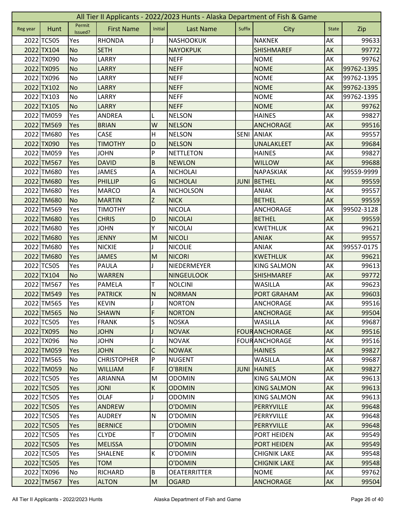|          | All Tier II Applicants - 2022/2023 Hunts - Alaska Department of Fish & Game |                   |                    |              |                     |             |                      |              |            |  |  |  |
|----------|-----------------------------------------------------------------------------|-------------------|--------------------|--------------|---------------------|-------------|----------------------|--------------|------------|--|--|--|
| Reg year | Hunt                                                                        | Permit<br>Issued? | <b>First Name</b>  | Initial      | <b>Last Name</b>    | Suffix      | City                 | <b>State</b> | Zip        |  |  |  |
|          | 2022 TC505                                                                  | Yes               | <b>RHONDA</b>      |              | <b>NASHOOKUK</b>    |             | <b>NAKNEK</b>        | AK           | 99633      |  |  |  |
|          | 2022 TX104                                                                  | <b>No</b>         | <b>SETH</b>        |              | <b>NAYOKPUK</b>     |             | <b>SHISHMAREF</b>    | AK           | 99772      |  |  |  |
|          | 2022 TX090                                                                  | No                | LARRY              |              | <b>NEFF</b>         |             | <b>NOME</b>          | AK           | 99762      |  |  |  |
|          | 2022 TX095                                                                  | <b>No</b>         | <b>LARRY</b>       |              | <b>NEFF</b>         |             | <b>NOME</b>          | AK           | 99762-1395 |  |  |  |
|          | 2022 TX096                                                                  | <b>No</b>         | LARRY              |              | <b>NEFF</b>         |             | <b>NOME</b>          | AK           | 99762-1395 |  |  |  |
|          | 2022 TX102                                                                  | <b>No</b>         | <b>LARRY</b>       |              | <b>NEFF</b>         |             | <b>NOME</b>          | AK           | 99762-1395 |  |  |  |
|          | 2022 TX103                                                                  | <b>No</b>         | LARRY              |              | <b>NEFF</b>         |             | <b>NOME</b>          | AK           | 99762-1395 |  |  |  |
|          | 2022 TX105                                                                  | <b>No</b>         | <b>LARRY</b>       |              | <b>NEFF</b>         |             | <b>NOME</b>          | AK           | 99762      |  |  |  |
|          | 2022 TM059                                                                  | Yes               | <b>ANDREA</b>      | L            | <b>NELSON</b>       |             | <b>HAINES</b>        | AK           | 99827      |  |  |  |
|          | 2022 TM569                                                                  | Yes               | <b>BRIAN</b>       | W            | <b>NELSON</b>       |             | <b>ANCHORAGE</b>     | AK           | 99516      |  |  |  |
|          | 2022 TM680                                                                  | Yes               | CASE               | Η            | <b>NELSON</b>       | <b>SENI</b> | <b>ANIAK</b>         | AK           | 99557      |  |  |  |
|          | 2022 TX090                                                                  | Yes               | <b>TIMOTHY</b>     | D            | <b>NELSON</b>       |             | UNALAKLEET           | AK           | 99684      |  |  |  |
|          | 2022 TM059                                                                  | Yes               | <b>JOHN</b>        | P            | <b>NETTLETON</b>    |             | <b>HAINES</b>        | АK           | 99827      |  |  |  |
|          | 2022 TM567                                                                  | Yes               | <b>DAVID</b>       | $\sf B$      | <b>NEWLON</b>       |             | <b>WILLOW</b>        | AK           | 99688      |  |  |  |
|          | 2022 TM680                                                                  | Yes               | <b>JAMES</b>       | А            | <b>NICHOLAI</b>     |             | <b>NAPASKIAK</b>     | AK           | 99559-9999 |  |  |  |
|          | 2022 TM680                                                                  | Yes               | <b>PHILLIP</b>     | G            | <b>NICHOLAI</b>     | <b>JUNI</b> | <b>BETHEL</b>        | AK           | 99559      |  |  |  |
|          | 2022 TM680                                                                  | Yes               | <b>MARCO</b>       | A            | <b>NICHOLSON</b>    |             | <b>ANIAK</b>         | AK           | 99557      |  |  |  |
|          | 2022 TM680                                                                  | <b>No</b>         | <b>MARTIN</b>      | Z            | <b>NICK</b>         |             | <b>BETHEL</b>        | AK           | 99559      |  |  |  |
|          | 2022 TM569                                                                  | Yes               | <b>TIMOTHY</b>     |              | <b>NICOLA</b>       |             | <b>ANCHORAGE</b>     | AK           | 99502-3128 |  |  |  |
|          | 2022 TM680                                                                  | Yes               | <b>CHRIS</b>       | D            | <b>NICOLAI</b>      |             | <b>BETHEL</b>        | AK           | 99559      |  |  |  |
|          | 2022 TM680                                                                  | Yes               | <b>JOHN</b>        | Y            | <b>NICOLAI</b>      |             | <b>KWETHLUK</b>      | AK           | 99621      |  |  |  |
|          | 2022 TM680                                                                  | Yes               | <b>JENNY</b>       | M            | <b>NICOLI</b>       |             | <b>ANIAK</b>         | AK           | 99557      |  |  |  |
|          | 2022 TM680                                                                  | Yes               | <b>NICKIE</b>      |              | <b>NICOLIE</b>      |             | <b>ANIAK</b>         | AK           | 99557-0175 |  |  |  |
|          | 2022 TM680                                                                  | Yes               | <b>JAMES</b>       | M            | <b>NICORI</b>       |             | <b>KWETHLUK</b>      | AK           | 99621      |  |  |  |
|          | 2022 TC505                                                                  | Yes               | PAULA              | J            | NIEDERMEYER         |             | <b>KING SALMON</b>   | AK           | 99613      |  |  |  |
|          | 2022 TX104                                                                  | <b>No</b>         | <b>WARREN</b>      |              | <b>NINGEULOOK</b>   |             | <b>SHISHMAREF</b>    | AK           | 99772      |  |  |  |
|          | 2022 TM567                                                                  | Yes               | <b>PAMELA</b>      | Т            | <b>NOLCINI</b>      |             | <b>WASILLA</b>       | AK           | 99623      |  |  |  |
|          | 2022 TM549                                                                  | Yes               | <b>PATRICK</b>     | $\mathsf{N}$ | <b>NORMAN</b>       |             | PORT GRAHAM          | AK           | 99603      |  |  |  |
|          | 2022 TM565                                                                  | Yes               | <b>KEVIN</b>       | $\mathsf I$  | <b>NORTON</b>       |             | ANCHORAGE            | AK           | 99516      |  |  |  |
|          | 2022 TM565                                                                  | <b>No</b>         | <b>SHAWN</b>       | F            | <b>NORTON</b>       |             | <b>ANCHORAGE</b>     | AK           | 99504      |  |  |  |
|          | 2022 TC505                                                                  | Yes               | <b>FRANK</b>       | S            | <b>NOSKA</b>        |             | <b>WASILLA</b>       | AK           | 99687      |  |  |  |
|          | 2022 TX095                                                                  | <b>No</b>         | <b>JOHN</b>        | J            | <b>NOVAK</b>        |             | <b>FOURANCHORAGE</b> | AK           | 99516      |  |  |  |
|          | 2022 TX096                                                                  | No                | <b>JOHN</b>        |              | <b>NOVAK</b>        |             | <b>FOURANCHORAGE</b> | AK           | 99516      |  |  |  |
|          | 2022 TM059                                                                  | Yes               | <b>JOHN</b>        | C            | <b>NOWAK</b>        |             | <b>HAINES</b>        | AK           | 99827      |  |  |  |
|          | 2022 TM565                                                                  | No                | <b>CHRISTOPHER</b> | P            | <b>NUGENT</b>       |             | <b>WASILLA</b>       | АK           | 99687      |  |  |  |
|          | 2022 TM059                                                                  | <b>No</b>         | <b>WILLIAM</b>     | F            | O'BRIEN             | <b>JUNI</b> | <b>HAINES</b>        | AK           | 99827      |  |  |  |
|          | 2022 TC505                                                                  | Yes               | <b>ARIANNA</b>     | M            | <b>ODOMIN</b>       |             | <b>KING SALMON</b>   | AK           | 99613      |  |  |  |
|          | 2022 TC505                                                                  | Yes               | <b>JONI</b>        | К            | <b>ODOMIN</b>       |             | <b>KING SALMON</b>   | AK           | 99613      |  |  |  |
|          | 2022 TC505                                                                  | Yes               | OLAF               | J            | <b>ODOMIN</b>       |             | <b>KING SALMON</b>   | АK           | 99613      |  |  |  |
|          | 2022 TC505                                                                  | Yes               | ANDREW             |              | O'DOMIN             |             | PERRYVILLE           | AK           | 99648      |  |  |  |
|          | 2022 TC505                                                                  | Yes               | <b>AUDREY</b>      | ${\sf N}$    | O'DOMIN             |             | PERRYVILLE           | AK           | 99648      |  |  |  |
|          | 2022 TC505                                                                  | Yes               | <b>BERNICE</b>     |              | O'DOMIN             |             | PERRYVILLE           | AK           | 99648      |  |  |  |
|          | 2022 TC505                                                                  | Yes               | <b>CLYDE</b>       | т            | O'DOMIN             |             | <b>PORT HEIDEN</b>   | AK           | 99549      |  |  |  |
|          | 2022 TC505                                                                  | Yes               | <b>MELISSA</b>     |              | O'DOMIN             |             | <b>PORT HEIDEN</b>   | AK           | 99549      |  |  |  |
|          | 2022 TC505                                                                  | Yes               | SHALENE            | К            | O'DOMIN             |             | <b>CHIGNIK LAKE</b>  | AK           | 99548      |  |  |  |
|          | 2022 TC505                                                                  | Yes               | <b>TOM</b>         |              | O'DOMIN             |             | <b>CHIGNIK LAKE</b>  | AK           | 99548      |  |  |  |
|          | 2022 TX096                                                                  | No                | <b>RICHARD</b>     | B            | <b>OEATERRITTER</b> |             | <b>NOME</b>          | АK           | 99762      |  |  |  |
|          | 2022 TM567                                                                  | Yes               | <b>ALTON</b>       | ${\sf M}$    | <b>OGARD</b>        |             | <b>ANCHORAGE</b>     | AK           | 99504      |  |  |  |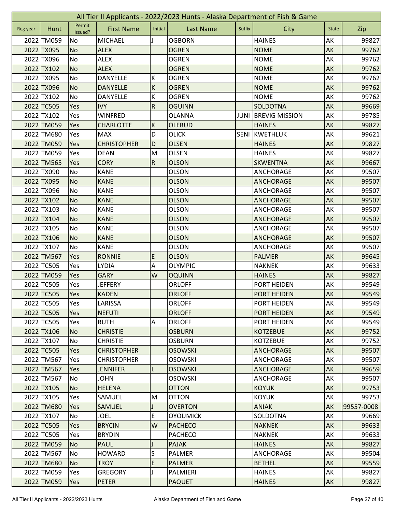|          | All Tier II Applicants - 2022/2023 Hunts - Alaska Department of Fish & Game |                   |                    |                |                  |             |                       |              |            |  |  |  |
|----------|-----------------------------------------------------------------------------|-------------------|--------------------|----------------|------------------|-------------|-----------------------|--------------|------------|--|--|--|
| Reg year | Hunt                                                                        | Permit<br>Issued? | <b>First Name</b>  | Initial        | <b>Last Name</b> | Suffix      | City                  | <b>State</b> | Zip        |  |  |  |
|          | 2022 TM059                                                                  | No                | <b>MICHAEL</b>     |                | <b>OGBORN</b>    |             | <b>HAINES</b>         | AK           | 99827      |  |  |  |
|          | 2022 TX095                                                                  | <b>No</b>         | <b>ALEX</b>        |                | <b>OGREN</b>     |             | <b>NOME</b>           | AK           | 99762      |  |  |  |
|          | 2022 TX096                                                                  | No                | <b>ALEX</b>        |                | <b>OGREN</b>     |             | <b>NOME</b>           | AK           | 99762      |  |  |  |
|          | 2022 TX102                                                                  | <b>No</b>         | <b>ALEX</b>        |                | <b>OGREN</b>     |             | <b>NOME</b>           | AK           | 99762      |  |  |  |
|          | 2022 TX095                                                                  | No                | DANYELLE           | К              | <b>OGREN</b>     |             | <b>NOME</b>           | AK           | 99762      |  |  |  |
|          | 2022 TX096                                                                  | <b>No</b>         | <b>DANYELLE</b>    | $\sf K$        | <b>OGREN</b>     |             | <b>NOME</b>           | AK           | 99762      |  |  |  |
|          | 2022 TX102                                                                  | No                | DANYELLE           | К              | <b>OGREN</b>     |             | <b>NOME</b>           | AK           | 99762      |  |  |  |
|          | 2022 TC505                                                                  | Yes               | <b>IVY</b>         | $\overline{R}$ | <b>OGUINN</b>    |             | <b>SOLDOTNA</b>       | AK           | 99669      |  |  |  |
|          | 2022 TX102                                                                  | Yes               | <b>WINFRED</b>     |                | <b>OLANNA</b>    | <b>JUNI</b> | <b>BREVIG MISSION</b> | AK           | 99785      |  |  |  |
|          | 2022 TM059                                                                  | Yes               | <b>CHARLOTTE</b>   | $\sf K$        | <b>OLERUD</b>    |             | <b>HAINES</b>         | AK           | 99827      |  |  |  |
|          | 2022 TM680                                                                  | Yes               | <b>MAX</b>         | D              | <b>OLICK</b>     | <b>SENI</b> | <b>KWETHLUK</b>       | AK           | 99621      |  |  |  |
|          | 2022 TM059                                                                  | Yes               | <b>CHRISTOPHER</b> | D              | <b>OLSEN</b>     |             | <b>HAINES</b>         | AK           | 99827      |  |  |  |
|          | 2022 TM059                                                                  | Yes               | <b>DEAN</b>        | M              | <b>OLSEN</b>     |             | <b>HAINES</b>         | AK           | 99827      |  |  |  |
|          | 2022 TM565                                                                  | Yes               | <b>CORY</b>        | ${\sf R}$      | <b>OLSON</b>     |             | <b>SKWENTNA</b>       | AK           | 99667      |  |  |  |
|          | 2022 TX090                                                                  | No                | <b>KANE</b>        |                | <b>OLSON</b>     |             | ANCHORAGE             | АK           | 99507      |  |  |  |
|          | 2022 TX095                                                                  | <b>No</b>         | <b>KANE</b>        |                | <b>OLSON</b>     |             | <b>ANCHORAGE</b>      | AK           | 99507      |  |  |  |
|          | 2022 TX096                                                                  | No                | <b>KANE</b>        |                | <b>OLSON</b>     |             | <b>ANCHORAGE</b>      | AK           | 99507      |  |  |  |
|          | 2022 TX102                                                                  | <b>No</b>         | <b>KANE</b>        |                | <b>OLSON</b>     |             | <b>ANCHORAGE</b>      | AK           | 99507      |  |  |  |
|          | 2022 TX103                                                                  | No                | <b>KANE</b>        |                | <b>OLSON</b>     |             | <b>ANCHORAGE</b>      | AK           | 99507      |  |  |  |
|          | 2022 TX104                                                                  | <b>No</b>         | <b>KANE</b>        |                | <b>OLSON</b>     |             | <b>ANCHORAGE</b>      | AK           | 99507      |  |  |  |
|          | 2022 TX105                                                                  | No                | <b>KANE</b>        |                | <b>OLSON</b>     |             | ANCHORAGE             | AK           | 99507      |  |  |  |
|          | 2022 TX106                                                                  | <b>No</b>         | <b>KANE</b>        |                | <b>OLSON</b>     |             | <b>ANCHORAGE</b>      | AK           | 99507      |  |  |  |
|          | 2022 TX107                                                                  | No                | <b>KANE</b>        |                | <b>OLSON</b>     |             | ANCHORAGE             | AK           | 99507      |  |  |  |
|          | 2022 TM567                                                                  | Yes               | <b>RONNIE</b>      | E              | <b>OLSON</b>     |             | <b>PALMER</b>         | AK           | 99645      |  |  |  |
|          | 2022 TC505                                                                  | Yes               | <b>LYDIA</b>       | Α              | <b>OLYMPIC</b>   |             | <b>NAKNEK</b>         | AK           | 99633      |  |  |  |
|          | 2022 TM059                                                                  | Yes               | <b>GARY</b>        | W              | <b>OQUINN</b>    |             | <b>HAINES</b>         | AK           | 99827      |  |  |  |
|          | 2022 TC505                                                                  | Yes               | <b>JEFFERY</b>     |                | <b>ORLOFF</b>    |             | PORT HEIDEN           | AK           | 99549      |  |  |  |
|          | 2022 TC505                                                                  | Yes               | <b>KADEN</b>       |                | <b>ORLOFF</b>    |             | <b>PORT HEIDEN</b>    | AK           | 99549      |  |  |  |
|          | 2022 TC505                                                                  | Yes               | LARISSA            |                | <b>ORLOFF</b>    |             | PORT HEIDEN           | AK           | 99549      |  |  |  |
|          | 2022 TC505                                                                  | <b>Yes</b>        | <b>NEFUTI</b>      |                | <b>ORLOFF</b>    |             | <b>PORT HEIDEN</b>    | AK           | 99549      |  |  |  |
|          | 2022 TC505                                                                  | Yes               | <b>RUTH</b>        | A              | <b>ORLOFF</b>    |             | <b>PORT HEIDEN</b>    | AK           | 99549      |  |  |  |
|          | 2022 TX106                                                                  | No                | <b>CHRISTIE</b>    |                | <b>OSBURN</b>    |             | <b>KOTZEBUE</b>       | AK           | 99752      |  |  |  |
|          | 2022 TX107                                                                  | No                | <b>CHRISTIE</b>    |                | <b>OSBURN</b>    |             | <b>KOTZEBUE</b>       | AK           | 99752      |  |  |  |
|          | 2022 TC505                                                                  | Yes               | <b>CHRISTOPHER</b> |                | <b>OSOWSKI</b>   |             | <b>ANCHORAGE</b>      | AK           | 99507      |  |  |  |
|          | 2022 TM567                                                                  | Yes               | <b>CHRISTOPHER</b> |                | <b>OSOWSKI</b>   |             | ANCHORAGE             | AK           | 99507      |  |  |  |
|          | 2022 TM567                                                                  | Yes               | <b>JENNIFER</b>    | L              | <b>OSOWSKI</b>   |             | <b>ANCHORAGE</b>      | <b>AK</b>    | 99659      |  |  |  |
|          | 2022 TM567                                                                  | No                | <b>JOHN</b>        |                | <b>OSOWSKI</b>   |             | ANCHORAGE             | AK           | 99507      |  |  |  |
|          | 2022 TX105                                                                  | No                | <b>HELENA</b>      |                | <b>OTTON</b>     |             | <b>KOYUK</b>          | AK           | 99753      |  |  |  |
|          | 2022 TX105                                                                  | <b>Yes</b>        | SAMUEL             | M              | <b>OTTON</b>     |             | <b>KOYUK</b>          | AK           | 99753      |  |  |  |
|          | 2022 TM680                                                                  | Yes               | <b>SAMUEL</b>      |                | <b>OVERTON</b>   |             | <b>ANIAK</b>          | AK           | 99557-0008 |  |  |  |
|          | 2022 TX107                                                                  | No                | <b>JOEL</b>        | E              | <b>OYOUMICK</b>  |             | SOLDOTNA              | AK           | 99669      |  |  |  |
|          | 2022 TC505                                                                  | Yes               | <b>BRYCIN</b>      | W              | <b>PACHECO</b>   |             | <b>NAKNEK</b>         | AK           | 99633      |  |  |  |
|          | 2022 TC505                                                                  | Yes               | <b>BRYDIN</b>      |                | <b>PACHECO</b>   |             | <b>NAKNEK</b>         | AK           | 99633      |  |  |  |
|          | 2022 TM059                                                                  | N <sub>o</sub>    | <b>PAUL</b>        |                | <b>PAJAK</b>     |             | <b>HAINES</b>         | AK           | 99827      |  |  |  |
|          | 2022 TM567                                                                  | No                | <b>HOWARD</b>      | S              | <b>PALMER</b>    |             | ANCHORAGE             | AK           | 99504      |  |  |  |
|          | 2022 TM680                                                                  | <b>No</b>         | <b>TROY</b>        | E              | <b>PALMER</b>    |             | <b>BETHEL</b>         | AK           | 99559      |  |  |  |
|          | 2022 TM059                                                                  | Yes               | <b>GREGORY</b>     |                | PALMIERI         |             | <b>HAINES</b>         | AK           | 99827      |  |  |  |
|          | 2022 TM059                                                                  | Yes               | <b>PETER</b>       |                | <b>PAQUET</b>    |             | <b>HAINES</b>         | AK           | 99827      |  |  |  |
|          |                                                                             |                   |                    |                |                  |             |                       |              |            |  |  |  |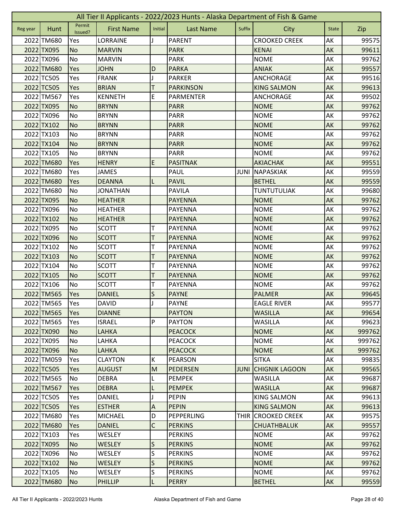|          | All Tier II Applicants - 2022/2023 Hunts - Alaska Department of Fish & Game |                   |                   |                           |                  |             |                       |              |        |  |  |  |
|----------|-----------------------------------------------------------------------------|-------------------|-------------------|---------------------------|------------------|-------------|-----------------------|--------------|--------|--|--|--|
| Reg year | Hunt                                                                        | Permit<br>Issued? | <b>First Name</b> | Initial                   | <b>Last Name</b> | Suffix      | City                  | <b>State</b> | Zip    |  |  |  |
|          | 2022 TM680                                                                  | Yes               | <b>LORRAINE</b>   |                           | <b>PARENT</b>    |             | <b>CROOKED CREEK</b>  | AK           | 99575  |  |  |  |
|          | 2022 TX095                                                                  | <b>No</b>         | <b>MARVIN</b>     |                           | <b>PARK</b>      |             | <b>KENAI</b>          | AK           | 99611  |  |  |  |
|          | 2022 TX096                                                                  | No                | <b>MARVIN</b>     |                           | <b>PARK</b>      |             | <b>NOME</b>           | AK           | 99762  |  |  |  |
|          | 2022 TM680                                                                  | Yes               | <b>JOHN</b>       | D                         | <b>PARKA</b>     |             | <b>ANIAK</b>          | AK           | 99557  |  |  |  |
|          | 2022 TC505                                                                  | Yes               | <b>FRANK</b>      | J                         | <b>PARKER</b>    |             | <b>ANCHORAGE</b>      | AK           | 99516  |  |  |  |
|          | 2022 TC505                                                                  | Yes               | <b>BRIAN</b>      | т                         | <b>PARKINSON</b> |             | <b>KING SALMON</b>    | AK           | 99613  |  |  |  |
|          | 2022 TM567                                                                  | Yes               | <b>KENNETH</b>    | E                         | <b>PARMENTER</b> |             | ANCHORAGE             | AK           | 99502  |  |  |  |
|          | 2022 TX095                                                                  | <b>No</b>         | <b>BRYNN</b>      |                           | <b>PARR</b>      |             | <b>NOME</b>           | AK           | 99762  |  |  |  |
|          | 2022 TX096                                                                  | No                | <b>BRYNN</b>      |                           | <b>PARR</b>      |             | <b>NOME</b>           | AK           | 99762  |  |  |  |
|          | 2022 TX102                                                                  | <b>No</b>         | <b>BRYNN</b>      |                           | <b>PARR</b>      |             | <b>NOME</b>           | AK           | 99762  |  |  |  |
|          | 2022 TX103                                                                  | No                | <b>BRYNN</b>      |                           | <b>PARR</b>      |             | <b>NOME</b>           | AK           | 99762  |  |  |  |
|          | 2022 TX104                                                                  | <b>No</b>         | <b>BRYNN</b>      |                           | <b>PARR</b>      |             | <b>NOME</b>           | AK           | 99762  |  |  |  |
|          | 2022 TX105                                                                  | No                | <b>BRYNN</b>      |                           | <b>PARR</b>      |             | <b>NOME</b>           | AK           | 99762  |  |  |  |
|          | 2022 TM680                                                                  | Yes               | <b>HENRY</b>      | E                         | <b>PASITNAK</b>  |             | <b>AKIACHAK</b>       | AK           | 99551  |  |  |  |
|          | 2022 TM680                                                                  | Yes               | <b>JAMES</b>      |                           | PAUL             | JUNI        | NAPASKIAK             | АK           | 99559  |  |  |  |
|          | 2022 TM680                                                                  | Yes               | <b>DEANNA</b>     |                           | <b>PAVIL</b>     |             | <b>BETHEL</b>         | AK           | 99559  |  |  |  |
|          | 2022 TM680                                                                  | <b>No</b>         | <b>JONATHAN</b>   |                           | <b>PAVILA</b>    |             | <b>TUNTUTULIAK</b>    | AK           | 99680  |  |  |  |
|          | 2022 TX095                                                                  | <b>No</b>         | <b>HEATHER</b>    |                           | <b>PAYENNA</b>   |             | <b>NOME</b>           | AK           | 99762  |  |  |  |
|          | 2022 TX096                                                                  | <b>No</b>         | <b>HEATHER</b>    |                           | <b>PAYENNA</b>   |             | <b>NOME</b>           | AK           | 99762  |  |  |  |
|          | 2022 TX102                                                                  | <b>No</b>         | <b>HEATHER</b>    |                           | <b>PAYENNA</b>   |             | <b>NOME</b>           | AK           | 99762  |  |  |  |
|          | 2022 TX095                                                                  | No                | <b>SCOTT</b>      | т                         | <b>PAYENNA</b>   |             | <b>NOME</b>           | AK           | 99762  |  |  |  |
|          | 2022 TX096                                                                  | <b>No</b>         | <b>SCOTT</b>      | T                         | <b>PAYENNA</b>   |             | <b>NOME</b>           | AK           | 99762  |  |  |  |
|          | 2022 TX102                                                                  | No                | <b>SCOTT</b>      | т                         | <b>PAYENNA</b>   |             | <b>NOME</b>           | AK           | 99762  |  |  |  |
|          | 2022 TX103                                                                  | <b>No</b>         | <b>SCOTT</b>      | Τ                         | <b>PAYENNA</b>   |             | <b>NOME</b>           | AK           | 99762  |  |  |  |
|          | 2022 TX104                                                                  | No                | <b>SCOTT</b>      | т                         | <b>PAYENNA</b>   |             | <b>NOME</b>           | AK           | 99762  |  |  |  |
|          | 2022 TX105                                                                  | <b>No</b>         | <b>SCOTT</b>      | T                         | <b>PAYENNA</b>   |             | <b>NOME</b>           | AK           | 99762  |  |  |  |
|          | 2022 TX106                                                                  | No                | <b>SCOTT</b>      | T                         | <b>PAYENNA</b>   |             | <b>NOME</b>           | AK           | 99762  |  |  |  |
|          | 2022 TM565                                                                  | Yes               | <b>DANIEL</b>     | S                         | <b>PAYNE</b>     |             | <b>PALMER</b>         | AK           | 99645  |  |  |  |
|          | 2022 TM565                                                                  | Yes               | <b>DAVID</b>      | IJ                        | <b>PAYNE</b>     |             | <b>EAGLE RIVER</b>    | AK           | 99577  |  |  |  |
|          | 2022 TM565                                                                  | <b>Yes</b>        | <b>DIANNE</b>     |                           | <b>PAYTON</b>    |             | <b>WASILLA</b>        | AK           | 99654  |  |  |  |
|          | 2022 TM565                                                                  | Yes               | <b>ISRAEL</b>     | P                         | <b>PAYTON</b>    |             | <b>WASILLA</b>        | AK           | 99623  |  |  |  |
|          | 2022 TX090                                                                  | No                | LAHKA             |                           | <b>PEACOCK</b>   |             | <b>NOME</b>           | AK           | 999762 |  |  |  |
|          | 2022 TX095                                                                  | No                | LAHKA             |                           | <b>PEACOCK</b>   |             | <b>NOME</b>           | AK           | 999762 |  |  |  |
|          | 2022 TX096                                                                  | No                | <b>LAHKA</b>      |                           | <b>PEACOCK</b>   |             | <b>NOME</b>           | AK           | 999762 |  |  |  |
|          | 2022 TM059                                                                  | Yes               | <b>CLAYTON</b>    | К                         | <b>PEARSON</b>   |             | <b>SITKA</b>          | AK           | 99835  |  |  |  |
|          | 2022 TC505                                                                  | <b>Yes</b>        | <b>AUGUST</b>     | M                         | <b>PEDERSEN</b>  | <b>JUNI</b> | <b>CHIGNIK LAGOON</b> | <b>AK</b>    | 99565  |  |  |  |
|          | 2022 TM565                                                                  | No                | <b>DEBRA</b>      | L                         | <b>PEMPEK</b>    |             | <b>WASILLA</b>        | AK           | 99687  |  |  |  |
|          | 2022 TM567                                                                  | Yes               | <b>DEBRA</b>      | L                         | <b>PEMPEK</b>    |             | <b>WASILLA</b>        | AK           | 99687  |  |  |  |
|          | 2022 TC505                                                                  | <b>Yes</b>        | DANIEL            |                           | <b>PEPIN</b>     |             | <b>KING SALMON</b>    | AK           | 99613  |  |  |  |
|          | 2022 TC505                                                                  | Yes               | <b>ESTHER</b>     | $\boldsymbol{\mathsf{A}}$ | <b>PEPIN</b>     |             | <b>KING SALMON</b>    | AK           | 99613  |  |  |  |
|          | 2022 TM680                                                                  | Yes               | <b>MICHAEL</b>    | D                         | PEPPERLING       | THIR        | <b>CROOKED CREEK</b>  | AK           | 99575  |  |  |  |
|          | 2022 TM680                                                                  | Yes               | <b>DANIEL</b>     | $\mathsf C$               | <b>PERKINS</b>   |             | <b>CHUATHBALUK</b>    | AK           | 99557  |  |  |  |
|          | 2022 TX103                                                                  | Yes               | <b>WESLEY</b>     |                           | <b>PERKINS</b>   |             | <b>NOME</b>           | AK           | 99762  |  |  |  |
|          | 2022 TX095                                                                  | <b>No</b>         | <b>WESLEY</b>     | S                         | <b>PERKINS</b>   |             | <b>NOME</b>           | AK           | 99762  |  |  |  |
|          | 2022 TX096                                                                  | No                | <b>WESLEY</b>     | S                         | <b>PERKINS</b>   |             | <b>NOME</b>           | AK           | 99762  |  |  |  |
|          | 2022 TX102                                                                  | <b>No</b>         | <b>WESLEY</b>     | $\mathsf{S}$              | <b>PERKINS</b>   |             | <b>NOME</b>           | AK           | 99762  |  |  |  |
|          | 2022 TX105                                                                  | No                | WESLEY            | S                         | <b>PERKINS</b>   |             | <b>NOME</b>           | AK           | 99762  |  |  |  |
|          | 2022 TM680                                                                  | No                | <b>PHILLIP</b>    | L                         | <b>PERRY</b>     |             | <b>BETHEL</b>         | AK           | 99559  |  |  |  |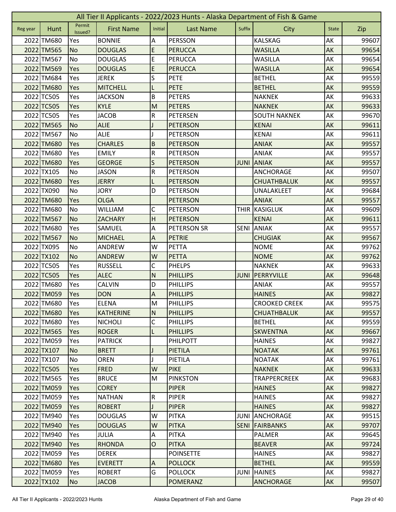|          | All Tier II Applicants - 2022/2023 Hunts - Alaska Department of Fish & Game |                   |                   |                           |                    |             |                      |              |       |  |  |  |
|----------|-----------------------------------------------------------------------------|-------------------|-------------------|---------------------------|--------------------|-------------|----------------------|--------------|-------|--|--|--|
| Reg year | Hunt                                                                        | Permit<br>Issued? | <b>First Name</b> | Initial                   | <b>Last Name</b>   | Suffix      | City                 | <b>State</b> | Zip   |  |  |  |
|          | 2022 TM680                                                                  | Yes               | <b>BONNIE</b>     | Α                         | <b>PERSSON</b>     |             | <b>KALSKAG</b>       | AK           | 99607 |  |  |  |
|          | 2022 TM565                                                                  | <b>No</b>         | <b>DOUGLAS</b>    | E                         | <b>PERUCCA</b>     |             | <b>WASILLA</b>       | AK           | 99654 |  |  |  |
|          | 2022 TM567                                                                  | No                | <b>DOUGLAS</b>    | E                         | <b>PERUCCA</b>     |             | WASILLA              | AK           | 99654 |  |  |  |
|          | 2022 TM569                                                                  | Yes               | <b>DOUGLAS</b>    | E                         | <b>PERUCCA</b>     |             | <b>WASILLA</b>       | AK           | 99654 |  |  |  |
|          | 2022 TM684                                                                  | Yes               | <b>JEREK</b>      | S                         | <b>PETE</b>        |             | <b>BETHEL</b>        | AK           | 99559 |  |  |  |
|          | 2022 TM680                                                                  | Yes               | <b>MITCHELL</b>   | L                         | <b>PETE</b>        |             | <b>BETHEL</b>        | AK           | 99559 |  |  |  |
|          | 2022 TC505                                                                  | Yes               | <b>JACKSON</b>    | B                         | <b>PETERS</b>      |             | <b>NAKNEK</b>        | AK           | 99633 |  |  |  |
|          | 2022 TC505                                                                  | Yes               | <b>KYLE</b>       | M                         | <b>PETERS</b>      |             | <b>NAKNEK</b>        | AK           | 99633 |  |  |  |
|          | 2022 TC505                                                                  | Yes               | <b>JACOB</b>      | ${\sf R}$                 | PETERSEN           |             | <b>SOUTH NAKNEK</b>  | AK           | 99670 |  |  |  |
|          | 2022 TM565                                                                  | <b>No</b>         | <b>ALIE</b>       |                           | <b>PETERSON</b>    |             | <b>KENAI</b>         | AK           | 99611 |  |  |  |
|          | 2022 TM567                                                                  | No                | <b>ALIE</b>       |                           | <b>PETERSON</b>    |             | <b>KENAI</b>         | AK           | 99611 |  |  |  |
|          | 2022 TM680                                                                  | Yes               | <b>CHARLES</b>    | $\sf B$                   | <b>PETERSON</b>    |             | <b>ANIAK</b>         | AK           | 99557 |  |  |  |
|          | 2022 TM680                                                                  | Yes               | <b>EMILY</b>      | ${\sf R}$                 | <b>PETERSON</b>    |             | <b>ANIAK</b>         | AK           | 99557 |  |  |  |
|          | 2022 TM680                                                                  | Yes               | <b>GEORGE</b>     | S                         | <b>PETERSON</b>    |             | <b>JUNI ANIAK</b>    | AK           | 99557 |  |  |  |
|          | 2022 TX105                                                                  | No                | <b>JASON</b>      | ${\sf R}$                 | <b>PETERSON</b>    |             | ANCHORAGE            | AK           | 99507 |  |  |  |
|          | 2022 TM680                                                                  | Yes               | <b>JERRY</b>      | L                         | <b>PETERSON</b>    |             | <b>CHUATHBALUK</b>   | AK           | 99557 |  |  |  |
|          | 2022 TX090                                                                  | No                | <b>JORY</b>       | D                         | <b>PETERSON</b>    |             | UNALAKLEET           | AK           | 99684 |  |  |  |
|          | 2022 TM680                                                                  | Yes               | <b>OLGA</b>       |                           | <b>PETERSON</b>    |             | <b>ANIAK</b>         | AK           | 99557 |  |  |  |
|          | 2022 TM680                                                                  | No                | <b>WILLIAM</b>    | C                         | PETERSON           |             | <b>THIR KASIGLUK</b> | AK           | 99609 |  |  |  |
|          | 2022 TM567                                                                  | No                | <b>ZACHARY</b>    | H                         | <b>PETERSON</b>    |             | <b>KENAI</b>         | AK           | 99611 |  |  |  |
|          | 2022 TM680                                                                  | Yes               | SAMUEL            | A                         | <b>PETERSON SR</b> | <b>SENI</b> | <b>ANIAK</b>         | AK           | 99557 |  |  |  |
|          | 2022 TM567                                                                  | <b>No</b>         | <b>MICHAEL</b>    | $\boldsymbol{\mathsf{A}}$ | <b>PETRIE</b>      |             | <b>CHUGIAK</b>       | AK           | 99567 |  |  |  |
|          | 2022 TX095                                                                  | No                | ANDREW            | W                         | <b>PETTA</b>       |             | <b>NOME</b>          | AK           | 99762 |  |  |  |
|          | 2022 TX102                                                                  | <b>No</b>         | <b>ANDREW</b>     | W                         | <b>PETTA</b>       |             | <b>NOME</b>          | <b>AK</b>    | 99762 |  |  |  |
|          | 2022 TC505                                                                  | Yes               | <b>RUSSELL</b>    | C                         | <b>PHELPS</b>      |             | <b>NAKNEK</b>        | AK           | 99633 |  |  |  |
|          | 2022 TC505                                                                  | Yes               | <b>ALEC</b>       | N                         | <b>PHILLIPS</b>    | <b>JUNI</b> | PERRYVILLE           | AK           | 99648 |  |  |  |
|          | 2022 TM680                                                                  | Yes               | <b>CALVIN</b>     | D                         | <b>PHILLIPS</b>    |             | ANIAK                | AK           | 99557 |  |  |  |
|          | 2022 TM059                                                                  | Yes               | <b>DON</b>        | $\boldsymbol{\mathsf{A}}$ | <b>PHILLIPS</b>    |             | <b>HAINES</b>        | AK           | 99827 |  |  |  |
|          | 2022 TM680                                                                  | Yes               | <b>ELENA</b>      | M                         | <b>PHILLIPS</b>    |             | <b>CROOKED CREEK</b> | AK           | 99575 |  |  |  |
|          | 2022 TM680                                                                  | <b>Yes</b>        | <b>KATHERINE</b>  | N                         | <b>PHILLIPS</b>    |             | <b>CHUATHBALUK</b>   | AK           | 99557 |  |  |  |
|          | 2022 TM680                                                                  | Yes               | <b>NICHOLI</b>    | C                         | PHILLIPS           |             | <b>BETHEL</b>        | AK           | 99559 |  |  |  |
|          | 2022 TM565                                                                  | <b>Yes</b>        | <b>ROGER</b>      | L                         | <b>PHILLIPS</b>    |             | <b>SKWENTNA</b>      | AK           | 99667 |  |  |  |
|          | 2022 TM059                                                                  | Yes               | <b>PATRICK</b>    |                           | PHILPOTT           |             | <b>HAINES</b>        | AK           | 99827 |  |  |  |
|          | 2022 TX107                                                                  | No                | <b>BRETT</b>      |                           | PIETILA            |             | <b>NOATAK</b>        | AK           | 99761 |  |  |  |
|          | 2022 TX107                                                                  | No                | <b>OREN</b>       |                           | PIETILA            |             | <b>NOATAK</b>        | AK           | 99761 |  |  |  |
|          | 2022 TC505                                                                  | <b>Yes</b>        | <b>FRED</b>       | W                         | <b>PIKE</b>        |             | <b>NAKNEK</b>        | <b>AK</b>    | 99633 |  |  |  |
|          | 2022 TM565                                                                  | Yes               | <b>BRUCE</b>      | M                         | <b>PINKSTON</b>    |             | <b>TRAPPERCREEK</b>  | AK           | 99683 |  |  |  |
|          | 2022 TM059                                                                  | Yes               | <b>COREY</b>      |                           | <b>PIPER</b>       |             | <b>HAINES</b>        | <b>AK</b>    | 99827 |  |  |  |
|          | 2022 TM059                                                                  | Yes               | <b>NATHAN</b>     | R                         | <b>PIPER</b>       |             | <b>HAINES</b>        | АK           | 99827 |  |  |  |
|          | 2022 TM059                                                                  | Yes               | <b>ROBERT</b>     |                           | <b>PIPER</b>       |             | <b>HAINES</b>        | AK           | 99827 |  |  |  |
|          | 2022 TM940                                                                  | Yes               | <b>DOUGLAS</b>    | W                         | <b>PITKA</b>       | <b>JUNI</b> | ANCHORAGE            | AK           | 99515 |  |  |  |
|          | 2022 TM940                                                                  | Yes               | <b>DOUGLAS</b>    | W                         | <b>PITKA</b>       | <b>SENI</b> | <b>FAIRBANKS</b>     | AK           | 99707 |  |  |  |
|          | 2022 TM940                                                                  | Yes               | <b>JULIA</b>      | Α                         | <b>PITKA</b>       |             | PALMER               | AK           | 99645 |  |  |  |
|          | 2022 TM940                                                                  | Yes               | <b>RHONDA</b>     | $\overline{O}$            | <b>PITKA</b>       |             | <b>BEAVER</b>        | AK           | 99724 |  |  |  |
|          | 2022 TM059                                                                  | Yes               | <b>DEREK</b>      |                           | <b>POINSETTE</b>   |             | <b>HAINES</b>        | AK           | 99827 |  |  |  |
|          | 2022 TM680                                                                  | Yes               | <b>EVERETT</b>    | $\mathsf A$               | <b>POLLOCK</b>     |             | <b>BETHEL</b>        | AK           | 99559 |  |  |  |
|          | 2022 TM059                                                                  | Yes               | <b>ROBERT</b>     | G                         | <b>POLLOCK</b>     | <b>JUNI</b> | <b>HAINES</b>        | AK           | 99827 |  |  |  |
|          | 2022 TX102                                                                  | <b>No</b>         | <b>JACOB</b>      |                           | <b>POMERANZ</b>    |             | ANCHORAGE            | AK           | 99507 |  |  |  |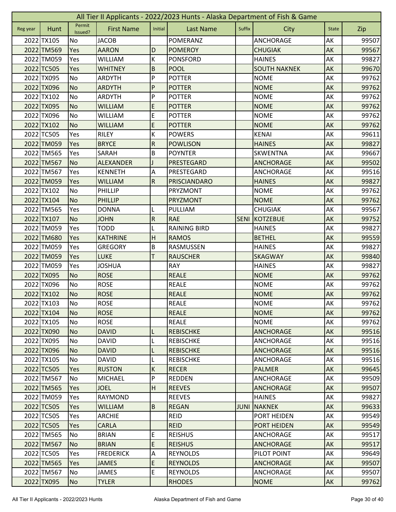| All Tier II Applicants - 2022/2023 Hunts - Alaska Department of Fish & Game |            |                   |                   |                |                     |             |                     |              |       |  |  |
|-----------------------------------------------------------------------------|------------|-------------------|-------------------|----------------|---------------------|-------------|---------------------|--------------|-------|--|--|
| Reg year                                                                    | Hunt       | Permit<br>Issued? | <b>First Name</b> | Initial        | <b>Last Name</b>    | Suffix      | City                | <b>State</b> | Zip   |  |  |
|                                                                             | 2022 TX105 | No                | <b>JACOB</b>      |                | <b>POMERANZ</b>     |             | <b>ANCHORAGE</b>    | AK           | 99507 |  |  |
|                                                                             | 2022 TM569 | Yes               | <b>AARON</b>      | D              | <b>POMEROY</b>      |             | <b>CHUGIAK</b>      | AK           | 99567 |  |  |
|                                                                             | 2022 TM059 | Yes               | <b>WILLIAM</b>    | К              | <b>PONSFORD</b>     |             | <b>HAINES</b>       | AK           | 99827 |  |  |
|                                                                             | 2022 TC505 | Yes               | <b>WHITNEY</b>    | $\overline{B}$ | <b>POOL</b>         |             | <b>SOUTH NAKNEK</b> | AK           | 99670 |  |  |
|                                                                             | 2022 TX095 | <b>No</b>         | <b>ARDYTH</b>     | P              | <b>POTTER</b>       |             | <b>NOME</b>         | AK           | 99762 |  |  |
|                                                                             | 2022 TX096 | <b>No</b>         | <b>ARDYTH</b>     | $\mathsf{P}$   | <b>POTTER</b>       |             | <b>NOME</b>         | AK           | 99762 |  |  |
|                                                                             | 2022 TX102 | No                | ARDYTH            | P              | <b>POTTER</b>       |             | <b>NOME</b>         | AK           | 99762 |  |  |
|                                                                             | 2022 TX095 | <b>No</b>         | <b>WILLIAM</b>    | E              | <b>POTTER</b>       |             | <b>NOME</b>         | AK           | 99762 |  |  |
|                                                                             | 2022 TX096 | No                | <b>WILLIAM</b>    | E              | <b>POTTER</b>       |             | <b>NOME</b>         | AK           | 99762 |  |  |
|                                                                             | 2022 TX102 | <b>No</b>         | <b>WILLIAM</b>    | $\mathsf E$    | <b>POTTER</b>       |             | <b>NOME</b>         | AK           | 99762 |  |  |
|                                                                             | 2022 TC505 | Yes               | <b>RILEY</b>      | К              | <b>POWERS</b>       |             | <b>KENAI</b>        | AK           | 99611 |  |  |
|                                                                             | 2022 TM059 | Yes               | <b>BRYCE</b>      | ${\sf R}$      | <b>POWLISON</b>     |             | <b>HAINES</b>       | AK           | 99827 |  |  |
|                                                                             | 2022 TM565 | Yes               | SARAH             | B              | <b>POYNTER</b>      |             | <b>SKWENTNA</b>     | AK           | 99667 |  |  |
|                                                                             | 2022 TM567 | <b>No</b>         | <b>ALEXANDER</b>  |                | <b>PRESTEGARD</b>   |             | <b>ANCHORAGE</b>    | AK           | 99502 |  |  |
|                                                                             | 2022 TM567 | Yes               | <b>KENNETH</b>    | A              | PRESTEGARD          |             | ANCHORAGE           | AK           | 99516 |  |  |
|                                                                             | 2022 TM059 | Yes               | <b>WILLIAM</b>    | $\overline{R}$ | PRISCIANDARO        |             | <b>HAINES</b>       | AK           | 99827 |  |  |
|                                                                             | 2022 TX102 | No                | PHILLIP           |                | PRYZMONT            |             | <b>NOME</b>         | AK           | 99762 |  |  |
|                                                                             | 2022 TX104 | <b>No</b>         | <b>PHILLIP</b>    |                | <b>PRYZMONT</b>     |             | <b>NOME</b>         | AK           | 99762 |  |  |
|                                                                             | 2022 TM565 | Yes               | <b>DONNA</b>      |                | PULLIAM             |             | <b>CHUGIAK</b>      | AK           | 99567 |  |  |
|                                                                             | 2022 TX107 | <b>No</b>         | <b>JOHN</b>       | ${\sf R}$      | <b>RAE</b>          | <b>SENI</b> | KOTZEBUE            | AK           | 99752 |  |  |
|                                                                             | 2022 TM059 | Yes               | <b>TODD</b>       |                | <b>RAINING BIRD</b> |             | <b>HAINES</b>       | AK           | 99827 |  |  |
|                                                                             | 2022 TM680 | Yes               | <b>KATHRINE</b>   | H              | <b>RAMOS</b>        |             | <b>BETHEL</b>       | AK           | 99559 |  |  |
|                                                                             | 2022 TM059 | Yes               | <b>GREGORY</b>    | $\sf B$        | RASMUSSEN           |             | <b>HAINES</b>       | AK           | 99827 |  |  |
|                                                                             | 2022 TM059 | Yes               | <b>LUKE</b>       | T              | <b>RAUSCHER</b>     |             | <b>SKAGWAY</b>      | <b>AK</b>    | 99840 |  |  |
|                                                                             | 2022 TM059 | Yes               | <b>JOSHUA</b>     |                | <b>RAY</b>          |             | <b>HAINES</b>       | AK           | 99827 |  |  |
|                                                                             | 2022 TX095 | <b>No</b>         | <b>ROSE</b>       |                | <b>REALE</b>        |             | <b>NOME</b>         | AK           | 99762 |  |  |
|                                                                             | 2022 TX096 | <b>No</b>         | <b>ROSE</b>       |                | <b>REALE</b>        |             | <b>NOME</b>         | AK           | 99762 |  |  |
|                                                                             | 2022 TX102 | <b>No</b>         | <b>ROSE</b>       |                | <b>REALE</b>        |             | <b>NOME</b>         | AK           | 99762 |  |  |
|                                                                             | 2022 TX103 | No                | <b>ROSE</b>       |                | <b>REALE</b>        |             | <b>NOME</b>         | AK           | 99762 |  |  |
|                                                                             | 2022 TX104 | <b>No</b>         | <b>ROSE</b>       |                | <b>REALE</b>        |             | <b>NOME</b>         | AK           | 99762 |  |  |
|                                                                             | 2022 TX105 | No                | <b>ROSE</b>       |                | <b>REALE</b>        |             | <b>NOME</b>         | AK           | 99762 |  |  |
|                                                                             | 2022 TX090 | <b>No</b>         | <b>DAVID</b>      | L              | <b>REBISCHKE</b>    |             | <b>ANCHORAGE</b>    | AK           | 99516 |  |  |
|                                                                             | 2022 TX095 | No                | <b>DAVID</b>      |                | <b>REBISCHKE</b>    |             | ANCHORAGE           | AK           | 99516 |  |  |
|                                                                             | 2022 TX096 | No                | <b>DAVID</b>      | L              | <b>REBISCHKE</b>    |             | <b>ANCHORAGE</b>    | AK           | 99516 |  |  |
|                                                                             | 2022 TX105 | No                | <b>DAVID</b>      | L              | <b>REBISCHKE</b>    |             | ANCHORAGE           | AK           | 99516 |  |  |
|                                                                             | 2022 TC505 | <b>Yes</b>        | <b>RUSTON</b>     | $\sf K$        | <b>RECER</b>        |             | <b>PALMER</b>       | <b>AK</b>    | 99645 |  |  |
|                                                                             | 2022 TM567 | No                | <b>MICHAEL</b>    | P              | <b>REDDEN</b>       |             | ANCHORAGE           | AK           | 99509 |  |  |
|                                                                             | 2022 TM565 | Yes               | <b>JOEL</b>       | H              | <b>REEVES</b>       |             | <b>ANCHORAGE</b>    | <b>AK</b>    | 99507 |  |  |
|                                                                             | 2022 TM059 | Yes               | <b>RAYMOND</b>    |                | <b>REEVES</b>       |             | <b>HAINES</b>       | AK           | 99827 |  |  |
|                                                                             | 2022 TC505 | Yes               | <b>WILLIAM</b>    | B              | <b>REGAN</b>        | <b>JUNI</b> | <b>NAKNEK</b>       | AK           | 99633 |  |  |
|                                                                             | 2022 TC505 | Yes               | <b>ARCHIE</b>     |                | REID                |             | PORT HEIDEN         | AK           | 99549 |  |  |
|                                                                             | 2022 TC505 | Yes               | <b>CARLA</b>      |                | <b>REID</b>         |             | <b>PORT HEIDEN</b>  | AK           | 99549 |  |  |
|                                                                             | 2022 TM565 | No                | <b>BRIAN</b>      | E              | <b>REISHUS</b>      |             | ANCHORAGE           | AK           | 99517 |  |  |
|                                                                             | 2022 TM567 | IN <sub>O</sub>   | <b>BRIAN</b>      | $\mathsf E$    | <b>REISHUS</b>      |             | ANCHORAGE           | AK           | 99517 |  |  |
|                                                                             | 2022 TC505 | Yes               | <b>FREDERICK</b>  | A              | <b>REYNOLDS</b>     |             | PILOT POINT         | AK           | 99649 |  |  |
|                                                                             | 2022 TM565 | Yes               | <b>JAMES</b>      | $\mathsf E$    | <b>REYNOLDS</b>     |             | <b>ANCHORAGE</b>    | AK           | 99507 |  |  |
|                                                                             | 2022 TM567 | No                | JAMES             | E              | <b>REYNOLDS</b>     |             | ANCHORAGE           | AK           | 99507 |  |  |
|                                                                             | 2022 TX095 | <b>No</b>         | <b>TYLER</b>      |                | <b>RHODES</b>       |             | <b>NOME</b>         | AK           | 99762 |  |  |
|                                                                             |            |                   |                   |                |                     |             |                     |              |       |  |  |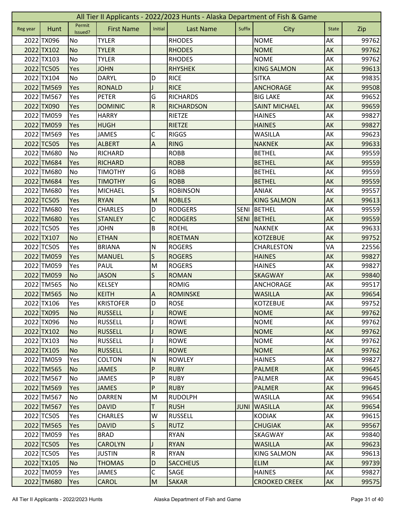|          | All Tier II Applicants - 2022/2023 Hunts - Alaska Department of Fish & Game |                   |                   |                           |                   |             |                      |              |       |  |  |  |
|----------|-----------------------------------------------------------------------------|-------------------|-------------------|---------------------------|-------------------|-------------|----------------------|--------------|-------|--|--|--|
| Reg year | Hunt                                                                        | Permit<br>Issued? | <b>First Name</b> | Initial                   | <b>Last Name</b>  | Suffix      | City                 | <b>State</b> | Zip   |  |  |  |
|          | 2022 TX096                                                                  | No                | <b>TYLER</b>      |                           | <b>RHODES</b>     |             | <b>NOME</b>          | AK           | 99762 |  |  |  |
|          | 2022 TX102                                                                  | <b>No</b>         | <b>TYLER</b>      |                           | <b>RHODES</b>     |             | <b>NOME</b>          | AK           | 99762 |  |  |  |
|          | 2022 TX103                                                                  | No                | <b>TYLER</b>      |                           | <b>RHODES</b>     |             | <b>NOME</b>          | AK           | 99762 |  |  |  |
|          | 2022 TC505                                                                  | Yes               | <b>JOHN</b>       |                           | <b>RHYSHEK</b>    |             | <b>KING SALMON</b>   | AK           | 99613 |  |  |  |
|          | 2022 TX104                                                                  | No                | <b>DARYL</b>      | D                         | <b>RICE</b>       |             | <b>SITKA</b>         | AK           | 99835 |  |  |  |
|          | 2022 TM569                                                                  | Yes               | <b>RONALD</b>     |                           | <b>RICE</b>       |             | <b>ANCHORAGE</b>     | AK           | 99508 |  |  |  |
|          | 2022 TM567                                                                  | Yes               | <b>PETER</b>      | G                         | <b>RICHARDS</b>   |             | <b>BIG LAKE</b>      | AK           | 99652 |  |  |  |
|          | 2022 TX090                                                                  | Yes               | <b>DOMINIC</b>    | $\overline{R}$            | <b>RICHARDSON</b> |             | <b>SAINT MICHAEL</b> | AK           | 99659 |  |  |  |
|          | 2022 TM059                                                                  | Yes               | <b>HARRY</b>      |                           | RIETZE            |             | <b>HAINES</b>        | AK           | 99827 |  |  |  |
|          | 2022 TM059                                                                  | Yes               | <b>HUGH</b>       |                           | <b>RIETZE</b>     |             | <b>HAINES</b>        | AK           | 99827 |  |  |  |
|          | 2022 TM569                                                                  | Yes               | <b>JAMES</b>      | С                         | <b>RIGGS</b>      |             | <b>WASILLA</b>       | AK           | 99623 |  |  |  |
|          | 2022 TC505                                                                  | Yes               | <b>ALBERT</b>     | A                         | <b>RING</b>       |             | <b>NAKNEK</b>        | AK           | 99633 |  |  |  |
|          | 2022 TM680                                                                  | No                | <b>RICHARD</b>    |                           | <b>ROBB</b>       |             | <b>BETHEL</b>        | AK           | 99559 |  |  |  |
|          | 2022 TM684                                                                  | Yes               | <b>RICHARD</b>    |                           | <b>ROBB</b>       |             | <b>BETHEL</b>        | AK           | 99559 |  |  |  |
|          | 2022 TM680                                                                  | No                | <b>TIMOTHY</b>    | G                         | <b>ROBB</b>       |             | <b>BETHEL</b>        | AK           | 99559 |  |  |  |
|          | 2022 TM684                                                                  | Yes               | <b>TIMOTHY</b>    | G                         | <b>ROBB</b>       |             | <b>BETHEL</b>        | AK           | 99559 |  |  |  |
|          | 2022 TM680                                                                  | Yes               | <b>MICHAEL</b>    | S                         | <b>ROBINSON</b>   |             | <b>ANIAK</b>         | AK           | 99557 |  |  |  |
|          | 2022 TC505                                                                  | Yes               | <b>RYAN</b>       | M                         | <b>ROBLES</b>     |             | <b>KING SALMON</b>   | AK           | 99613 |  |  |  |
|          | 2022 TM680                                                                  | Yes               | <b>CHARLES</b>    | D                         | <b>RODGERS</b>    | <b>SENI</b> | BETHEL               | AK           | 99559 |  |  |  |
|          | 2022 TM680                                                                  | Yes               | <b>STANLEY</b>    | C                         | <b>RODGERS</b>    | <b>SENI</b> | BETHEL               | AK           | 99559 |  |  |  |
|          | 2022 TC505                                                                  | Yes               | <b>JOHN</b>       | B                         | <b>ROEHL</b>      |             | <b>NAKNEK</b>        | AK           | 99633 |  |  |  |
|          | 2022 TX107                                                                  | <b>No</b>         | <b>ETHAN</b>      |                           | <b>ROETMAN</b>    |             | <b>KOTZEBUE</b>      | AK           | 99752 |  |  |  |
|          | 2022 TC505                                                                  | Yes               | <b>BRIANA</b>     | ${\sf N}$                 | <b>ROGERS</b>     |             | CHARLESTON           | VA           | 22556 |  |  |  |
|          | 2022 TM059                                                                  | Yes               | <b>MANUEL</b>     | $\mathsf{S}$              | <b>ROGERS</b>     |             | <b>HAINES</b>        | AK           | 99827 |  |  |  |
|          | 2022 TM059                                                                  | Yes               | PAUL              | M                         | <b>ROGERS</b>     |             | <b>HAINES</b>        | AK           | 99827 |  |  |  |
|          | 2022 TM059                                                                  | <b>No</b>         | <b>JASON</b>      | S                         | <b>ROMAN</b>      |             | <b>SKAGWAY</b>       | AK           | 99840 |  |  |  |
|          | 2022 TM565                                                                  | <b>No</b>         | <b>KELSEY</b>     |                           | <b>ROMIG</b>      |             | ANCHORAGE            | AK           | 99517 |  |  |  |
|          | 2022 TM565                                                                  | No                | <b>KEITH</b>      | $\boldsymbol{\mathsf{A}}$ | <b>ROMINSKE</b>   |             | <b>WASILLA</b>       | AK           | 99654 |  |  |  |
|          | 2022 TX106                                                                  | Yes               | <b>KRISTOFER</b>  | D                         | <b>ROSE</b>       |             | <b>KOTZEBUE</b>      | AK           | 99752 |  |  |  |
|          | 2022 TX095                                                                  | <b>No</b>         | <b>RUSSELL</b>    | J                         | <b>ROWE</b>       |             | <b>NOME</b>          | AK           | 99762 |  |  |  |
|          | 2022 TX096                                                                  | No                | <b>RUSSELL</b>    |                           | <b>ROWE</b>       |             | <b>NOME</b>          | AK           | 99762 |  |  |  |
|          | 2022 TX102                                                                  | No                | <b>RUSSELL</b>    |                           | <b>ROWE</b>       |             | <b>NOME</b>          | AK           | 99762 |  |  |  |
|          | 2022 TX103                                                                  | No                | <b>RUSSELL</b>    |                           | <b>ROWE</b>       |             | <b>NOME</b>          | AK           | 99762 |  |  |  |
|          | 2022 TX105                                                                  | <b>No</b>         | <b>RUSSELL</b>    |                           | <b>ROWE</b>       |             | <b>NOME</b>          | AK           | 99762 |  |  |  |
|          | 2022 TM059                                                                  | Yes               | <b>COLTON</b>     | ${\sf N}$                 | <b>ROWLEY</b>     |             | <b>HAINES</b>        | AK           | 99827 |  |  |  |
|          | 2022 TM565                                                                  | <b>No</b>         | <b>JAMES</b>      | $\overline{P}$            | <b>RUBY</b>       |             | <b>PALMER</b>        | <b>AK</b>    | 99645 |  |  |  |
|          | 2022 TM567                                                                  | No                | <b>JAMES</b>      | P                         | <b>RUBY</b>       |             | PALMER               | AK           | 99645 |  |  |  |
|          | 2022 TM569                                                                  | Yes               | <b>JAMES</b>      | P                         | <b>RUBY</b>       |             | <b>PALMER</b>        | AK           | 99645 |  |  |  |
|          | 2022 TM567                                                                  | No                | <b>DARREN</b>     | M                         | <b>RUDOLPH</b>    |             | <b>WASILLA</b>       | AK           | 99654 |  |  |  |
|          | 2022 TM567                                                                  | Yes               | <b>DAVID</b>      | T                         | <b>RUSH</b>       | <b>JUNI</b> | <b>WASILLA</b>       | AK           | 99654 |  |  |  |
|          | 2022 TC505                                                                  | Yes               | <b>CHARLES</b>    | W                         | <b>RUSSELL</b>    |             | <b>KODIAK</b>        | AK           | 99615 |  |  |  |
|          | 2022 TM565                                                                  | Yes               | <b>DAVID</b>      | S                         | <b>RUTZ</b>       |             | <b>CHUGIAK</b>       | <b>AK</b>    | 99567 |  |  |  |
|          | 2022 TM059                                                                  | Yes               | <b>BRAD</b>       |                           | <b>RYAN</b>       |             | SKAGWAY              | AK           | 99840 |  |  |  |
|          | 2022 TC505                                                                  | Yes               | <b>CAROLYN</b>    |                           | <b>RYAN</b>       |             | <b>WASILLA</b>       | AK           | 99623 |  |  |  |
|          | 2022 TC505                                                                  | Yes               | <b>JUSTIN</b>     | ${\sf R}$                 | <b>RYAN</b>       |             | <b>KING SALMON</b>   | AK           | 99613 |  |  |  |
|          | 2022 TX105                                                                  | <b>No</b>         | <b>THOMAS</b>     | D                         | <b>SACCHEUS</b>   |             | <b>ELIM</b>          | AK           | 99739 |  |  |  |
|          | 2022 TM059                                                                  | Yes               | JAMES             | $\mathsf C$               | SAGE              |             | <b>HAINES</b>        | AK           | 99827 |  |  |  |
|          | 2022 TM680                                                                  | Yes               | <b>CAROL</b>      | M                         | <b>SAKAR</b>      |             | <b>CROOKED CREEK</b> | AK           | 99575 |  |  |  |
|          |                                                                             |                   |                   |                           |                   |             |                      |              |       |  |  |  |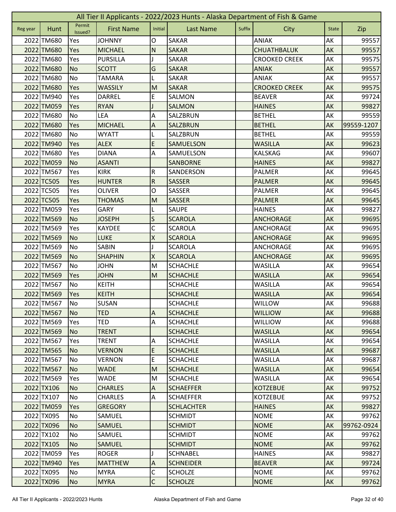|          | All Tier II Applicants - 2022/2023 Hunts - Alaska Department of Fish & Game |                   |                   |                           |                   |        |                      |              |            |  |  |
|----------|-----------------------------------------------------------------------------|-------------------|-------------------|---------------------------|-------------------|--------|----------------------|--------------|------------|--|--|
| Reg year | Hunt                                                                        | Permit<br>Issued? | <b>First Name</b> | Initial                   | <b>Last Name</b>  | Suffix | City                 | <b>State</b> | Zip        |  |  |
|          | 2022 TM680                                                                  | Yes               | <b>JOHNNY</b>     | 0                         | <b>SAKAR</b>      |        | ANIAK                | AK           | 99557      |  |  |
|          | 2022 TM680                                                                  | Yes               | <b>MICHAEL</b>    | N                         | <b>SAKAR</b>      |        | <b>CHUATHBALUK</b>   | AK           | 99557      |  |  |
|          | 2022 TM680                                                                  | Yes               | <b>PURSILLA</b>   |                           | <b>SAKAR</b>      |        | <b>CROOKED CREEK</b> | AK           | 99575      |  |  |
|          | 2022 TM680                                                                  | <b>No</b>         | <b>SCOTT</b>      | G                         | <b>SAKAR</b>      |        | <b>ANIAK</b>         | AK           | 99557      |  |  |
|          | 2022 TM680                                                                  | <b>No</b>         | <b>TAMARA</b>     | L                         | <b>SAKAR</b>      |        | <b>ANIAK</b>         | AK           | 99557      |  |  |
|          | 2022 TM680                                                                  | Yes               | <b>WASSILY</b>    | M                         | <b>SAKAR</b>      |        | <b>CROOKED CREEK</b> | AK           | 99575      |  |  |
|          | 2022 TM940                                                                  | Yes               | <b>DARREL</b>     | E                         | <b>SALMON</b>     |        | <b>BEAVER</b>        | AK           | 99724      |  |  |
|          | 2022 TM059                                                                  | Yes               | <b>RYAN</b>       |                           | <b>SALMON</b>     |        | <b>HAINES</b>        | AK           | 99827      |  |  |
|          | 2022 TM680                                                                  | No                | LEA               | Α                         | SALZBRUN          |        | <b>BETHEL</b>        | AK           | 99559      |  |  |
|          | 2022 TM680                                                                  | Yes               | <b>MICHAEL</b>    | A                         | SALZBRUN          |        | <b>BETHEL</b>        | AK           | 99559-1207 |  |  |
|          | 2022 TM680                                                                  | No                | <b>WYATT</b>      |                           | SALZBRUN          |        | <b>BETHEL</b>        | AK           | 99559      |  |  |
|          | 2022 TM940                                                                  | Yes               | <b>ALEX</b>       | E                         | <b>SAMUELSON</b>  |        | <b>WASILLA</b>       | AK           | 99623      |  |  |
|          | 2022 TM680                                                                  | Yes               | <b>DIANA</b>      | A                         | SAMUELSON         |        | <b>KALSKAG</b>       | AK           | 99607      |  |  |
|          | 2022 TM059                                                                  | <b>No</b>         | <b>ASANTI</b>     |                           | <b>SANBORNE</b>   |        | <b>HAINES</b>        | AK           | 99827      |  |  |
|          | 2022 TM567                                                                  | Yes               | <b>KIRK</b>       | ${\sf R}$                 | SANDERSON         |        | <b>PALMER</b>        | AK           | 99645      |  |  |
|          | 2022 TC505                                                                  | Yes               | <b>HUNTER</b>     | ${\sf R}$                 | <b>SASSER</b>     |        | <b>PALMER</b>        | AK           | 99645      |  |  |
|          | 2022 TC505                                                                  | Yes               | <b>OLIVER</b>     | O                         | SASSER            |        | PALMER               | AK           | 99645      |  |  |
|          | 2022 TC505                                                                  | Yes               | <b>THOMAS</b>     | M                         | <b>SASSER</b>     |        | <b>PALMER</b>        | AK           | 99645      |  |  |
|          | 2022 TM059                                                                  | Yes               | <b>GARY</b>       | L                         | <b>SAUPE</b>      |        | <b>HAINES</b>        | AK           | 99827      |  |  |
|          | 2022 TM569                                                                  | <b>No</b>         | <b>JOSEPH</b>     | S                         | <b>SCAROLA</b>    |        | <b>ANCHORAGE</b>     | AK           | 99695      |  |  |
|          | 2022 TM569                                                                  | Yes               | <b>KAYDEE</b>     | C                         | <b>SCAROLA</b>    |        | <b>ANCHORAGE</b>     | AK           | 99695      |  |  |
|          | 2022 TM569                                                                  | <b>No</b>         | <b>LUKE</b>       | $\pmb{\mathsf{X}}$        | <b>SCAROLA</b>    |        | <b>ANCHORAGE</b>     | AK           | 99695      |  |  |
|          | 2022 TM569                                                                  | <b>No</b>         | <b>SABIN</b>      |                           | <b>SCAROLA</b>    |        | <b>ANCHORAGE</b>     | AK           | 99695      |  |  |
|          | 2022 TM569                                                                  | <b>No</b>         | <b>SHAPHIN</b>    | $\overline{\mathsf{x}}$   | <b>SCAROLA</b>    |        | <b>ANCHORAGE</b>     | AK           | 99695      |  |  |
|          | 2022 TM567                                                                  | No                | <b>JOHN</b>       | M                         | <b>SCHACHLE</b>   |        | <b>WASILLA</b>       | AK           | 99654      |  |  |
|          | 2022 TM569                                                                  | Yes               | <b>JOHN</b>       | M                         | <b>SCHACHLE</b>   |        | <b>WASILLA</b>       | AK           | 99654      |  |  |
|          | 2022 TM567                                                                  | No                | <b>KEITH</b>      |                           | <b>SCHACHLE</b>   |        | <b>WASILLA</b>       | AK           | 99654      |  |  |
|          | 2022 TM569                                                                  | Yes               | <b>KEITH</b>      |                           | <b>SCHACHLE</b>   |        | <b>WASILLA</b>       | AK           | 99654      |  |  |
|          | 2022 TM567                                                                  | No                | SUSAN             |                           | <b>SCHACHLE</b>   |        | WILLOW               | AK           | 99688      |  |  |
|          | 2022 TM567                                                                  | <b>No</b>         | <b>TED</b>        | $\overline{A}$            | <b>SCHACHLE</b>   |        | <b>WILLIOW</b>       | AK           | 99688      |  |  |
|          | 2022 TM569                                                                  | Yes               | <b>TED</b>        | $\overline{A}$            | <b>SCHACHLE</b>   |        | <b>WILLIOW</b>       | AK           | 99688      |  |  |
|          | 2022 TM569                                                                  | N <sub>o</sub>    | <b>TRENT</b>      |                           | <b>SCHACHLE</b>   |        | <b>WASILLA</b>       | AK           | 99654      |  |  |
|          | 2022 TM567                                                                  | Yes               | <b>TRENT</b>      | Α                         | <b>SCHACHLE</b>   |        | <b>WASILLA</b>       | AK           | 99654      |  |  |
|          | 2022 TM565                                                                  | N <sub>o</sub>    | <b>VERNON</b>     | $\mathsf E$               | <b>SCHACHLE</b>   |        | <b>WASILLA</b>       | AK           | 99687      |  |  |
|          | 2022 TM567                                                                  | No                | <b>VERNON</b>     | E                         | <b>SCHACHLE</b>   |        | <b>WASILLA</b>       | AK           | 99687      |  |  |
|          | 2022 TM567                                                                  | <b>No</b>         | <b>WADE</b>       | M                         | <b>SCHACHLE</b>   |        | <b>WASILLA</b>       | <b>AK</b>    | 99654      |  |  |
|          | 2022 TM569                                                                  | Yes               | <b>WADE</b>       | M                         | <b>SCHACHLE</b>   |        | <b>WASILLA</b>       | AK           | 99654      |  |  |
|          | 2022 TX106                                                                  | No                | <b>CHARLES</b>    | $\overline{A}$            | <b>SCHAEFFER</b>  |        | <b>KOTZEBUE</b>      | AK           | 99752      |  |  |
|          | 2022 TX107                                                                  | No                | <b>CHARLES</b>    | A                         | <b>SCHAEFFER</b>  |        | <b>KOTZEBUE</b>      | AK           | 99752      |  |  |
|          | 2022 TM059                                                                  | <b>Yes</b>        | <b>GREGORY</b>    |                           | <b>SCHLACHTER</b> |        | <b>HAINES</b>        | AK           | 99827      |  |  |
|          | 2022 TX095                                                                  | No                | SAMUEL            |                           | <b>SCHMIDT</b>    |        | <b>NOME</b>          | AK           | 99762      |  |  |
|          | 2022 TX096                                                                  | <b>No</b>         | <b>SAMUEL</b>     |                           | <b>SCHMIDT</b>    |        | <b>NOME</b>          | AK           | 99762-0924 |  |  |
|          | 2022 TX102                                                                  | No                | SAMUEL            |                           | <b>SCHMIDT</b>    |        | <b>NOME</b>          | AK           | 99762      |  |  |
|          | 2022 TX105                                                                  | <b>No</b>         | <b>SAMUEL</b>     |                           | <b>SCHMIDT</b>    |        | <b>NOME</b>          | AK           | 99762      |  |  |
|          | 2022 TM059                                                                  | Yes               | <b>ROGER</b>      |                           | <b>SCHNABEL</b>   |        | <b>HAINES</b>        | AK           | 99827      |  |  |
|          | 2022 TM940                                                                  | <b>Yes</b>        | <b>MATTHEW</b>    | $\boldsymbol{\mathsf{A}}$ | <b>SCHNEIDER</b>  |        | <b>BEAVER</b>        | AK           | 99724      |  |  |
|          | 2022 TX095                                                                  | No                | <b>MYRA</b>       | C                         | <b>SCHOLZE</b>    |        | <b>NOME</b>          | AK           | 99762      |  |  |
|          | 2022 TX096                                                                  | <b>No</b>         | <b>MYRA</b>       | $\overline{C}$            | <b>SCHOLZE</b>    |        | <b>NOME</b>          | AK           | 99762      |  |  |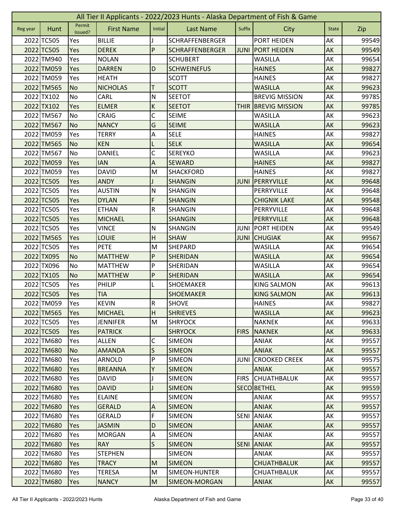|          | All Tier II Applicants - 2022/2023 Hunts - Alaska Department of Fish & Game |                   |                   |                |                        |             |                       |              |       |  |  |  |
|----------|-----------------------------------------------------------------------------|-------------------|-------------------|----------------|------------------------|-------------|-----------------------|--------------|-------|--|--|--|
| Reg year | Hunt                                                                        | Permit<br>Issued? | <b>First Name</b> | Initial        | <b>Last Name</b>       | Suffix      | City                  | <b>State</b> | Zip   |  |  |  |
|          | 2022 TC505                                                                  | Yes               | <b>BILLIE</b>     |                | <b>SCHRAFFENBERGER</b> |             | PORT HEIDEN           | AK           | 99549 |  |  |  |
|          | 2022 TC505                                                                  | Yes               | <b>DEREK</b>      | P              | <b>SCHRAFFENBERGER</b> | <b>JUNI</b> | <b>PORT HEIDEN</b>    | AK           | 99549 |  |  |  |
|          | 2022 TM940                                                                  | Yes               | <b>NOLAN</b>      |                | <b>SCHUBERT</b>        |             | <b>WASILLA</b>        | AK           | 99654 |  |  |  |
|          | 2022 TM059                                                                  | Yes               | <b>DARREN</b>     | D              | <b>SCHWEINEFUS</b>     |             | <b>HAINES</b>         | AK           | 99827 |  |  |  |
|          | 2022 TM059                                                                  | Yes               | <b>HEATH</b>      |                | <b>SCOTT</b>           |             | <b>HAINES</b>         | AK           | 99827 |  |  |  |
|          | 2022 TM565                                                                  | <b>No</b>         | <b>NICHOLAS</b>   | Т              | <b>SCOTT</b>           |             | <b>WASILLA</b>        | AK           | 99623 |  |  |  |
|          | 2022 TX102                                                                  | No                | CARL              | ${\sf N}$      | <b>SEETOT</b>          |             | <b>BREVIG MISSION</b> | AK           | 99785 |  |  |  |
|          | 2022 TX102                                                                  | Yes               | <b>ELMER</b>      | $\sf K$        | <b>SEETOT</b>          | <b>THIR</b> | <b>BREVIG MISSION</b> | AK           | 99785 |  |  |  |
|          | 2022 TM567                                                                  | No                | <b>CRAIG</b>      | C              | <b>SEIME</b>           |             | <b>WASILLA</b>        | AK           | 99623 |  |  |  |
|          | 2022 TM567                                                                  | <b>No</b>         | <b>NANCY</b>      | G              | <b>SEIME</b>           |             | <b>WASILLA</b>        | AK           | 99623 |  |  |  |
|          | 2022 TM059                                                                  | Yes               | <b>TERRY</b>      | Α              | <b>SELE</b>            |             | <b>HAINES</b>         | AK           | 99827 |  |  |  |
|          | 2022 TM565                                                                  | <b>No</b>         | <b>KEN</b>        | L              | <b>SELK</b>            |             | <b>WASILLA</b>        | AK           | 99654 |  |  |  |
|          | 2022 TM567                                                                  | No                | <b>DANIEL</b>     | C              | <b>SEREYKO</b>         |             | <b>WASILLA</b>        | АK           | 99623 |  |  |  |
|          | 2022 TM059                                                                  | Yes               | <b>IAN</b>        | A              | <b>SEWARD</b>          |             | <b>HAINES</b>         | AK           | 99827 |  |  |  |
|          | 2022 TM059                                                                  | Yes               | <b>DAVID</b>      | M              | <b>SHACKFORD</b>       |             | <b>HAINES</b>         | АK           | 99827 |  |  |  |
|          | 2022 TC505                                                                  | Yes               | <b>ANDY</b>       |                | <b>SHANGIN</b>         | <b>JUNI</b> | PERRYVILLE            | AK           | 99648 |  |  |  |
|          | 2022 TC505                                                                  | Yes               | <b>AUSTIN</b>     | $\mathsf{N}$   | <b>SHANGIN</b>         |             | PERRYVILLE            | AK           | 99648 |  |  |  |
|          | 2022 TC505                                                                  | Yes               | <b>DYLAN</b>      | F              | <b>SHANGIN</b>         |             | <b>CHIGNIK LAKE</b>   | AK           | 99548 |  |  |  |
|          | 2022 TC505                                                                  | Yes               | <b>ETHAN</b>      | R              | <b>SHANGIN</b>         |             | PERRYVILLE            | AK           | 99648 |  |  |  |
|          | 2022 TC505                                                                  | Yes               | <b>MICHAEL</b>    |                | <b>SHANGIN</b>         |             | PERRYVILLE            | AK           | 99648 |  |  |  |
|          | 2022 TC505                                                                  | Yes               | <b>VINCE</b>      | ${\sf N}$      | <b>SHANGIN</b>         | JUNI        | <b>PORT HEIDEN</b>    | AK           | 99549 |  |  |  |
|          | 2022 TM565                                                                  | Yes               | <b>LOUIE</b>      | H              | <b>SHAW</b>            | <b>JUNI</b> | <b>CHUGIAK</b>        | AK           | 99567 |  |  |  |
|          | 2022 TC505                                                                  | Yes               | <b>PETE</b>       | M              | <b>SHEPARD</b>         |             | <b>WASILLA</b>        | AK           | 99654 |  |  |  |
|          | 2022 TX095                                                                  | <b>No</b>         | <b>MATTHEW</b>    | $\mathsf{P}$   | <b>SHERIDAN</b>        |             | <b>WASILLA</b>        | AK           | 99654 |  |  |  |
|          | 2022 TX096                                                                  | No                | <b>MATTHEW</b>    | P              | SHERIDAN               |             | <b>WASILLA</b>        | АK           | 99654 |  |  |  |
|          | 2022 TX105                                                                  | <b>No</b>         | <b>MATTHEW</b>    | P              | <b>SHERIDAN</b>        |             | <b>WASILLA</b>        | AK           | 99654 |  |  |  |
|          | 2022 TC505                                                                  | Yes               | PHILIP            | L              | SHOEMAKER              |             | <b>KING SALMON</b>    | AK           | 99613 |  |  |  |
|          | 2022 TC505                                                                  | Yes               | <b>TIA</b>        |                | <b>SHOEMAKER</b>       |             | <b>KING SALMON</b>    | AK           | 99613 |  |  |  |
|          | 2022 TM059                                                                  | Yes               | <b>KEVIN</b>      | R              | <b>SHOVE</b>           |             | <b>HAINES</b>         | AK           | 99827 |  |  |  |
|          | 2022 TM565                                                                  | <b>Yes</b>        | <b>MICHAEL</b>    | H              | <b>SHRIEVES</b>        |             | <b>WASILLA</b>        | AK           | 99623 |  |  |  |
|          | 2022 TC505                                                                  | Yes               | <b>JENNIFER</b>   | M              | <b>SHRYOCK</b>         |             | <b>NAKNEK</b>         | AK           | 99633 |  |  |  |
|          | 2022 TC505                                                                  | Yes               | <b>PATRICK</b>    |                | <b>SHRYOCK</b>         | <b>FIRS</b> | <b>NAKNEK</b>         | AK           | 99633 |  |  |  |
|          | 2022 TM680                                                                  | Yes               | <b>ALLEN</b>      | С              | <b>SIMEON</b>          |             | ANIAK                 | AK           | 99557 |  |  |  |
|          | 2022 TM680                                                                  | <b>No</b>         | <b>AMANDA</b>     | $\sf S$        | <b>SIMEON</b>          |             | <b>ANIAK</b>          | AK           | 99557 |  |  |  |
|          | 2022 TM680                                                                  | Yes               | ARNOLD            | P              | <b>SIMEON</b>          | <b>JUNI</b> | <b>CROOKED CREEK</b>  | AK           | 99575 |  |  |  |
|          | 2022 TM680                                                                  | <b>Yes</b>        | <b>BREANNA</b>    | Υ              | <b>SIMEON</b>          |             | <b>ANIAK</b>          | <b>AK</b>    | 99557 |  |  |  |
|          | 2022 TM680                                                                  | Yes               | <b>DAVID</b>      |                | <b>SIMEON</b>          | <b>FIRS</b> | <b>CHUATHBALUK</b>    | AK           | 99557 |  |  |  |
|          | 2022 TM680                                                                  | Yes               | <b>DAVID</b>      |                | <b>SIMEON</b>          |             | SECO BETHEL           | AK           | 99559 |  |  |  |
|          | 2022 TM680                                                                  | Yes               | <b>ELAINE</b>     |                | <b>SIMEON</b>          |             | <b>ANIAK</b>          | AK           | 99557 |  |  |  |
|          | 2022 TM680                                                                  | Yes               | <b>GERALD</b>     | $\overline{A}$ | <b>SIMEON</b>          |             | <b>ANIAK</b>          | AK           | 99557 |  |  |  |
|          | 2022 TM680                                                                  | Yes               | <b>GERALD</b>     | F              | <b>SIMEON</b>          | <b>SENI</b> | <b>ANIAK</b>          | AK           | 99557 |  |  |  |
|          | 2022 TM680                                                                  | Yes               | <b>JASMIN</b>     | D              | <b>SIMEON</b>          |             | <b>ANIAK</b>          | AK           | 99557 |  |  |  |
|          | 2022 TM680                                                                  | Yes               | <b>MORGAN</b>     | Α              | <b>SIMEON</b>          |             | <b>ANIAK</b>          | AK           | 99557 |  |  |  |
|          | 2022 TM680                                                                  | Yes               | <b>RAY</b>        | $\mathsf{S}$   | <b>SIMEON</b>          | <b>SENI</b> | <b>ANIAK</b>          | AK           | 99557 |  |  |  |
|          | 2022 TM680                                                                  | Yes               | <b>STEPHEN</b>    |                | <b>SIMEON</b>          |             | <b>ANIAK</b>          | AK           | 99557 |  |  |  |
|          | 2022 TM680                                                                  | Yes               | <b>TRACY</b>      | M              | <b>SIMEON</b>          |             | <b>CHUATHBALUK</b>    | AK           | 99557 |  |  |  |
|          | 2022 TM680                                                                  | Yes               | <b>TERESA</b>     | M              | SIMEON-HUNTER          |             | CHUATHBALUK           | AK           | 99557 |  |  |  |
|          | 2022 TM680                                                                  | Yes               | <b>NANCY</b>      | M              | SIMEON-MORGAN          |             | <b>ANIAK</b>          | AK           | 99557 |  |  |  |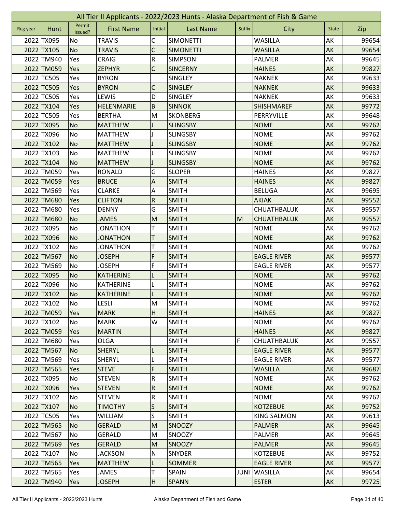|          | All Tier II Applicants - 2022/2023 Hunts - Alaska Department of Fish & Game |                   |                   |                         |                  |             |                    |              |       |  |  |  |
|----------|-----------------------------------------------------------------------------|-------------------|-------------------|-------------------------|------------------|-------------|--------------------|--------------|-------|--|--|--|
| Reg year | Hunt                                                                        | Permit<br>Issued? | <b>First Name</b> | Initial                 | <b>Last Name</b> | Suffix      | City               | <b>State</b> | Zip   |  |  |  |
|          | 2022 TX095                                                                  | No                | <b>TRAVIS</b>     | C                       | <b>SIMONETTI</b> |             | <b>WASILLA</b>     | AK           | 99654 |  |  |  |
|          | 2022 TX105                                                                  | <b>No</b>         | <b>TRAVIS</b>     | C                       | <b>SIMONETTI</b> |             | <b>WASILLA</b>     | AK           | 99654 |  |  |  |
|          | 2022 TM940                                                                  | Yes               | <b>CRAIG</b>      | ${\sf R}$               | <b>SIMPSON</b>   |             | PALMER             | AK           | 99645 |  |  |  |
|          | 2022 TM059                                                                  | Yes               | <b>ZEPHYR</b>     | $\mathsf C$             | <b>SINCERNY</b>  |             | <b>HAINES</b>      | AK           | 99827 |  |  |  |
|          | 2022 TC505                                                                  | Yes               | <b>BYRON</b>      |                         | <b>SINGLEY</b>   |             | <b>NAKNEK</b>      | AK           | 99633 |  |  |  |
|          | 2022 TC505                                                                  | Yes               | <b>BYRON</b>      | C                       | <b>SINGLEY</b>   |             | <b>NAKNEK</b>      | AK           | 99633 |  |  |  |
|          | 2022 TC505                                                                  | Yes               | LEWIS             | D                       | SINGLEY          |             | <b>NAKNEK</b>      | AK           | 99633 |  |  |  |
|          | 2022 TX104                                                                  | Yes               | HELENMARIE        | $\sf B$                 | <b>SINNOK</b>    |             | <b>SHISHMAREF</b>  | AK           | 99772 |  |  |  |
|          | 2022 TC505                                                                  | Yes               | <b>BERTHA</b>     | M                       | <b>SKONBERG</b>  |             | PERRYVILLE         | AK           | 99648 |  |  |  |
|          | 2022 TX095                                                                  | <b>No</b>         | <b>MATTHEW</b>    |                         | <b>SLINGSBY</b>  |             | <b>NOME</b>        | AK           | 99762 |  |  |  |
|          | 2022 TX096                                                                  | No                | <b>MATTHEW</b>    |                         | <b>SLINGSBY</b>  |             | <b>NOME</b>        | AK           | 99762 |  |  |  |
|          | 2022 TX102                                                                  | <b>No</b>         | <b>MATTHEW</b>    |                         | <b>SLINGSBY</b>  |             | <b>NOME</b>        | AK           | 99762 |  |  |  |
|          | 2022 TX103                                                                  | No                | <b>MATTHEW</b>    |                         | <b>SLINGSBY</b>  |             | <b>NOME</b>        | AK           | 99762 |  |  |  |
|          | 2022 TX104                                                                  | <b>No</b>         | <b>MATTHEW</b>    |                         | <b>SLINGSBY</b>  |             | <b>NOME</b>        | AK           | 99762 |  |  |  |
|          | 2022 TM059                                                                  | Yes               | <b>RONALD</b>     | G                       | <b>SLOPER</b>    |             | <b>HAINES</b>      | АK           | 99827 |  |  |  |
|          | 2022 TM059                                                                  | Yes               | <b>BRUCE</b>      | A                       | <b>SMITH</b>     |             | <b>HAINES</b>      | AK           | 99827 |  |  |  |
|          | 2022 TM569                                                                  | Yes               | <b>CLARKE</b>     | A                       | <b>SMITH</b>     |             | <b>BELUGA</b>      | AK           | 99695 |  |  |  |
|          | 2022 TM680                                                                  | Yes               | <b>CLIFTON</b>    | $\overline{\mathsf{R}}$ | <b>SMITH</b>     |             | <b>AKIAK</b>       | AK           | 99552 |  |  |  |
|          | 2022 TM680                                                                  | Yes               | <b>DENNY</b>      | G                       | <b>SMITH</b>     |             | CHUATHBALUK        | AK           | 99557 |  |  |  |
|          | 2022 TM680                                                                  | <b>No</b>         | <b>JAMES</b>      | M                       | <b>SMITH</b>     | M           | <b>CHUATHBALUK</b> | AK           | 99557 |  |  |  |
|          | 2022 TX095                                                                  | No                | <b>JONATHON</b>   | т                       | <b>SMITH</b>     |             | <b>NOME</b>        | AK           | 99762 |  |  |  |
|          | 2022 TX096                                                                  | <b>No</b>         | <b>JONATHON</b>   | T                       | <b>SMITH</b>     |             | <b>NOME</b>        | AK           | 99762 |  |  |  |
|          | 2022 TX102                                                                  | No                | <b>JONATHON</b>   | т                       | <b>SMITH</b>     |             | <b>NOME</b>        | AK           | 99762 |  |  |  |
|          | 2022 TM567                                                                  | <b>No</b>         | <b>JOSEPH</b>     | F                       | <b>SMITH</b>     |             | <b>EAGLE RIVER</b> | AK           | 99577 |  |  |  |
|          | 2022 TM569                                                                  | No                | <b>JOSEPH</b>     | F                       | <b>SMITH</b>     |             | <b>EAGLE RIVER</b> | АK           | 99577 |  |  |  |
|          | 2022 TX095                                                                  | <b>No</b>         | <b>KATHERINE</b>  |                         | <b>SMITH</b>     |             | <b>NOME</b>        | AK           | 99762 |  |  |  |
|          | 2022 TX096                                                                  | No                | KATHERINE         | L                       | <b>SMITH</b>     |             | <b>NOME</b>        | AK           | 99762 |  |  |  |
|          | 2022 TX102                                                                  | <b>No</b>         | <b>KATHERINE</b>  |                         | <b>SMITH</b>     |             | <b>NOME</b>        | AK           | 99762 |  |  |  |
|          | 2022 TX102                                                                  | <b>No</b>         | LESLI             | ${\sf M}$               | <b>SMITH</b>     |             | <b>NOME</b>        | AK           | 99762 |  |  |  |
|          | 2022 TM059                                                                  | <b>Yes</b>        | <b>MARK</b>       | H                       | <b>SMITH</b>     |             | <b>HAINES</b>      | AK           | 99827 |  |  |  |
|          | 2022 TX102                                                                  | <b>No</b>         | <b>MARK</b>       | W                       | <b>SMITH</b>     |             | <b>NOME</b>        | AK           | 99762 |  |  |  |
|          | 2022 TM059                                                                  | Yes               | <b>MARTIN</b>     |                         | <b>SMITH</b>     |             | <b>HAINES</b>      | AK           | 99827 |  |  |  |
|          | 2022 TM680                                                                  | Yes               | <b>OLGA</b>       |                         | <b>SMITH</b>     | F           | <b>CHUATHBALUK</b> | AK           | 99557 |  |  |  |
|          | 2022 TM567                                                                  | <b>No</b>         | <b>SHERYL</b>     | L                       | <b>SMITH</b>     |             | <b>EAGLE RIVER</b> | AK           | 99577 |  |  |  |
|          | 2022 TM569                                                                  | Yes               | SHERYL            | L                       | <b>SMITH</b>     |             | <b>EAGLE RIVER</b> | AK           | 99577 |  |  |  |
|          | 2022 TM565                                                                  | <b>Yes</b>        | <b>STEVE</b>      | F                       | <b>SMITH</b>     |             | <b>WASILLA</b>     | <b>AK</b>    | 99687 |  |  |  |
|          | 2022 TX095                                                                  | No                | <b>STEVEN</b>     | $\overline{\mathsf{R}}$ | <b>SMITH</b>     |             | <b>NOME</b>        | AK           | 99762 |  |  |  |
|          | 2022 TX096                                                                  | Yes               | <b>STEVEN</b>     | $\overline{R}$          | <b>SMITH</b>     |             | <b>NOME</b>        | AK           | 99762 |  |  |  |
|          | 2022 TX102                                                                  | No                | <b>STEVEN</b>     | $\overline{\mathsf{R}}$ | <b>SMITH</b>     |             | <b>NOME</b>        | AK           | 99762 |  |  |  |
|          | 2022 TX107                                                                  | <b>No</b>         | <b>TIMOTHY</b>    | $\mathsf S$             | <b>SMITH</b>     |             | <b>KOTZEBUE</b>    | AK           | 99752 |  |  |  |
|          | 2022 TC505                                                                  | Yes               | <b>WILLIAM</b>    | S                       | <b>SMITH</b>     |             | <b>KING SALMON</b> | AK           | 99613 |  |  |  |
|          | 2022 TM565                                                                  | <b>No</b>         | <b>GERALD</b>     | M                       | <b>SNOOZY</b>    |             | <b>PALMER</b>      | AK           | 99645 |  |  |  |
|          | 2022 TM567                                                                  | No                | <b>GERALD</b>     | M                       | SNOOZY           |             | PALMER             | AK           | 99645 |  |  |  |
|          | 2022 TM569                                                                  | Yes               | <b>GERALD</b>     | M                       | <b>SNOOZY</b>    |             | <b>PALMER</b>      | AK           | 99645 |  |  |  |
|          | 2022 TX107                                                                  | No                | <b>JACKSON</b>    | ${\sf N}$               | <b>SNYDER</b>    |             | <b>KOTZEBUE</b>    | AK           | 99752 |  |  |  |
|          | 2022 TM565                                                                  | Yes               | <b>MATTHEW</b>    | L                       | <b>SOMMER</b>    |             | <b>EAGLE RIVER</b> | AK           | 99577 |  |  |  |
|          | 2022 TM565                                                                  | Yes               | JAMES             | T                       | <b>SPAIN</b>     | <b>JUNI</b> | <b>WASILLA</b>     | AK           | 99654 |  |  |  |
|          | 2022 TM940                                                                  | Yes               | <b>JOSEPH</b>     | H                       | <b>SPANN</b>     |             | <b>ESTER</b>       | AK           | 99725 |  |  |  |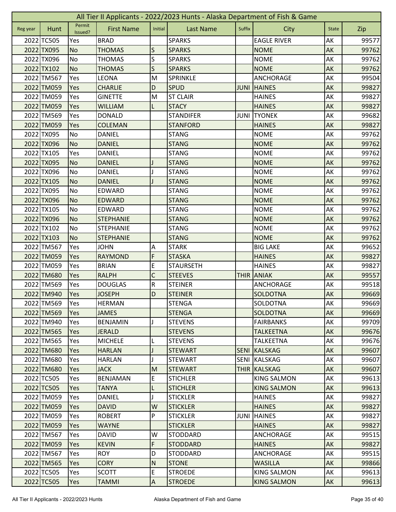|          | All Tier II Applicants - 2022/2023 Hunts - Alaska Department of Fish & Game |                   |                   |                |                  |             |                    |              |       |  |  |  |
|----------|-----------------------------------------------------------------------------|-------------------|-------------------|----------------|------------------|-------------|--------------------|--------------|-------|--|--|--|
| Reg year | Hunt                                                                        | Permit<br>Issued? | <b>First Name</b> | Initial        | <b>Last Name</b> | Suffix      | City               | <b>State</b> | Zip   |  |  |  |
|          | 2022 TC505                                                                  | Yes               | <b>BRAD</b>       |                | <b>SPARKS</b>    |             | <b>EAGLE RIVER</b> | AK           | 99577 |  |  |  |
|          | 2022 TX095                                                                  | <b>No</b>         | <b>THOMAS</b>     | S              | <b>SPARKS</b>    |             | <b>NOME</b>        | AK           | 99762 |  |  |  |
|          | 2022 TX096                                                                  | No                | <b>THOMAS</b>     | S              | <b>SPARKS</b>    |             | <b>NOME</b>        | AK           | 99762 |  |  |  |
|          | 2022 TX102                                                                  | <b>No</b>         | <b>THOMAS</b>     | S              | <b>SPARKS</b>    |             | <b>NOME</b>        | AK           | 99762 |  |  |  |
|          | 2022 TM567                                                                  | Yes               | LEONA             | M              | <b>SPRINKLE</b>  |             | <b>ANCHORAGE</b>   | AK           | 99504 |  |  |  |
|          | 2022 TM059                                                                  | Yes               | <b>CHARLIE</b>    | D              | <b>SPUD</b>      | <b>JUNI</b> | <b>HAINES</b>      | AK           | 99827 |  |  |  |
|          | 2022 TM059                                                                  | Yes               | <b>GINETTE</b>    | M              | <b>ST CLAIR</b>  |             | <b>HAINES</b>      | AK           | 99827 |  |  |  |
|          | 2022 TM059                                                                  | Yes               | <b>WILLIAM</b>    | L              | <b>STACY</b>     |             | <b>HAINES</b>      | AK           | 99827 |  |  |  |
|          | 2022 TM569                                                                  | Yes               | <b>DONALD</b>     |                | <b>STANDIFER</b> | JUNI        | <b>TYONEK</b>      | AK           | 99682 |  |  |  |
|          | 2022 TM059                                                                  | Yes               | <b>COLEMAN</b>    |                | <b>STANFORD</b>  |             | <b>HAINES</b>      | AK           | 99827 |  |  |  |
|          | 2022 TX095                                                                  | No                | <b>DANIEL</b>     |                | <b>STANG</b>     |             | <b>NOME</b>        | AK           | 99762 |  |  |  |
|          | 2022 TX096                                                                  | <b>No</b>         | <b>DANIEL</b>     |                | <b>STANG</b>     |             | <b>NOME</b>        | AK           | 99762 |  |  |  |
|          | 2022 TX105                                                                  | Yes               | <b>DANIEL</b>     |                | <b>STANG</b>     |             | <b>NOME</b>        | AK           | 99762 |  |  |  |
|          | 2022 TX095                                                                  | <b>No</b>         | <b>DANIEL</b>     |                | <b>STANG</b>     |             | <b>NOME</b>        | AK           | 99762 |  |  |  |
|          | 2022 TX096                                                                  | No                | DANIEL            |                | <b>STANG</b>     |             | <b>NOME</b>        | AK           | 99762 |  |  |  |
|          | 2022 TX105                                                                  | <b>No</b>         | <b>DANIEL</b>     |                | <b>STANG</b>     |             | <b>NOME</b>        | AK           | 99762 |  |  |  |
|          | 2022 TX095                                                                  | No                | <b>EDWARD</b>     |                | <b>STANG</b>     |             | <b>NOME</b>        | AK           | 99762 |  |  |  |
|          | 2022 TX096                                                                  | <b>No</b>         | <b>EDWARD</b>     |                | <b>STANG</b>     |             | <b>NOME</b>        | AK           | 99762 |  |  |  |
|          | 2022 TX105                                                                  | No                | <b>EDWARD</b>     |                | <b>STANG</b>     |             | <b>NOME</b>        | AK           | 99762 |  |  |  |
|          | 2022 TX096                                                                  | <b>No</b>         | <b>STEPHANIE</b>  |                | <b>STANG</b>     |             | <b>NOME</b>        | AK           | 99762 |  |  |  |
|          | 2022 TX102                                                                  | No                | <b>STEPHANIE</b>  |                | <b>STANG</b>     |             | <b>NOME</b>        | AK           | 99762 |  |  |  |
|          | 2022 TX103                                                                  | <b>No</b>         | <b>STEPHANIE</b>  |                | <b>STANG</b>     |             | <b>NOME</b>        | AK           | 99762 |  |  |  |
|          | 2022 TM567                                                                  | Yes               | <b>JOHN</b>       | Α              | <b>STARK</b>     |             | <b>BIG LAKE</b>    | AK           | 99652 |  |  |  |
|          | 2022 TM059                                                                  | Yes               | <b>RAYMOND</b>    | F              | <b>STASKA</b>    |             | <b>HAINES</b>      | AK           | 99827 |  |  |  |
|          | 2022 TM059                                                                  | Yes               | <b>BRIAN</b>      | E              | <b>STAURSETH</b> |             | <b>HAINES</b>      | AK           | 99827 |  |  |  |
|          | 2022 TM680                                                                  | Yes               | <b>RALPH</b>      | C              | <b>STEEVES</b>   | <b>THIR</b> | <b>ANIAK</b>       | AK           | 99557 |  |  |  |
|          | 2022 TM569                                                                  | Yes               | <b>DOUGLAS</b>    | ${\sf R}$      | <b>STEINER</b>   |             | ANCHORAGE          | AK           | 99518 |  |  |  |
|          | 2022 TM940                                                                  | Yes               | <b>JOSEPH</b>     | D              | <b>STEINER</b>   |             | <b>SOLDOTNA</b>    | AK           | 99669 |  |  |  |
|          | 2022 TM569                                                                  | Yes               | <b>HERMAN</b>     |                | <b>STENGA</b>    |             | SOLDOTNA           | AK           | 99669 |  |  |  |
|          | 2022 TM569                                                                  | <b>Yes</b>        | <b>JAMES</b>      |                | <b>STENGA</b>    |             | <b>SOLDOTNA</b>    | AK           | 99669 |  |  |  |
|          | 2022 TM940                                                                  | Yes               | <b>BENJAMIN</b>   |                | <b>STEVENS</b>   |             | <b>FAIRBANKS</b>   | AK           | 99709 |  |  |  |
|          | 2022 TM565                                                                  | Yes               | <b>JERALD</b>     |                | <b>STEVENS</b>   |             | <b>TALKEETNA</b>   | AK           | 99676 |  |  |  |
|          | 2022 TM565                                                                  | Yes               | <b>MICHELE</b>    |                | <b>STEVENS</b>   |             | <b>TALKEETNA</b>   | AK           | 99676 |  |  |  |
|          | 2022 TM680                                                                  | Yes               | <b>HARLAN</b>     |                | <b>STEWART</b>   | <b>SENI</b> | KALSKAG            | AK           | 99607 |  |  |  |
|          | 2022 TM680                                                                  | Yes               | <b>HARLAN</b>     |                | <b>STEWART</b>   | <b>SENI</b> | <b>KALSKAG</b>     | AK           | 99607 |  |  |  |
|          | 2022 TM680                                                                  | <b>Yes</b>        | <b>JACK</b>       | M              | <b>STEWART</b>   |             | THIR KALSKAG       | <b>AK</b>    | 99607 |  |  |  |
|          | 2022 TC505                                                                  | Yes               | <b>BENJAMAN</b>   | E              | <b>STICHLER</b>  |             | <b>KING SALMON</b> | AK           | 99613 |  |  |  |
|          | 2022 TC505                                                                  | Yes               | <b>TANYA</b>      | L              | <b>STICHLER</b>  |             | <b>KING SALMON</b> | AK           | 99613 |  |  |  |
|          | 2022 TM059                                                                  | Yes               | <b>DANIEL</b>     |                | <b>STICKLER</b>  |             | <b>HAINES</b>      | AK           | 99827 |  |  |  |
|          | 2022 TM059                                                                  | Yes               | <b>DAVID</b>      | W              | <b>STICKLER</b>  |             | <b>HAINES</b>      | AK           | 99827 |  |  |  |
|          | 2022 TM059                                                                  | Yes               | <b>ROBERT</b>     | P              | <b>STICKLER</b>  | JUNI        | <b>HAINES</b>      | AK           | 99827 |  |  |  |
|          | 2022 TM059                                                                  | Yes               | <b>WAYNE</b>      |                | <b>STICKLER</b>  |             | <b>HAINES</b>      | AK           | 99827 |  |  |  |
|          | 2022 TM567                                                                  | Yes               | <b>DAVID</b>      | W              | <b>STODDARD</b>  |             | ANCHORAGE          | AK           | 99515 |  |  |  |
|          | 2022 TM059                                                                  | Yes               | <b>KEVIN</b>      | F              | <b>STODDARD</b>  |             | <b>HAINES</b>      | AK           | 99827 |  |  |  |
|          | 2022 TM567                                                                  | Yes               | <b>ROY</b>        | D              | <b>STODDARD</b>  |             | ANCHORAGE          | AK           | 99515 |  |  |  |
|          | 2022 TM565                                                                  | Yes               | <b>CORY</b>       | N              | <b>STONE</b>     |             | <b>WASILLA</b>     | AK           | 99866 |  |  |  |
|          | 2022 TC505                                                                  | Yes               | <b>SCOTT</b>      | $\mathsf E$    | <b>STROEDE</b>   |             | <b>KING SALMON</b> | AK           | 99613 |  |  |  |
|          | 2022 TC505                                                                  | Yes               | <b>TAMMI</b>      | $\overline{A}$ | <b>STROEDE</b>   |             | <b>KING SALMON</b> | AK           | 99613 |  |  |  |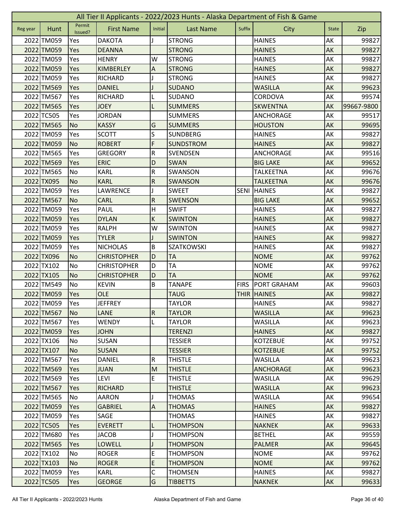|          | All Tier II Applicants - 2022/2023 Hunts - Alaska Department of Fish & Game |                   |                    |                           |                   |             |                    |              |            |  |  |  |
|----------|-----------------------------------------------------------------------------|-------------------|--------------------|---------------------------|-------------------|-------------|--------------------|--------------|------------|--|--|--|
| Reg year | Hunt                                                                        | Permit<br>Issued? | <b>First Name</b>  | Initial                   | <b>Last Name</b>  | Suffix      | City               | <b>State</b> | Zip        |  |  |  |
|          | 2022 TM059                                                                  | Yes               | <b>DAKOTA</b>      |                           | <b>STRONG</b>     |             | <b>HAINES</b>      | AK           | 99827      |  |  |  |
|          | 2022 TM059                                                                  | Yes               | <b>DEANNA</b>      |                           | <b>STRONG</b>     |             | <b>HAINES</b>      | AK           | 99827      |  |  |  |
|          | 2022 TM059                                                                  | Yes               | <b>HENRY</b>       | W                         | <b>STRONG</b>     |             | <b>HAINES</b>      | AK           | 99827      |  |  |  |
|          | 2022 TM059                                                                  | Yes               | <b>KIMBERLEY</b>   | $\boldsymbol{\mathsf{A}}$ | <b>STRONG</b>     |             | <b>HAINES</b>      | AK           | 99827      |  |  |  |
|          | 2022 TM059                                                                  | Yes               | <b>RICHARD</b>     |                           | <b>STRONG</b>     |             | <b>HAINES</b>      | AK           | 99827      |  |  |  |
|          | 2022 TM569                                                                  | Yes               | <b>DANIEL</b>      |                           | <b>SUDANO</b>     |             | <b>WASILLA</b>     | AK           | 99623      |  |  |  |
|          | 2022 TM567                                                                  | Yes               | <b>RICHARD</b>     | L                         | <b>SUDANO</b>     |             | CORDOVA            | AK           | 99574      |  |  |  |
|          | 2022 TM565                                                                  | Yes               | <b>JOEY</b>        | L                         | <b>SUMMERS</b>    |             | <b>SKWENTNA</b>    | AK           | 99667-9800 |  |  |  |
|          | 2022 TC505                                                                  | Yes               | <b>JORDAN</b>      |                           | <b>SUMMERS</b>    |             | <b>ANCHORAGE</b>   | AK           | 99517      |  |  |  |
|          | 2022 TM565                                                                  | <b>No</b>         | <b>KASSY</b>       | G                         | <b>SUMMERS</b>    |             | <b>HOUSTON</b>     | AK           | 99695      |  |  |  |
|          | 2022 TM059                                                                  | Yes               | <b>SCOTT</b>       | S                         | <b>SUNDBERG</b>   |             | <b>HAINES</b>      | AK           | 99827      |  |  |  |
|          | 2022 TM059                                                                  | <b>No</b>         | <b>ROBERT</b>      | F                         | <b>SUNDSTROM</b>  |             | <b>HAINES</b>      | AK           | 99827      |  |  |  |
|          | 2022 TM565                                                                  | Yes               | <b>GREGORY</b>     | ${\sf R}$                 | <b>SVENDSEN</b>   |             | ANCHORAGE          | AK           | 99516      |  |  |  |
|          | 2022 TM569                                                                  | Yes               | <b>ERIC</b>        | D                         | <b>SWAN</b>       |             | <b>BIG LAKE</b>    | AK           | 99652      |  |  |  |
|          | 2022 TM565                                                                  | No                | <b>KARL</b>        | ${\sf R}$                 | SWANSON           |             | <b>TALKEETNA</b>   | AK           | 99676      |  |  |  |
|          | 2022 TX095                                                                  | <b>No</b>         | <b>KARL</b>        | ${\sf R}$                 | SWANSON           |             | <b>TALKEETNA</b>   | AK           | 99676      |  |  |  |
|          | 2022 TM059                                                                  | Yes               | LAWRENCE           |                           | <b>SWEET</b>      | <b>SENI</b> | <b>HAINES</b>      | AK           | 99827      |  |  |  |
|          | 2022 TM567                                                                  | <b>No</b>         | <b>CARL</b>        | $\overline{R}$            | <b>SWENSON</b>    |             | <b>BIG LAKE</b>    | AK           | 99652      |  |  |  |
|          | 2022 TM059                                                                  | Yes               | <b>PAUL</b>        | $\mathsf{H}$              | <b>SWIFT</b>      |             | <b>HAINES</b>      | AK           | 99827      |  |  |  |
|          | 2022 TM059                                                                  | Yes               | <b>DYLAN</b>       | $\sf K$                   | <b>SWINTON</b>    |             | <b>HAINES</b>      | AK           | 99827      |  |  |  |
|          | 2022 TM059                                                                  | Yes               | <b>RALPH</b>       | W                         | <b>SWINTON</b>    |             | <b>HAINES</b>      | AK           | 99827      |  |  |  |
|          | 2022 TM059                                                                  | Yes               | <b>TYLER</b>       |                           | <b>SWINTON</b>    |             | <b>HAINES</b>      | AK           | 99827      |  |  |  |
|          | 2022 TM059                                                                  | Yes               | <b>NICHOLAS</b>    | B                         | <b>SZATKOWSKI</b> |             | <b>HAINES</b>      | AK           | 99827      |  |  |  |
|          | 2022 TX096                                                                  | <b>No</b>         | <b>CHRISTOPHER</b> | D                         | <b>TA</b>         |             | <b>NOME</b>        | AK           | 99762      |  |  |  |
|          | 2022 TX102                                                                  | No                | <b>CHRISTOPHER</b> | D                         | TA                |             | <b>NOME</b>        | AK           | 99762      |  |  |  |
|          | 2022 TX105                                                                  | <b>No</b>         | <b>CHRISTOPHER</b> | D                         | <b>TA</b>         |             | <b>NOME</b>        | AK           | 99762      |  |  |  |
|          | 2022 TM549                                                                  | No                | <b>KEVIN</b>       | B                         | <b>TANAPE</b>     | <b>FIRS</b> | <b>PORT GRAHAM</b> | AK           | 99603      |  |  |  |
|          | 2022 TM059                                                                  | Yes               | <b>OLE</b>         |                           | <b>TAUG</b>       |             | <b>THIR HAINES</b> | AK           | 99827      |  |  |  |
|          | 2022 TM059                                                                  | Yes               | <b>JEFFREY</b>     |                           | <b>TAYLOR</b>     |             | <b>HAINES</b>      | AK           | 99827      |  |  |  |
|          | 2022 TM567                                                                  | <b>No</b>         | <b>LANE</b>        | $\overline{R}$            | <b>TAYLOR</b>     |             | <b>WASILLA</b>     | AK           | 99623      |  |  |  |
|          | 2022 TM567                                                                  | Yes               | <b>WENDY</b>       | L                         | <b>TAYLOR</b>     |             | <b>WASILLA</b>     | AK           | 99623      |  |  |  |
|          | 2022 TM059                                                                  | Yes               | <b>JOHN</b>        |                           | <b>TERENZI</b>    |             | <b>HAINES</b>      | AK           | 99827      |  |  |  |
|          | 2022 TX106                                                                  | No                | <b>SUSAN</b>       |                           | <b>TESSIER</b>    |             | <b>KOTZEBUE</b>    | AK           | 99752      |  |  |  |
|          | 2022 TX107                                                                  | No                | <b>SUSAN</b>       |                           | <b>TESSIER</b>    |             | <b>KOTZEBUE</b>    | AK           | 99752      |  |  |  |
|          | 2022 TM567                                                                  | Yes               | <b>DANIEL</b>      | $\mathsf R$               | <b>THISTLE</b>    |             | <b>WASILLA</b>     | AK           | 99623      |  |  |  |
|          | 2022 TM569                                                                  | Yes               | <b>JUAN</b>        | M                         | <b>THISTLE</b>    |             | <b>ANCHORAGE</b>   | AK           | 99623      |  |  |  |
|          | 2022 TM569                                                                  | Yes               | LEVI               | $\mathsf E$               | <b>THISTLE</b>    |             | <b>WASILLA</b>     | AK           | 99629      |  |  |  |
|          | 2022 TM567                                                                  | Yes               | <b>RICHARD</b>     |                           | <b>THISTLE</b>    |             | <b>WASILLA</b>     | AK           | 99623      |  |  |  |
|          | 2022 TM565                                                                  | No                | AARON              |                           | THOMAS            |             | WASILLA            | AK           | 99654      |  |  |  |
|          | 2022 TM059                                                                  | <b>Yes</b>        | <b>GABRIEL</b>     | $\overline{A}$            | <b>THOMAS</b>     |             | <b>HAINES</b>      | AK           | 99827      |  |  |  |
|          | 2022 TM059                                                                  | Yes               | SAGE               |                           | <b>THOMAS</b>     |             | <b>HAINES</b>      | AK           | 99827      |  |  |  |
|          | 2022 TC505                                                                  | Yes               | <b>EVERETT</b>     | L                         | <b>THOMPSON</b>   |             | <b>NAKNEK</b>      | AK           | 99633      |  |  |  |
|          | 2022 TM680                                                                  | Yes               | <b>JACOB</b>       |                           | THOMPSON          |             | BETHEL             | AK           | 99559      |  |  |  |
|          | 2022 TM565                                                                  | <b>Yes</b>        | <b>LOWELL</b>      | J                         | <b>THOMPSON</b>   |             | <b>PALMER</b>      | AK           | 99645      |  |  |  |
|          | 2022 TX102                                                                  | No                | <b>ROGER</b>       | E                         | <b>THOMPSON</b>   |             | <b>NOME</b>        | AK           | 99762      |  |  |  |
|          | 2022 TX103                                                                  | <b>No</b>         | <b>ROGER</b>       | $\mathsf E$               | THOMPSON          |             | <b>NOME</b>        | AK           | 99762      |  |  |  |
|          | 2022 TM059                                                                  | Yes               | <b>KARL</b>        | C                         | <b>THOMSEN</b>    |             | <b>HAINES</b>      | AK           | 99827      |  |  |  |
|          | 2022 TC505                                                                  | Yes               | <b>GEORGE</b>      | G                         | <b>TIBBETTS</b>   |             | <b>NAKNEK</b>      | AK           | 99633      |  |  |  |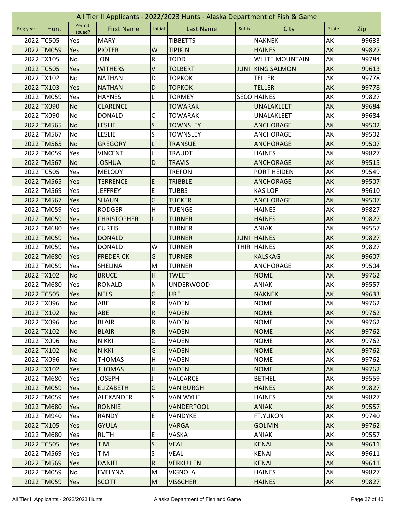| All Tier II Applicants - 2022/2023 Hunts - Alaska Department of Fish & Game |            |                   |                    |                           |                  |             |                       |              |       |
|-----------------------------------------------------------------------------|------------|-------------------|--------------------|---------------------------|------------------|-------------|-----------------------|--------------|-------|
| Reg year                                                                    | Hunt       | Permit<br>Issued? | <b>First Name</b>  | Initial                   | <b>Last Name</b> | Suffix      | City                  | <b>State</b> | Zip   |
|                                                                             | 2022 TC505 | Yes               | <b>MARY</b>        |                           | <b>TIBBETTS</b>  |             | <b>NAKNEK</b>         | AK           | 99633 |
|                                                                             | 2022 TM059 | Yes               | <b>PIOTER</b>      | W                         | <b>TIPIKIN</b>   |             | <b>HAINES</b>         | AK           | 99827 |
|                                                                             | 2022 TX105 | No                | <b>JON</b>         | ${\sf R}$                 | <b>TODD</b>      |             | <b>WHITE MOUNTAIN</b> | AK           | 99784 |
|                                                                             | 2022 TC505 | Yes               | <b>WITHERS</b>     | V                         | <b>TOLBERT</b>   | <b>JUNI</b> | <b>KING SALMON</b>    | AK           | 99613 |
|                                                                             | 2022 TX102 | <b>No</b>         | <b>NATHAN</b>      | D                         | <b>TOPKOK</b>    |             | <b>TELLER</b>         | AK           | 99778 |
|                                                                             | 2022 TX103 | Yes               | <b>NATHAN</b>      | D                         | <b>TOPKOK</b>    |             | <b>TELLER</b>         | AK           | 99778 |
|                                                                             | 2022 TM059 | Yes               | <b>HAYNES</b>      | L                         | <b>TORMEY</b>    |             | <b>SECO HAINES</b>    | AK           | 99827 |
|                                                                             | 2022 TX090 | <b>No</b>         | <b>CLARENCE</b>    |                           | <b>TOWARAK</b>   |             | <b>UNALAKLEET</b>     | AK           | 99684 |
|                                                                             | 2022 TX090 | No                | <b>DONALD</b>      | С                         | <b>TOWARAK</b>   |             | UNALAKLEET            | AK           | 99684 |
|                                                                             | 2022 TM565 | <b>No</b>         | <b>LESLIE</b>      | $\mathsf{S}$              | <b>TOWNSLEY</b>  |             | <b>ANCHORAGE</b>      | AK           | 99502 |
|                                                                             | 2022 TM567 | <b>No</b>         | <b>LESLIE</b>      | S                         | <b>TOWNSLEY</b>  |             | ANCHORAGE             | AK           | 99502 |
|                                                                             | 2022 TM565 | <b>No</b>         | <b>GREGORY</b>     | L                         | <b>TRANSUE</b>   |             | <b>ANCHORAGE</b>      | AK           | 99507 |
|                                                                             | 2022 TM059 | Yes               | <b>VINCENT</b>     |                           | TRAUDT           |             | <b>HAINES</b>         | AK           | 99827 |
|                                                                             | 2022 TM567 | <b>No</b>         | <b>JOSHUA</b>      | D                         | <b>TRAVIS</b>    |             | <b>ANCHORAGE</b>      | AK           | 99515 |
|                                                                             | 2022 TC505 | Yes               | <b>MELODY</b>      |                           | <b>TREFON</b>    |             | PORT HEIDEN           | AK           | 99549 |
|                                                                             | 2022 TM565 | Yes               | <b>TERRENCE</b>    | E                         | <b>TRIBBLE</b>   |             | <b>ANCHORAGE</b>      | AK           | 99507 |
|                                                                             | 2022 TM569 | Yes               | <b>JEFFREY</b>     | E                         | <b>TUBBS</b>     |             | <b>KASILOF</b>        | AK           | 99610 |
|                                                                             | 2022 TM567 | Yes               | <b>SHAUN</b>       | G                         | <b>TUCKER</b>    |             | <b>ANCHORAGE</b>      | AK           | 99507 |
|                                                                             | 2022 TM059 | Yes               | <b>RODGER</b>      | $\mathsf{H}$              | <b>TUENGE</b>    |             | <b>HAINES</b>         | AK           | 99827 |
|                                                                             | 2022 TM059 | Yes               | <b>CHRISTOPHER</b> | L                         | <b>TURNER</b>    |             | <b>HAINES</b>         | AK           | 99827 |
|                                                                             | 2022 TM680 | Yes               | <b>CURTIS</b>      |                           | <b>TURNER</b>    |             | ANIAK                 | AK           | 99557 |
|                                                                             | 2022 TM059 | Yes               | <b>DONALD</b>      |                           | <b>TURNER</b>    | <b>JUNI</b> | <b>HAINES</b>         | AK           | 99827 |
|                                                                             | 2022 TM059 | Yes               | <b>DONALD</b>      | W                         | <b>TURNER</b>    | <b>THIR</b> | <b>HAINES</b>         | AK           | 99827 |
|                                                                             | 2022 TM680 | Yes               | <b>FREDERICK</b>   | G                         | <b>TURNER</b>    |             | <b>KALSKAG</b>        | AK           | 99607 |
|                                                                             | 2022 TM059 | Yes               | <b>SHELINA</b>     | M                         | <b>TURNER</b>    |             | ANCHORAGE             | AK           | 99504 |
|                                                                             | 2022 TX102 | <b>No</b>         | <b>BRUCE</b>       | H                         | <b>TWEET</b>     |             | <b>NOME</b>           | AK           | 99762 |
|                                                                             | 2022 TM680 | Yes               | <b>RONALD</b>      | ${\sf N}$                 | <b>UNDERWOOD</b> |             | <b>ANIAK</b>          | AK           | 99557 |
|                                                                             | 2022 TC505 | Yes               | <b>NELS</b>        | G                         | <b>URE</b>       |             | <b>NAKNEK</b>         | AK           | 99633 |
|                                                                             | 2022 TX096 | <b>No</b>         | ABE                | $\overline{R}$            | <b>VADEN</b>     |             | <b>NOME</b>           | AK           | 99762 |
|                                                                             | 2022 TX102 | <b>No</b>         | <b>ABE</b>         | $\overline{R}$            | <b>VADEN</b>     |             | <b>NOME</b>           | AK           | 99762 |
|                                                                             | 2022 TX096 | No                | <b>BLAIR</b>       | $\overline{\mathsf{R}}$   | <b>VADEN</b>     |             | <b>NOME</b>           | AK           | 99762 |
|                                                                             | 2022 TX102 | No                | <b>BLAIR</b>       | ${\sf R}$                 | <b>VADEN</b>     |             | <b>NOME</b>           | AK           | 99762 |
|                                                                             | 2022 TX096 | No                | <b>NIKKI</b>       | G                         | VADEN            |             | <b>NOME</b>           | AK           | 99762 |
|                                                                             | 2022 TX102 | <b>No</b>         | <b>NIKKI</b>       | G                         | <b>VADEN</b>     |             | <b>NOME</b>           | AK           | 99762 |
|                                                                             | 2022 TX096 | No                | <b>THOMAS</b>      | H                         | VADEN            |             | <b>NOME</b>           | AK           | 99762 |
|                                                                             | 2022 TX102 | Yes               | <b>THOMAS</b>      | $\boldsymbol{\mathsf{H}}$ | <b>VADEN</b>     |             | <b>NOME</b>           | <b>AK</b>    | 99762 |
|                                                                             | 2022 TM680 | Yes               | <b>JOSEPH</b>      |                           | VALCARCE         |             | <b>BETHEL</b>         | AK           | 99559 |
|                                                                             | 2022 TM059 | Yes               | <b>ELIZABETH</b>   | G                         | <b>VAN BURGH</b> |             | <b>HAINES</b>         | <b>AK</b>    | 99827 |
|                                                                             | 2022 TM059 | Yes               | ALEXANDER          | S                         | VAN WYHE         |             | <b>HAINES</b>         | AK           | 99827 |
|                                                                             | 2022 TM680 | <b>Yes</b>        | <b>RONNIE</b>      |                           | VANDERPOOL       |             | <b>ANIAK</b>          | AK           | 99557 |
|                                                                             | 2022 TM940 | Yes               | <b>RANDY</b>       | E.                        | VANDYKE          |             | <b>FT.YUKON</b>       | AK           | 99740 |
|                                                                             | 2022 TX105 | Yes               | <b>GYULA</b>       |                           | VARGA            |             | <b>GOLIVIN</b>        | AK           | 99762 |
|                                                                             | 2022 TM680 | Yes               | <b>RUTH</b>        | E                         | VASKA            |             | <b>ANIAK</b>          | AK           | 99557 |
|                                                                             | 2022 TC505 | <b>Yes</b>        | <b>TIM</b>         | $\sf S$                   | <b>VEAL</b>      |             | <b>KENAI</b>          | AK           | 99611 |
|                                                                             | 2022 TM569 | Yes               | TIM                | S                         | <b>VEAL</b>      |             | <b>KENAI</b>          | AK           | 99611 |
|                                                                             | 2022 TM569 | Yes               | <b>DANIEL</b>      | $\overline{R}$            | <b>VERKUILEN</b> |             | <b>KENAI</b>          | AK           | 99611 |
|                                                                             | 2022 TM059 | No                | <b>EVELYNA</b>     | M                         | <b>VIGNOLA</b>   |             | <b>HAINES</b>         | AK           | 99827 |
|                                                                             | 2022 TM059 | Yes               | <b>SCOTT</b>       | M                         | <b>VISSCHER</b>  |             | <b>HAINES</b>         | AK           | 99827 |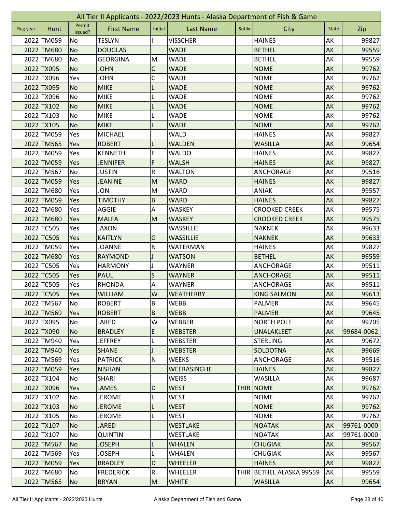| All Tier II Applicants - 2022/2023 Hunts - Alaska Department of Fish & Game |            |                   |                   |                         |                    |        |                          |              |            |
|-----------------------------------------------------------------------------|------------|-------------------|-------------------|-------------------------|--------------------|--------|--------------------------|--------------|------------|
| Reg year                                                                    | Hunt       | Permit<br>Issued? | <b>First Name</b> | Initial                 | <b>Last Name</b>   | Suffix | City                     | <b>State</b> | Zip        |
|                                                                             | 2022 TM059 | No                | <b>TESLYN</b>     |                         | <b>VISSCHER</b>    |        | <b>HAINES</b>            | AK           | 99827      |
|                                                                             | 2022 TM680 | <b>No</b>         | <b>DOUGLAS</b>    |                         | <b>WADE</b>        |        | <b>BETHEL</b>            | AK           | 99559      |
|                                                                             | 2022 TM680 | No                | <b>GEORGINA</b>   | M                       | <b>WADE</b>        |        | <b>BETHEL</b>            | AK           | 99559      |
|                                                                             | 2022 TX095 | <b>No</b>         | <b>JOHN</b>       | C                       | <b>WADE</b>        |        | <b>NOME</b>              | AK           | 99762      |
|                                                                             | 2022 TX096 | Yes               | <b>JOHN</b>       | $\mathsf C$             | <b>WADE</b>        |        | <b>NOME</b>              | AK           | 99762      |
|                                                                             | 2022 TX095 | <b>No</b>         | <b>MIKE</b>       | L                       | <b>WADE</b>        |        | <b>NOME</b>              | AK           | 99762      |
|                                                                             | 2022 TX096 | No                | <b>MIKE</b>       |                         | <b>WADE</b>        |        | <b>NOME</b>              | AK           | 99762      |
|                                                                             | 2022 TX102 | <b>No</b>         | <b>MIKE</b>       |                         | <b>WADE</b>        |        | <b>NOME</b>              | AK           | 99762      |
|                                                                             | 2022 TX103 | No                | <b>MIKE</b>       |                         | <b>WADE</b>        |        | <b>NOME</b>              | AK           | 99762      |
|                                                                             | 2022 TX105 | <b>No</b>         | <b>MIKE</b>       |                         | <b>WADE</b>        |        | <b>NOME</b>              | AK           | 99762      |
|                                                                             | 2022 TM059 | Yes               | <b>MICHAEL</b>    |                         | <b>WALD</b>        |        | <b>HAINES</b>            | AK           | 99827      |
|                                                                             | 2022 TM565 | Yes               | <b>ROBERT</b>     | L                       | <b>WALDEN</b>      |        | <b>WASILLA</b>           | AK           | 99654      |
|                                                                             | 2022 TM059 | Yes               | <b>KENNETH</b>    | E                       | <b>WALDO</b>       |        | <b>HAINES</b>            | AK           | 99827      |
|                                                                             | 2022 TM059 | Yes               | <b>JENNIFER</b>   | F                       | <b>WALSH</b>       |        | <b>HAINES</b>            | AK           | 99827      |
|                                                                             | 2022 TM567 | No                | <b>JUSTIN</b>     | R                       | <b>WALTON</b>      |        | ANCHORAGE                | АK           | 99516      |
|                                                                             | 2022 TM059 | Yes               | <b>JEANINE</b>    | M                       | <b>WARD</b>        |        | <b>HAINES</b>            | AK           | 99827      |
|                                                                             | 2022 TM680 | Yes               | <b>JON</b>        | M                       | <b>WARD</b>        |        | <b>ANIAK</b>             | AK           | 99557      |
|                                                                             | 2022 TM059 | Yes               | <b>TIMOTHY</b>    | $\sf B$                 | <b>WARD</b>        |        | <b>HAINES</b>            | AK           | 99827      |
|                                                                             | 2022 TM680 | Yes               | <b>AGGIE</b>      | A                       | <b>WASKEY</b>      |        | <b>CROOKED CREEK</b>     | AK           | 99575      |
|                                                                             | 2022 TM680 | Yes               | <b>MALFA</b>      | M                       | <b>WASKEY</b>      |        | <b>CROOKED CREEK</b>     | AK           | 99575      |
|                                                                             | 2022 TC505 | Yes               | <b>JAXON</b>      |                         | WASSILLIE          |        | <b>NAKNEK</b>            | AK           | 99633      |
|                                                                             | 2022 TC505 | Yes               | <b>KAITLYN</b>    | G                       | <b>WASSILLIE</b>   |        | <b>NAKNEK</b>            | AK           | 99633      |
|                                                                             | 2022 TM059 | Yes               | <b>JOANNE</b>     | ${\sf N}$               | WATERMAN           |        | <b>HAINES</b>            | AK           | 99827      |
|                                                                             | 2022 TM680 | Yes               | <b>RAYMOND</b>    |                         | <b>WATSON</b>      |        | <b>BETHEL</b>            | AK           | 99559      |
|                                                                             | 2022 TC505 | Yes               | <b>HARMONY</b>    |                         | WAYNER             |        | ANCHORAGE                | AK           | 99511      |
|                                                                             | 2022 TC505 | Yes               | <b>PAUL</b>       | S                       | <b>WAYNER</b>      |        | <b>ANCHORAGE</b>         | AK           | 99511      |
|                                                                             | 2022 TC505 | Yes               | <b>RHONDA</b>     | Α                       | <b>WAYNER</b>      |        | ANCHORAGE                | AK           | 99511      |
|                                                                             | 2022 TC505 | Yes               | <b>WILLIAM</b>    | W                       | <b>WEATHERBY</b>   |        | <b>KING SALMON</b>       | AK           | 99613      |
|                                                                             | 2022 TM567 | No                | <b>ROBERT</b>     | B                       | <b>WEBB</b>        |        | PALMER                   | AK           | 99645      |
|                                                                             | 2022 TM569 | <b>Yes</b>        | <b>ROBERT</b>     | B                       | <b>WEBB</b>        |        | <b>PALMER</b>            | AK           | 99645      |
|                                                                             | 2022 TX095 | <b>No</b>         | <b>JARED</b>      | W                       | WEBBER             |        | <b>NORTH POLE</b>        | AK           | 99705      |
|                                                                             | 2022 TX090 | <b>No</b>         | <b>BRADLEY</b>    | E                       | <b>WEBSTER</b>     |        | UNALAKLEET               | AK           | 99684-0062 |
|                                                                             | 2022 TM940 | Yes               | <b>JEFFREY</b>    |                         | <b>WEBSTER</b>     |        | <b>STERLING</b>          | AK           | 99672      |
|                                                                             | 2022 TM940 | Yes               | <b>SHANE</b>      |                         | <b>WEBSTER</b>     |        | <b>SOLDOTNA</b>          | AK           | 99669      |
|                                                                             | 2022 TM569 | Yes               | <b>PATRICK</b>    | ${\sf N}$               | <b>WEEKS</b>       |        | ANCHORAGE                | AK           | 99516      |
|                                                                             | 2022 TM059 | <b>Yes</b>        | <b>NISHAN</b>     |                         | <b>WEERASINGHE</b> |        | <b>HAINES</b>            | <b>AK</b>    | 99827      |
|                                                                             | 2022 TX104 | No                | <b>SHARI</b>      |                         | WEISS              |        | <b>WASILLA</b>           | AK           | 99687      |
|                                                                             | 2022 TX096 | Yes               | <b>JAMES</b>      | D                       | <b>WEST</b>        | THIR   | <b>NOME</b>              | AK           | 99762      |
|                                                                             | 2022 TX102 | No                | <b>JEROME</b>     | L                       | WEST               |        | <b>NOME</b>              | AK           | 99762      |
|                                                                             | 2022 TX103 | <b>No</b>         | <b>JEROME</b>     | L                       | <b>WEST</b>        |        | <b>NOME</b>              | AK           | 99762      |
|                                                                             | 2022 TX105 | No                | <b>JEROME</b>     | L                       | WEST               |        | <b>NOME</b>              | AK           | 99762      |
|                                                                             | 2022 TX107 | <b>No</b>         | <b>JARED</b>      |                         | <b>WESTLAKE</b>    |        | <b>NOATAK</b>            | AK           | 99761-0000 |
|                                                                             | 2022 TX107 | No                | <b>QUINTIN</b>    |                         | WESTLAKE           |        | <b>NOATAK</b>            | AK           | 99761-0000 |
|                                                                             | 2022 TM567 | No                | <b>JOSEPH</b>     | L                       | <b>WHALEN</b>      |        | <b>CHUGIAK</b>           | AK           | 99567      |
|                                                                             | 2022 TM569 | Yes               | <b>JOSEPH</b>     | L                       | WHALEN             |        | <b>CHUGIAK</b>           | AK           | 99567      |
|                                                                             | 2022 TM059 | Yes               | <b>BRADLEY</b>    | D                       | <b>WHEELER</b>     |        | <b>HAINES</b>            | AK           | 99827      |
|                                                                             | 2022 TM680 | No                | <b>FREDERICK</b>  | $\overline{\mathsf{R}}$ | <b>WHEELER</b>     |        | THIR BETHEL ALASKA 99559 | AK           | 99559      |
|                                                                             | 2022 TM565 | <b>No</b>         | <b>BRYAN</b>      | M                       | <b>WHITE</b>       |        | <b>WASILLA</b>           | AK           | 99654      |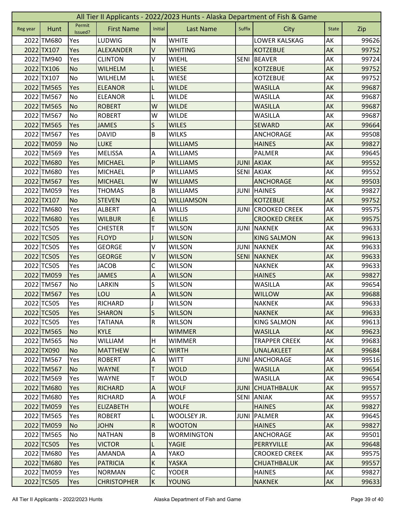| All Tier II Applicants - 2022/2023 Hunts - Alaska Department of Fish & Game |            |                   |                    |                |                   |             |                      |              |       |
|-----------------------------------------------------------------------------|------------|-------------------|--------------------|----------------|-------------------|-------------|----------------------|--------------|-------|
| Reg year                                                                    | Hunt       | Permit<br>Issued? | <b>First Name</b>  | Initial        | <b>Last Name</b>  | Suffix      | City                 | <b>State</b> | Zip   |
|                                                                             | 2022 TM680 | Yes               | LUDWIG             | N              | <b>WHITE</b>      |             | LOWER KALSKAG        | AK           | 99626 |
|                                                                             | 2022 TX107 | Yes               | <b>ALEXANDER</b>   | V              | <b>WHITING</b>    |             | <b>KOTZEBUE</b>      | AK           | 99752 |
|                                                                             | 2022 TM940 | Yes               | <b>CLINTON</b>     | V              | <b>WIEHL</b>      | <b>SENI</b> | <b>BEAVER</b>        | AK           | 99724 |
|                                                                             | 2022 TX106 | <b>No</b>         | <b>WILHELM</b>     | L              | <b>WIESE</b>      |             | <b>KOTZEBUE</b>      | AK           | 99752 |
|                                                                             | 2022 TX107 | <b>No</b>         | <b>WILHELM</b>     | L              | <b>WIESE</b>      |             | <b>KOTZEBUE</b>      | AK           | 99752 |
|                                                                             | 2022 TM565 | Yes               | <b>ELEANOR</b>     | L              | <b>WILDE</b>      |             | <b>WASILLA</b>       | AK           | 99687 |
|                                                                             | 2022 TM567 | No                | <b>ELEANOR</b>     |                | <b>WILDE</b>      |             | <b>WASILLA</b>       | AK           | 99687 |
|                                                                             | 2022 TM565 | <b>No</b>         | <b>ROBERT</b>      | W              | <b>WILDE</b>      |             | <b>WASILLA</b>       | AK           | 99687 |
|                                                                             | 2022 TM567 | <b>No</b>         | <b>ROBERT</b>      | W              | <b>WILDE</b>      |             | <b>WASILLA</b>       | AK           | 99687 |
|                                                                             | 2022 TM565 | Yes               | <b>JAMES</b>       | S              | <b>WILES</b>      |             | <b>SEWARD</b>        | AK           | 99664 |
|                                                                             | 2022 TM567 | Yes               | <b>DAVID</b>       | $\sf B$        | <b>WILKS</b>      |             | ANCHORAGE            | AK           | 99508 |
|                                                                             | 2022 TM059 | <b>No</b>         | <b>LUKE</b>        |                | <b>WILLIAMS</b>   |             | <b>HAINES</b>        | AK           | 99827 |
|                                                                             | 2022 TM569 | Yes               | <b>MELISSA</b>     | Α              | <b>WILLIAMS</b>   |             | PALMER               | AK           | 99645 |
|                                                                             | 2022 TM680 | Yes               | <b>MICHAEL</b>     | P              | <b>WILLIAMS</b>   | <b>JUNI</b> | <b>AKIAK</b>         | AK           | 99552 |
|                                                                             | 2022 TM680 | Yes               | <b>MICHAEL</b>     | P              | <b>WILLIAMS</b>   | <b>SENI</b> | <b>AKIAK</b>         | АK           | 99552 |
|                                                                             | 2022 TM567 | Yes               | <b>MICHAEL</b>     | W              | <b>WILLIAMS</b>   |             | <b>ANCHORAGE</b>     | AK           | 99503 |
|                                                                             | 2022 TM059 | Yes               | <b>THOMAS</b>      | B              | <b>WILLIAMS</b>   | <b>JUNI</b> | <b>HAINES</b>        | AK           | 99827 |
|                                                                             | 2022 TX107 | <b>No</b>         | <b>STEVEN</b>      | $\mathsf Q$    | <b>WILLIAMSON</b> |             | <b>KOTZEBUE</b>      | AK           | 99752 |
|                                                                             | 2022 TM680 | Yes               | <b>ALBERT</b>      | A              | <b>WILLIS</b>     | <b>JUNI</b> | <b>CROOKED CREEK</b> | AK           | 99575 |
|                                                                             | 2022 TM680 | Yes               | <b>WILBUR</b>      | E              | <b>WILLIS</b>     |             | <b>CROOKED CREEK</b> | AK           | 99575 |
|                                                                             | 2022 TC505 | Yes               | <b>CHESTER</b>     | т              | <b>WILSON</b>     |             | <b>JUNI NAKNEK</b>   | AK           | 99633 |
|                                                                             | 2022 TC505 | Yes               | <b>FLOYD</b>       |                | <b>WILSON</b>     |             | <b>KING SALMON</b>   | AK           | 99613 |
|                                                                             | 2022 TC505 | Yes               | <b>GEORGE</b>      | V              | <b>WILSON</b>     | <b>JUNI</b> | NAKNEK               | AK           | 99633 |
|                                                                             | 2022 TC505 | Yes               | <b>GEORGE</b>      | V              | <b>WILSON</b>     | <b>SENI</b> | <b>NAKNEK</b>        | AK           | 99633 |
|                                                                             | 2022 TC505 | Yes               | <b>JACOB</b>       | С              | <b>WILSON</b>     |             | <b>NAKNEK</b>        | AK           | 99633 |
|                                                                             | 2022 TM059 | Yes               | <b>JAMES</b>       | A              | <b>WILSON</b>     |             | <b>HAINES</b>        | AK           | 99827 |
|                                                                             | 2022 TM567 | No                | LARKIN             | S              | <b>WILSON</b>     |             | <b>WASILLA</b>       | AK           | 99654 |
|                                                                             | 2022 TM567 | Yes               | LOU                | A              | <b>WILSON</b>     |             | <b>WILLOW</b>        | AK           | 99688 |
|                                                                             | 2022 TC505 | Yes               | RICHARD            | J              | <b>WILSON</b>     |             | <b>NAKNEK</b>        | AK           | 99633 |
|                                                                             | 2022 TC505 | <b>Yes</b>        | <b>SHARON</b>      | $\mathsf{S}$   | <b>WILSON</b>     |             | <b>NAKNEK</b>        | AK           | 99633 |
|                                                                             | 2022 TC505 | Yes               | <b>TATIANA</b>     | ${\sf R}$      | <b>WILSON</b>     |             | <b>KING SALMON</b>   | AK           | 99613 |
|                                                                             | 2022 TM565 | No                | <b>KYLE</b>        |                | <b>WIMMER</b>     |             | <b>WASILLA</b>       | AK           | 99623 |
|                                                                             | 2022 TM565 | <b>No</b>         | <b>WILLIAM</b>     | H              | <b>WIMMER</b>     |             | <b>TRAPPER CREEK</b> | AK           | 99683 |
|                                                                             | 2022 TX090 | <b>No</b>         | <b>MATTHEW</b>     | C              | <b>WIRTH</b>      |             | UNALAKLEET           | AK           | 99684 |
|                                                                             | 2022 TM567 | Yes               | <b>ROBERT</b>      | A              | <b>WITT</b>       | JUNI        | ANCHORAGE            | AK           | 99516 |
|                                                                             | 2022 TM567 | <b>No</b>         | <b>WAYNE</b>       | T              | <b>WOLD</b>       |             | <b>WASILLA</b>       | <b>AK</b>    | 99654 |
|                                                                             | 2022 TM569 | Yes               | <b>WAYNE</b>       | т              | <b>WOLD</b>       |             | <b>WASILLA</b>       | AK           | 99654 |
|                                                                             | 2022 TM680 | Yes               | <b>RICHARD</b>     | A              | <b>WOLF</b>       | <b>JUNI</b> | <b>CHUATHBALUK</b>   | AK           | 99557 |
|                                                                             | 2022 TM680 | Yes               | <b>RICHARD</b>     | A              | <b>WOLF</b>       | <b>SENI</b> | <b>ANIAK</b>         | AK           | 99557 |
|                                                                             | 2022 TM059 | Yes               | <b>ELIZABETH</b>   |                | <b>WOLFE</b>      |             | <b>HAINES</b>        | AK           | 99827 |
|                                                                             | 2022 TM565 | Yes               | <b>ROBERT</b>      | L              | WOOLSEY JR.       | JUNI        | <b>PALMER</b>        | AK           | 99645 |
|                                                                             | 2022 TM059 | <b>No</b>         | <b>JOHN</b>        | $\overline{R}$ | <b>WOOTON</b>     |             | <b>HAINES</b>        | AK           | 99827 |
|                                                                             | 2022 TM565 | No                | <b>NATHAN</b>      | $\sf B$        | <b>WORMINGTON</b> |             | ANCHORAGE            | AK           | 99501 |
|                                                                             | 2022 TC505 | Yes               | <b>VICTOR</b>      | L              | YAGIE             |             | PERRYVILLE           | AK           | 99648 |
|                                                                             | 2022 TM680 | Yes               | AMANDA             | A              | YAKO              |             | <b>CROOKED CREEK</b> | AK           | 99575 |
|                                                                             | 2022 TM680 | Yes               | <b>PATRICIA</b>    | $\sf K$        | YASKA             |             | <b>CHUATHBALUK</b>   | AK           | 99557 |
|                                                                             | 2022 TM059 | Yes               | <b>NORMAN</b>      | $\mathsf C$    | <b>YODER</b>      |             | <b>HAINES</b>        | AK           | 99827 |
|                                                                             | 2022 TC505 | Yes               | <b>CHRISTOPHER</b> | K              | <b>YOUNG</b>      |             | <b>NAKNEK</b>        | AK           | 99633 |